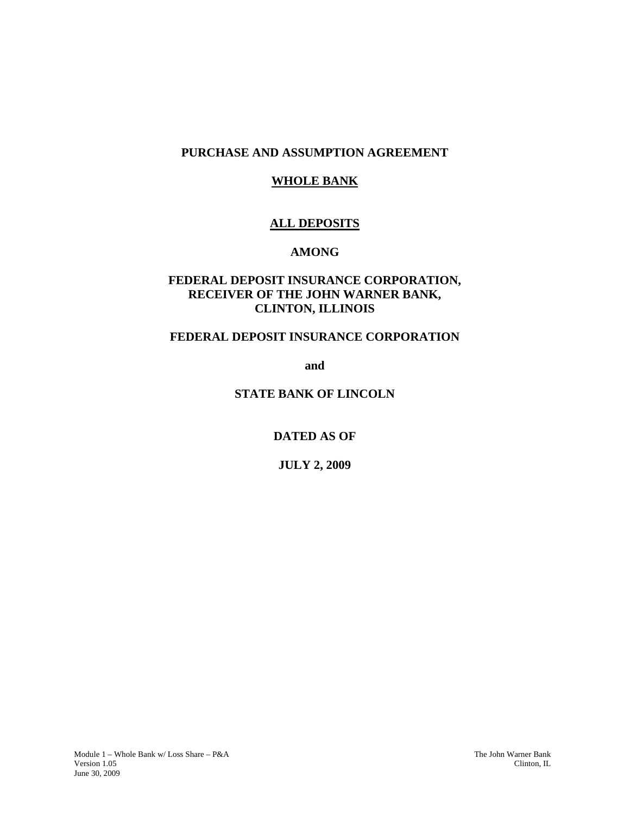#### **PURCHASE AND ASSUMPTION AGREEMENT**

### **WHOLE BANK**

### **ALL DEPOSITS**

#### **AMONG**

### **FEDERAL DEPOSIT INSURANCE CORPORATION, RECEIVER OF THE JOHN WARNER BANK, CLINTON, ILLINOIS**

#### **FEDERAL DEPOSIT INSURANCE CORPORATION**

**and and and** 

#### **STATE BANK OF LINCOLN**

**DATED AS OF**

**JULY 2, 2009**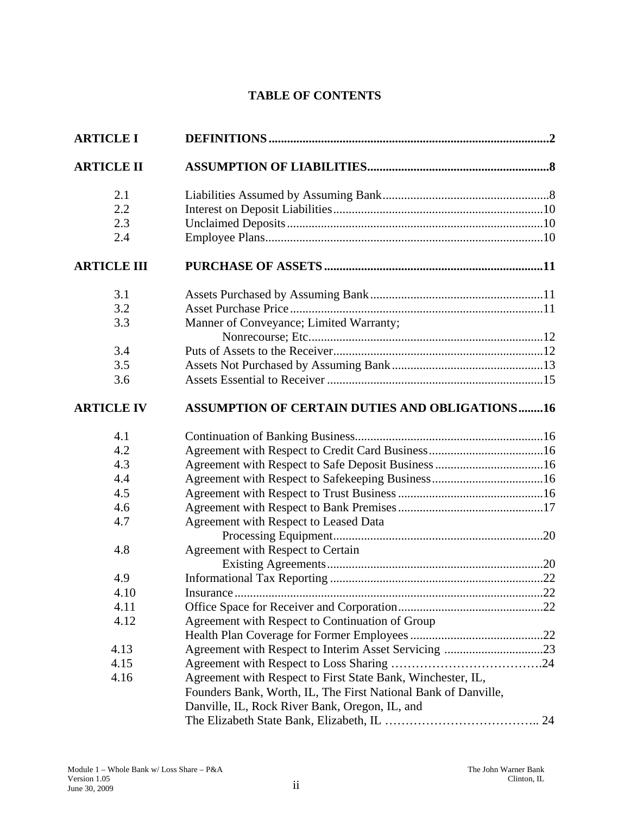# **TABLE OF CONTENTS**

| <b>ARTICLE I</b>   |                                                                |  |
|--------------------|----------------------------------------------------------------|--|
| <b>ARTICLE II</b>  |                                                                |  |
| 2.1                |                                                                |  |
| 2.2                |                                                                |  |
| 2.3                |                                                                |  |
| 2.4                |                                                                |  |
| <b>ARTICLE III</b> |                                                                |  |
| 3.1                |                                                                |  |
| 3.2                |                                                                |  |
| 3.3                | Manner of Conveyance; Limited Warranty;                        |  |
|                    |                                                                |  |
| 3.4                |                                                                |  |
| 3.5                |                                                                |  |
| 3.6                |                                                                |  |
| <b>ARTICLE IV</b>  | <b>ASSUMPTION OF CERTAIN DUTIES AND OBLIGATIONS16</b>          |  |
| 4.1                |                                                                |  |
| 4.2                |                                                                |  |
| 4.3                |                                                                |  |
| 4.4                |                                                                |  |
| 4.5                |                                                                |  |
| 4.6                |                                                                |  |
| 4.7                | Agreement with Respect to Leased Data                          |  |
|                    |                                                                |  |
| 4.8                | Agreement with Respect to Certain                              |  |
|                    |                                                                |  |
| 4.9                |                                                                |  |
| 4.10               |                                                                |  |
| 4.11               |                                                                |  |
| 4.12               | Agreement with Respect to Continuation of Group                |  |
|                    |                                                                |  |
| 4.13               |                                                                |  |
| 4.15               |                                                                |  |
| 4.16               | Agreement with Respect to First State Bank, Winchester, IL,    |  |
|                    | Founders Bank, Worth, IL, The First National Bank of Danville, |  |
|                    | Danville, IL, Rock River Bank, Oregon, IL, and                 |  |
|                    |                                                                |  |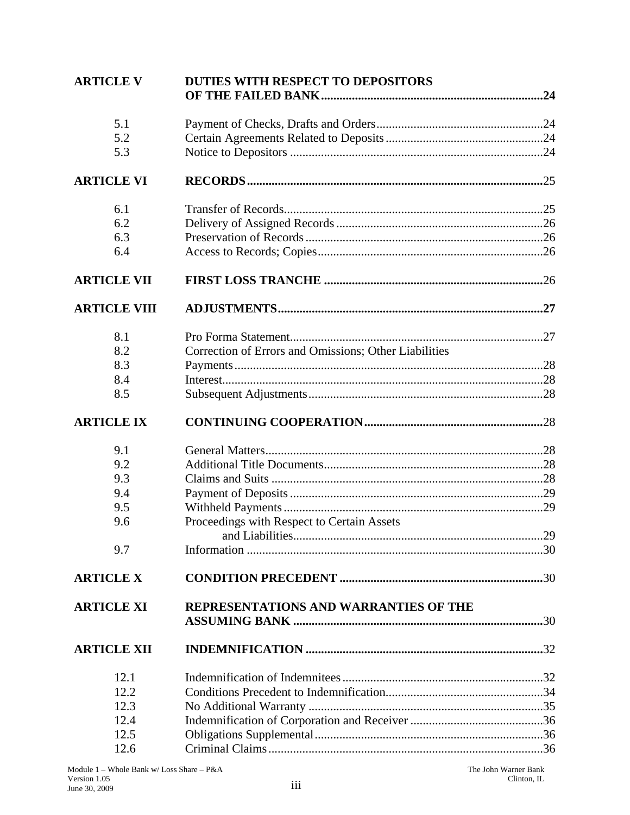| <b>ARTICLE V</b>    | <b>DUTIES WITH RESPECT TO DEPOSITORS</b>              |  |
|---------------------|-------------------------------------------------------|--|
|                     |                                                       |  |
|                     |                                                       |  |
| 5.1                 |                                                       |  |
| 5.2                 |                                                       |  |
| 5.3                 |                                                       |  |
| <b>ARTICLE VI</b>   |                                                       |  |
| 6.1                 |                                                       |  |
| 6.2                 |                                                       |  |
| 6.3                 |                                                       |  |
| 6.4                 |                                                       |  |
| <b>ARTICLE VII</b>  |                                                       |  |
| <b>ARTICLE VIII</b> |                                                       |  |
| 8.1                 |                                                       |  |
| 8.2                 | Correction of Errors and Omissions; Other Liabilities |  |
| 8.3                 |                                                       |  |
| 8.4                 |                                                       |  |
| 8.5                 |                                                       |  |
| <b>ARTICLE IX</b>   |                                                       |  |
| 9.1                 |                                                       |  |
| 9.2                 |                                                       |  |
| 9.3                 |                                                       |  |
| 9.4                 |                                                       |  |
| 9.5                 |                                                       |  |
| 9.6                 | Proceedings with Respect to Certain Assets            |  |
|                     |                                                       |  |
| 9.7                 |                                                       |  |
| <b>ARTICLE X</b>    |                                                       |  |
| <b>ARTICLE XI</b>   | REPRESENTATIONS AND WARRANTIES OF THE                 |  |
|                     |                                                       |  |
| <b>ARTICLE XII</b>  |                                                       |  |
| 12.1                |                                                       |  |
| 12.2                |                                                       |  |
| 12.3                |                                                       |  |
| 12.4                |                                                       |  |
| 12.5                |                                                       |  |
| 12.6                |                                                       |  |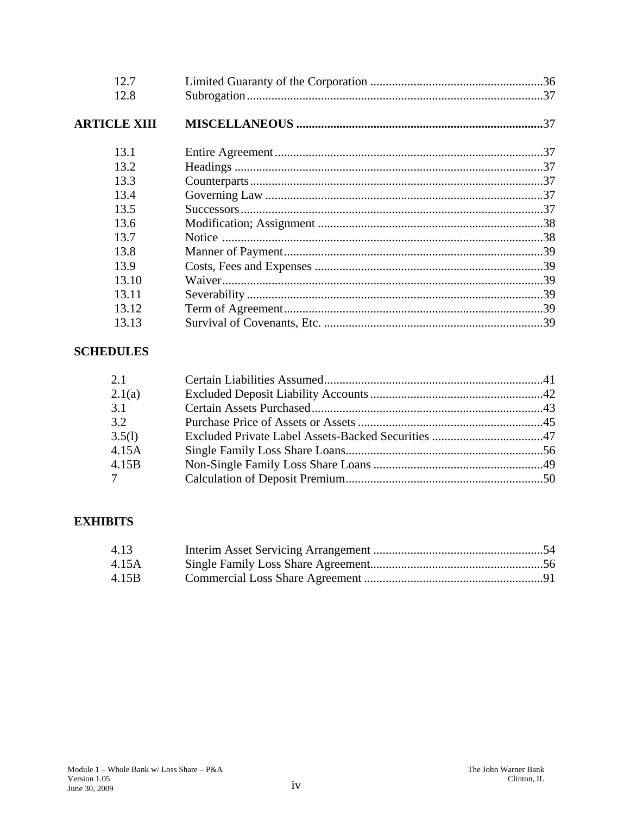| 12.7<br>12.8        |  |
|---------------------|--|
| <b>ARTICLE XIII</b> |  |
| 13.1                |  |
| 13.2                |  |
| 13.3                |  |
| 13.4                |  |
| 13.5                |  |
| 13.6                |  |
| 13.7                |  |
| 13.8                |  |
| 13.9                |  |
| 13.10               |  |
| 13.11               |  |
| 13.12               |  |
| 13.13               |  |

## **SCHEDULES**

| 2.1    |  |
|--------|--|
| 2.1(a) |  |
| 3.1    |  |
| 3.2    |  |
| 3.5(l) |  |
| 4.15A  |  |
| 4.15B  |  |
| 7      |  |

## **EXHIBITS**

| 4.13  |  |
|-------|--|
| 4.15A |  |
| 4.15B |  |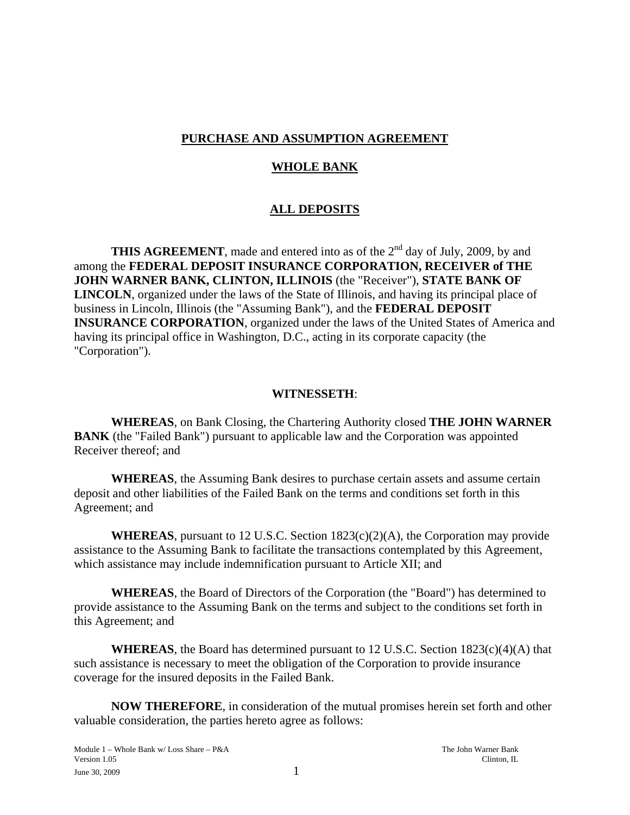### **PURCHASE AND ASSUMPTION AGREEMENT**

## **WHOLE BANK**

# **ALL DEPOSITS**

**THIS AGREEMENT**, made and entered into as of the  $2<sup>nd</sup>$  day of July, 2009, by and among the **FEDERAL DEPOSIT INSURANCE CORPORATION, RECEIVER of THE JOHN WARNER BANK, CLINTON, ILLINOIS** (the "Receiver"), **STATE BANK OF LINCOLN**, organized under the laws of the State of Illinois, and having its principal place of business in Lincoln, Illinois (the "Assuming Bank"), and the **FEDERAL DEPOSIT INSURANCE CORPORATION**, organized under the laws of the United States of America and having its principal office in Washington, D.C., acting in its corporate capacity (the "Corporation").

### **WITNESSETH**:

 **WHEREAS**, on Bank Closing, the Chartering Authority closed **THE JOHN WARNER BANK** (the "Failed Bank") pursuant to applicable law and the Corporation was appointed Receiver thereof; and

 **WHEREAS**, the Assuming Bank desires to purchase certain assets and assume certain deposit and other liabilities of the Failed Bank on the terms and conditions set forth in this Agreement; and

**WHEREAS**, pursuant to 12 U.S.C. Section  $1823(c)(2)(A)$ , the Corporation may provide assistance to the Assuming Bank to facilitate the transactions contemplated by this Agreement, which assistance may include indemnification pursuant to Article XII; and

 **WHEREAS**, the Board of Directors of the Corporation (the "Board") has determined to provide assistance to the Assuming Bank on the terms and subject to the conditions set forth in this Agreement; and

 **WHEREAS**, the Board has determined pursuant to 12 U.S.C. Section 1823(c)(4)(A) that such assistance is necessary to meet the obligation of the Corporation to provide insurance coverage for the insured deposits in the Failed Bank.

 **NOW THEREFORE**, in consideration of the mutual promises herein set forth and other valuable consideration, the parties hereto agree as follows: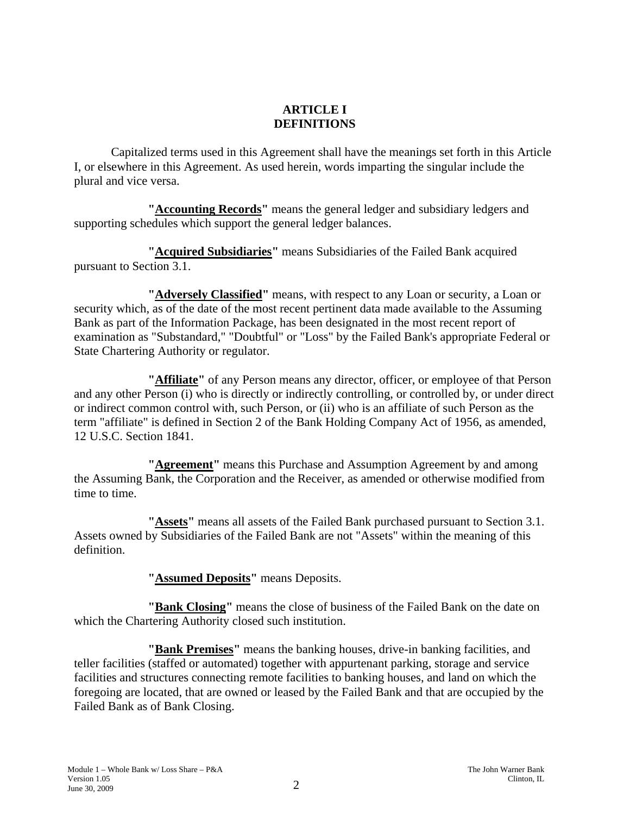### **ARTICLE I DEFINITIONS**

<span id="page-5-0"></span> Capitalized terms used in this Agreement shall have the meanings set forth in this Article I, or elsewhere in this Agreement. As used herein, words imparting the singular include the plural and vice versa.

 **"Accounting Records"** means the general ledger and subsidiary ledgers and supporting schedules which support the general ledger balances.

 **"Acquired Subsidiaries"** means Subsidiaries of the Failed Bank acquired pursuant to Section 3.1.

**"Adversely Classified"** means, with respect to any Loan or security, a Loan or security which, as of the date of the most recent pertinent data made available to the Assuming Bank as part of the Information Package, has been designated in the most recent report of examination as "Substandard," "Doubtful" or "Loss" by the Failed Bank's appropriate Federal or State Chartering Authority or regulator.

 **"Affiliate"** of any Person means any director, officer, or employee of that Person and any other Person (i) who is directly or indirectly controlling, or controlled by, or under direct or indirect common control with, such Person, or (ii) who is an affiliate of such Person as the term "affiliate" is defined in Section 2 of the Bank Holding Company Act of 1956, as amended, 12 U.S.C. Section 1841.

 **"Agreement"** means this Purchase and Assumption Agreement by and among the Assuming Bank, the Corporation and the Receiver, as amended or otherwise modified from time to time.

 **"Assets"** means all assets of the Failed Bank purchased pursuant to Section 3.1. Assets owned by Subsidiaries of the Failed Bank are not "Assets" within the meaning of this definition.

 **"Assumed Deposits"** means Deposits.

 **"Bank Closing"** means the close of business of the Failed Bank on the date on which the Chartering Authority closed such institution.

 **"Bank Premises"** means the banking houses, drive-in banking facilities, and teller facilities (staffed or automated) together with appurtenant parking, storage and service facilities and structures connecting remote facilities to banking houses, and land on which the foregoing are located, that are owned or leased by the Failed Bank and that are occupied by the Failed Bank as of Bank Closing.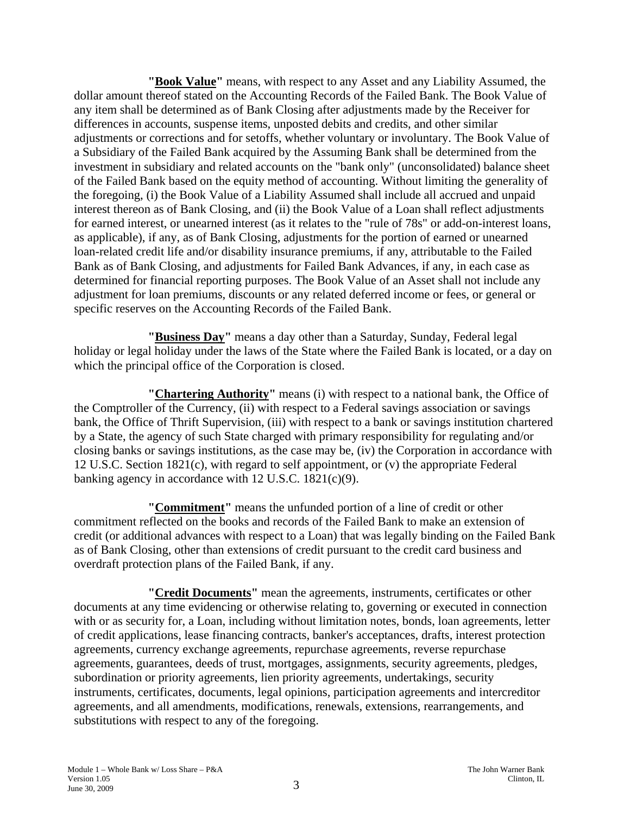**"Book Value"** means, with respect to any Asset and any Liability Assumed, the dollar amount thereof stated on the Accounting Records of the Failed Bank. The Book Value of any item shall be determined as of Bank Closing after adjustments made by the Receiver for differences in accounts, suspense items, unposted debits and credits, and other similar adjustments or corrections and for setoffs, whether voluntary or involuntary. The Book Value of a Subsidiary of the Failed Bank acquired by the Assuming Bank shall be determined from the investment in subsidiary and related accounts on the "bank only" (unconsolidated) balance sheet of the Failed Bank based on the equity method of accounting. Without limiting the generality of the foregoing, (i) the Book Value of a Liability Assumed shall include all accrued and unpaid interest thereon as of Bank Closing, and (ii) the Book Value of a Loan shall reflect adjustments for earned interest, or unearned interest (as it relates to the "rule of 78s" or add-on-interest loans, as applicable), if any, as of Bank Closing, adjustments for the portion of earned or unearned loan-related credit life and/or disability insurance premiums, if any, attributable to the Failed Bank as of Bank Closing, and adjustments for Failed Bank Advances, if any, in each case as determined for financial reporting purposes. The Book Value of an Asset shall not include any adjustment for loan premiums, discounts or any related deferred income or fees, or general or specific reserves on the Accounting Records of the Failed Bank.

 **"Business Day"** means a day other than a Saturday, Sunday, Federal legal holiday or legal holiday under the laws of the State where the Failed Bank is located, or a day on which the principal office of the Corporation is closed.

 **"Chartering Authority"** means (i) with respect to a national bank, the Office of the Comptroller of the Currency, (ii) with respect to a Federal savings association or savings bank, the Office of Thrift Supervision, (iii) with respect to a bank or savings institution chartered by a State, the agency of such State charged with primary responsibility for regulating and/or closing banks or savings institutions, as the case may be, (iv) the Corporation in accordance with 12 U.S.C. Section 1821(c), with regard to self appointment, or (v) the appropriate Federal banking agency in accordance with 12 U.S.C. 1821(c)(9).

 **"Commitment"** means the unfunded portion of a line of credit or other commitment reflected on the books and records of the Failed Bank to make an extension of credit (or additional advances with respect to a Loan) that was legally binding on the Failed Bank as of Bank Closing, other than extensions of credit pursuant to the credit card business and overdraft protection plans of the Failed Bank, if any.

 **"Credit Documents"** mean the agreements, instruments, certificates or other documents at any time evidencing or otherwise relating to, governing or executed in connection with or as security for, a Loan, including without limitation notes, bonds, loan agreements, letter of credit applications, lease financing contracts, banker's acceptances, drafts, interest protection agreements, currency exchange agreements, repurchase agreements, reverse repurchase agreements, guarantees, deeds of trust, mortgages, assignments, security agreements, pledges, subordination or priority agreements, lien priority agreements, undertakings, security instruments, certificates, documents, legal opinions, participation agreements and intercreditor agreements, and all amendments, modifications, renewals, extensions, rearrangements, and substitutions with respect to any of the foregoing.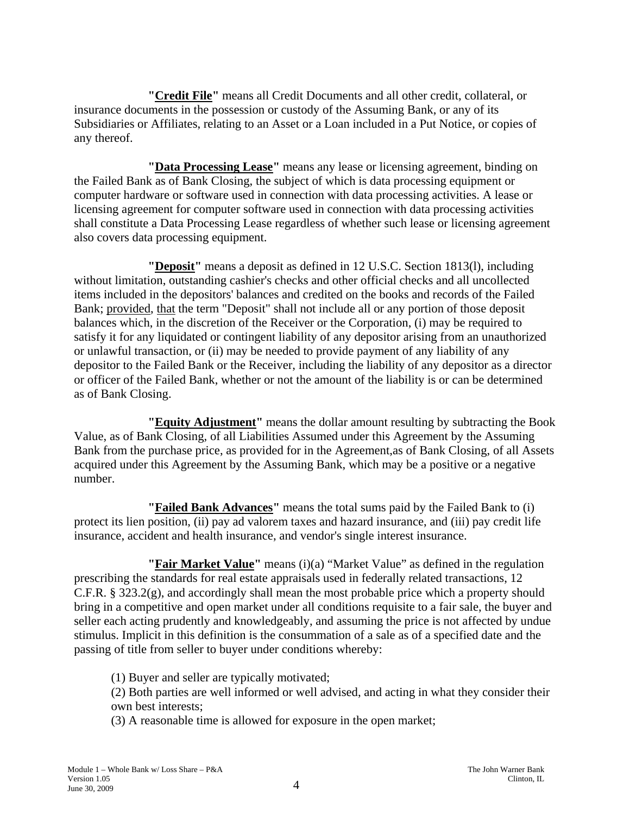**"Credit File"** means all Credit Documents and all other credit, collateral, or insurance documents in the possession or custody of the Assuming Bank, or any of its Subsidiaries or Affiliates, relating to an Asset or a Loan included in a Put Notice, or copies of any thereof.

 **"Data Processing Lease"** means any lease or licensing agreement, binding on the Failed Bank as of Bank Closing, the subject of which is data processing equipment or computer hardware or software used in connection with data processing activities. A lease or licensing agreement for computer software used in connection with data processing activities shall constitute a Data Processing Lease regardless of whether such lease or licensing agreement also covers data processing equipment.

 **"Deposit"** means a deposit as defined in 12 U.S.C. Section 1813(l), including without limitation, outstanding cashier's checks and other official checks and all uncollected items included in the depositors' balances and credited on the books and records of the Failed Bank; provided, that the term "Deposit" shall not include all or any portion of those deposit balances which, in the discretion of the Receiver or the Corporation, (i) may be required to satisfy it for any liquidated or contingent liability of any depositor arising from an unauthorized or unlawful transaction, or (ii) may be needed to provide payment of any liability of any depositor to the Failed Bank or the Receiver, including the liability of any depositor as a director or officer of the Failed Bank, whether or not the amount of the liability is or can be determined as of Bank Closing.

 **"Equity Adjustment"** means the dollar amount resulting by subtracting the Book Value, as of Bank Closing, of all Liabilities Assumed under this Agreement by the Assuming Bank from the purchase price, as provided for in the Agreement,as of Bank Closing, of all Assets acquired under this Agreement by the Assuming Bank, which may be a positive or a negative number.

 **"Failed Bank Advances"** means the total sums paid by the Failed Bank to (i) protect its lien position, (ii) pay ad valorem taxes and hazard insurance, and (iii) pay credit life insurance, accident and health insurance, and vendor's single interest insurance.

 **"Fair Market Value"** means (i)(a) "Market Value" as defined in the regulation prescribing the standards for real estate appraisals used in federally related transactions, 12 C.F.R. § 323.2(g), and accordingly shall mean the most probable price which a property should bring in a competitive and open market under all conditions requisite to a fair sale, the buyer and seller each acting prudently and knowledgeably, and assuming the price is not affected by undue stimulus. Implicit in this definition is the consummation of a sale as of a specified date and the passing of title from seller to buyer under conditions whereby:

(1) Buyer and seller are typically motivated;

(2) Both parties are well informed or well advised, and acting in what they consider their own best interests;

(3) A reasonable time is allowed for exposure in the open market;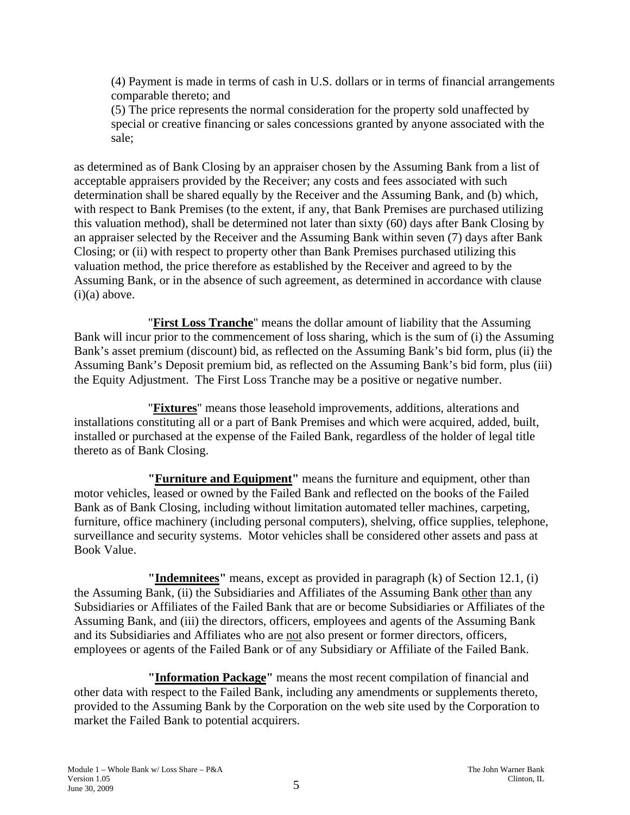(4) Payment is made in terms of cash in U.S. dollars or in terms of financial arrangements comparable thereto; and

(5) The price represents the normal consideration for the property sold unaffected by special or creative financing or sales concessions granted by anyone associated with the sale;

as determined as of Bank Closing by an appraiser chosen by the Assuming Bank from a list of acceptable appraisers provided by the Receiver; any costs and fees associated with such determination shall be shared equally by the Receiver and the Assuming Bank, and (b) which, with respect to Bank Premises (to the extent, if any, that Bank Premises are purchased utilizing this valuation method), shall be determined not later than sixty (60) days after Bank Closing by an appraiser selected by the Receiver and the Assuming Bank within seven (7) days after Bank Closing; or (ii) with respect to property other than Bank Premises purchased utilizing this valuation method, the price therefore as established by the Receiver and agreed to by the Assuming Bank, or in the absence of such agreement, as determined in accordance with clause  $(i)(a)$  above.

 "**First Loss Tranche**" means the dollar amount of liability that the Assuming Bank will incur prior to the commencement of loss sharing, which is the sum of (i) the Assuming Bank's asset premium (discount) bid, as reflected on the Assuming Bank's bid form, plus (ii) the Assuming Bank's Deposit premium bid, as reflected on the Assuming Bank's bid form, plus (iii) the Equity Adjustment. The First Loss Tranche may be a positive or negative number.

 "**Fixtures**" means those leasehold improvements, additions, alterations and installations constituting all or a part of Bank Premises and which were acquired, added, built, installed or purchased at the expense of the Failed Bank, regardless of the holder of legal title thereto as of Bank Closing.

 **"Furniture and Equipment"** means the furniture and equipment, other than motor vehicles, leased or owned by the Failed Bank and reflected on the books of the Failed Bank as of Bank Closing, including without limitation automated teller machines, carpeting, furniture, office machinery (including personal computers), shelving, office supplies, telephone, surveillance and security systems. Motor vehicles shall be considered other assets and pass at Book Value.

 **"Indemnitees"** means, except as provided in paragraph (k) of Section 12.1, (i) the Assuming Bank, (ii) the Subsidiaries and Affiliates of the Assuming Bank other than any Subsidiaries or Affiliates of the Failed Bank that are or become Subsidiaries or Affiliates of the Assuming Bank, and (iii) the directors, officers, employees and agents of the Assuming Bank and its Subsidiaries and Affiliates who are not also present or former directors, officers, employees or agents of the Failed Bank or of any Subsidiary or Affiliate of the Failed Bank.

 **"Information Package"** means the most recent compilation of financial and other data with respect to the Failed Bank, including any amendments or supplements thereto, provided to the Assuming Bank by the Corporation on the web site used by the Corporation to market the Failed Bank to potential acquirers.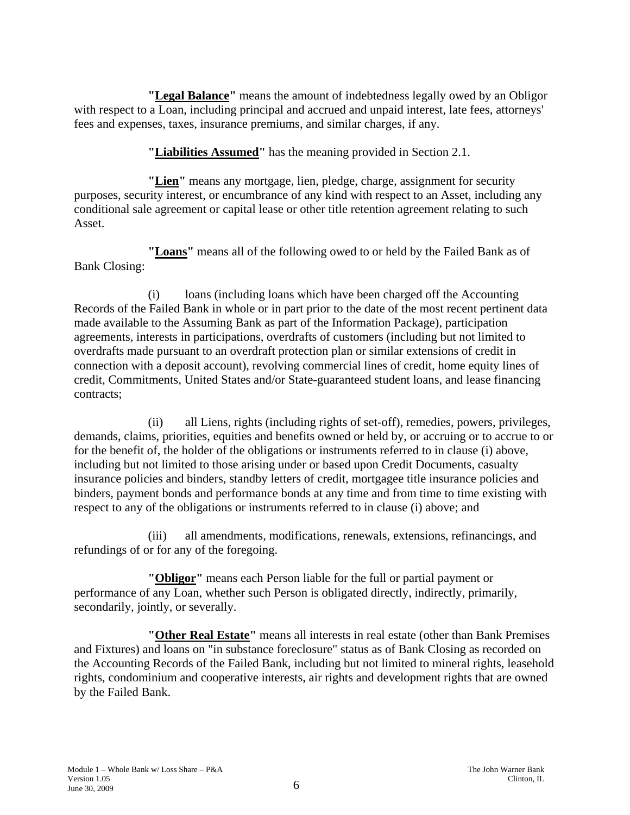**"Legal Balance"** means the amount of indebtedness legally owed by an Obligor with respect to a Loan, including principal and accrued and unpaid interest, late fees, attorneys' fees and expenses, taxes, insurance premiums, and similar charges, if any.

 **"Liabilities Assumed"** has the meaning provided in Section 2.1.

 **"Lien"** means any mortgage, lien, pledge, charge, assignment for security purposes, security interest, or encumbrance of any kind with respect to an Asset, including any conditional sale agreement or capital lease or other title retention agreement relating to such Asset.

 **"Loans"** means all of the following owed to or held by the Failed Bank as of Bank Closing:

 (i) loans (including loans which have been charged off the Accounting Records of the Failed Bank in whole or in part prior to the date of the most recent pertinent data made available to the Assuming Bank as part of the Information Package), participation agreements, interests in participations, overdrafts of customers (including but not limited to overdrafts made pursuant to an overdraft protection plan or similar extensions of credit in connection with a deposit account), revolving commercial lines of credit, home equity lines of credit, Commitments, United States and/or State-guaranteed student loans, and lease financing contracts;

 (ii) all Liens, rights (including rights of set-off), remedies, powers, privileges, demands, claims, priorities, equities and benefits owned or held by, or accruing or to accrue to or for the benefit of, the holder of the obligations or instruments referred to in clause (i) above, including but not limited to those arising under or based upon Credit Documents, casualty insurance policies and binders, standby letters of credit, mortgagee title insurance policies and binders, payment bonds and performance bonds at any time and from time to time existing with respect to any of the obligations or instruments referred to in clause (i) above; and

 (iii) all amendments, modifications, renewals, extensions, refinancings, and refundings of or for any of the foregoing.

 **"Obligor"** means each Person liable for the full or partial payment or performance of any Loan, whether such Person is obligated directly, indirectly, primarily, secondarily, jointly, or severally.

 **"Other Real Estate"** means all interests in real estate (other than Bank Premises and Fixtures) and loans on "in substance foreclosure" status as of Bank Closing as recorded on the Accounting Records of the Failed Bank, including but not limited to mineral rights, leasehold rights, condominium and cooperative interests, air rights and development rights that are owned by the Failed Bank.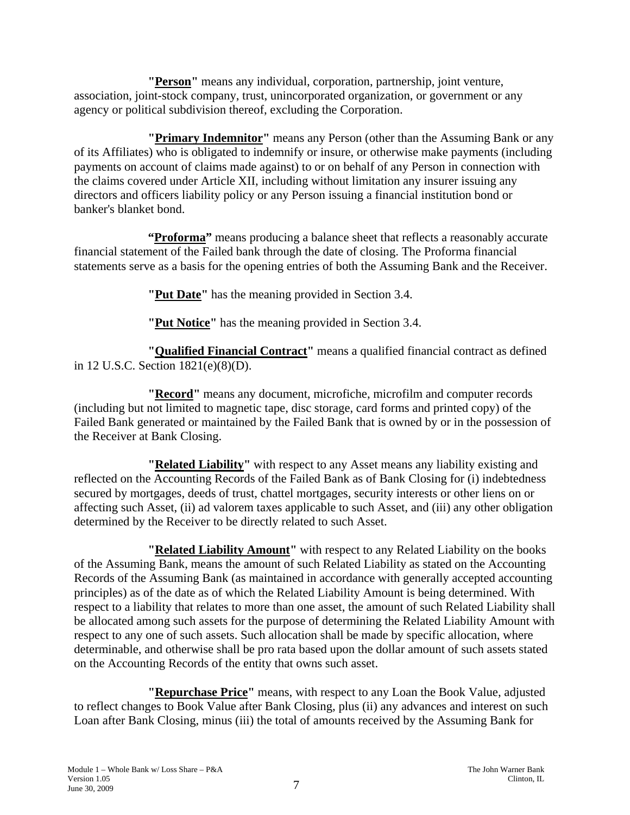**"Person"** means any individual, corporation, partnership, joint venture, association, joint-stock company, trust, unincorporated organization, or government or any agency or political subdivision thereof, excluding the Corporation.

 **"Primary Indemnitor"** means any Person (other than the Assuming Bank or any of its Affiliates) who is obligated to indemnify or insure, or otherwise make payments (including payments on account of claims made against) to or on behalf of any Person in connection with the claims covered under Article XII, including without limitation any insurer issuing any directors and officers liability policy or any Person issuing a financial institution bond or banker's blanket bond.

**"Proforma"** means producing a balance sheet that reflects a reasonably accurate financial statement of the Failed bank through the date of closing. The Proforma financial statements serve as a basis for the opening entries of both the Assuming Bank and the Receiver.

 **"Put Date"** has the meaning provided in Section 3.4.

 **"Put Notice"** has the meaning provided in Section 3.4.

 **"Qualified Financial Contract"** means a qualified financial contract as defined in 12 U.S.C. Section 1821(e)(8)(D).

 **"Record"** means any document, microfiche, microfilm and computer records (including but not limited to magnetic tape, disc storage, card forms and printed copy) of the Failed Bank generated or maintained by the Failed Bank that is owned by or in the possession of the Receiver at Bank Closing.

 **"Related Liability"** with respect to any Asset means any liability existing and reflected on the Accounting Records of the Failed Bank as of Bank Closing for (i) indebtedness secured by mortgages, deeds of trust, chattel mortgages, security interests or other liens on or affecting such Asset, (ii) ad valorem taxes applicable to such Asset, and (iii) any other obligation determined by the Receiver to be directly related to such Asset.

 **"Related Liability Amount"** with respect to any Related Liability on the books of the Assuming Bank, means the amount of such Related Liability as stated on the Accounting Records of the Assuming Bank (as maintained in accordance with generally accepted accounting principles) as of the date as of which the Related Liability Amount is being determined. With respect to a liability that relates to more than one asset, the amount of such Related Liability shall be allocated among such assets for the purpose of determining the Related Liability Amount with respect to any one of such assets. Such allocation shall be made by specific allocation, where determinable, and otherwise shall be pro rata based upon the dollar amount of such assets stated on the Accounting Records of the entity that owns such asset.

 **"Repurchase Price"** means, with respect to any Loan the Book Value, adjusted to reflect changes to Book Value after Bank Closing, plus (ii) any advances and interest on such Loan after Bank Closing, minus (iii) the total of amounts received by the Assuming Bank for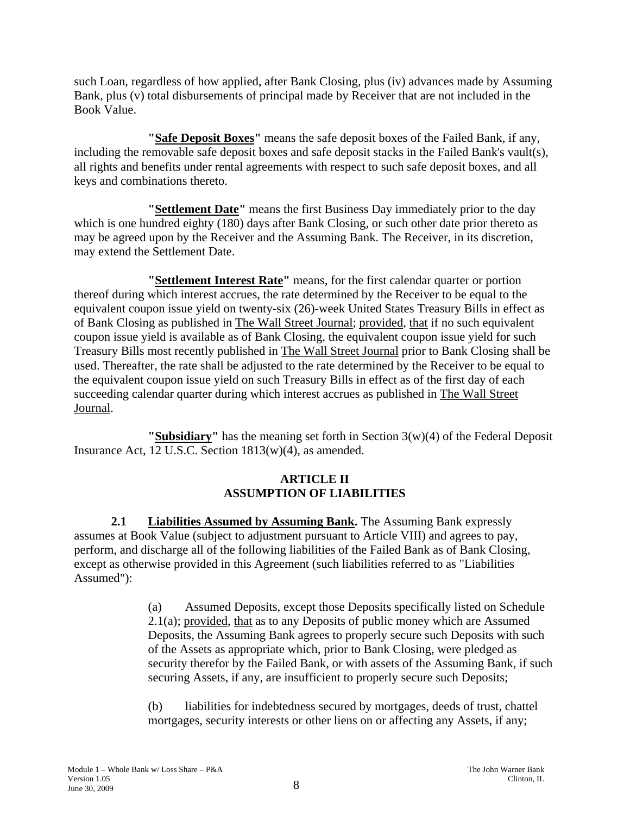such Loan, regardless of how applied, after Bank Closing, plus (iv) advances made by Assuming Bank, plus (v) total disbursements of principal made by Receiver that are not included in the Book Value.

 **"Safe Deposit Boxes"** means the safe deposit boxes of the Failed Bank, if any, including the removable safe deposit boxes and safe deposit stacks in the Failed Bank's vault(s), all rights and benefits under rental agreements with respect to such safe deposit boxes, and all keys and combinations thereto.

 **"Settlement Date"** means the first Business Day immediately prior to the day which is one hundred eighty (180) days after Bank Closing, or such other date prior thereto as may be agreed upon by the Receiver and the Assuming Bank. The Receiver, in its discretion, may extend the Settlement Date.

 **"Settlement Interest Rate"** means, for the first calendar quarter or portion thereof during which interest accrues, the rate determined by the Receiver to be equal to the equivalent coupon issue yield on twenty-six (26)-week United States Treasury Bills in effect as of Bank Closing as published in The Wall Street Journal; provided, that if no such equivalent coupon issue yield is available as of Bank Closing, the equivalent coupon issue yield for such Treasury Bills most recently published in The Wall Street Journal prior to Bank Closing shall be used. Thereafter, the rate shall be adjusted to the rate determined by the Receiver to be equal to the equivalent coupon issue yield on such Treasury Bills in effect as of the first day of each succeeding calendar quarter during which interest accrues as published in The Wall Street Journal.

 **"Subsidiary"** has the meaning set forth in Section 3(w)(4) of the Federal Deposit Insurance Act, 12 U.S.C. Section 1813(w)(4), as amended.

### **ARTICLE II ASSUMPTION OF LIABILITIES**

<span id="page-11-1"></span><span id="page-11-0"></span> **2.1 Liabilities Assumed by Assuming Bank.** The Assuming Bank expressly assumes at Book Value (subject to adjustment pursuant to Article VIII) and agrees to pay, perform, and discharge all of the following liabilities of the Failed Bank as of Bank Closing, except as otherwise provided in this Agreement (such liabilities referred to as "Liabilities Assumed"):

> (a) Assumed Deposits, except those Deposits specifically listed on Schedule 2.1(a); provided, that as to any Deposits of public money which are Assumed Deposits, the Assuming Bank agrees to properly secure such Deposits with such of the Assets as appropriate which, prior to Bank Closing, were pledged as security therefor by the Failed Bank, or with assets of the Assuming Bank, if such securing Assets, if any, are insufficient to properly secure such Deposits;

(b) liabilities for indebtedness secured by mortgages, deeds of trust, chattel mortgages, security interests or other liens on or affecting any Assets, if any;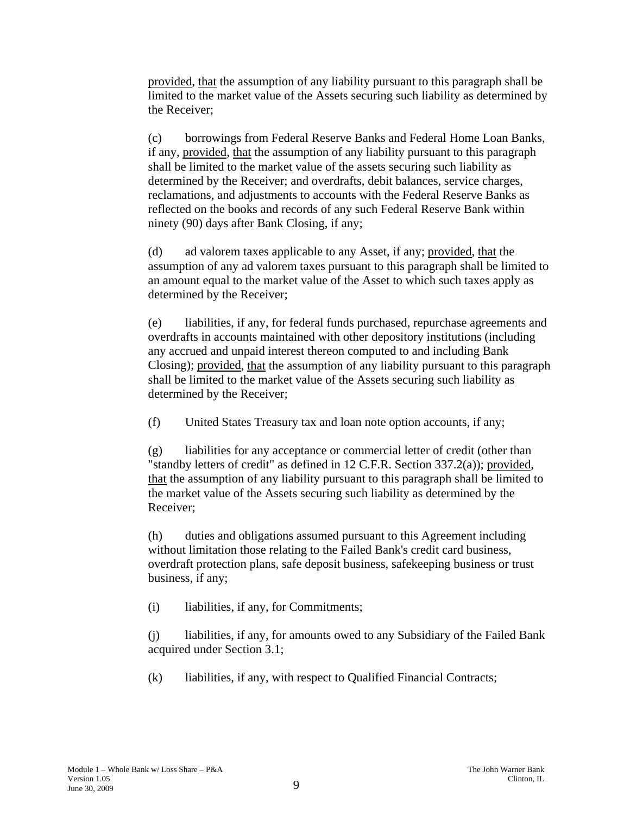provided, that the assumption of any liability pursuant to this paragraph shall be limited to the market value of the Assets securing such liability as determined by the Receiver;

(c) borrowings from Federal Reserve Banks and Federal Home Loan Banks, if any, provided, that the assumption of any liability pursuant to this paragraph shall be limited to the market value of the assets securing such liability as determined by the Receiver; and overdrafts, debit balances, service charges, reclamations, and adjustments to accounts with the Federal Reserve Banks as reflected on the books and records of any such Federal Reserve Bank within ninety (90) days after Bank Closing, if any;

(d) ad valorem taxes applicable to any Asset, if any; provided, that the assumption of any ad valorem taxes pursuant to this paragraph shall be limited to an amount equal to the market value of the Asset to which such taxes apply as determined by the Receiver;

(e) liabilities, if any, for federal funds purchased, repurchase agreements and overdrafts in accounts maintained with other depository institutions (including any accrued and unpaid interest thereon computed to and including Bank Closing); provided, that the assumption of any liability pursuant to this paragraph shall be limited to the market value of the Assets securing such liability as determined by the Receiver;

(f) United States Treasury tax and loan note option accounts, if any;

(g) liabilities for any acceptance or commercial letter of credit (other than "standby letters of credit" as defined in 12 C.F.R. Section 337.2(a)); provided, that the assumption of any liability pursuant to this paragraph shall be limited to the market value of the Assets securing such liability as determined by the Receiver;

(h) duties and obligations assumed pursuant to this Agreement including without limitation those relating to the Failed Bank's credit card business, overdraft protection plans, safe deposit business, safekeeping business or trust business, if any;

(i) liabilities, if any, for Commitments;

(j) liabilities, if any, for amounts owed to any Subsidiary of the Failed Bank acquired under Section 3.1;

(k) liabilities, if any, with respect to Qualified Financial Contracts;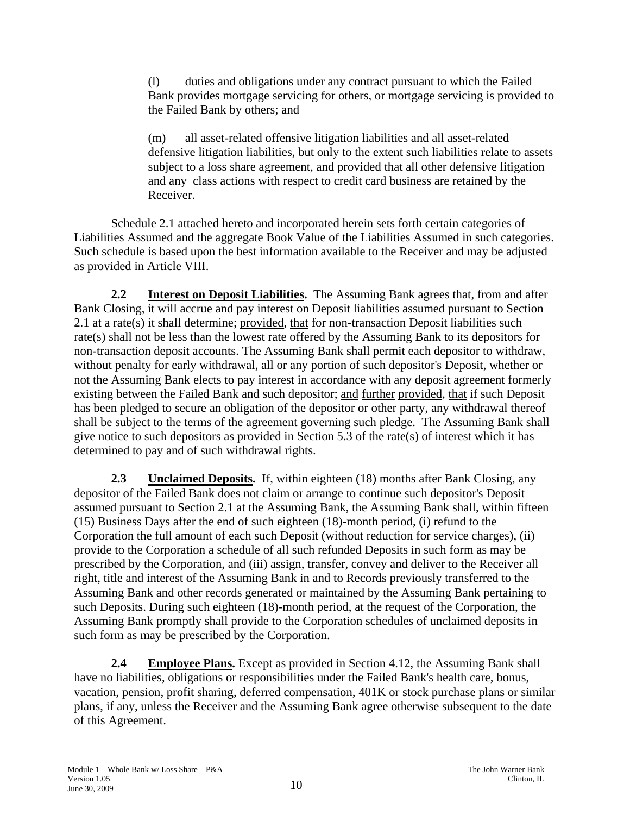(l) duties and obligations under any contract pursuant to which the Failed Bank provides mortgage servicing for others, or mortgage servicing is provided to the Failed Bank by others; and

 (m) all asset-related offensive litigation liabilities and all asset-related defensive litigation liabilities, but only to the extent such liabilities relate to assets subject to a loss share agreement, and provided that all other defensive litigation and any class actions with respect to credit card business are retained by the Receiver.

 Schedule 2.1 attached hereto and incorporated herein sets forth certain categories of Liabilities Assumed and the aggregate Book Value of the Liabilities Assumed in such categories. Such schedule is based upon the best information available to the Receiver and may be adjusted as provided in Article VIII.

<span id="page-13-0"></span>**2.2 Interest on Deposit Liabilities.** The Assuming Bank agrees that, from and after Bank Closing, it will accrue and pay interest on Deposit liabilities assumed pursuant to Section 2.1 at a rate(s) it shall determine; provided, that for non-transaction Deposit liabilities such rate(s) shall not be less than the lowest rate offered by the Assuming Bank to its depositors for non-transaction deposit accounts. The Assuming Bank shall permit each depositor to withdraw, without penalty for early withdrawal, all or any portion of such depositor's Deposit, whether or not the Assuming Bank elects to pay interest in accordance with any deposit agreement formerly existing between the Failed Bank and such depositor; and further provided, that if such Deposit has been pledged to secure an obligation of the depositor or other party, any withdrawal thereof shall be subject to the terms of the agreement governing such pledge. The Assuming Bank shall give notice to such depositors as provided in Section 5.3 of the rate(s) of interest which it has determined to pay and of such withdrawal rights.

<span id="page-13-1"></span>**2.3 Unclaimed Deposits.** If, within eighteen (18) months after Bank Closing, any depositor of the Failed Bank does not claim or arrange to continue such depositor's Deposit assumed pursuant to Section 2.1 at the Assuming Bank, the Assuming Bank shall, within fifteen (15) Business Days after the end of such eighteen (18)-month period, (i) refund to the Corporation the full amount of each such Deposit (without reduction for service charges), (ii) provide to the Corporation a schedule of all such refunded Deposits in such form as may be prescribed by the Corporation, and (iii) assign, transfer, convey and deliver to the Receiver all right, title and interest of the Assuming Bank in and to Records previously transferred to the Assuming Bank and other records generated or maintained by the Assuming Bank pertaining to such Deposits. During such eighteen (18)-month period, at the request of the Corporation, the Assuming Bank promptly shall provide to the Corporation schedules of unclaimed deposits in such form as may be prescribed by the Corporation.

<span id="page-13-2"></span> **2.4 Employee Plans.** Except as provided in Section 4.12, the Assuming Bank shall have no liabilities, obligations or responsibilities under the Failed Bank's health care, bonus, vacation, pension, profit sharing, deferred compensation, 401K or stock purchase plans or similar plans, if any, unless the Receiver and the Assuming Bank agree otherwise subsequent to the date of this Agreement.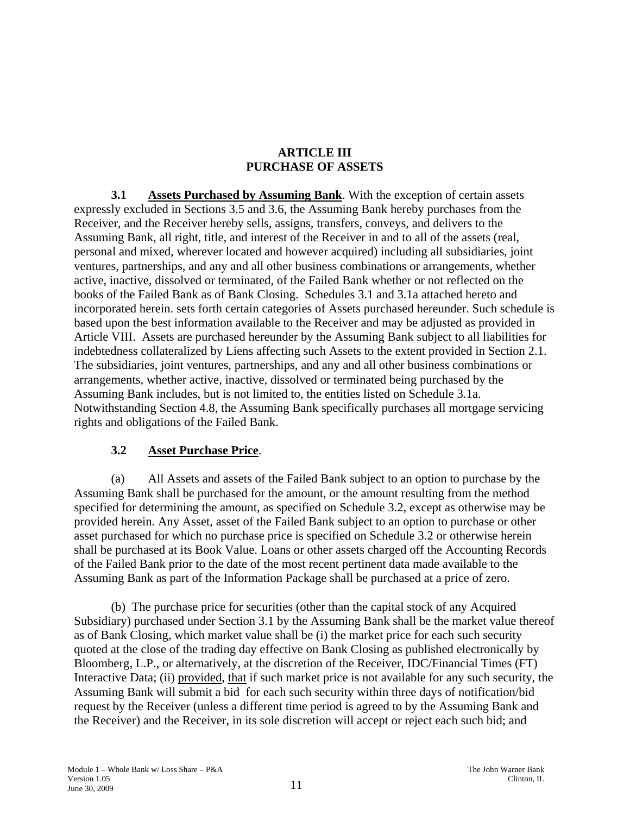#### **ARTICLE III PURCHASE OF ASSETS**

<span id="page-14-1"></span><span id="page-14-0"></span> **3.1 Assets Purchased by Assuming Bank**. With the exception of certain assets expressly excluded in Sections 3.5 and 3.6, the Assuming Bank hereby purchases from the Receiver, and the Receiver hereby sells, assigns, transfers, conveys, and delivers to the Assuming Bank, all right, title, and interest of the Receiver in and to all of the assets (real, personal and mixed, wherever located and however acquired) including all subsidiaries, joint ventures, partnerships, and any and all other business combinations or arrangements, whether active, inactive, dissolved or terminated, of the Failed Bank whether or not reflected on the books of the Failed Bank as of Bank Closing. Schedules 3.1 and 3.1a attached hereto and incorporated herein. sets forth certain categories of Assets purchased hereunder. Such schedule is based upon the best information available to the Receiver and may be adjusted as provided in Article VIII. Assets are purchased hereunder by the Assuming Bank subject to all liabilities for indebtedness collateralized by Liens affecting such Assets to the extent provided in Section 2.1. The subsidiaries, joint ventures, partnerships, and any and all other business combinations or arrangements, whether active, inactive, dissolved or terminated being purchased by the Assuming Bank includes, but is not limited to, the entities listed on Schedule 3.1a. Notwithstanding Section 4.8, the Assuming Bank specifically purchases all mortgage servicing rights and obligations of the Failed Bank.

## **3.2 Asset Purchase Price**.

<span id="page-14-2"></span> (a) All Assets and assets of the Failed Bank subject to an option to purchase by the Assuming Bank shall be purchased for the amount, or the amount resulting from the method specified for determining the amount, as specified on Schedule 3.2, except as otherwise may be provided herein. Any Asset, asset of the Failed Bank subject to an option to purchase or other asset purchased for which no purchase price is specified on Schedule 3.2 or otherwise herein shall be purchased at its Book Value. Loans or other assets charged off the Accounting Records of the Failed Bank prior to the date of the most recent pertinent data made available to the Assuming Bank as part of the Information Package shall be purchased at a price of zero.

 (b) The purchase price for securities (other than the capital stock of any Acquired Subsidiary) purchased under Section 3.1 by the Assuming Bank shall be the market value thereof as of Bank Closing, which market value shall be (i) the market price for each such security quoted at the close of the trading day effective on Bank Closing as published electronically by Bloomberg, L.P., or alternatively, at the discretion of the Receiver, IDC/Financial Times (FT) Interactive Data; (ii) provided, that if such market price is not available for any such security, the Assuming Bank will submit a bid for each such security within three days of notification/bid request by the Receiver (unless a different time period is agreed to by the Assuming Bank and the Receiver) and the Receiver, in its sole discretion will accept or reject each such bid; and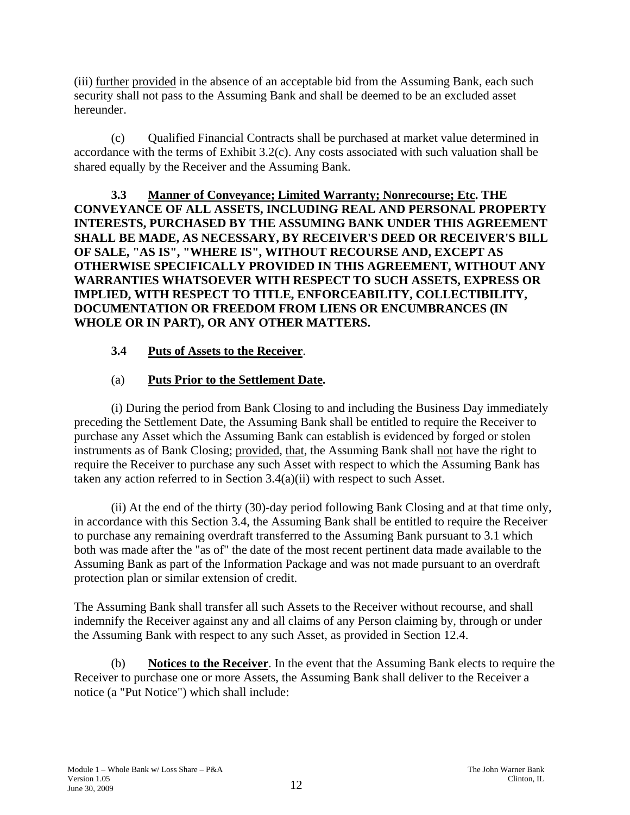(iii) further provided in the absence of an acceptable bid from the Assuming Bank, each such security shall not pass to the Assuming Bank and shall be deemed to be an excluded asset hereunder.

(c) Qualified Financial Contracts shall be purchased at market value determined in accordance with the terms of Exhibit 3.2(c). Any costs associated with such valuation shall be shared equally by the Receiver and the Assuming Bank.

<span id="page-15-0"></span> **3.3 Manner of Conveyance; Limited Warranty; Nonrecourse; Etc. THE CONVEYANCE OF ALL ASSETS, INCLUDING REAL AND PERSONAL PROPERTY INTERESTS, PURCHASED BY THE ASSUMING BANK UNDER THIS AGREEMENT SHALL BE MADE, AS NECESSARY, BY RECEIVER'S DEED OR RECEIVER'S BILL OF SALE, "AS IS", "WHERE IS", WITHOUT RECOURSE AND, EXCEPT AS OTHERWISE SPECIFICALLY PROVIDED IN THIS AGREEMENT, WITHOUT ANY WARRANTIES WHATSOEVER WITH RESPECT TO SUCH ASSETS, EXPRESS OR IMPLIED, WITH RESPECT TO TITLE, ENFORCEABILITY, COLLECTIBILITY, DOCUMENTATION OR FREEDOM FROM LIENS OR ENCUMBRANCES (IN WHOLE OR IN PART), OR ANY OTHER MATTERS.** 

## **3.4 Puts of Assets to the Receiver**.

## (a) **Puts Prior to the Settlement Date.**

<span id="page-15-1"></span> (i) During the period from Bank Closing to and including the Business Day immediately preceding the Settlement Date, the Assuming Bank shall be entitled to require the Receiver to purchase any Asset which the Assuming Bank can establish is evidenced by forged or stolen instruments as of Bank Closing; provided, that, the Assuming Bank shall not have the right to require the Receiver to purchase any such Asset with respect to which the Assuming Bank has taken any action referred to in Section 3.4(a)(ii) with respect to such Asset.

 (ii) At the end of the thirty (30)-day period following Bank Closing and at that time only, in accordance with this Section 3.4, the Assuming Bank shall be entitled to require the Receiver to purchase any remaining overdraft transferred to the Assuming Bank pursuant to 3.1 which both was made after the "as of" the date of the most recent pertinent data made available to the Assuming Bank as part of the Information Package and was not made pursuant to an overdraft protection plan or similar extension of credit.

The Assuming Bank shall transfer all such Assets to the Receiver without recourse, and shall indemnify the Receiver against any and all claims of any Person claiming by, through or under the Assuming Bank with respect to any such Asset, as provided in Section 12.4.

 (b) **Notices to the Receiver**. In the event that the Assuming Bank elects to require the Receiver to purchase one or more Assets, the Assuming Bank shall deliver to the Receiver a notice (a "Put Notice") which shall include: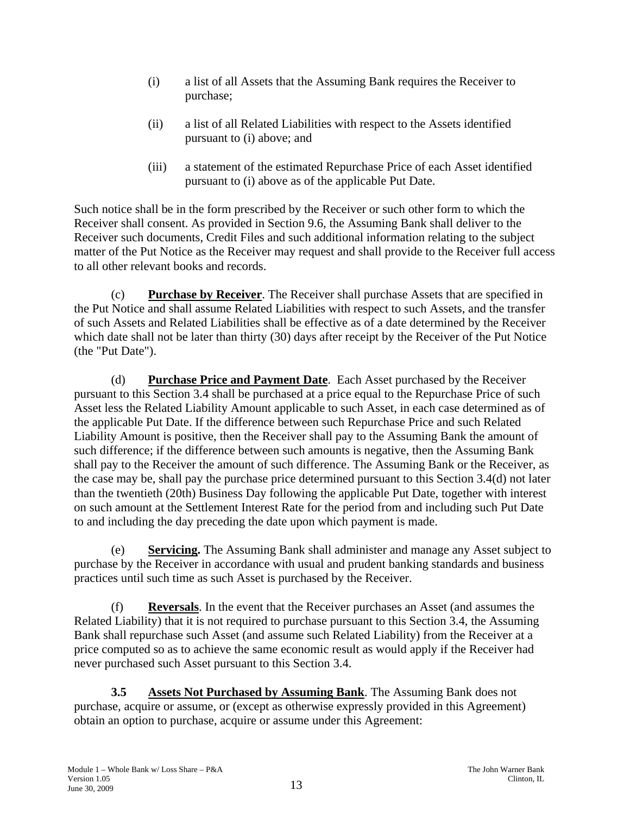- (i) a list of all Assets that the Assuming Bank requires the Receiver to purchase;
- (ii) a list of all Related Liabilities with respect to the Assets identified pursuant to (i) above; and
- (iii) a statement of the estimated Repurchase Price of each Asset identified pursuant to (i) above as of the applicable Put Date.

Such notice shall be in the form prescribed by the Receiver or such other form to which the Receiver shall consent. As provided in Section 9.6, the Assuming Bank shall deliver to the Receiver such documents, Credit Files and such additional information relating to the subject matter of the Put Notice as the Receiver may request and shall provide to the Receiver full access to all other relevant books and records.

 (c) **Purchase by Receiver**. The Receiver shall purchase Assets that are specified in the Put Notice and shall assume Related Liabilities with respect to such Assets, and the transfer of such Assets and Related Liabilities shall be effective as of a date determined by the Receiver which date shall not be later than thirty (30) days after receipt by the Receiver of the Put Notice (the "Put Date").

 (d) **Purchase Price and Payment Date**. Each Asset purchased by the Receiver pursuant to this Section 3.4 shall be purchased at a price equal to the Repurchase Price of such Asset less the Related Liability Amount applicable to such Asset, in each case determined as of the applicable Put Date. If the difference between such Repurchase Price and such Related Liability Amount is positive, then the Receiver shall pay to the Assuming Bank the amount of such difference; if the difference between such amounts is negative, then the Assuming Bank shall pay to the Receiver the amount of such difference. The Assuming Bank or the Receiver, as the case may be, shall pay the purchase price determined pursuant to this Section 3.4(d) not later than the twentieth (20th) Business Day following the applicable Put Date, together with interest on such amount at the Settlement Interest Rate for the period from and including such Put Date to and including the day preceding the date upon which payment is made.

 (e) **Servicing.** The Assuming Bank shall administer and manage any Asset subject to purchase by the Receiver in accordance with usual and prudent banking standards and business practices until such time as such Asset is purchased by the Receiver.

 (f) **Reversals**. In the event that the Receiver purchases an Asset (and assumes the Related Liability) that it is not required to purchase pursuant to this Section 3.4, the Assuming Bank shall repurchase such Asset (and assume such Related Liability) from the Receiver at a price computed so as to achieve the same economic result as would apply if the Receiver had never purchased such Asset pursuant to this Section 3.4.

<span id="page-16-0"></span> **3.5 Assets Not Purchased by Assuming Bank**. The Assuming Bank does not purchase, acquire or assume, or (except as otherwise expressly provided in this Agreement) obtain an option to purchase, acquire or assume under this Agreement: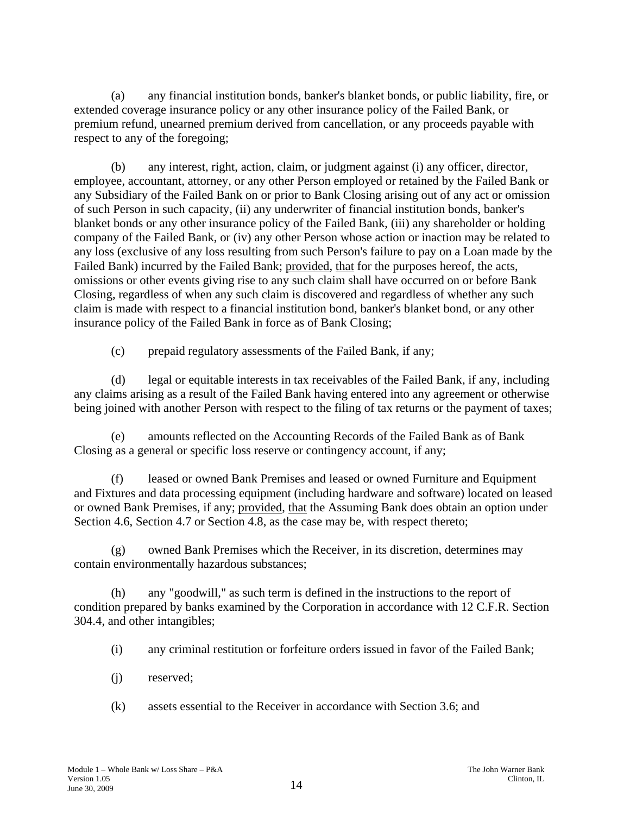(a) any financial institution bonds, banker's blanket bonds, or public liability, fire, or extended coverage insurance policy or any other insurance policy of the Failed Bank, or premium refund, unearned premium derived from cancellation, or any proceeds payable with respect to any of the foregoing;

 (b) any interest, right, action, claim, or judgment against (i) any officer, director, employee, accountant, attorney, or any other Person employed or retained by the Failed Bank or any Subsidiary of the Failed Bank on or prior to Bank Closing arising out of any act or omission of such Person in such capacity, (ii) any underwriter of financial institution bonds, banker's blanket bonds or any other insurance policy of the Failed Bank, (iii) any shareholder or holding company of the Failed Bank, or (iv) any other Person whose action or inaction may be related to any loss (exclusive of any loss resulting from such Person's failure to pay on a Loan made by the Failed Bank) incurred by the Failed Bank; provided, that for the purposes hereof, the acts, omissions or other events giving rise to any such claim shall have occurred on or before Bank Closing, regardless of when any such claim is discovered and regardless of whether any such claim is made with respect to a financial institution bond, banker's blanket bond, or any other insurance policy of the Failed Bank in force as of Bank Closing;

(c) prepaid regulatory assessments of the Failed Bank, if any;

(d) legal or equitable interests in tax receivables of the Failed Bank, if any, including any claims arising as a result of the Failed Bank having entered into any agreement or otherwise being joined with another Person with respect to the filing of tax returns or the payment of taxes;

 (e) amounts reflected on the Accounting Records of the Failed Bank as of Bank Closing as a general or specific loss reserve or contingency account, if any;

 (f) leased or owned Bank Premises and leased or owned Furniture and Equipment and Fixtures and data processing equipment (including hardware and software) located on leased or owned Bank Premises, if any; provided, that the Assuming Bank does obtain an option under Section 4.6, Section 4.7 or Section 4.8, as the case may be, with respect thereto;

 (g) owned Bank Premises which the Receiver, in its discretion, determines may contain environmentally hazardous substances;

 (h) any "goodwill," as such term is defined in the instructions to the report of condition prepared by banks examined by the Corporation in accordance with 12 C.F.R. Section 304.4, and other intangibles;

- (i) any criminal restitution or forfeiture orders issued in favor of the Failed Bank;
- (j) reserved;
- (k) assets essential to the Receiver in accordance with Section 3.6; and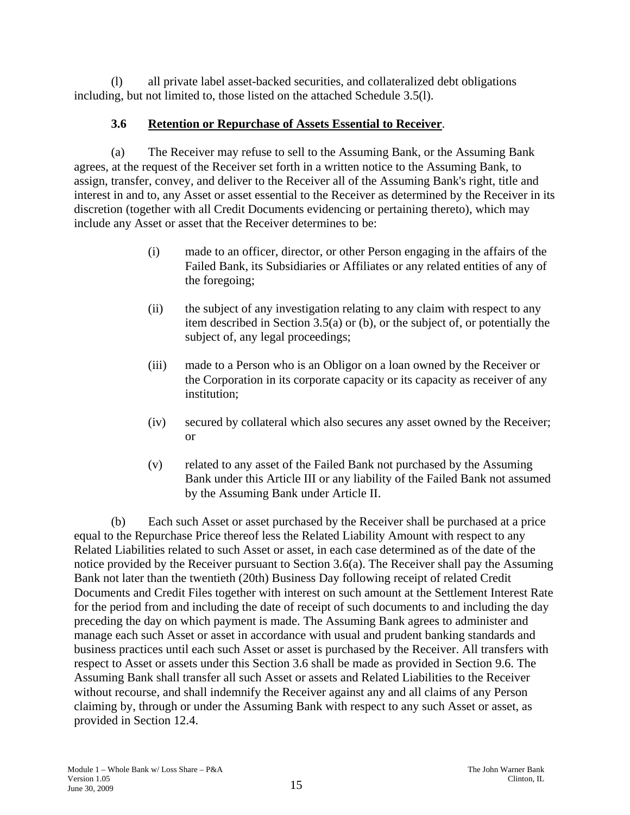(l) all private label asset-backed securities, and collateralized debt obligations including, but not limited to, those listed on the attached Schedule 3.5(l).

### **3.6 Retention or Repurchase of Assets Essential to Receiver**.

<span id="page-18-0"></span> (a) The Receiver may refuse to sell to the Assuming Bank, or the Assuming Bank agrees, at the request of the Receiver set forth in a written notice to the Assuming Bank, to assign, transfer, convey, and deliver to the Receiver all of the Assuming Bank's right, title and interest in and to, any Asset or asset essential to the Receiver as determined by the Receiver in its discretion (together with all Credit Documents evidencing or pertaining thereto), which may include any Asset or asset that the Receiver determines to be:

- (i) made to an officer, director, or other Person engaging in the affairs of the Failed Bank, its Subsidiaries or Affiliates or any related entities of any of the foregoing;
- (ii) the subject of any investigation relating to any claim with respect to any item described in Section 3.5(a) or (b), or the subject of, or potentially the subject of, any legal proceedings;
- (iii) made to a Person who is an Obligor on a loan owned by the Receiver or the Corporation in its corporate capacity or its capacity as receiver of any institution;
- (iv) secured by collateral which also secures any asset owned by the Receiver; or
- (v) related to any asset of the Failed Bank not purchased by the Assuming Bank under this Article III or any liability of the Failed Bank not assumed by the Assuming Bank under Article II.

 (b) Each such Asset or asset purchased by the Receiver shall be purchased at a price equal to the Repurchase Price thereof less the Related Liability Amount with respect to any Related Liabilities related to such Asset or asset, in each case determined as of the date of the notice provided by the Receiver pursuant to Section 3.6(a). The Receiver shall pay the Assuming Bank not later than the twentieth (20th) Business Day following receipt of related Credit Documents and Credit Files together with interest on such amount at the Settlement Interest Rate for the period from and including the date of receipt of such documents to and including the day preceding the day on which payment is made. The Assuming Bank agrees to administer and manage each such Asset or asset in accordance with usual and prudent banking standards and business practices until each such Asset or asset is purchased by the Receiver. All transfers with respect to Asset or assets under this Section 3.6 shall be made as provided in Section 9.6. The Assuming Bank shall transfer all such Asset or assets and Related Liabilities to the Receiver without recourse, and shall indemnify the Receiver against any and all claims of any Person claiming by, through or under the Assuming Bank with respect to any such Asset or asset, as provided in Section 12.4.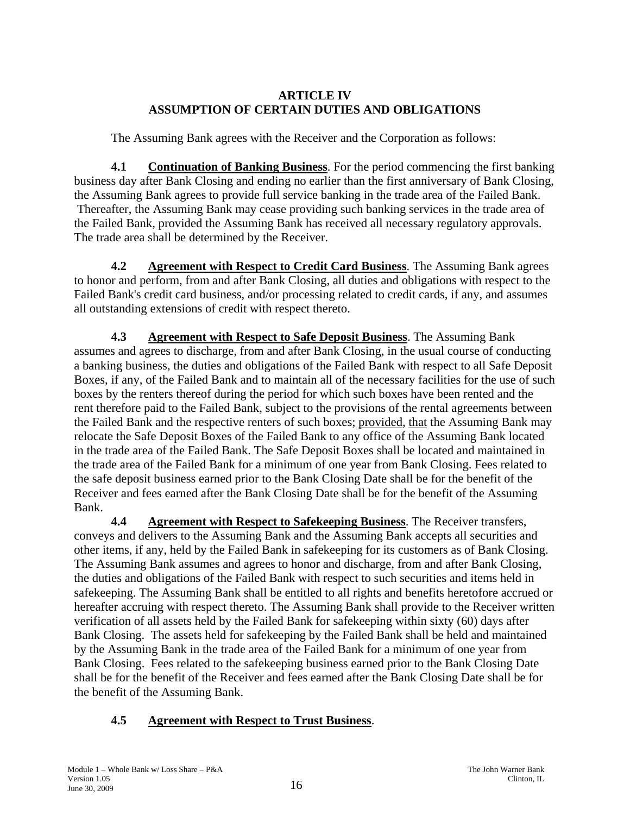### **ARTICLE IV ASSUMPTION OF CERTAIN DUTIES AND OBLIGATIONS**

The Assuming Bank agrees with the Receiver and the Corporation as follows:

<span id="page-19-1"></span><span id="page-19-0"></span> **4.1 Continuation of Banking Business**. For the period commencing the first banking business day after Bank Closing and ending no earlier than the first anniversary of Bank Closing, the Assuming Bank agrees to provide full service banking in the trade area of the Failed Bank. Thereafter, the Assuming Bank may cease providing such banking services in the trade area of the Failed Bank, provided the Assuming Bank has received all necessary regulatory approvals. The trade area shall be determined by the Receiver.

<span id="page-19-2"></span> **4.2 Agreement with Respect to Credit Card Business**. The Assuming Bank agrees to honor and perform, from and after Bank Closing, all duties and obligations with respect to the Failed Bank's credit card business, and/or processing related to credit cards, if any, and assumes all outstanding extensions of credit with respect thereto.

**4.3 Agreement with Respect to Safe Deposit Business**. The Assuming Bank assumes and agrees to discharge, from and after Bank Closing, in the usual course of conducting a banking business, the duties and obligations of the Failed Bank with respect to all Safe Deposit Boxes, if any, of the Failed Bank and to maintain all of the necessary facilities for the use of such boxes by the renters thereof during the period for which such boxes have been rented and the rent therefore paid to the Failed Bank, subject to the provisions of the rental agreements between the Failed Bank and the respective renters of such boxes; provided, that the Assuming Bank may relocate the Safe Deposit Boxes of the Failed Bank to any office of the Assuming Bank located in the trade area of the Failed Bank. The Safe Deposit Boxes shall be located and maintained in the trade area of the Failed Bank for a minimum of one year from Bank Closing. Fees related to the safe deposit business earned prior to the Bank Closing Date shall be for the benefit of the Receiver and fees earned after the Bank Closing Date shall be for the benefit of the Assuming Bank.

<span id="page-19-3"></span>**4.4 Agreement with Respect to Safekeeping Business**. The Receiver transfers, conveys and delivers to the Assuming Bank and the Assuming Bank accepts all securities and other items, if any, held by the Failed Bank in safekeeping for its customers as of Bank Closing. The Assuming Bank assumes and agrees to honor and discharge, from and after Bank Closing, the duties and obligations of the Failed Bank with respect to such securities and items held in safekeeping. The Assuming Bank shall be entitled to all rights and benefits heretofore accrued or hereafter accruing with respect thereto. The Assuming Bank shall provide to the Receiver written verification of all assets held by the Failed Bank for safekeeping within sixty (60) days after Bank Closing. The assets held for safekeeping by the Failed Bank shall be held and maintained by the Assuming Bank in the trade area of the Failed Bank for a minimum of one year from Bank Closing. Fees related to the safekeeping business earned prior to the Bank Closing Date shall be for the benefit of the Receiver and fees earned after the Bank Closing Date shall be for the benefit of the Assuming Bank.

# <span id="page-19-4"></span> **4.5 Agreement with Respect to Trust Business**.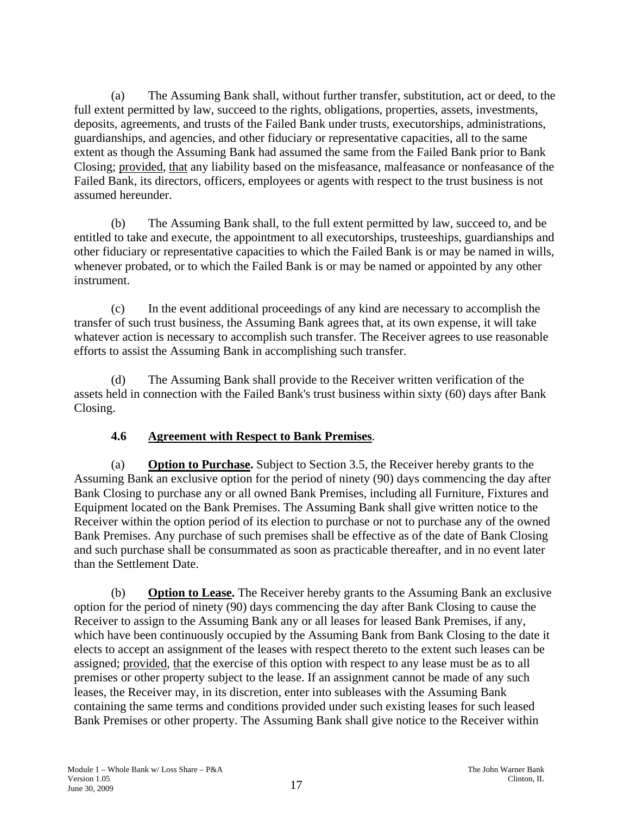(a) The Assuming Bank shall, without further transfer, substitution, act or deed, to the full extent permitted by law, succeed to the rights, obligations, properties, assets, investments, deposits, agreements, and trusts of the Failed Bank under trusts, executorships, administrations, guardianships, and agencies, and other fiduciary or representative capacities, all to the same extent as though the Assuming Bank had assumed the same from the Failed Bank prior to Bank Closing; provided, that any liability based on the misfeasance, malfeasance or nonfeasance of the Failed Bank, its directors, officers, employees or agents with respect to the trust business is not assumed hereunder.

 (b) The Assuming Bank shall, to the full extent permitted by law, succeed to, and be entitled to take and execute, the appointment to all executorships, trusteeships, guardianships and other fiduciary or representative capacities to which the Failed Bank is or may be named in wills, whenever probated, or to which the Failed Bank is or may be named or appointed by any other instrument.

 (c) In the event additional proceedings of any kind are necessary to accomplish the transfer of such trust business, the Assuming Bank agrees that, at its own expense, it will take whatever action is necessary to accomplish such transfer. The Receiver agrees to use reasonable efforts to assist the Assuming Bank in accomplishing such transfer.

 (d) The Assuming Bank shall provide to the Receiver written verification of the assets held in connection with the Failed Bank's trust business within sixty (60) days after Bank Closing.

# **4.6 Agreement with Respect to Bank Premises**.

<span id="page-20-0"></span> (a) **Option to Purchase.** Subject to Section 3.5, the Receiver hereby grants to the Assuming Bank an exclusive option for the period of ninety (90) days commencing the day after Bank Closing to purchase any or all owned Bank Premises, including all Furniture, Fixtures and Equipment located on the Bank Premises. The Assuming Bank shall give written notice to the Receiver within the option period of its election to purchase or not to purchase any of the owned Bank Premises. Any purchase of such premises shall be effective as of the date of Bank Closing and such purchase shall be consummated as soon as practicable thereafter, and in no event later than the Settlement Date.

 (b) **Option to Lease.** The Receiver hereby grants to the Assuming Bank an exclusive option for the period of ninety (90) days commencing the day after Bank Closing to cause the Receiver to assign to the Assuming Bank any or all leases for leased Bank Premises, if any, which have been continuously occupied by the Assuming Bank from Bank Closing to the date it elects to accept an assignment of the leases with respect thereto to the extent such leases can be assigned; provided, that the exercise of this option with respect to any lease must be as to all premises or other property subject to the lease. If an assignment cannot be made of any such leases, the Receiver may, in its discretion, enter into subleases with the Assuming Bank containing the same terms and conditions provided under such existing leases for such leased Bank Premises or other property. The Assuming Bank shall give notice to the Receiver within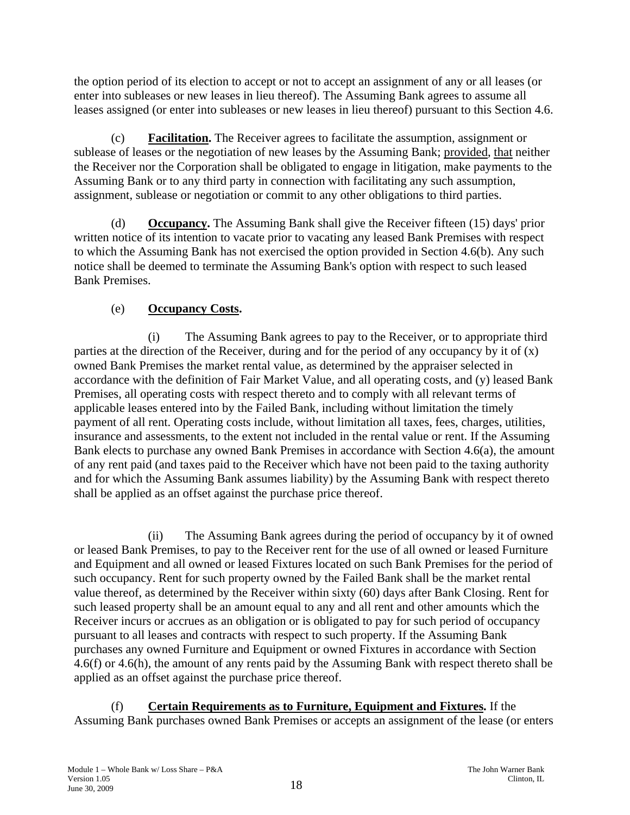the option period of its election to accept or not to accept an assignment of any or all leases (or enter into subleases or new leases in lieu thereof). The Assuming Bank agrees to assume all leases assigned (or enter into subleases or new leases in lieu thereof) pursuant to this Section 4.6.

 (c) **Facilitation.** The Receiver agrees to facilitate the assumption, assignment or sublease of leases or the negotiation of new leases by the Assuming Bank; provided, that neither the Receiver nor the Corporation shall be obligated to engage in litigation, make payments to the Assuming Bank or to any third party in connection with facilitating any such assumption, assignment, sublease or negotiation or commit to any other obligations to third parties.

 (d) **Occupancy.** The Assuming Bank shall give the Receiver fifteen (15) days' prior written notice of its intention to vacate prior to vacating any leased Bank Premises with respect to which the Assuming Bank has not exercised the option provided in Section 4.6(b). Any such notice shall be deemed to terminate the Assuming Bank's option with respect to such leased Bank Premises.

# (e) **Occupancy Costs.**

(i) The Assuming Bank agrees to pay to the Receiver, or to appropriate third parties at the direction of the Receiver, during and for the period of any occupancy by it of (x) owned Bank Premises the market rental value, as determined by the appraiser selected in accordance with the definition of Fair Market Value, and all operating costs, and (y) leased Bank Premises, all operating costs with respect thereto and to comply with all relevant terms of applicable leases entered into by the Failed Bank, including without limitation the timely payment of all rent. Operating costs include, without limitation all taxes, fees, charges, utilities, insurance and assessments, to the extent not included in the rental value or rent. If the Assuming Bank elects to purchase any owned Bank Premises in accordance with Section 4.6(a), the amount of any rent paid (and taxes paid to the Receiver which have not been paid to the taxing authority and for which the Assuming Bank assumes liability) by the Assuming Bank with respect thereto shall be applied as an offset against the purchase price thereof.

 (ii) The Assuming Bank agrees during the period of occupancy by it of owned or leased Bank Premises, to pay to the Receiver rent for the use of all owned or leased Furniture and Equipment and all owned or leased Fixtures located on such Bank Premises for the period of such occupancy. Rent for such property owned by the Failed Bank shall be the market rental value thereof, as determined by the Receiver within sixty (60) days after Bank Closing. Rent for such leased property shall be an amount equal to any and all rent and other amounts which the Receiver incurs or accrues as an obligation or is obligated to pay for such period of occupancy pursuant to all leases and contracts with respect to such property. If the Assuming Bank purchases any owned Furniture and Equipment or owned Fixtures in accordance with Section 4.6(f) or 4.6(h), the amount of any rents paid by the Assuming Bank with respect thereto shall be applied as an offset against the purchase price thereof.

 (f) **Certain Requirements as to Furniture, Equipment and Fixtures.** If the Assuming Bank purchases owned Bank Premises or accepts an assignment of the lease (or enters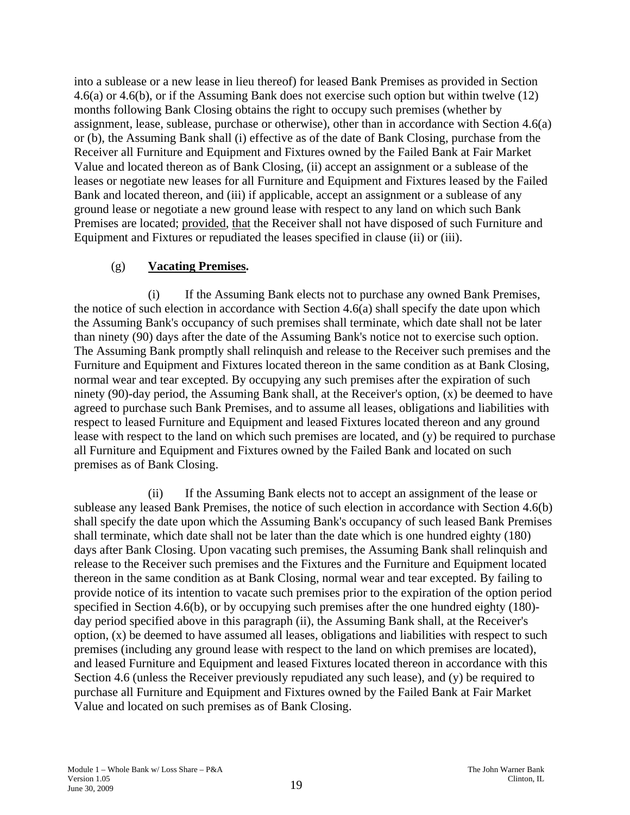into a sublease or a new lease in lieu thereof) for leased Bank Premises as provided in Section 4.6(a) or 4.6(b), or if the Assuming Bank does not exercise such option but within twelve (12) months following Bank Closing obtains the right to occupy such premises (whether by assignment, lease, sublease, purchase or otherwise), other than in accordance with Section 4.6(a) or (b), the Assuming Bank shall (i) effective as of the date of Bank Closing, purchase from the Receiver all Furniture and Equipment and Fixtures owned by the Failed Bank at Fair Market Value and located thereon as of Bank Closing, (ii) accept an assignment or a sublease of the leases or negotiate new leases for all Furniture and Equipment and Fixtures leased by the Failed Bank and located thereon, and (iii) if applicable, accept an assignment or a sublease of any ground lease or negotiate a new ground lease with respect to any land on which such Bank Premises are located; provided, that the Receiver shall not have disposed of such Furniture and Equipment and Fixtures or repudiated the leases specified in clause (ii) or (iii).

### (g) **Vacating Premises.**

 (i) If the Assuming Bank elects not to purchase any owned Bank Premises, the notice of such election in accordance with Section 4.6(a) shall specify the date upon which the Assuming Bank's occupancy of such premises shall terminate, which date shall not be later than ninety (90) days after the date of the Assuming Bank's notice not to exercise such option. The Assuming Bank promptly shall relinquish and release to the Receiver such premises and the Furniture and Equipment and Fixtures located thereon in the same condition as at Bank Closing, normal wear and tear excepted. By occupying any such premises after the expiration of such ninety (90)-day period, the Assuming Bank shall, at the Receiver's option, (x) be deemed to have agreed to purchase such Bank Premises, and to assume all leases, obligations and liabilities with respect to leased Furniture and Equipment and leased Fixtures located thereon and any ground lease with respect to the land on which such premises are located, and (y) be required to purchase all Furniture and Equipment and Fixtures owned by the Failed Bank and located on such premises as of Bank Closing.

 (ii) If the Assuming Bank elects not to accept an assignment of the lease or sublease any leased Bank Premises, the notice of such election in accordance with Section 4.6(b) shall specify the date upon which the Assuming Bank's occupancy of such leased Bank Premises shall terminate, which date shall not be later than the date which is one hundred eighty (180) days after Bank Closing. Upon vacating such premises, the Assuming Bank shall relinquish and release to the Receiver such premises and the Fixtures and the Furniture and Equipment located thereon in the same condition as at Bank Closing, normal wear and tear excepted. By failing to provide notice of its intention to vacate such premises prior to the expiration of the option period specified in Section 4.6(b), or by occupying such premises after the one hundred eighty (180) day period specified above in this paragraph (ii), the Assuming Bank shall, at the Receiver's option, (x) be deemed to have assumed all leases, obligations and liabilities with respect to such premises (including any ground lease with respect to the land on which premises are located), and leased Furniture and Equipment and leased Fixtures located thereon in accordance with this Section 4.6 (unless the Receiver previously repudiated any such lease), and (y) be required to purchase all Furniture and Equipment and Fixtures owned by the Failed Bank at Fair Market Value and located on such premises as of Bank Closing.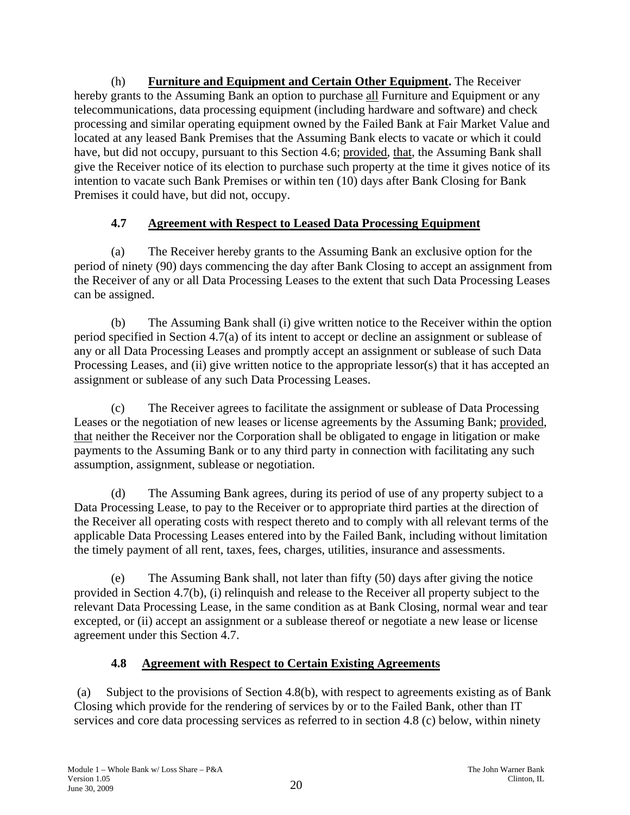(h) **Furniture and Equipment and Certain Other Equipment.** The Receiver hereby grants to the Assuming Bank an option to purchase all Furniture and Equipment or any telecommunications, data processing equipment (including hardware and software) and check processing and similar operating equipment owned by the Failed Bank at Fair Market Value and located at any leased Bank Premises that the Assuming Bank elects to vacate or which it could have, but did not occupy, pursuant to this Section 4.6; provided, that, the Assuming Bank shall give the Receiver notice of its election to purchase such property at the time it gives notice of its intention to vacate such Bank Premises or within ten (10) days after Bank Closing for Bank Premises it could have, but did not, occupy.

# **4.7 Agreement with Respect to Leased Data Processing Equipment**

<span id="page-23-0"></span> (a) The Receiver hereby grants to the Assuming Bank an exclusive option for the period of ninety (90) days commencing the day after Bank Closing to accept an assignment from the Receiver of any or all Data Processing Leases to the extent that such Data Processing Leases can be assigned.

 (b) The Assuming Bank shall (i) give written notice to the Receiver within the option period specified in Section 4.7(a) of its intent to accept or decline an assignment or sublease of any or all Data Processing Leases and promptly accept an assignment or sublease of such Data Processing Leases, and (ii) give written notice to the appropriate lessor(s) that it has accepted an assignment or sublease of any such Data Processing Leases.

 (c) The Receiver agrees to facilitate the assignment or sublease of Data Processing Leases or the negotiation of new leases or license agreements by the Assuming Bank; provided, that neither the Receiver nor the Corporation shall be obligated to engage in litigation or make payments to the Assuming Bank or to any third party in connection with facilitating any such assumption, assignment, sublease or negotiation.

 (d) The Assuming Bank agrees, during its period of use of any property subject to a Data Processing Lease, to pay to the Receiver or to appropriate third parties at the direction of the Receiver all operating costs with respect thereto and to comply with all relevant terms of the applicable Data Processing Leases entered into by the Failed Bank, including without limitation the timely payment of all rent, taxes, fees, charges, utilities, insurance and assessments.

 (e) The Assuming Bank shall, not later than fifty (50) days after giving the notice provided in Section 4.7(b), (i) relinquish and release to the Receiver all property subject to the relevant Data Processing Lease, in the same condition as at Bank Closing, normal wear and tear excepted, or (ii) accept an assignment or a sublease thereof or negotiate a new lease or license agreement under this Section 4.7.

# **4.8 Agreement with Respect to Certain Existing Agreements**

 (a) Subject to the provisions of Section 4.8(b), with respect to agreements existing as of Bank Closing which provide for the rendering of services by or to the Failed Bank, other than IT services and core data processing services as referred to in section 4.8 (c) below, within ninety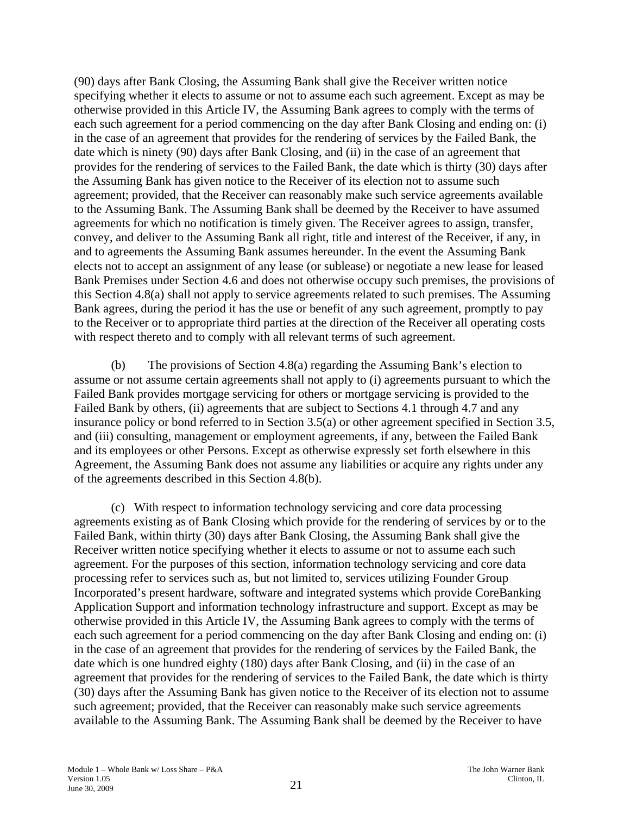(90) days after Bank Closing, the Assuming Bank shall give the Receiver written notice specifying whether it elects to assume or not to assume each such agreement. Except as may be otherwise provided in this Article IV, the Assuming Bank agrees to comply with the terms of each such agreement for a period commencing on the day after Bank Closing and ending on: (i) in the case of an agreement that provides for the rendering of services by the Failed Bank, the date which is ninety (90) days after Bank Closing, and (ii) in the case of an agreement that provides for the rendering of services to the Failed Bank, the date which is thirty (30) days after the Assuming Bank has given notice to the Receiver of its election not to assume such agreement; provided, that the Receiver can reasonably make such service agreements available to the Assuming Bank. The Assuming Bank shall be deemed by the Receiver to have assumed agreements for which no notification is timely given. The Receiver agrees to assign, transfer, convey, and deliver to the Assuming Bank all right, title and interest of the Receiver, if any, in and to agreements the Assuming Bank assumes hereunder. In the event the Assuming Bank elects not to accept an assignment of any lease (or sublease) or negotiate a new lease for leased Bank Premises under Section 4.6 and does not otherwise occupy such premises, the provisions of this Section 4.8(a) shall not apply to service agreements related to such premises. The Assuming Bank agrees, during the period it has the use or benefit of any such agreement, promptly to pay to the Receiver or to appropriate third parties at the direction of the Receiver all operating costs with respect thereto and to comply with all relevant terms of such agreement.

 (b) The provisions of Section 4.8(a) regarding the Assuming Bank's election to assume or not assume certain agreements shall not apply to (i) agreements pursuant to which the Failed Bank provides mortgage servicing for others or mortgage servicing is provided to the Failed Bank by others, (ii) agreements that are subject to Sections 4.1 through 4.7 and any insurance policy or bond referred to in Section 3.5(a) or other agreement specified in Section 3.5, and (iii) consulting, management or employment agreements, if any, between the Failed Bank and its employees or other Persons. Except as otherwise expressly set forth elsewhere in this Agreement, the Assuming Bank does not assume any liabilities or acquire any rights under any of the agreements described in this Section 4.8(b).

(c) With respect to information technology servicing and core data processing agreements existing as of Bank Closing which provide for the rendering of services by or to the Failed Bank, within thirty (30) days after Bank Closing, the Assuming Bank shall give the Receiver written notice specifying whether it elects to assume or not to assume each such agreement. For the purposes of this section, information technology servicing and core data processing refer to services such as, but not limited to, services utilizing Founder Group Incorporated's present hardware, software and integrated systems which provide CoreBanking Application Support and information technology infrastructure and support. Except as may be otherwise provided in this Article IV, the Assuming Bank agrees to comply with the terms of each such agreement for a period commencing on the day after Bank Closing and ending on: (i) in the case of an agreement that provides for the rendering of services by the Failed Bank, the date which is one hundred eighty (180) days after Bank Closing, and (ii) in the case of an agreement that provides for the rendering of services to the Failed Bank, the date which is thirty (30) days after the Assuming Bank has given notice to the Receiver of its election not to assume such agreement; provided, that the Receiver can reasonably make such service agreements available to the Assuming Bank. The Assuming Bank shall be deemed by the Receiver to have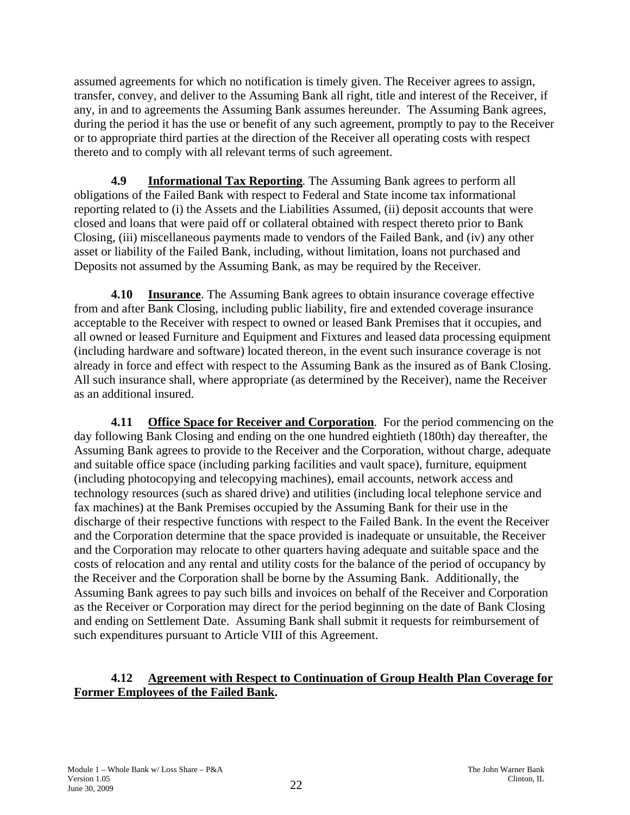assumed agreements for which no notification is timely given. The Receiver agrees to assign, transfer, convey, and deliver to the Assuming Bank all right, title and interest of the Receiver, if any, in and to agreements the Assuming Bank assumes hereunder. The Assuming Bank agrees, during the period it has the use or benefit of any such agreement, promptly to pay to the Receiver or to appropriate third parties at the direction of the Receiver all operating costs with respect thereto and to comply with all relevant terms of such agreement.

<span id="page-25-1"></span> **4.9 Informational Tax Reporting**. The Assuming Bank agrees to perform all obligations of the Failed Bank with respect to Federal and State income tax informational reporting related to (i) the Assets and the Liabilities Assumed, (ii) deposit accounts that were closed and loans that were paid off or collateral obtained with respect thereto prior to Bank Closing, (iii) miscellaneous payments made to vendors of the Failed Bank, and (iv) any other asset or liability of the Failed Bank, including, without limitation, loans not purchased and Deposits not assumed by the Assuming Bank, as may be required by the Receiver.

<span id="page-25-2"></span> **4.10 Insurance**. The Assuming Bank agrees to obtain insurance coverage effective from and after Bank Closing, including public liability, fire and extended coverage insurance acceptable to the Receiver with respect to owned or leased Bank Premises that it occupies, and all owned or leased Furniture and Equipment and Fixtures and leased data processing equipment (including hardware and software) located thereon, in the event such insurance coverage is not already in force and effect with respect to the Assuming Bank as the insured as of Bank Closing. All such insurance shall, where appropriate (as determined by the Receiver), name the Receiver as an additional insured.

<span id="page-25-3"></span> **4.11 Office Space for Receiver and Corporation**. For the period commencing on the day following Bank Closing and ending on the one hundred eightieth (180th) day thereafter, the Assuming Bank agrees to provide to the Receiver and the Corporation, without charge, adequate and suitable office space (including parking facilities and vault space), furniture, equipment (including photocopying and telecopying machines), email accounts, network access and technology resources (such as shared drive) and utilities (including local telephone service and fax machines) at the Bank Premises occupied by the Assuming Bank for their use in the discharge of their respective functions with respect to the Failed Bank. In the event the Receiver and the Corporation determine that the space provided is inadequate or unsuitable, the Receiver and the Corporation may relocate to other quarters having adequate and suitable space and the costs of relocation and any rental and utility costs for the balance of the period of occupancy by the Receiver and the Corporation shall be borne by the Assuming Bank. Additionally, the Assuming Bank agrees to pay such bills and invoices on behalf of the Receiver and Corporation as the Receiver or Corporation may direct for the period beginning on the date of Bank Closing and ending on Settlement Date. Assuming Bank shall submit it requests for reimbursement of such expenditures pursuant to Article VIII of this Agreement.

### <span id="page-25-4"></span><span id="page-25-0"></span> **4.12 Agreement with Respect to Continuation of Group Health Plan Coverage for Former Employees of the Failed Bank.**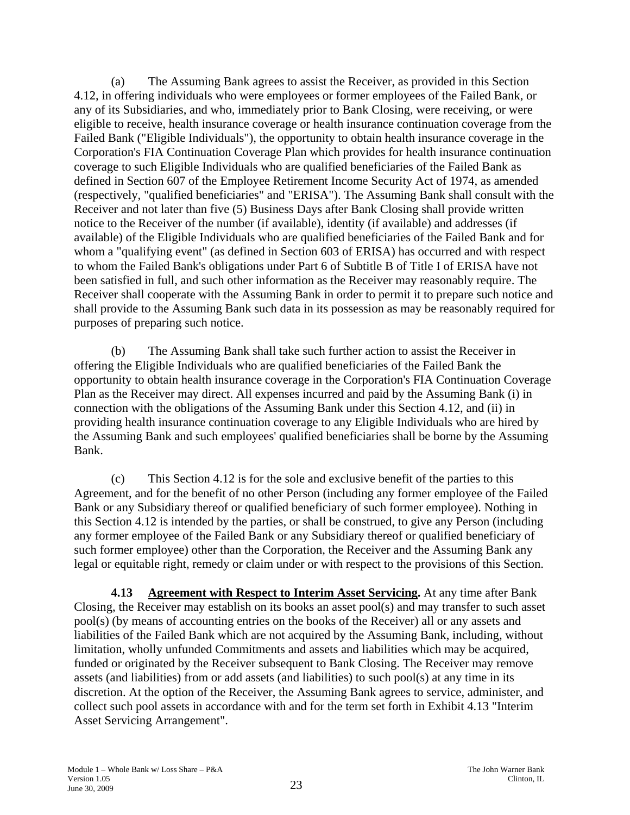(a) The Assuming Bank agrees to assist the Receiver, as provided in this Section 4.12, in offering individuals who were employees or former employees of the Failed Bank, or any of its Subsidiaries, and who, immediately prior to Bank Closing, were receiving, or were eligible to receive, health insurance coverage or health insurance continuation coverage from the Failed Bank ("Eligible Individuals"), the opportunity to obtain health insurance coverage in the Corporation's FIA Continuation Coverage Plan which provides for health insurance continuation coverage to such Eligible Individuals who are qualified beneficiaries of the Failed Bank as defined in Section 607 of the Employee Retirement Income Security Act of 1974, as amended (respectively, "qualified beneficiaries" and "ERISA"). The Assuming Bank shall consult with the Receiver and not later than five (5) Business Days after Bank Closing shall provide written notice to the Receiver of the number (if available), identity (if available) and addresses (if available) of the Eligible Individuals who are qualified beneficiaries of the Failed Bank and for whom a "qualifying event" (as defined in Section 603 of ERISA) has occurred and with respect to whom the Failed Bank's obligations under Part 6 of Subtitle B of Title I of ERISA have not been satisfied in full, and such other information as the Receiver may reasonably require. The Receiver shall cooperate with the Assuming Bank in order to permit it to prepare such notice and shall provide to the Assuming Bank such data in its possession as may be reasonably required for purposes of preparing such notice.

 (b) The Assuming Bank shall take such further action to assist the Receiver in offering the Eligible Individuals who are qualified beneficiaries of the Failed Bank the opportunity to obtain health insurance coverage in the Corporation's FIA Continuation Coverage Plan as the Receiver may direct. All expenses incurred and paid by the Assuming Bank (i) in connection with the obligations of the Assuming Bank under this Section 4.12, and (ii) in providing health insurance continuation coverage to any Eligible Individuals who are hired by the Assuming Bank and such employees' qualified beneficiaries shall be borne by the Assuming Bank.

 (c) This Section 4.12 is for the sole and exclusive benefit of the parties to this Agreement, and for the benefit of no other Person (including any former employee of the Failed Bank or any Subsidiary thereof or qualified beneficiary of such former employee). Nothing in this Section 4.12 is intended by the parties, or shall be construed, to give any Person (including any former employee of the Failed Bank or any Subsidiary thereof or qualified beneficiary of such former employee) other than the Corporation, the Receiver and the Assuming Bank any legal or equitable right, remedy or claim under or with respect to the provisions of this Section.

<span id="page-26-0"></span>**4.13 Agreement with Respect to Interim Asset Servicing.** At any time after Bank Closing, the Receiver may establish on its books an asset pool(s) and may transfer to such asset pool(s) (by means of accounting entries on the books of the Receiver) all or any assets and liabilities of the Failed Bank which are not acquired by the Assuming Bank, including, without limitation, wholly unfunded Commitments and assets and liabilities which may be acquired, funded or originated by the Receiver subsequent to Bank Closing. The Receiver may remove assets (and liabilities) from or add assets (and liabilities) to such pool(s) at any time in its discretion. At the option of the Receiver, the Assuming Bank agrees to service, administer, and collect such pool assets in accordance with and for the term set forth in Exhibit 4.13 "Interim Asset Servicing Arrangement".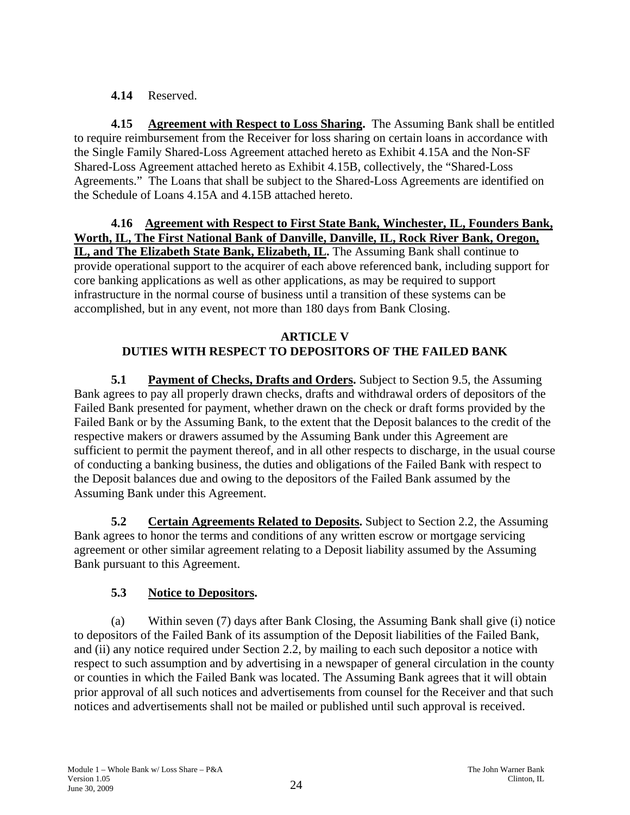# **4.14** Reserved.

**4.15 Agreement with Respect to Loss Sharing.** The Assuming Bank shall be entitled to require reimbursement from the Receiver for loss sharing on certain loans in accordance with the Single Family Shared-Loss Agreement attached hereto as Exhibit 4.15A and the Non-SF Shared-Loss Agreement attached hereto as Exhibit 4.15B, collectively, the "Shared-Loss Agreements." The Loans that shall be subject to the Shared-Loss Agreements are identified on the Schedule of Loans 4.15A and 4.15B attached hereto.

**4.16 Agreement with Respect to First State Bank, Winchester, IL, Founders Bank, Worth, IL, The First National Bank of Danville, Danville, IL, Rock River Bank, Oregon, IL, and The Elizabeth State Bank, Elizabeth, IL.** The Assuming Bank shall continue to provide operational support to the acquirer of each above referenced bank, including support for core banking applications as well as other applications, as may be required to support infrastructure in the normal course of business until a transition of these systems can be accomplished, but in any event, not more than 180 days from Bank Closing.

## **ARTICLE V DUTIES WITH RESPECT TO DEPOSITORS OF THE FAILED BANK**

<span id="page-27-1"></span><span id="page-27-0"></span> **5.1 Payment of Checks, Drafts and Orders.** Subject to Section 9.5, the Assuming Bank agrees to pay all properly drawn checks, drafts and withdrawal orders of depositors of the Failed Bank presented for payment, whether drawn on the check or draft forms provided by the Failed Bank or by the Assuming Bank, to the extent that the Deposit balances to the credit of the respective makers or drawers assumed by the Assuming Bank under this Agreement are sufficient to permit the payment thereof, and in all other respects to discharge, in the usual course of conducting a banking business, the duties and obligations of the Failed Bank with respect to the Deposit balances due and owing to the depositors of the Failed Bank assumed by the Assuming Bank under this Agreement.

<span id="page-27-2"></span> **5.2 Certain Agreements Related to Deposits.** Subject to Section 2.2, the Assuming Bank agrees to honor the terms and conditions of any written escrow or mortgage servicing agreement or other similar agreement relating to a Deposit liability assumed by the Assuming Bank pursuant to this Agreement.

# **5.3 Notice to Depositors.**

<span id="page-27-3"></span> (a) Within seven (7) days after Bank Closing, the Assuming Bank shall give (i) notice to depositors of the Failed Bank of its assumption of the Deposit liabilities of the Failed Bank, and (ii) any notice required under Section 2.2, by mailing to each such depositor a notice with respect to such assumption and by advertising in a newspaper of general circulation in the county or counties in which the Failed Bank was located. The Assuming Bank agrees that it will obtain prior approval of all such notices and advertisements from counsel for the Receiver and that such notices and advertisements shall not be mailed or published until such approval is received.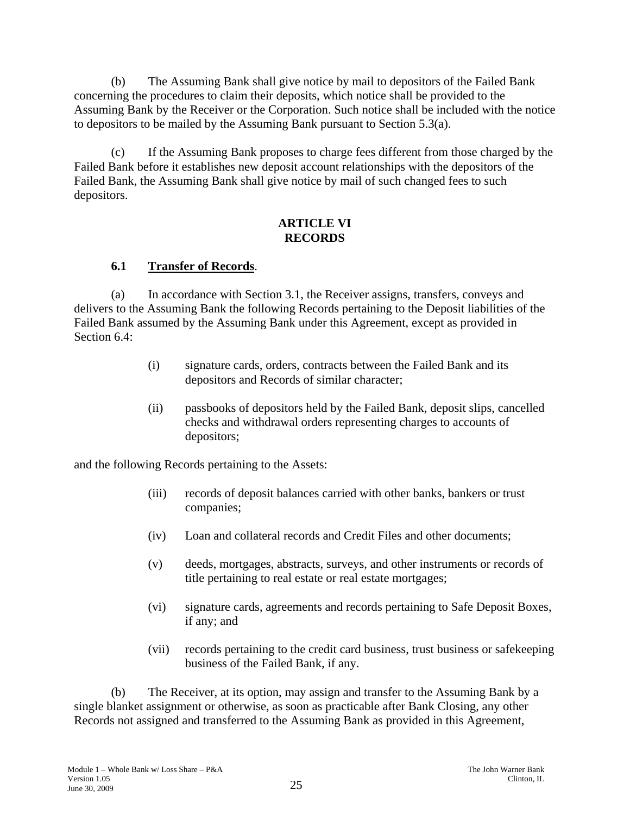(b) The Assuming Bank shall give notice by mail to depositors of the Failed Bank concerning the procedures to claim their deposits, which notice shall be provided to the Assuming Bank by the Receiver or the Corporation. Such notice shall be included with the notice to depositors to be mailed by the Assuming Bank pursuant to Section 5.3(a).

 (c) If the Assuming Bank proposes to charge fees different from those charged by the Failed Bank before it establishes new deposit account relationships with the depositors of the Failed Bank, the Assuming Bank shall give notice by mail of such changed fees to such depositors.

### **ARTICLE VI RECORDS**

### **6.1 Transfer of Records**.

<span id="page-28-1"></span><span id="page-28-0"></span> (a) In accordance with Section 3.1, the Receiver assigns, transfers, conveys and delivers to the Assuming Bank the following Records pertaining to the Deposit liabilities of the Failed Bank assumed by the Assuming Bank under this Agreement, except as provided in Section 6.4:

- (i) signature cards, orders, contracts between the Failed Bank and its depositors and Records of similar character;
- (ii) passbooks of depositors held by the Failed Bank, deposit slips, cancelled checks and withdrawal orders representing charges to accounts of depositors;

and the following Records pertaining to the Assets:

- (iii) records of deposit balances carried with other banks, bankers or trust companies;
- (iv) Loan and collateral records and Credit Files and other documents;
- (v) deeds, mortgages, abstracts, surveys, and other instruments or records of title pertaining to real estate or real estate mortgages;
- (vi) signature cards, agreements and records pertaining to Safe Deposit Boxes, if any; and
- (vii) records pertaining to the credit card business, trust business or safekeeping business of the Failed Bank, if any.

 (b) The Receiver, at its option, may assign and transfer to the Assuming Bank by a single blanket assignment or otherwise, as soon as practicable after Bank Closing, any other Records not assigned and transferred to the Assuming Bank as provided in this Agreement,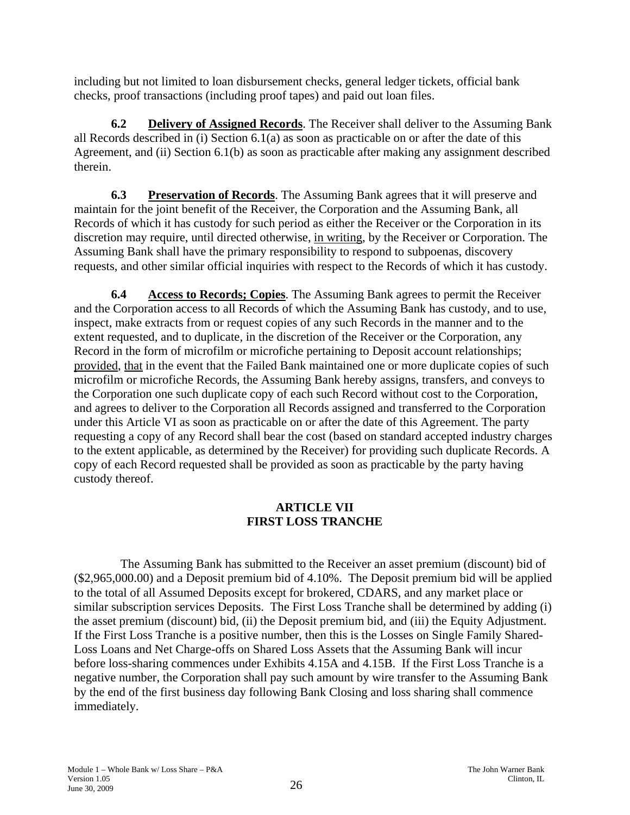including but not limited to loan disbursement checks, general ledger tickets, official bank checks, proof transactions (including proof tapes) and paid out loan files.

<span id="page-29-0"></span> **6.2 Delivery of Assigned Records**. The Receiver shall deliver to the Assuming Bank all Records described in (i) Section 6.1(a) as soon as practicable on or after the date of this Agreement, and (ii) Section 6.1(b) as soon as practicable after making any assignment described therein.

<span id="page-29-1"></span> **6.3 Preservation of Records**. The Assuming Bank agrees that it will preserve and maintain for the joint benefit of the Receiver, the Corporation and the Assuming Bank, all Records of which it has custody for such period as either the Receiver or the Corporation in its discretion may require, until directed otherwise, in writing, by the Receiver or Corporation. The Assuming Bank shall have the primary responsibility to respond to subpoenas, discovery requests, and other similar official inquiries with respect to the Records of which it has custody.

 **6.4 Access to Records; Copies**. The Assuming Bank agrees to permit the Receiver and the Corporation access to all Records of which the Assuming Bank has custody, and to use, inspect, make extracts from or request copies of any such Records in the manner and to the extent requested, and to duplicate, in the discretion of the Receiver or the Corporation, any Record in the form of microfilm or microfiche pertaining to Deposit account relationships; provided, that in the event that the Failed Bank maintained one or more duplicate copies of such microfilm or microfiche Records, the Assuming Bank hereby assigns, transfers, and conveys to the Corporation one such duplicate copy of each such Record without cost to the Corporation, and agrees to deliver to the Corporation all Records assigned and transferred to the Corporation under this Article VI as soon as practicable on or after the date of this Agreement. The party requesting a copy of any Record shall bear the cost (based on standard accepted industry charges to the extent applicable, as determined by the Receiver) for providing such duplicate Records. A copy of each Record requested shall be provided as soon as practicable by the party having custody thereof.

### **ARTICLE VII FIRST LOSS TRANCHE**

 The Assuming Bank has submitted to the Receiver an asset premium (discount) bid of (\$2,965,000.00) and a Deposit premium bid of 4.10%. The Deposit premium bid will be applied to the total of all Assumed Deposits except for brokered, CDARS, and any market place or similar subscription services Deposits. The First Loss Tranche shall be determined by adding (i) the asset premium (discount) bid, (ii) the Deposit premium bid, and (iii) the Equity Adjustment. If the First Loss Tranche is a positive number, then this is the Losses on Single Family Shared-Loss Loans and Net Charge-offs on Shared Loss Assets that the Assuming Bank will incur before loss-sharing commences under Exhibits 4.15A and 4.15B. If the First Loss Tranche is a negative number, the Corporation shall pay such amount by wire transfer to the Assuming Bank by the end of the first business day following Bank Closing and loss sharing shall commence immediately.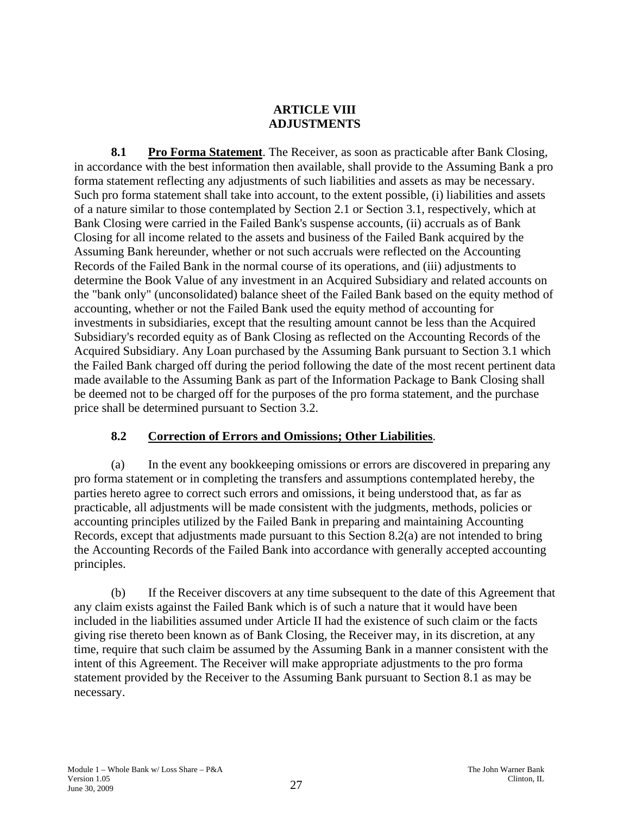### **ARTICLE VIII ADJUSTMENTS**

<span id="page-30-1"></span><span id="page-30-0"></span>**8.1** Pro Forma Statement. The Receiver, as soon as practicable after Bank Closing, in accordance with the best information then available, shall provide to the Assuming Bank a pro forma statement reflecting any adjustments of such liabilities and assets as may be necessary. Such pro forma statement shall take into account, to the extent possible, (i) liabilities and assets of a nature similar to those contemplated by Section 2.1 or Section 3.1, respectively, which at Bank Closing were carried in the Failed Bank's suspense accounts, (ii) accruals as of Bank Closing for all income related to the assets and business of the Failed Bank acquired by the Assuming Bank hereunder, whether or not such accruals were reflected on the Accounting Records of the Failed Bank in the normal course of its operations, and (iii) adjustments to determine the Book Value of any investment in an Acquired Subsidiary and related accounts on the "bank only" (unconsolidated) balance sheet of the Failed Bank based on the equity method of accounting, whether or not the Failed Bank used the equity method of accounting for investments in subsidiaries, except that the resulting amount cannot be less than the Acquired Subsidiary's recorded equity as of Bank Closing as reflected on the Accounting Records of the Acquired Subsidiary. Any Loan purchased by the Assuming Bank pursuant to Section 3.1 which the Failed Bank charged off during the period following the date of the most recent pertinent data made available to the Assuming Bank as part of the Information Package to Bank Closing shall be deemed not to be charged off for the purposes of the pro forma statement, and the purchase price shall be determined pursuant to Section 3.2.

## **8.2 Correction of Errors and Omissions; Other Liabilities**.

 (a) In the event any bookkeeping omissions or errors are discovered in preparing any pro forma statement or in completing the transfers and assumptions contemplated hereby, the parties hereto agree to correct such errors and omissions, it being understood that, as far as practicable, all adjustments will be made consistent with the judgments, methods, policies or accounting principles utilized by the Failed Bank in preparing and maintaining Accounting Records, except that adjustments made pursuant to this Section 8.2(a) are not intended to bring the Accounting Records of the Failed Bank into accordance with generally accepted accounting principles.

 (b) If the Receiver discovers at any time subsequent to the date of this Agreement that any claim exists against the Failed Bank which is of such a nature that it would have been included in the liabilities assumed under Article II had the existence of such claim or the facts giving rise thereto been known as of Bank Closing, the Receiver may, in its discretion, at any time, require that such claim be assumed by the Assuming Bank in a manner consistent with the intent of this Agreement. The Receiver will make appropriate adjustments to the pro forma statement provided by the Receiver to the Assuming Bank pursuant to Section 8.1 as may be necessary.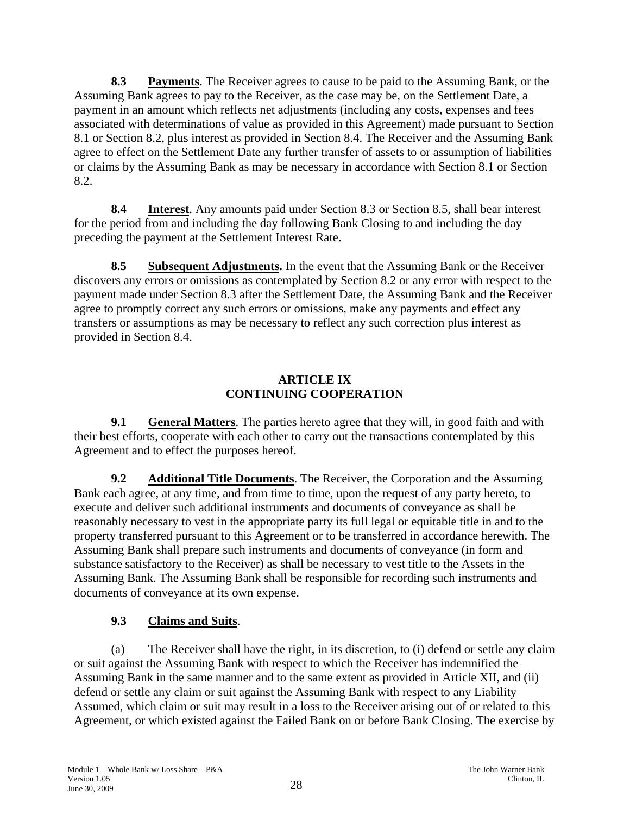<span id="page-31-0"></span>**8.3** Payments. The Receiver agrees to cause to be paid to the Assuming Bank, or the Assuming Bank agrees to pay to the Receiver, as the case may be, on the Settlement Date, a payment in an amount which reflects net adjustments (including any costs, expenses and fees associated with determinations of value as provided in this Agreement) made pursuant to Section 8.1 or Section 8.2, plus interest as provided in Section 8.4. The Receiver and the Assuming Bank agree to effect on the Settlement Date any further transfer of assets to or assumption of liabilities or claims by the Assuming Bank as may be necessary in accordance with Section 8.1 or Section 8.2.

<span id="page-31-1"></span>**8.4 Interest**. Any amounts paid under Section 8.3 or Section 8.5, shall bear interest for the period from and including the day following Bank Closing to and including the day preceding the payment at the Settlement Interest Rate.

<span id="page-31-2"></span>**8.5** Subsequent Adjustments. In the event that the Assuming Bank or the Receiver discovers any errors or omissions as contemplated by Section 8.2 or any error with respect to the payment made under Section 8.3 after the Settlement Date, the Assuming Bank and the Receiver agree to promptly correct any such errors or omissions, make any payments and effect any transfers or assumptions as may be necessary to reflect any such correction plus interest as provided in Section 8.4.

### **ARTICLE IX CONTINUING COOPERATION**

<span id="page-31-4"></span><span id="page-31-3"></span>**9.1** General Matters. The parties hereto agree that they will, in good faith and with their best efforts, cooperate with each other to carry out the transactions contemplated by this Agreement and to effect the purposes hereof.

<span id="page-31-5"></span>**9.2** Additional Title Documents. The Receiver, the Corporation and the Assuming Bank each agree, at any time, and from time to time, upon the request of any party hereto, to execute and deliver such additional instruments and documents of conveyance as shall be reasonably necessary to vest in the appropriate party its full legal or equitable title in and to the property transferred pursuant to this Agreement or to be transferred in accordance herewith. The Assuming Bank shall prepare such instruments and documents of conveyance (in form and substance satisfactory to the Receiver) as shall be necessary to vest title to the Assets in the Assuming Bank. The Assuming Bank shall be responsible for recording such instruments and documents of conveyance at its own expense.

# **9.3 Claims and Suits**.

<span id="page-31-6"></span> (a) The Receiver shall have the right, in its discretion, to (i) defend or settle any claim or suit against the Assuming Bank with respect to which the Receiver has indemnified the Assuming Bank in the same manner and to the same extent as provided in Article XII, and (ii) defend or settle any claim or suit against the Assuming Bank with respect to any Liability Assumed, which claim or suit may result in a loss to the Receiver arising out of or related to this Agreement, or which existed against the Failed Bank on or before Bank Closing. The exercise by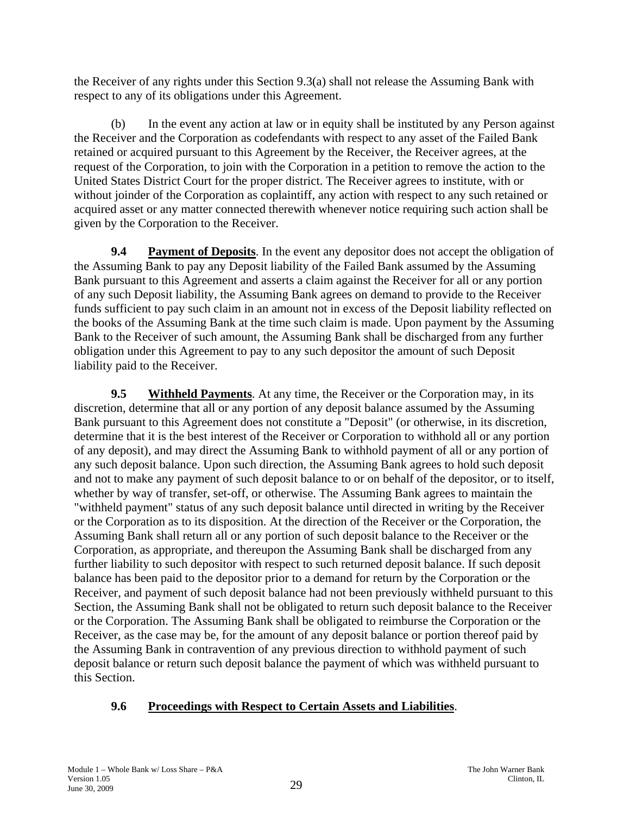the Receiver of any rights under this Section 9.3(a) shall not release the Assuming Bank with respect to any of its obligations under this Agreement.

 (b) In the event any action at law or in equity shall be instituted by any Person against the Receiver and the Corporation as codefendants with respect to any asset of the Failed Bank retained or acquired pursuant to this Agreement by the Receiver, the Receiver agrees, at the request of the Corporation, to join with the Corporation in a petition to remove the action to the United States District Court for the proper district. The Receiver agrees to institute, with or without joinder of the Corporation as coplaintiff, any action with respect to any such retained or acquired asset or any matter connected therewith whenever notice requiring such action shall be given by the Corporation to the Receiver.

<span id="page-32-0"></span>**9.4 Payment of Deposits**. In the event any depositor does not accept the obligation of the Assuming Bank to pay any Deposit liability of the Failed Bank assumed by the Assuming Bank pursuant to this Agreement and asserts a claim against the Receiver for all or any portion of any such Deposit liability, the Assuming Bank agrees on demand to provide to the Receiver funds sufficient to pay such claim in an amount not in excess of the Deposit liability reflected on the books of the Assuming Bank at the time such claim is made. Upon payment by the Assuming Bank to the Receiver of such amount, the Assuming Bank shall be discharged from any further obligation under this Agreement to pay to any such depositor the amount of such Deposit liability paid to the Receiver.

<span id="page-32-1"></span> **9.5 Withheld Payments**. At any time, the Receiver or the Corporation may, in its discretion, determine that all or any portion of any deposit balance assumed by the Assuming Bank pursuant to this Agreement does not constitute a "Deposit" (or otherwise, in its discretion, determine that it is the best interest of the Receiver or Corporation to withhold all or any portion of any deposit), and may direct the Assuming Bank to withhold payment of all or any portion of any such deposit balance. Upon such direction, the Assuming Bank agrees to hold such deposit and not to make any payment of such deposit balance to or on behalf of the depositor, or to itself, whether by way of transfer, set-off, or otherwise. The Assuming Bank agrees to maintain the "withheld payment" status of any such deposit balance until directed in writing by the Receiver or the Corporation as to its disposition. At the direction of the Receiver or the Corporation, the Assuming Bank shall return all or any portion of such deposit balance to the Receiver or the Corporation, as appropriate, and thereupon the Assuming Bank shall be discharged from any further liability to such depositor with respect to such returned deposit balance. If such deposit balance has been paid to the depositor prior to a demand for return by the Corporation or the Receiver, and payment of such deposit balance had not been previously withheld pursuant to this Section, the Assuming Bank shall not be obligated to return such deposit balance to the Receiver or the Corporation. The Assuming Bank shall be obligated to reimburse the Corporation or the Receiver, as the case may be, for the amount of any deposit balance or portion thereof paid by the Assuming Bank in contravention of any previous direction to withhold payment of such deposit balance or return such deposit balance the payment of which was withheld pursuant to this Section.

# <span id="page-32-2"></span> **9.6 Proceedings with Respect to Certain Assets and Liabilities**.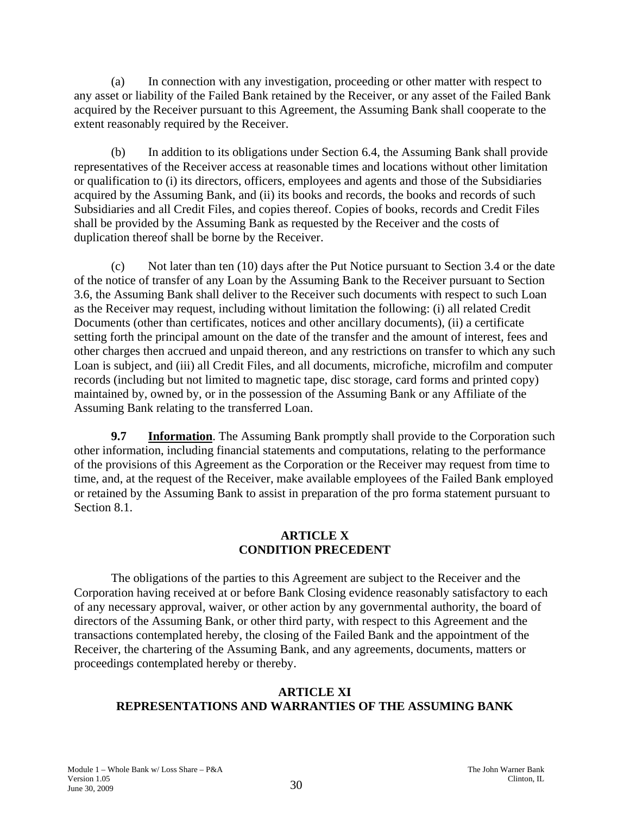(a) In connection with any investigation, proceeding or other matter with respect to any asset or liability of the Failed Bank retained by the Receiver, or any asset of the Failed Bank acquired by the Receiver pursuant to this Agreement, the Assuming Bank shall cooperate to the extent reasonably required by the Receiver.

 (b) In addition to its obligations under Section 6.4, the Assuming Bank shall provide representatives of the Receiver access at reasonable times and locations without other limitation or qualification to (i) its directors, officers, employees and agents and those of the Subsidiaries acquired by the Assuming Bank, and (ii) its books and records, the books and records of such Subsidiaries and all Credit Files, and copies thereof. Copies of books, records and Credit Files shall be provided by the Assuming Bank as requested by the Receiver and the costs of duplication thereof shall be borne by the Receiver.

 (c) Not later than ten (10) days after the Put Notice pursuant to Section 3.4 or the date of the notice of transfer of any Loan by the Assuming Bank to the Receiver pursuant to Section 3.6, the Assuming Bank shall deliver to the Receiver such documents with respect to such Loan as the Receiver may request, including without limitation the following: (i) all related Credit Documents (other than certificates, notices and other ancillary documents), (ii) a certificate setting forth the principal amount on the date of the transfer and the amount of interest, fees and other charges then accrued and unpaid thereon, and any restrictions on transfer to which any such Loan is subject, and (iii) all Credit Files, and all documents, microfiche, microfilm and computer records (including but not limited to magnetic tape, disc storage, card forms and printed copy) maintained by, owned by, or in the possession of the Assuming Bank or any Affiliate of the Assuming Bank relating to the transferred Loan.

<span id="page-33-0"></span>**9.7 Information**. The Assuming Bank promptly shall provide to the Corporation such other information, including financial statements and computations, relating to the performance of the provisions of this Agreement as the Corporation or the Receiver may request from time to time, and, at the request of the Receiver, make available employees of the Failed Bank employed or retained by the Assuming Bank to assist in preparation of the pro forma statement pursuant to Section 8.1.

#### **ARTICLE X CONDITION PRECEDENT**

<span id="page-33-1"></span>The obligations of the parties to this Agreement are subject to the Receiver and the Corporation having received at or before Bank Closing evidence reasonably satisfactory to each of any necessary approval, waiver, or other action by any governmental authority, the board of directors of the Assuming Bank, or other third party, with respect to this Agreement and the transactions contemplated hereby, the closing of the Failed Bank and the appointment of the Receiver, the chartering of the Assuming Bank, and any agreements, documents, matters or proceedings contemplated hereby or thereby.

#### <span id="page-33-2"></span> **ARTICLE XI REPRESENTATIONS AND WARRANTIES OF THE ASSUMING BANK**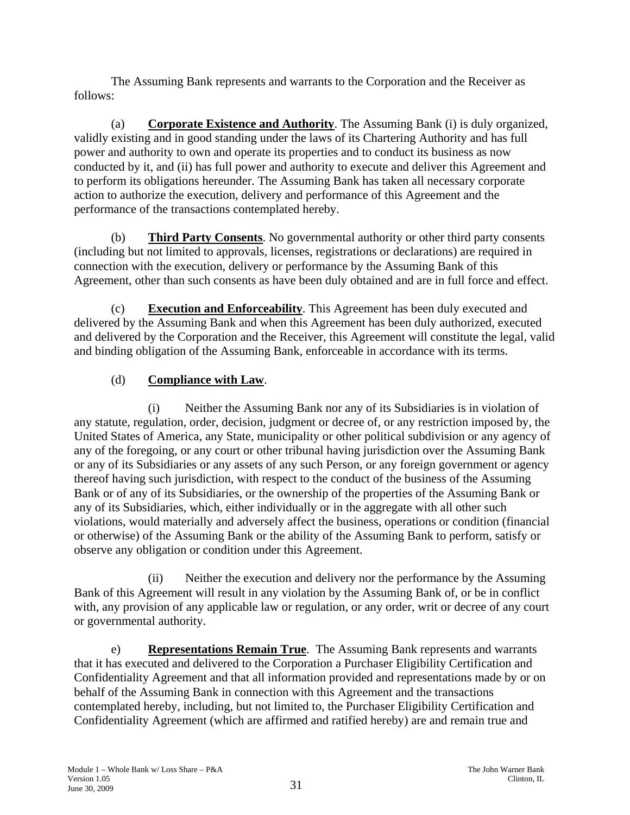The Assuming Bank represents and warrants to the Corporation and the Receiver as follows:

 (a) **Corporate Existence and Authority**. The Assuming Bank (i) is duly organized, validly existing and in good standing under the laws of its Chartering Authority and has full power and authority to own and operate its properties and to conduct its business as now conducted by it, and (ii) has full power and authority to execute and deliver this Agreement and to perform its obligations hereunder. The Assuming Bank has taken all necessary corporate action to authorize the execution, delivery and performance of this Agreement and the performance of the transactions contemplated hereby.

 (b) **Third Party Consents**. No governmental authority or other third party consents (including but not limited to approvals, licenses, registrations or declarations) are required in connection with the execution, delivery or performance by the Assuming Bank of this Agreement, other than such consents as have been duly obtained and are in full force and effect.

 (c) **Execution and Enforceability**. This Agreement has been duly executed and delivered by the Assuming Bank and when this Agreement has been duly authorized, executed and delivered by the Corporation and the Receiver, this Agreement will constitute the legal, valid and binding obligation of the Assuming Bank, enforceable in accordance with its terms.

# (d) **Compliance with Law**.

 (i) Neither the Assuming Bank nor any of its Subsidiaries is in violation of any statute, regulation, order, decision, judgment or decree of, or any restriction imposed by, the United States of America, any State, municipality or other political subdivision or any agency of any of the foregoing, or any court or other tribunal having jurisdiction over the Assuming Bank or any of its Subsidiaries or any assets of any such Person, or any foreign government or agency thereof having such jurisdiction, with respect to the conduct of the business of the Assuming Bank or of any of its Subsidiaries, or the ownership of the properties of the Assuming Bank or any of its Subsidiaries, which, either individually or in the aggregate with all other such violations, would materially and adversely affect the business, operations or condition (financial or otherwise) of the Assuming Bank or the ability of the Assuming Bank to perform, satisfy or observe any obligation or condition under this Agreement.

 (ii) Neither the execution and delivery nor the performance by the Assuming Bank of this Agreement will result in any violation by the Assuming Bank of, or be in conflict with, any provision of any applicable law or regulation, or any order, writ or decree of any court or governmental authority.

 e) **Representations Remain True**. The Assuming Bank represents and warrants that it has executed and delivered to the Corporation a Purchaser Eligibility Certification and Confidentiality Agreement and that all information provided and representations made by or on behalf of the Assuming Bank in connection with this Agreement and the transactions contemplated hereby, including, but not limited to, the Purchaser Eligibility Certification and Confidentiality Agreement (which are affirmed and ratified hereby) are and remain true and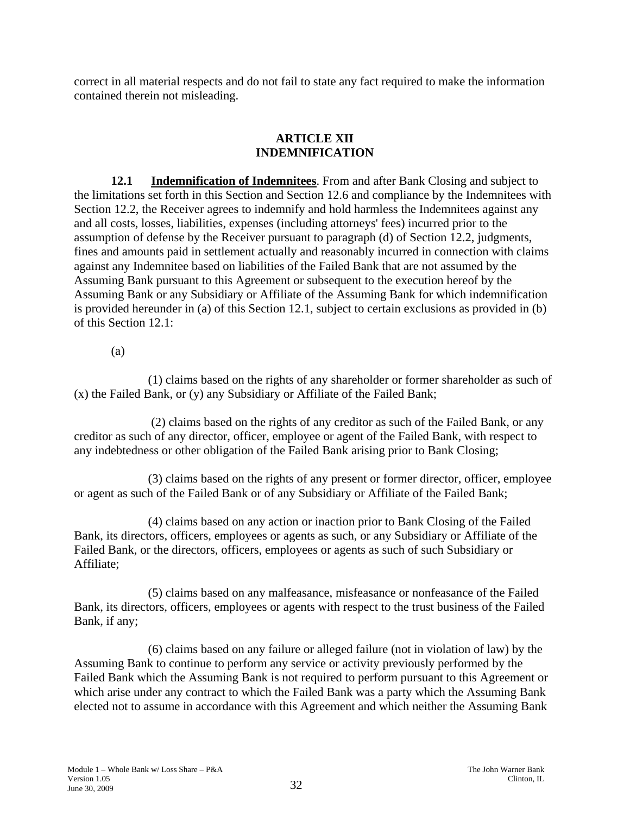correct in all material respects and do not fail to state any fact required to make the information contained therein not misleading.

### **ARTICLE XII INDEMNIFICATION**

<span id="page-35-0"></span>**12.1** Indemnification of Indemnitees. From and after Bank Closing and subject to the limitations set forth in this Section and Section 12.6 and compliance by the Indemnitees with Section 12.2, the Receiver agrees to indemnify and hold harmless the Indemnitees against any and all costs, losses, liabilities, expenses (including attorneys' fees) incurred prior to the assumption of defense by the Receiver pursuant to paragraph (d) of Section 12.2, judgments, fines and amounts paid in settlement actually and reasonably incurred in connection with claims against any Indemnitee based on liabilities of the Failed Bank that are not assumed by the Assuming Bank pursuant to this Agreement or subsequent to the execution hereof by the Assuming Bank or any Subsidiary or Affiliate of the Assuming Bank for which indemnification is provided hereunder in (a) of this Section 12.1, subject to certain exclusions as provided in (b) of this Section 12.1:

(a)

 (1) claims based on the rights of any shareholder or former shareholder as such of (x) the Failed Bank, or (y) any Subsidiary or Affiliate of the Failed Bank;

 (2) claims based on the rights of any creditor as such of the Failed Bank, or any creditor as such of any director, officer, employee or agent of the Failed Bank, with respect to any indebtedness or other obligation of the Failed Bank arising prior to Bank Closing;

(3) claims based on the rights of any present or former director, officer, employee or agent as such of the Failed Bank or of any Subsidiary or Affiliate of the Failed Bank;

(4) claims based on any action or inaction prior to Bank Closing of the Failed Bank, its directors, officers, employees or agents as such, or any Subsidiary or Affiliate of the Failed Bank, or the directors, officers, employees or agents as such of such Subsidiary or Affiliate;

(5) claims based on any malfeasance, misfeasance or nonfeasance of the Failed Bank, its directors, officers, employees or agents with respect to the trust business of the Failed Bank, if any;

(6) claims based on any failure or alleged failure (not in violation of law) by the Assuming Bank to continue to perform any service or activity previously performed by the Failed Bank which the Assuming Bank is not required to perform pursuant to this Agreement or which arise under any contract to which the Failed Bank was a party which the Assuming Bank elected not to assume in accordance with this Agreement and which neither the Assuming Bank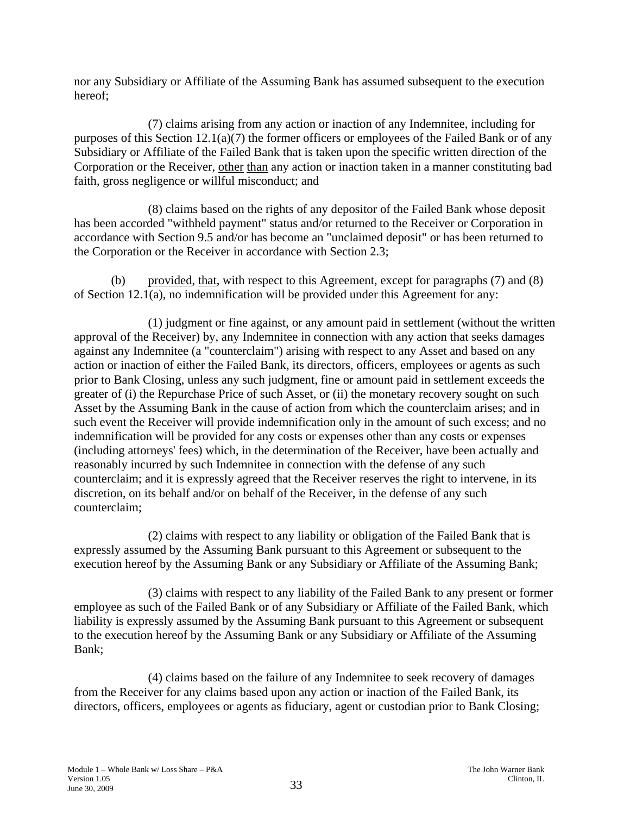nor any Subsidiary or Affiliate of the Assuming Bank has assumed subsequent to the execution hereof;

 (7) claims arising from any action or inaction of any Indemnitee, including for purposes of this Section 12.1(a)(7) the former officers or employees of the Failed Bank or of any Subsidiary or Affiliate of the Failed Bank that is taken upon the specific written direction of the Corporation or the Receiver, other than any action or inaction taken in a manner constituting bad faith, gross negligence or willful misconduct; and

(8) claims based on the rights of any depositor of the Failed Bank whose deposit has been accorded "withheld payment" status and/or returned to the Receiver or Corporation in accordance with Section 9.5 and/or has become an "unclaimed deposit" or has been returned to the Corporation or the Receiver in accordance with Section 2.3;

 (b) provided, that, with respect to this Agreement, except for paragraphs (7) and (8) of Section 12.1(a), no indemnification will be provided under this Agreement for any:

(1) judgment or fine against, or any amount paid in settlement (without the written approval of the Receiver) by, any Indemnitee in connection with any action that seeks damages against any Indemnitee (a "counterclaim") arising with respect to any Asset and based on any action or inaction of either the Failed Bank, its directors, officers, employees or agents as such prior to Bank Closing, unless any such judgment, fine or amount paid in settlement exceeds the greater of (i) the Repurchase Price of such Asset, or (ii) the monetary recovery sought on such Asset by the Assuming Bank in the cause of action from which the counterclaim arises; and in such event the Receiver will provide indemnification only in the amount of such excess; and no indemnification will be provided for any costs or expenses other than any costs or expenses (including attorneys' fees) which, in the determination of the Receiver, have been actually and reasonably incurred by such Indemnitee in connection with the defense of any such counterclaim; and it is expressly agreed that the Receiver reserves the right to intervene, in its discretion, on its behalf and/or on behalf of the Receiver, in the defense of any such counterclaim;

(2) claims with respect to any liability or obligation of the Failed Bank that is expressly assumed by the Assuming Bank pursuant to this Agreement or subsequent to the execution hereof by the Assuming Bank or any Subsidiary or Affiliate of the Assuming Bank;

(3) claims with respect to any liability of the Failed Bank to any present or former employee as such of the Failed Bank or of any Subsidiary or Affiliate of the Failed Bank, which liability is expressly assumed by the Assuming Bank pursuant to this Agreement or subsequent to the execution hereof by the Assuming Bank or any Subsidiary or Affiliate of the Assuming Bank;

(4) claims based on the failure of any Indemnitee to seek recovery of damages from the Receiver for any claims based upon any action or inaction of the Failed Bank, its directors, officers, employees or agents as fiduciary, agent or custodian prior to Bank Closing;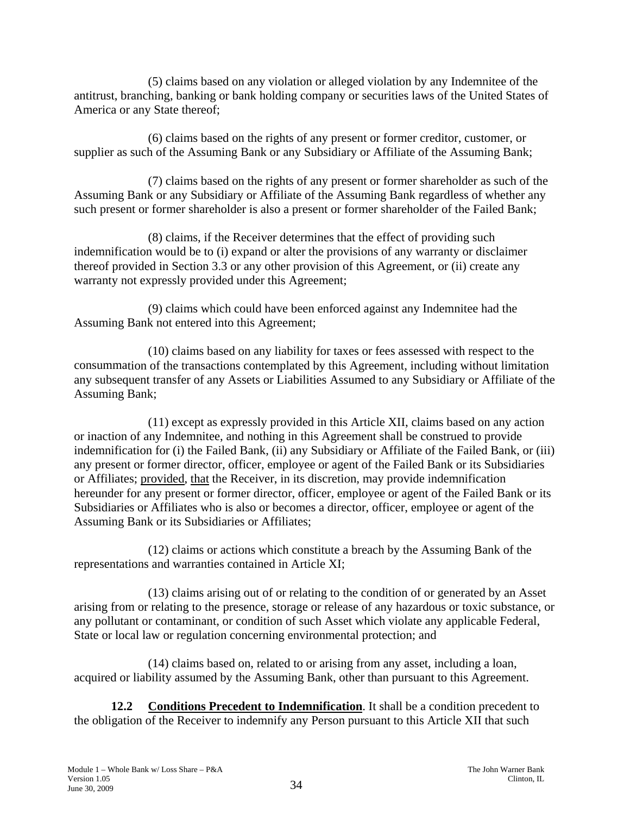(5) claims based on any violation or alleged violation by any Indemnitee of the antitrust, branching, banking or bank holding company or securities laws of the United States of America or any State thereof;

(6) claims based on the rights of any present or former creditor, customer, or supplier as such of the Assuming Bank or any Subsidiary or Affiliate of the Assuming Bank;

(7) claims based on the rights of any present or former shareholder as such of the Assuming Bank or any Subsidiary or Affiliate of the Assuming Bank regardless of whether any such present or former shareholder is also a present or former shareholder of the Failed Bank;

(8) claims, if the Receiver determines that the effect of providing such indemnification would be to (i) expand or alter the provisions of any warranty or disclaimer thereof provided in Section 3.3 or any other provision of this Agreement, or (ii) create any warranty not expressly provided under this Agreement;

(9) claims which could have been enforced against any Indemnitee had the Assuming Bank not entered into this Agreement;

(10) claims based on any liability for taxes or fees assessed with respect to the consummation of the transactions contemplated by this Agreement, including without limitation any subsequent transfer of any Assets or Liabilities Assumed to any Subsidiary or Affiliate of the Assuming Bank;

(11) except as expressly provided in this Article XII, claims based on any action or inaction of any Indemnitee, and nothing in this Agreement shall be construed to provide indemnification for (i) the Failed Bank, (ii) any Subsidiary or Affiliate of the Failed Bank, or (iii) any present or former director, officer, employee or agent of the Failed Bank or its Subsidiaries or Affiliates; provided, that the Receiver, in its discretion, may provide indemnification hereunder for any present or former director, officer, employee or agent of the Failed Bank or its Subsidiaries or Affiliates who is also or becomes a director, officer, employee or agent of the Assuming Bank or its Subsidiaries or Affiliates;

(12) claims or actions which constitute a breach by the Assuming Bank of the representations and warranties contained in Article XI;

(13) claims arising out of or relating to the condition of or generated by an Asset arising from or relating to the presence, storage or release of any hazardous or toxic substance, or any pollutant or contaminant, or condition of such Asset which violate any applicable Federal, State or local law or regulation concerning environmental protection; and

(14) claims based on, related to or arising from any asset, including a loan, acquired or liability assumed by the Assuming Bank, other than pursuant to this Agreement.

 **12.2 Conditions Precedent to Indemnification**. It shall be a condition precedent to the obligation of the Receiver to indemnify any Person pursuant to this Article XII that such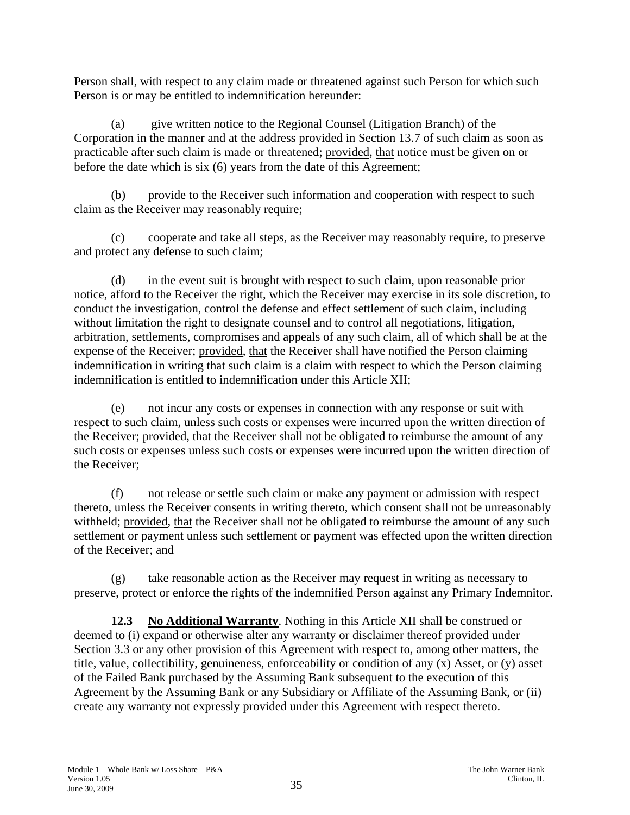Person shall, with respect to any claim made or threatened against such Person for which such Person is or may be entitled to indemnification hereunder:

 (a) give written notice to the Regional Counsel (Litigation Branch) of the Corporation in the manner and at the address provided in Section 13.7 of such claim as soon as practicable after such claim is made or threatened; provided, that notice must be given on or before the date which is six (6) years from the date of this Agreement;

 (b) provide to the Receiver such information and cooperation with respect to such claim as the Receiver may reasonably require;

 (c) cooperate and take all steps, as the Receiver may reasonably require, to preserve and protect any defense to such claim;

 (d) in the event suit is brought with respect to such claim, upon reasonable prior notice, afford to the Receiver the right, which the Receiver may exercise in its sole discretion, to conduct the investigation, control the defense and effect settlement of such claim, including without limitation the right to designate counsel and to control all negotiations, litigation, arbitration, settlements, compromises and appeals of any such claim, all of which shall be at the expense of the Receiver; provided, that the Receiver shall have notified the Person claiming indemnification in writing that such claim is a claim with respect to which the Person claiming indemnification is entitled to indemnification under this Article XII;

 (e) not incur any costs or expenses in connection with any response or suit with respect to such claim, unless such costs or expenses were incurred upon the written direction of the Receiver; provided, that the Receiver shall not be obligated to reimburse the amount of any such costs or expenses unless such costs or expenses were incurred upon the written direction of the Receiver;

 (f) not release or settle such claim or make any payment or admission with respect thereto, unless the Receiver consents in writing thereto, which consent shall not be unreasonably withheld; provided, that the Receiver shall not be obligated to reimburse the amount of any such settlement or payment unless such settlement or payment was effected upon the written direction of the Receiver; and

 (g) take reasonable action as the Receiver may request in writing as necessary to preserve, protect or enforce the rights of the indemnified Person against any Primary Indemnitor.

**12.3 No Additional Warranty**. Nothing in this Article XII shall be construed or deemed to (i) expand or otherwise alter any warranty or disclaimer thereof provided under Section 3.3 or any other provision of this Agreement with respect to, among other matters, the title, value, collectibility, genuineness, enforceability or condition of any (x) Asset, or (y) asset of the Failed Bank purchased by the Assuming Bank subsequent to the execution of this Agreement by the Assuming Bank or any Subsidiary or Affiliate of the Assuming Bank, or (ii) create any warranty not expressly provided under this Agreement with respect thereto.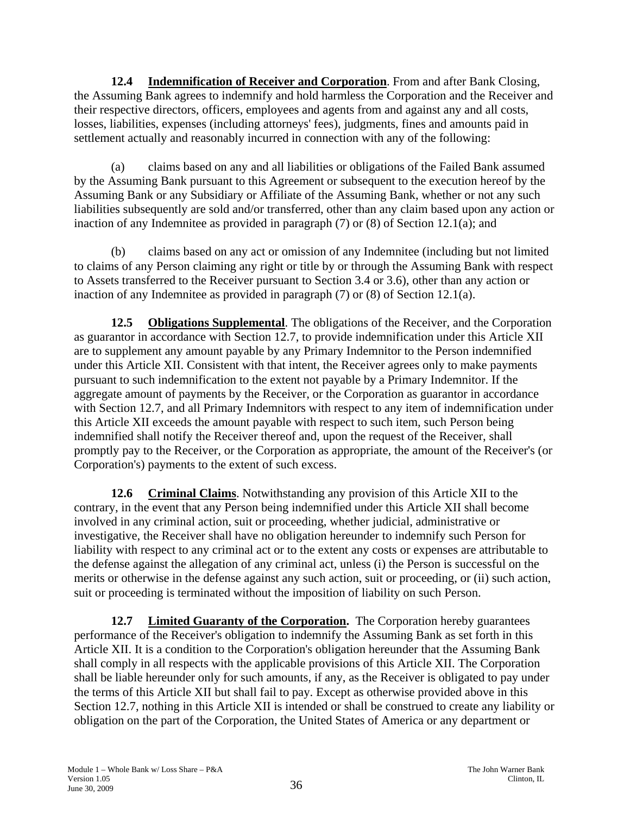**12.4 Indemnification of Receiver and Corporation**. From and after Bank Closing, the Assuming Bank agrees to indemnify and hold harmless the Corporation and the Receiver and their respective directors, officers, employees and agents from and against any and all costs, losses, liabilities, expenses (including attorneys' fees), judgments, fines and amounts paid in settlement actually and reasonably incurred in connection with any of the following:

(a) claims based on any and all liabilities or obligations of the Failed Bank assumed by the Assuming Bank pursuant to this Agreement or subsequent to the execution hereof by the Assuming Bank or any Subsidiary or Affiliate of the Assuming Bank, whether or not any such liabilities subsequently are sold and/or transferred, other than any claim based upon any action or inaction of any Indemnitee as provided in paragraph (7) or (8) of Section 12.1(a); and

(b) claims based on any act or omission of any Indemnitee (including but not limited to claims of any Person claiming any right or title by or through the Assuming Bank with respect to Assets transferred to the Receiver pursuant to Section 3.4 or 3.6), other than any action or inaction of any Indemnitee as provided in paragraph (7) or (8) of Section 12.1(a).

**12.5 Obligations Supplemental**. The obligations of the Receiver, and the Corporation as guarantor in accordance with Section 12.7, to provide indemnification under this Article XII are to supplement any amount payable by any Primary Indemnitor to the Person indemnified under this Article XII. Consistent with that intent, the Receiver agrees only to make payments pursuant to such indemnification to the extent not payable by a Primary Indemnitor. If the aggregate amount of payments by the Receiver, or the Corporation as guarantor in accordance with Section 12.7, and all Primary Indemnitors with respect to any item of indemnification under this Article XII exceeds the amount payable with respect to such item, such Person being indemnified shall notify the Receiver thereof and, upon the request of the Receiver, shall promptly pay to the Receiver, or the Corporation as appropriate, the amount of the Receiver's (or Corporation's) payments to the extent of such excess.

**12.6 Criminal Claims**. Notwithstanding any provision of this Article XII to the contrary, in the event that any Person being indemnified under this Article XII shall become involved in any criminal action, suit or proceeding, whether judicial, administrative or investigative, the Receiver shall have no obligation hereunder to indemnify such Person for liability with respect to any criminal act or to the extent any costs or expenses are attributable to the defense against the allegation of any criminal act, unless (i) the Person is successful on the merits or otherwise in the defense against any such action, suit or proceeding, or (ii) such action, suit or proceeding is terminated without the imposition of liability on such Person.

**12.7** Limited Guaranty of the Corporation. The Corporation hereby guarantees performance of the Receiver's obligation to indemnify the Assuming Bank as set forth in this Article XII. It is a condition to the Corporation's obligation hereunder that the Assuming Bank shall comply in all respects with the applicable provisions of this Article XII. The Corporation shall be liable hereunder only for such amounts, if any, as the Receiver is obligated to pay under the terms of this Article XII but shall fail to pay. Except as otherwise provided above in this Section 12.7, nothing in this Article XII is intended or shall be construed to create any liability or obligation on the part of the Corporation, the United States of America or any department or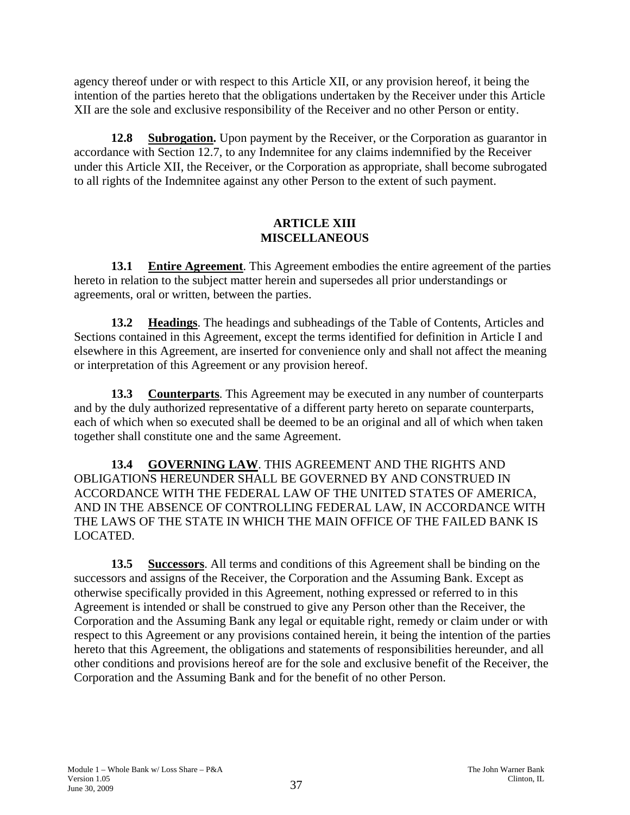agency thereof under or with respect to this Article XII, or any provision hereof, it being the intention of the parties hereto that the obligations undertaken by the Receiver under this Article XII are the sole and exclusive responsibility of the Receiver and no other Person or entity.

**12.8 Subrogation.** Upon payment by the Receiver, or the Corporation as guarantor in accordance with Section 12.7, to any Indemnitee for any claims indemnified by the Receiver under this Article XII, the Receiver, or the Corporation as appropriate, shall become subrogated to all rights of the Indemnitee against any other Person to the extent of such payment.

## **ARTICLE XIII MISCELLANEOUS**

**13.1** Entire Agreement. This Agreement embodies the entire agreement of the parties hereto in relation to the subject matter herein and supersedes all prior understandings or agreements, oral or written, between the parties.

 **13.2 Headings**. The headings and subheadings of the Table of Contents, Articles and Sections contained in this Agreement, except the terms identified for definition in Article I and elsewhere in this Agreement, are inserted for convenience only and shall not affect the meaning or interpretation of this Agreement or any provision hereof.

**13.3** Counterparts. This Agreement may be executed in any number of counterparts and by the duly authorized representative of a different party hereto on separate counterparts, each of which when so executed shall be deemed to be an original and all of which when taken together shall constitute one and the same Agreement.

 **13.4 GOVERNING LAW**. THIS AGREEMENT AND THE RIGHTS AND OBLIGATIONS HEREUNDER SHALL BE GOVERNED BY AND CONSTRUED IN ACCORDANCE WITH THE FEDERAL LAW OF THE UNITED STATES OF AMERICA, AND IN THE ABSENCE OF CONTROLLING FEDERAL LAW, IN ACCORDANCE WITH THE LAWS OF THE STATE IN WHICH THE MAIN OFFICE OF THE FAILED BANK IS LOCATED.

 **13.5 Successors**. All terms and conditions of this Agreement shall be binding on the successors and assigns of the Receiver, the Corporation and the Assuming Bank. Except as otherwise specifically provided in this Agreement, nothing expressed or referred to in this Agreement is intended or shall be construed to give any Person other than the Receiver, the Corporation and the Assuming Bank any legal or equitable right, remedy or claim under or with respect to this Agreement or any provisions contained herein, it being the intention of the parties hereto that this Agreement, the obligations and statements of responsibilities hereunder, and all other conditions and provisions hereof are for the sole and exclusive benefit of the Receiver, the Corporation and the Assuming Bank and for the benefit of no other Person.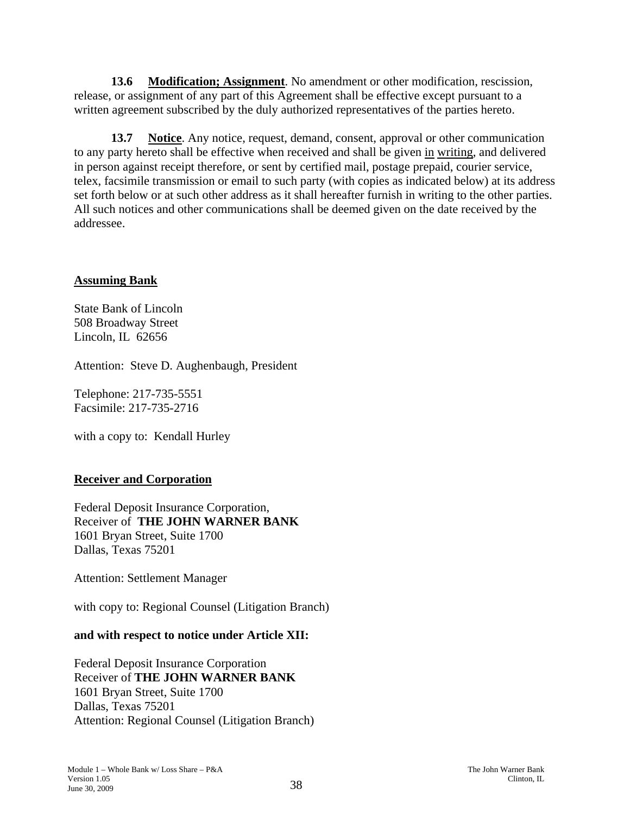**13.6 Modification; Assignment**. No amendment or other modification, rescission, release, or assignment of any part of this Agreement shall be effective except pursuant to a written agreement subscribed by the duly authorized representatives of the parties hereto.

**13.7** Notice. Any notice, request, demand, consent, approval or other communication to any party hereto shall be effective when received and shall be given in writing, and delivered in person against receipt therefore, or sent by certified mail, postage prepaid, courier service, telex, facsimile transmission or email to such party (with copies as indicated below) at its address set forth below or at such other address as it shall hereafter furnish in writing to the other parties. All such notices and other communications shall be deemed given on the date received by the addressee.

## **Assuming Bank**

State Bank of Lincoln 508 Broadway Street Lincoln, IL 62656

Attention: Steve D. Aughenbaugh, President

Telephone: 217-735-5551 Facsimile: 217-735-2716

with a copy to: Kendall Hurley

## **Receiver and Corporation**

Federal Deposit Insurance Corporation, Receiver of **THE JOHN WARNER BANK** 1601 Bryan Street, Suite 1700 Dallas, Texas 75201

Attention: Settlement Manager

with copy to: Regional Counsel (Litigation Branch)

## **and with respect to notice under Article XII:**

Federal Deposit Insurance Corporation Receiver of **THE JOHN WARNER BANK** 1601 Bryan Street, Suite 1700 Dallas, Texas 75201 Attention: Regional Counsel (Litigation Branch)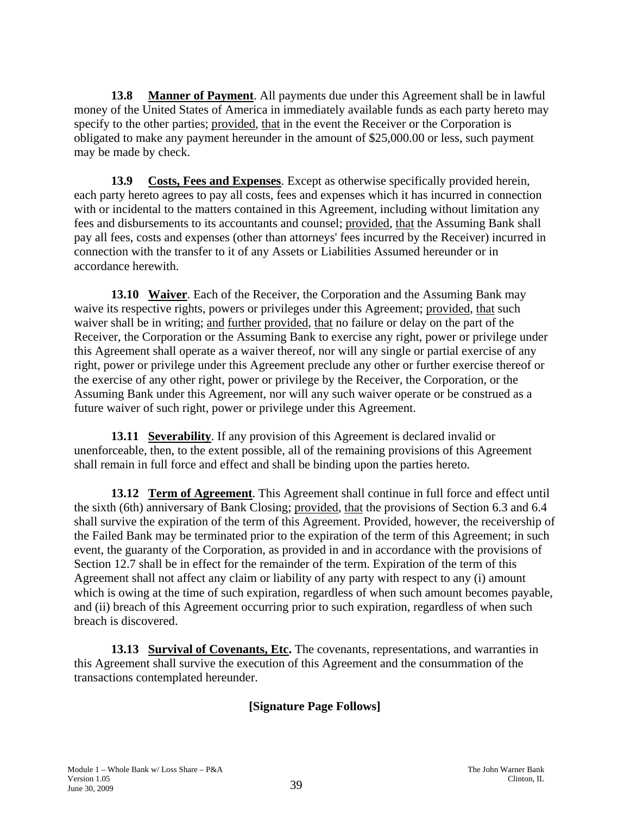**13.8 Manner of Payment**. All payments due under this Agreement shall be in lawful money of the United States of America in immediately available funds as each party hereto may specify to the other parties; provided, that in the event the Receiver or the Corporation is obligated to make any payment hereunder in the amount of \$25,000.00 or less, such payment may be made by check.

 **13.9 Costs, Fees and Expenses**. Except as otherwise specifically provided herein, each party hereto agrees to pay all costs, fees and expenses which it has incurred in connection with or incidental to the matters contained in this Agreement, including without limitation any fees and disbursements to its accountants and counsel; provided, that the Assuming Bank shall pay all fees, costs and expenses (other than attorneys' fees incurred by the Receiver) incurred in connection with the transfer to it of any Assets or Liabilities Assumed hereunder or in accordance herewith.

 **13.10 Waiver**. Each of the Receiver, the Corporation and the Assuming Bank may waive its respective rights, powers or privileges under this Agreement; provided, that such waiver shall be in writing; and further provided, that no failure or delay on the part of the Receiver, the Corporation or the Assuming Bank to exercise any right, power or privilege under this Agreement shall operate as a waiver thereof, nor will any single or partial exercise of any right, power or privilege under this Agreement preclude any other or further exercise thereof or the exercise of any other right, power or privilege by the Receiver, the Corporation, or the Assuming Bank under this Agreement, nor will any such waiver operate or be construed as a future waiver of such right, power or privilege under this Agreement.

**13.11 Severability**. If any provision of this Agreement is declared invalid or unenforceable, then, to the extent possible, all of the remaining provisions of this Agreement shall remain in full force and effect and shall be binding upon the parties hereto.

 **13.12 Term of Agreement**. This Agreement shall continue in full force and effect until the sixth (6th) anniversary of Bank Closing; provided, that the provisions of Section 6.3 and 6.4 shall survive the expiration of the term of this Agreement. Provided, however, the receivership of the Failed Bank may be terminated prior to the expiration of the term of this Agreement; in such event, the guaranty of the Corporation, as provided in and in accordance with the provisions of Section 12.7 shall be in effect for the remainder of the term. Expiration of the term of this Agreement shall not affect any claim or liability of any party with respect to any (i) amount which is owing at the time of such expiration, regardless of when such amount becomes payable, and (ii) breach of this Agreement occurring prior to such expiration, regardless of when such breach is discovered.

**13.13 Survival of Covenants, Etc.** The covenants, representations, and warranties in this Agreement shall survive the execution of this Agreement and the consummation of the transactions contemplated hereunder.

 **[Signature Page Follows]**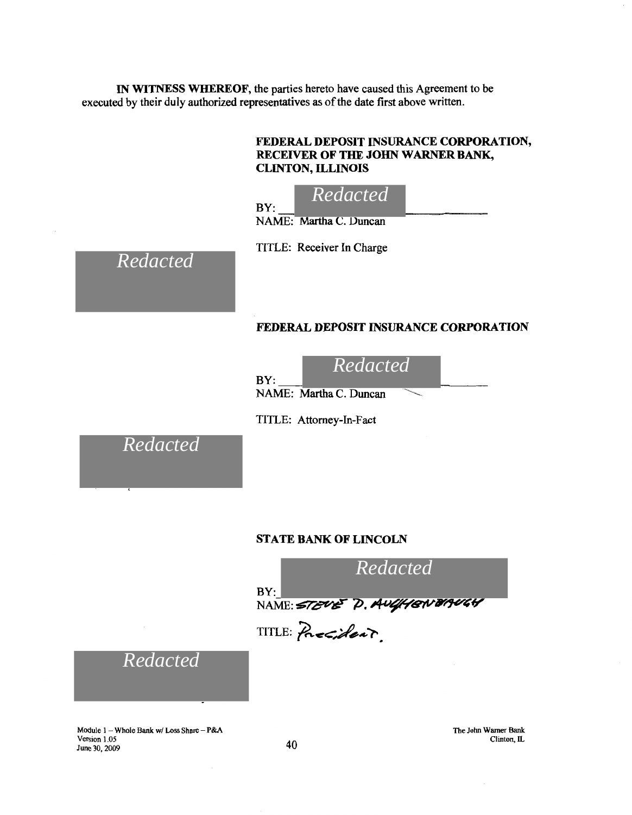IN WITNESS WHEREOF, the parties hereto have caused this Agreement to be executed by their duly authorized representatives as of the date first above written.

#### FEDERAL DEPOSIT INSURANCE CORPORATION, RECEIVER OF THE JOHN WARNER BANK, CLINTON, ILLINOIS



NAME: Martha C. Duncan

TITLE: Receiver In Charge

*Redacted*

#### FEDERAL DEPOSIT INSURANCE CORPORATION



NAME: Martha C. Duncan ~

TITLE: Attorney-In-Fact

BY:

*Redacted*

#### STATE BANK OF LINCOLN



TITLE: frecident

*Redacted*

Module 1 -Whole Bank *wl* Loss Share- P&A Version 1.05 June 30, 2009

The John Warner Bank Clinton, IL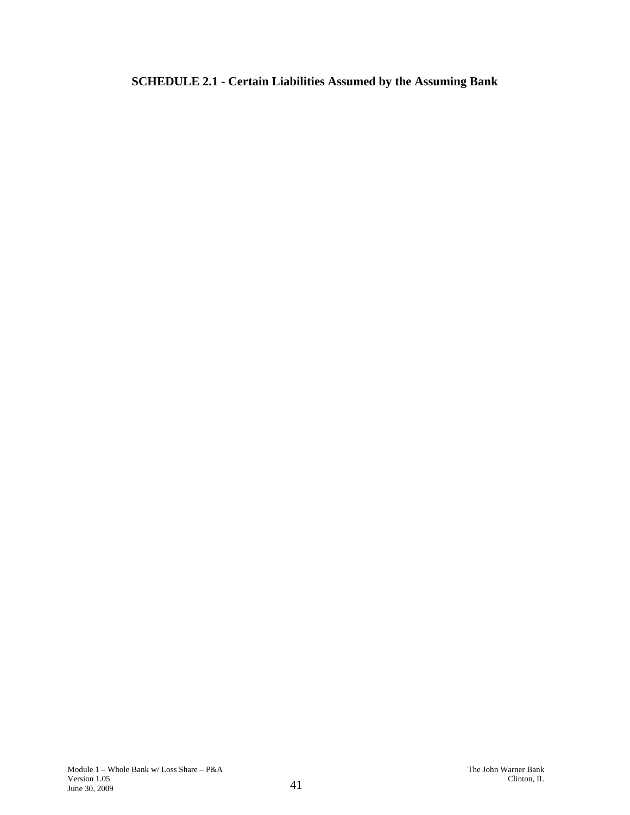**SCHEDULE 2.1 - Certain Liabilities Assumed by the Assuming Bank**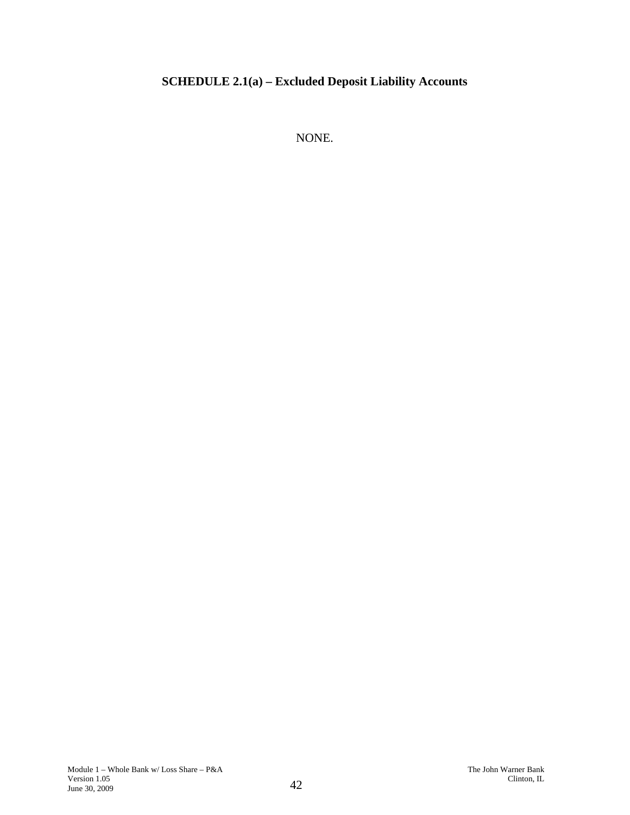# **SCHEDULE 2.1(a) – Excluded Deposit Liability Accounts**

NONE.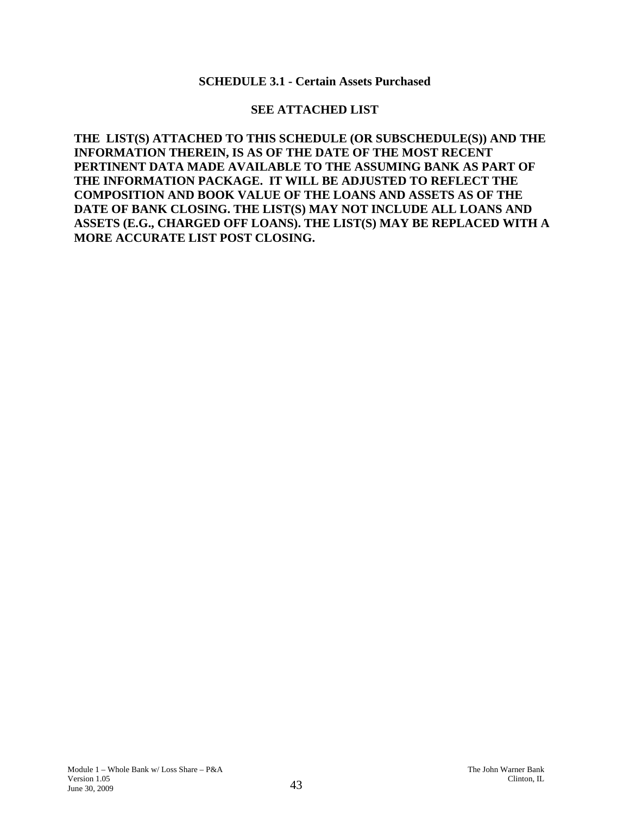#### **SCHEDULE 3.1 - Certain Assets Purchased**

#### **SEE ATTACHED LIST**

**THE LIST(S) ATTACHED TO THIS SCHEDULE (OR SUBSCHEDULE(S)) AND THE INFORMATION THEREIN, IS AS OF THE DATE OF THE MOST RECENT PERTINENT DATA MADE AVAILABLE TO THE ASSUMING BANK AS PART OF THE INFORMATION PACKAGE. IT WILL BE ADJUSTED TO REFLECT THE COMPOSITION AND BOOK VALUE OF THE LOANS AND ASSETS AS OF THE DATE OF BANK CLOSING. THE LIST(S) MAY NOT INCLUDE ALL LOANS AND ASSETS (E.G., CHARGED OFF LOANS). THE LIST(S) MAY BE REPLACED WITH A MORE ACCURATE LIST POST CLOSING.**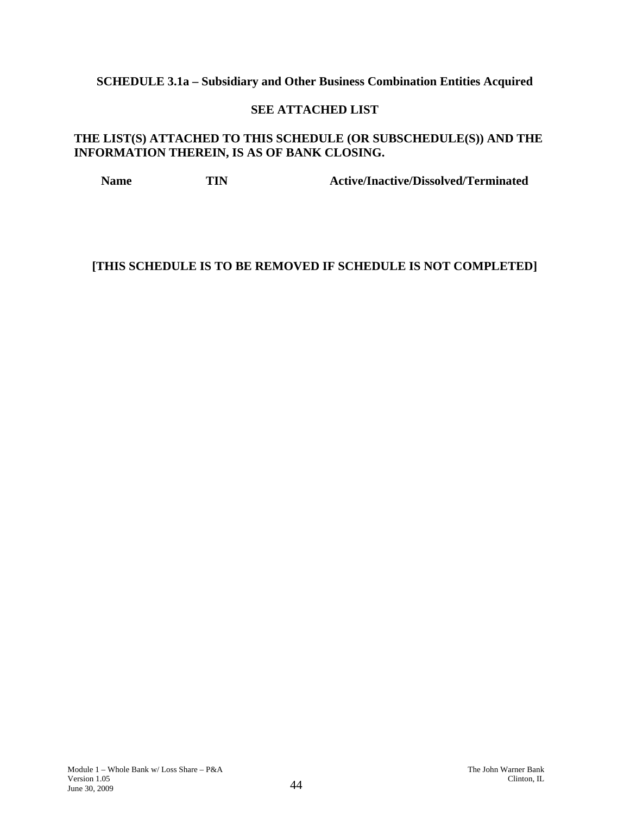## **SCHEDULE 3.1a – Subsidiary and Other Business Combination Entities Acquired**

### **SEE ATTACHED LIST**

## **THE LIST(S) ATTACHED TO THIS SCHEDULE (OR SUBSCHEDULE(S)) AND THE INFORMATION THEREIN, IS AS OF BANK CLOSING.**

**Name TIN Active/Inactive/Dissolved/Terminated** 

## **[THIS SCHEDULE IS TO BE REMOVED IF SCHEDULE IS NOT COMPLETED]**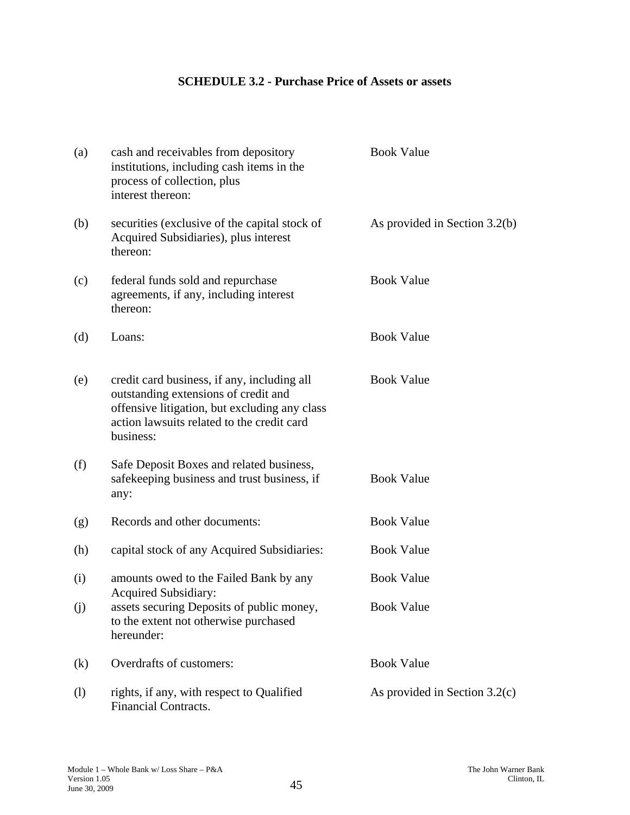## **SCHEDULE 3.2 - Purchase Price of Assets or assets**

| (a) | cash and receivables from depository<br>institutions, including cash items in the<br>process of collection, plus<br>interest thereon:                                                           | <b>Book Value</b>               |
|-----|-------------------------------------------------------------------------------------------------------------------------------------------------------------------------------------------------|---------------------------------|
| (b) | securities (exclusive of the capital stock of<br>Acquired Subsidiaries), plus interest<br>thereon:                                                                                              | As provided in Section $3.2(b)$ |
| (c) | federal funds sold and repurchase<br>agreements, if any, including interest<br>thereon:                                                                                                         | <b>Book Value</b>               |
| (d) | Loans:                                                                                                                                                                                          | <b>Book Value</b>               |
| (e) | credit card business, if any, including all<br>outstanding extensions of credit and<br>offensive litigation, but excluding any class<br>action lawsuits related to the credit card<br>business: | <b>Book Value</b>               |
| (f) | Safe Deposit Boxes and related business,<br>safekeeping business and trust business, if<br>any:                                                                                                 | <b>Book Value</b>               |
| (g) | Records and other documents:                                                                                                                                                                    | <b>Book Value</b>               |
| (h) | capital stock of any Acquired Subsidiaries:                                                                                                                                                     | <b>Book Value</b>               |
| (i) | amounts owed to the Failed Bank by any                                                                                                                                                          | <b>Book Value</b>               |
| (j) | <b>Acquired Subsidiary:</b><br>assets securing Deposits of public money,<br>to the extent not otherwise purchased<br>hereunder:                                                                 | <b>Book Value</b>               |
| (k) | Overdrafts of customers:                                                                                                                                                                        | <b>Book Value</b>               |
| (1) | rights, if any, with respect to Qualified<br><b>Financial Contracts.</b>                                                                                                                        | As provided in Section $3.2(c)$ |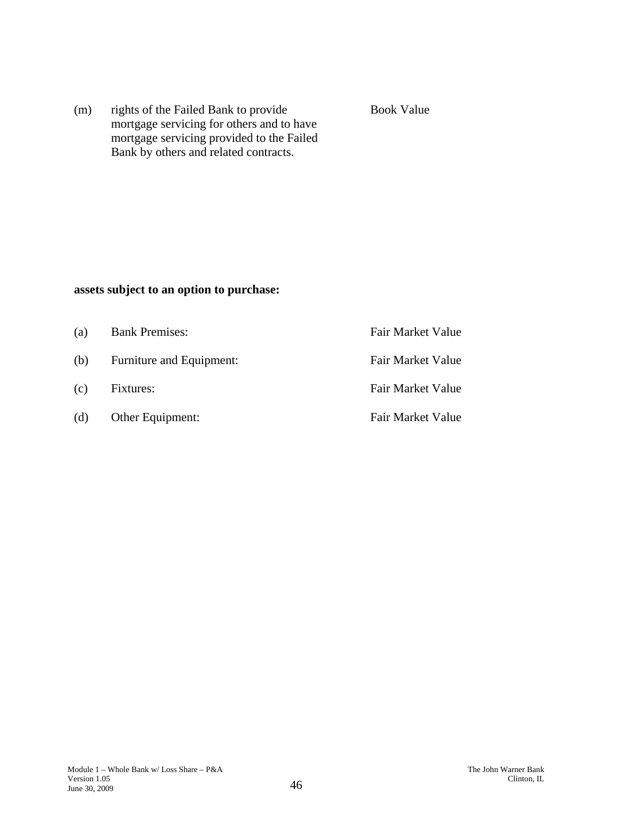(m) rights of the Failed Bank to provide mortgage servicing for others and to have mortgage servicing provided to the Failed Bank by others and related contracts. Book Value

### **assets subject to an option to purchase:**

| (a) | <b>Bank Premises:</b>    | Fair Market Value |
|-----|--------------------------|-------------------|
| (b) | Furniture and Equipment: | Fair Market Value |
| (c) | Fixtures:                | Fair Market Value |
| (d) | Other Equipment:         | Fair Market Value |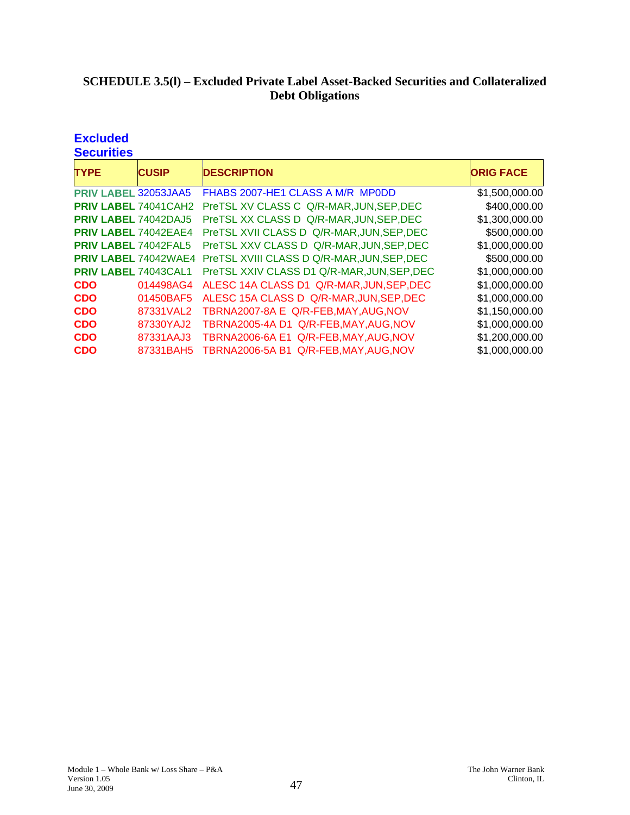## **SCHEDULE 3.5(l) – Excluded Private Label Asset-Backed Securities and Collateralized Debt Obligations**

|             | <b>Excluded</b><br><b>Securities</b> |                             |                                             |                  |
|-------------|--------------------------------------|-----------------------------|---------------------------------------------|------------------|
| <b>TYPE</b> |                                      | <b>CUSIP</b>                | <b>DESCRIPTION</b>                          | <b>ORIG FACE</b> |
|             |                                      | PRIV LABEL 32053JAA5        | FHABS 2007-HE1 CLASS A M/R MP0DD            | \$1,500,000.00   |
|             |                                      | <b>PRIV LABEL 74041CAH2</b> | PreTSL XV CLASS C Q/R-MAR, JUN, SEP, DEC    | \$400,000.00     |
|             |                                      | <b>PRIV LABEL 74042DAJ5</b> | PreTSL XX CLASS D Q/R-MAR, JUN, SEP, DEC    | \$1,300,000.00   |
|             |                                      | <b>PRIV LABEL 74042EAE4</b> | PreTSL XVII CLASS D Q/R-MAR, JUN, SEP, DEC  | \$500,000.00     |
|             |                                      | <b>PRIV LABEL 74042FAL5</b> | PreTSL XXV CLASS D Q/R-MAR, JUN, SEP, DEC   | \$1,000,000.00   |
|             |                                      | <b>PRIV LABEL 74042WAE4</b> | PreTSL XVIII CLASS D Q/R-MAR, JUN, SEP, DEC | \$500,000.00     |
|             |                                      | <b>PRIV LABEL 74043CAL1</b> | PreTSL XXIV CLASS D1 Q/R-MAR, JUN, SEP, DEC | \$1,000,000.00   |
| <b>CDO</b>  |                                      | 014498AG4                   | ALESC 14A CLASS D1 Q/R-MAR, JUN, SEP, DEC   | \$1,000,000.00   |
| <b>CDO</b>  |                                      | 01450BAF5                   | ALESC 15A CLASS D Q/R-MAR, JUN, SEP, DEC    | \$1,000,000.00   |
| <b>CDO</b>  |                                      | 87331VAL2                   | TBRNA2007-8A E Q/R-FEB, MAY, AUG, NOV       | \$1,150,000.00   |
| <b>CDO</b>  |                                      | 87330YAJ2                   | TBRNA2005-4A D1 Q/R-FEB, MAY, AUG, NOV      | \$1,000,000.00   |
| <b>CDO</b>  |                                      | 87331AAJ3                   | TBRNA2006-6A E1 Q/R-FEB, MAY, AUG, NOV      | \$1,200,000.00   |
| <b>CDO</b>  |                                      | 87331BAH5                   | TBRNA2006-5A B1 Q/R-FEB, MAY, AUG, NOV      | \$1,000,000.00   |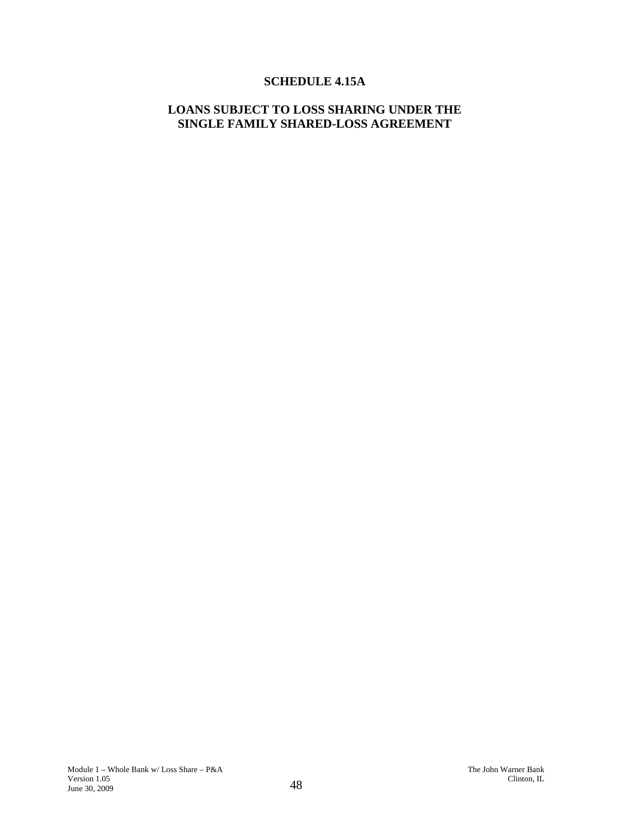## **SCHEDULE 4.15A**

## **LOANS SUBJECT TO LOSS SHARING UNDER THE SINGLE FAMILY SHARED-LOSS AGREEMENT**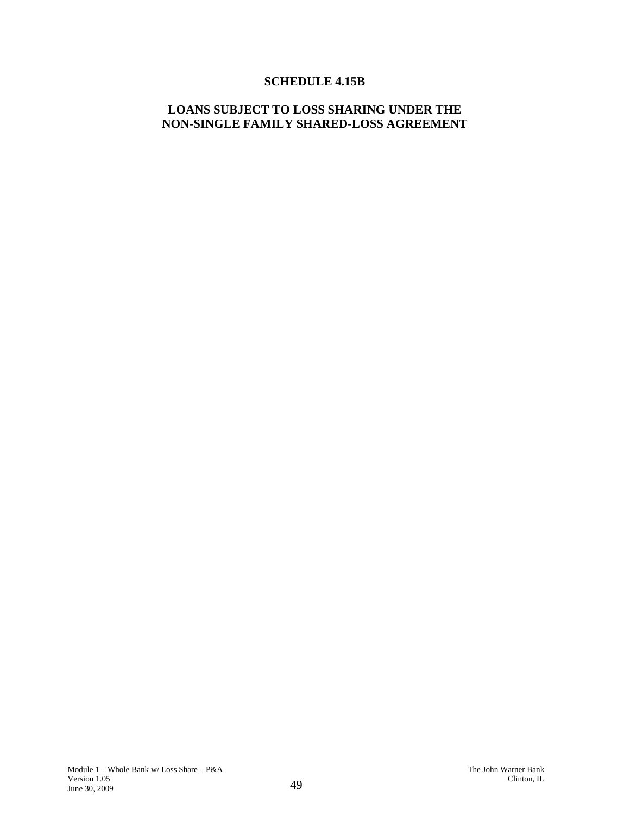## **SCHEDULE 4.15B**

## **LOANS SUBJECT TO LOSS SHARING UNDER THE NON-SINGLE FAMILY SHARED-LOSS AGREEMENT**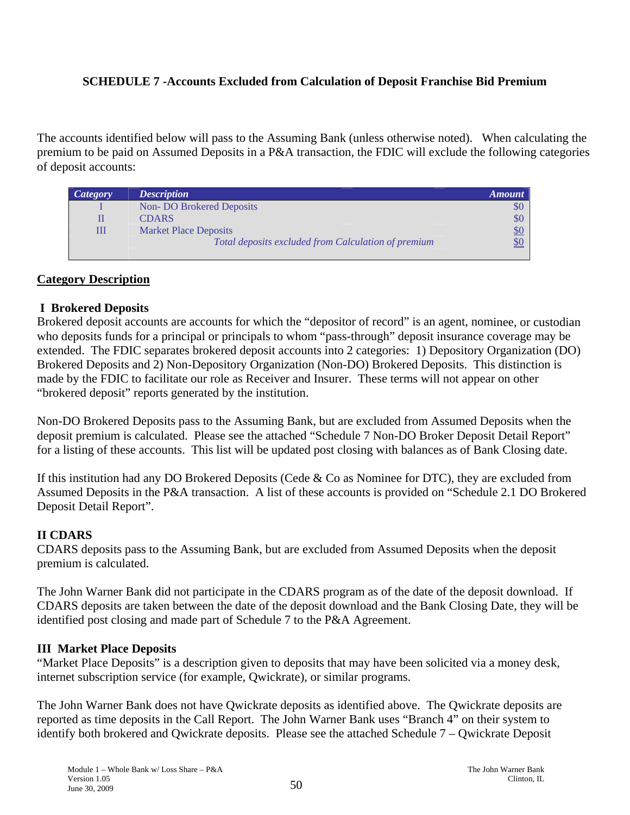## **SCHEDULE 7 -Accounts Excluded from Calculation of Deposit Franchise Bid Premium**

The accounts identified below will pass to the Assuming Bank (unless otherwise noted). When calculating the premium to be paid on Assumed Deposits in a P&A transaction, the FDIC will exclude the following categories of deposit accounts:

| Category | <b>Description</b>                                  | <b>Amount</b>     |
|----------|-----------------------------------------------------|-------------------|
|          | Non-DO Brokered Deposits                            | \$0               |
|          | <b>CDARS</b>                                        | \$0               |
| Ш        | <b>Market Place Deposits</b>                        | $\underline{\$0}$ |
|          | Total deposits excluded from Calculation of premium | \$0               |
|          |                                                     |                   |

## **Category Description**

### **I Brokered Deposits**

Brokered deposit accounts are accounts for which the "depositor of record" is an agent, nominee, or custodian who deposits funds for a principal or principals to whom "pass-through" deposit insurance coverage may be extended. The FDIC separates brokered deposit accounts into 2 categories: 1) Depository Organization (DO) Brokered Deposits and 2) Non-Depository Organization (Non-DO) Brokered Deposits. This distinction is made by the FDIC to facilitate our role as Receiver and Insurer. These terms will not appear on other "brokered deposit" reports generated by the institution.

Non-DO Brokered Deposits pass to the Assuming Bank, but are excluded from Assumed Deposits when the deposit premium is calculated. Please see the attached "Schedule 7 Non-DO Broker Deposit Detail Report" for a listing of these accounts. This list will be updated post closing with balances as of Bank Closing date.

If this institution had any DO Brokered Deposits (Cede & Co as Nominee for DTC), they are excluded from Assumed Deposits in the P&A transaction. A list of these accounts is provided on "Schedule 2.1 DO Brokered Deposit Detail Report".

## **II CDARS**

CDARS deposits pass to the Assuming Bank, but are excluded from Assumed Deposits when the deposit premium is calculated.

The John Warner Bank did not participate in the CDARS program as of the date of the deposit download. If CDARS deposits are taken between the date of the deposit download and the Bank Closing Date, they will be identified post closing and made part of Schedule 7 to the P&A Agreement.

#### **III Market Place Deposits**

"Market Place Deposits" is a description given to deposits that may have been solicited via a money desk, internet subscription service (for example, Qwickrate), or similar programs.

The John Warner Bank does not have Qwickrate deposits as identified above. The Qwickrate deposits are reported as time deposits in the Call Report. The John Warner Bank uses "Branch 4" on their system to identify both brokered and Qwickrate deposits. Please see the attached Schedule 7 – Qwickrate Deposit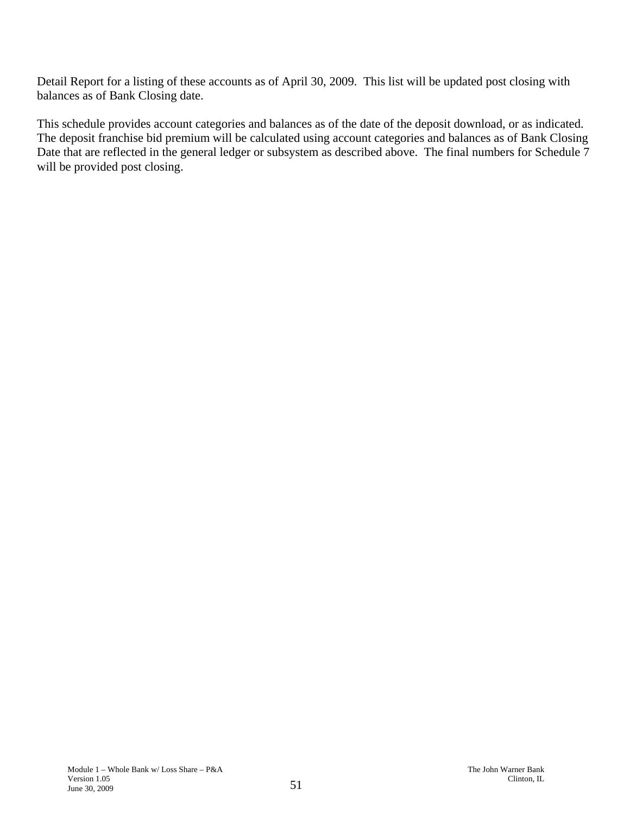Detail Report for a listing of these accounts as of April 30, 2009. This list will be updated post closing with balances as of Bank Closing date.

This schedule provides account categories and balances as of the date of the deposit download, or as indicated. The deposit franchise bid premium will be calculated using account categories and balances as of Bank Closing Date that are reflected in the general ledger or subsystem as described above. The final numbers for Schedule 7 will be provided post closing.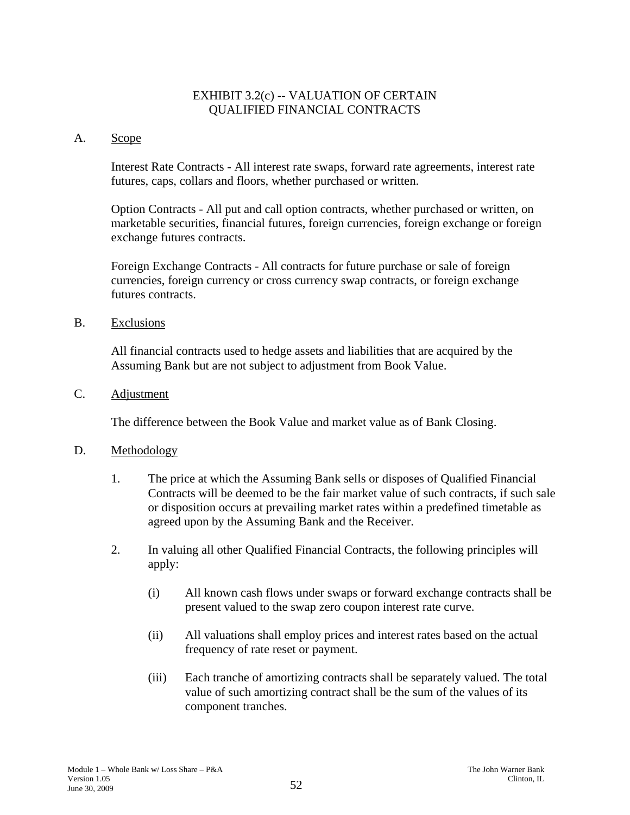## EXHIBIT 3.2(c) -- VALUATION OF CERTAIN QUALIFIED FINANCIAL CONTRACTS

### A. Scope

 Interest Rate Contracts - All interest rate swaps, forward rate agreements, interest rate futures, caps, collars and floors, whether purchased or written.

 Option Contracts - All put and call option contracts, whether purchased or written, on marketable securities, financial futures, foreign currencies, foreign exchange or foreign exchange futures contracts.

 Foreign Exchange Contracts - All contracts for future purchase or sale of foreign currencies, foreign currency or cross currency swap contracts, or foreign exchange futures contracts.

### B. Exclusions

 All financial contracts used to hedge assets and liabilities that are acquired by the Assuming Bank but are not subject to adjustment from Book Value.

### C. Adjustment

The difference between the Book Value and market value as of Bank Closing.

## D. Methodology

- 1. The price at which the Assuming Bank sells or disposes of Qualified Financial Contracts will be deemed to be the fair market value of such contracts, if such sale or disposition occurs at prevailing market rates within a predefined timetable as agreed upon by the Assuming Bank and the Receiver.
- 2. In valuing all other Qualified Financial Contracts, the following principles will apply:
	- (i) All known cash flows under swaps or forward exchange contracts shall be present valued to the swap zero coupon interest rate curve.
	- (ii) All valuations shall employ prices and interest rates based on the actual frequency of rate reset or payment.
	- (iii) Each tranche of amortizing contracts shall be separately valued. The total value of such amortizing contract shall be the sum of the values of its component tranches.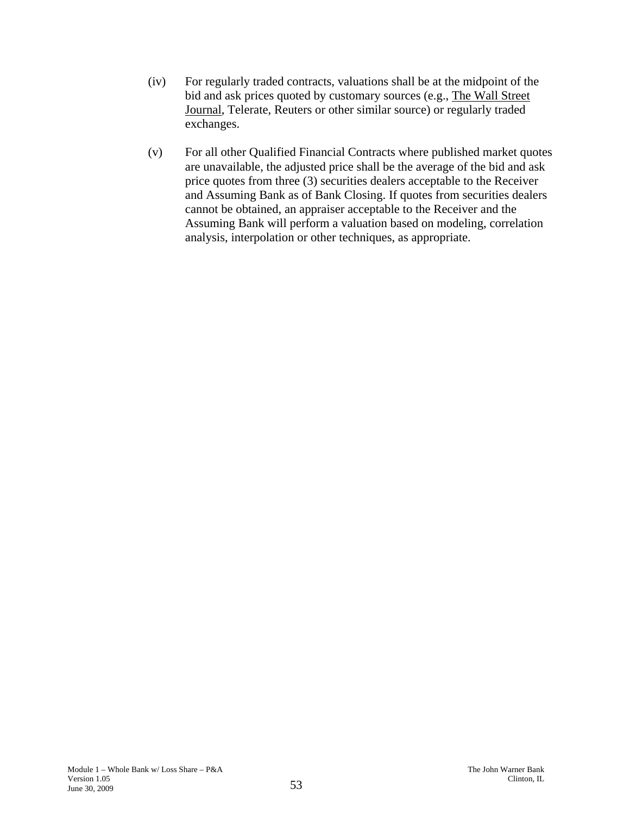- (iv) For regularly traded contracts, valuations shall be at the midpoint of the bid and ask prices quoted by customary sources (e.g., The Wall Street Journal, Telerate, Reuters or other similar source) or regularly traded exchanges.
- (v) For all other Qualified Financial Contracts where published market quotes are unavailable, the adjusted price shall be the average of the bid and ask price quotes from three (3) securities dealers acceptable to the Receiver and Assuming Bank as of Bank Closing. If quotes from securities dealers cannot be obtained, an appraiser acceptable to the Receiver and the Assuming Bank will perform a valuation based on modeling, correlation analysis, interpolation or other techniques, as appropriate.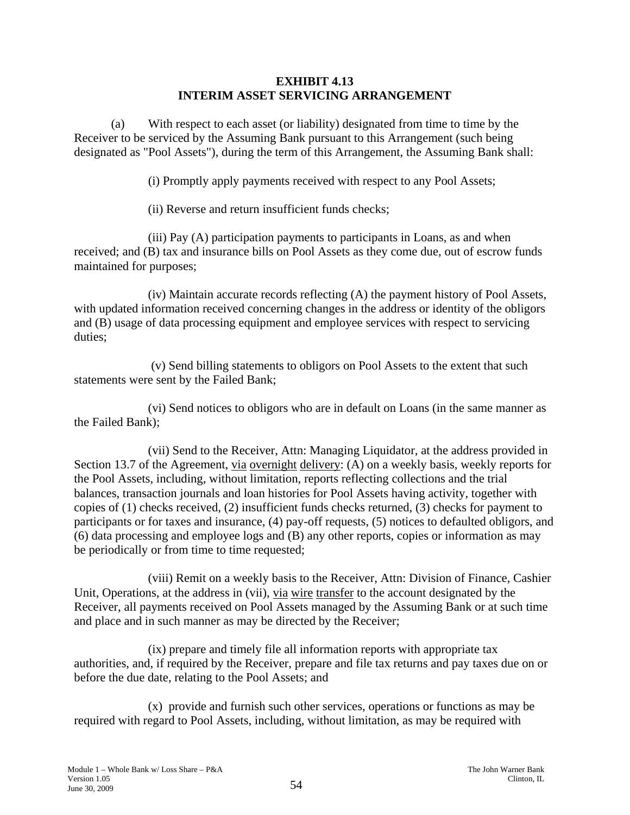### **EXHIBIT 4.13 INTERIM ASSET SERVICING ARRANGEMENT**

 (a) With respect to each asset (or liability) designated from time to time by the Receiver to be serviced by the Assuming Bank pursuant to this Arrangement (such being designated as "Pool Assets"), during the term of this Arrangement, the Assuming Bank shall:

(i) Promptly apply payments received with respect to any Pool Assets;

(ii) Reverse and return insufficient funds checks;

(iii) Pay (A) participation payments to participants in Loans, as and when received; and (B) tax and insurance bills on Pool Assets as they come due, out of escrow funds maintained for purposes;

(iv) Maintain accurate records reflecting (A) the payment history of Pool Assets, with updated information received concerning changes in the address or identity of the obligors and (B) usage of data processing equipment and employee services with respect to servicing duties;

 (v) Send billing statements to obligors on Pool Assets to the extent that such statements were sent by the Failed Bank;

(vi) Send notices to obligors who are in default on Loans (in the same manner as the Failed Bank);

 (vii) Send to the Receiver, Attn: Managing Liquidator, at the address provided in Section 13.7 of the Agreement, via overnight delivery: (A) on a weekly basis, weekly reports for the Pool Assets, including, without limitation, reports reflecting collections and the trial balances, transaction journals and loan histories for Pool Assets having activity, together with copies of (1) checks received, (2) insufficient funds checks returned, (3) checks for payment to participants or for taxes and insurance, (4) pay-off requests, (5) notices to defaulted obligors, and (6) data processing and employee logs and (B) any other reports, copies or information as may be periodically or from time to time requested;

 (viii) Remit on a weekly basis to the Receiver, Attn: Division of Finance, Cashier Unit, Operations, at the address in (vii), via wire transfer to the account designated by the Receiver, all payments received on Pool Assets managed by the Assuming Bank or at such time and place and in such manner as may be directed by the Receiver;

(ix) prepare and timely file all information reports with appropriate tax authorities, and, if required by the Receiver, prepare and file tax returns and pay taxes due on or before the due date, relating to the Pool Assets; and

(x) provide and furnish such other services, operations or functions as may be required with regard to Pool Assets, including, without limitation, as may be required with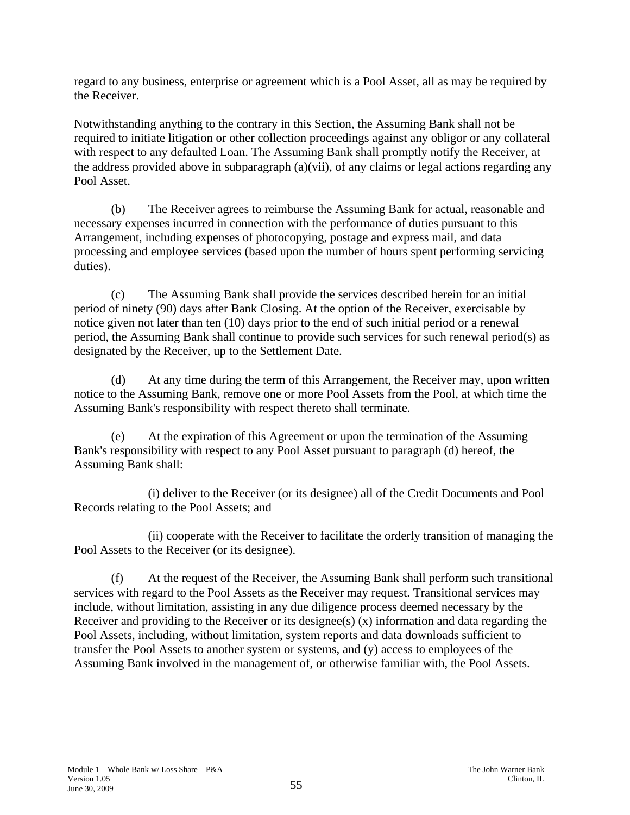regard to any business, enterprise or agreement which is a Pool Asset, all as may be required by the Receiver.

Notwithstanding anything to the contrary in this Section, the Assuming Bank shall not be required to initiate litigation or other collection proceedings against any obligor or any collateral with respect to any defaulted Loan. The Assuming Bank shall promptly notify the Receiver, at the address provided above in subparagraph (a)(vii), of any claims or legal actions regarding any Pool Asset.

 (b) The Receiver agrees to reimburse the Assuming Bank for actual, reasonable and necessary expenses incurred in connection with the performance of duties pursuant to this Arrangement, including expenses of photocopying, postage and express mail, and data processing and employee services (based upon the number of hours spent performing servicing duties).

 (c) The Assuming Bank shall provide the services described herein for an initial period of ninety (90) days after Bank Closing. At the option of the Receiver, exercisable by notice given not later than ten (10) days prior to the end of such initial period or a renewal period, the Assuming Bank shall continue to provide such services for such renewal period(s) as designated by the Receiver, up to the Settlement Date.

 (d) At any time during the term of this Arrangement, the Receiver may, upon written notice to the Assuming Bank, remove one or more Pool Assets from the Pool, at which time the Assuming Bank's responsibility with respect thereto shall terminate.

 (e) At the expiration of this Agreement or upon the termination of the Assuming Bank's responsibility with respect to any Pool Asset pursuant to paragraph (d) hereof, the Assuming Bank shall:

(i) deliver to the Receiver (or its designee) all of the Credit Documents and Pool Records relating to the Pool Assets; and

(ii) cooperate with the Receiver to facilitate the orderly transition of managing the Pool Assets to the Receiver (or its designee).

 (f) At the request of the Receiver, the Assuming Bank shall perform such transitional services with regard to the Pool Assets as the Receiver may request. Transitional services may include, without limitation, assisting in any due diligence process deemed necessary by the Receiver and providing to the Receiver or its designee(s) (x) information and data regarding the Pool Assets, including, without limitation, system reports and data downloads sufficient to transfer the Pool Assets to another system or systems, and (y) access to employees of the Assuming Bank involved in the management of, or otherwise familiar with, the Pool Assets.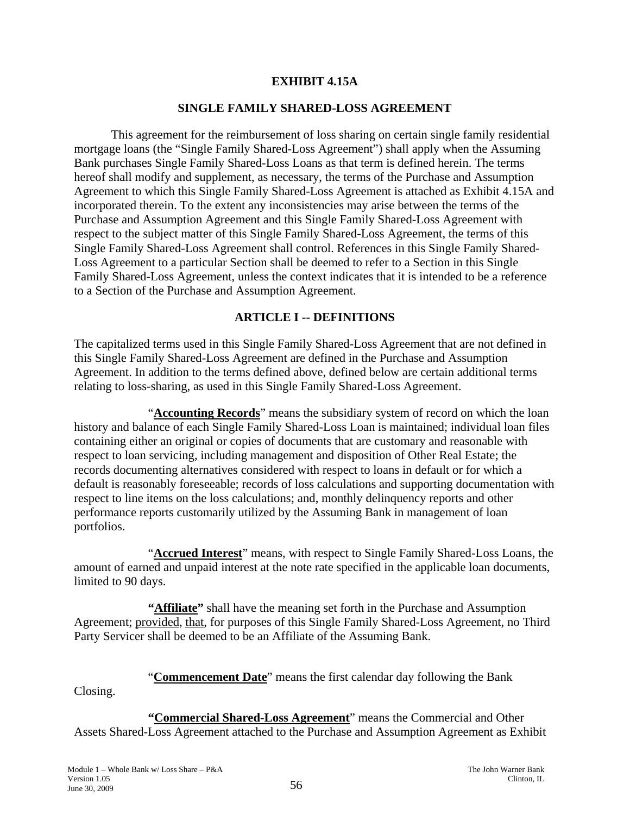### **EXHIBIT 4.15A**

#### **SINGLE FAMILY SHARED-LOSS AGREEMENT**

This agreement for the reimbursement of loss sharing on certain single family residential mortgage loans (the "Single Family Shared-Loss Agreement") shall apply when the Assuming Bank purchases Single Family Shared-Loss Loans as that term is defined herein. The terms hereof shall modify and supplement, as necessary, the terms of the Purchase and Assumption Agreement to which this Single Family Shared-Loss Agreement is attached as Exhibit 4.15A and incorporated therein. To the extent any inconsistencies may arise between the terms of the Purchase and Assumption Agreement and this Single Family Shared-Loss Agreement with respect to the subject matter of this Single Family Shared-Loss Agreement, the terms of this Single Family Shared-Loss Agreement shall control. References in this Single Family Shared-Loss Agreement to a particular Section shall be deemed to refer to a Section in this Single Family Shared-Loss Agreement, unless the context indicates that it is intended to be a reference to a Section of the Purchase and Assumption Agreement.

### **ARTICLE I -- DEFINITIONS**

The capitalized terms used in this Single Family Shared-Loss Agreement that are not defined in this Single Family Shared-Loss Agreement are defined in the Purchase and Assumption Agreement. In addition to the terms defined above, defined below are certain additional terms relating to loss-sharing, as used in this Single Family Shared-Loss Agreement.

"**Accounting Records**" means the subsidiary system of record on which the loan history and balance of each Single Family Shared-Loss Loan is maintained; individual loan files containing either an original or copies of documents that are customary and reasonable with respect to loan servicing, including management and disposition of Other Real Estate; the records documenting alternatives considered with respect to loans in default or for which a default is reasonably foreseeable; records of loss calculations and supporting documentation with respect to line items on the loss calculations; and, monthly delinquency reports and other performance reports customarily utilized by the Assuming Bank in management of loan portfolios.

"**Accrued Interest**" means, with respect to Single Family Shared-Loss Loans, the amount of earned and unpaid interest at the note rate specified in the applicable loan documents, limited to 90 days.

**"Affiliate"** shall have the meaning set forth in the Purchase and Assumption Agreement; provided, that, for purposes of this Single Family Shared-Loss Agreement, no Third Party Servicer shall be deemed to be an Affiliate of the Assuming Bank.

"**Commencement Date**" means the first calendar day following the Bank

Closing.

**"Commercial Shared-Loss Agreement**" means the Commercial and Other Assets Shared-Loss Agreement attached to the Purchase and Assumption Agreement as Exhibit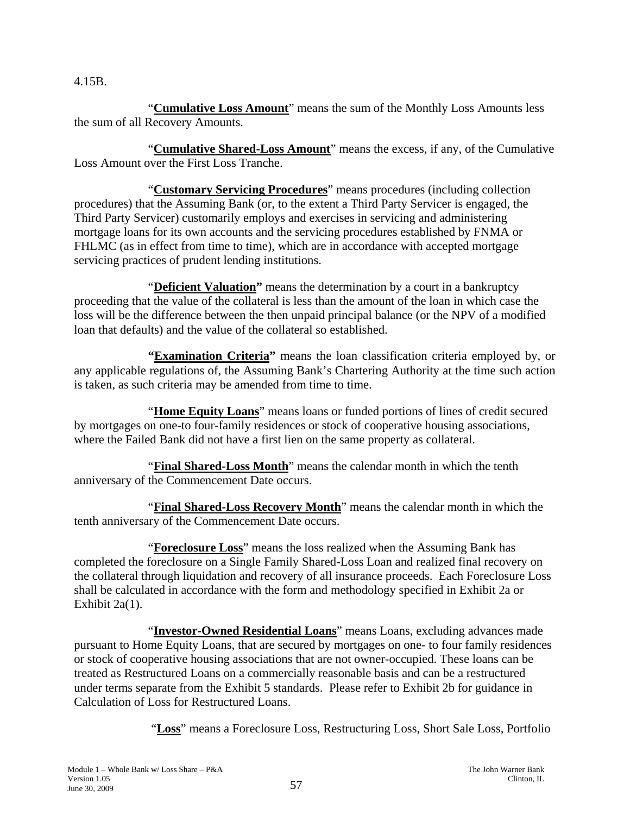4.15B.

"**Cumulative Loss Amount**" means the sum of the Monthly Loss Amounts less the sum of all Recovery Amounts.

"**Cumulative Shared-Loss Amount**" means the excess, if any, of the Cumulative Loss Amount over the First Loss Tranche.

"**Customary Servicing Procedures**" means procedures (including collection procedures) that the Assuming Bank (or, to the extent a Third Party Servicer is engaged, the Third Party Servicer) customarily employs and exercises in servicing and administering mortgage loans for its own accounts and the servicing procedures established by FNMA or FHLMC (as in effect from time to time), which are in accordance with accepted mortgage servicing practices of prudent lending institutions.

"**Deficient Valuation"** means the determination by a court in a bankruptcy proceeding that the value of the collateral is less than the amount of the loan in which case the loss will be the difference between the then unpaid principal balance (or the NPV of a modified loan that defaults) and the value of the collateral so established.

**"Examination Criteria"** means the loan classification criteria employed by, or any applicable regulations of, the Assuming Bank's Chartering Authority at the time such action is taken, as such criteria may be amended from time to time.

"**Home Equity Loans**" means loans or funded portions of lines of credit secured by mortgages on one-to four-family residences or stock of cooperative housing associations, where the Failed Bank did not have a first lien on the same property as collateral.

"**Final Shared-Loss Month**" means the calendar month in which the tenth anniversary of the Commencement Date occurs.

"**Final Shared-Loss Recovery Month**" means the calendar month in which the tenth anniversary of the Commencement Date occurs.

"**Foreclosure Loss**" means the loss realized when the Assuming Bank has completed the foreclosure on a Single Family Shared-Loss Loan and realized final recovery on the collateral through liquidation and recovery of all insurance proceeds. Each Foreclosure Loss shall be calculated in accordance with the form and methodology specified in Exhibit 2a or Exhibit 2a(1).

"**Investor-Owned Residential Loans**" means Loans, excluding advances made pursuant to Home Equity Loans, that are secured by mortgages on one- to four family residences or stock of cooperative housing associations that are not owner-occupied. These loans can be treated as Restructured Loans on a commercially reasonable basis and can be a restructured under terms separate from the Exhibit 5 standards. Please refer to Exhibit 2b for guidance in Calculation of Loss for Restructured Loans.

"**Loss**" means a Foreclosure Loss, Restructuring Loss, Short Sale Loss, Portfolio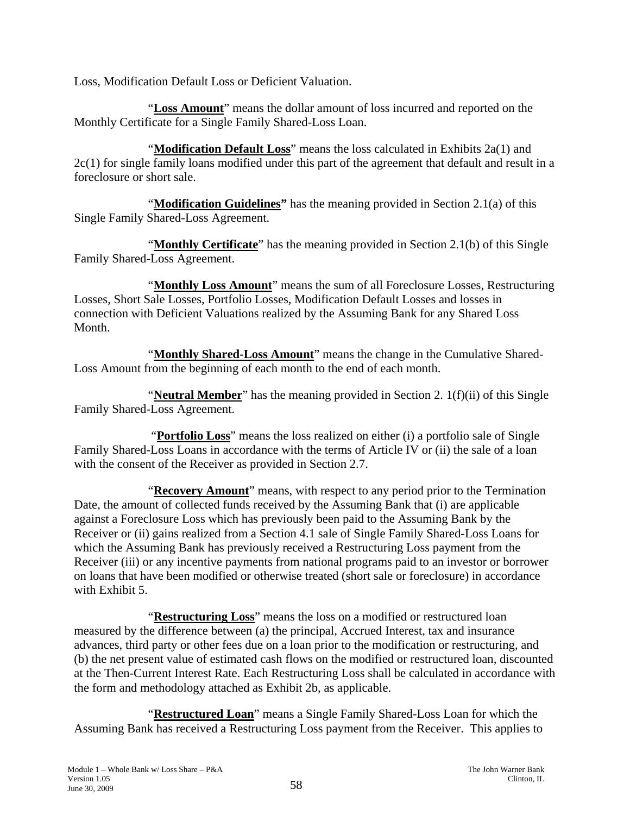Loss, Modification Default Loss or Deficient Valuation.

"**Loss Amount**" means the dollar amount of loss incurred and reported on the Monthly Certificate for a Single Family Shared-Loss Loan.

"**Modification Default Loss**" means the loss calculated in Exhibits 2a(1) and 2c(1) for single family loans modified under this part of the agreement that default and result in a foreclosure or short sale.

"**Modification Guidelines**" has the meaning provided in Section 2.1(a) of this Single Family Shared-Loss Agreement.

"**Monthly Certificate**" has the meaning provided in Section 2.1(b) of this Single Family Shared-Loss Agreement.

"**Monthly Loss Amount**" means the sum of all Foreclosure Losses, Restructuring Losses, Short Sale Losses, Portfolio Losses, Modification Default Losses and losses in connection with Deficient Valuations realized by the Assuming Bank for any Shared Loss Month.

"**Monthly Shared-Loss Amount**" means the change in the Cumulative Shared-Loss Amount from the beginning of each month to the end of each month.

**"Neutral Member**" has the meaning provided in Section 2. 1(f)(ii) of this Single Family Shared-Loss Agreement.

 "**Portfolio Loss**" means the loss realized on either (i) a portfolio sale of Single Family Shared-Loss Loans in accordance with the terms of Article IV or (ii) the sale of a loan with the consent of the Receiver as provided in Section 2.7.

"**Recovery Amount**" means, with respect to any period prior to the Termination Date, the amount of collected funds received by the Assuming Bank that (i) are applicable against a Foreclosure Loss which has previously been paid to the Assuming Bank by the Receiver or (ii) gains realized from a Section 4.1 sale of Single Family Shared-Loss Loans for which the Assuming Bank has previously received a Restructuring Loss payment from the Receiver (iii) or any incentive payments from national programs paid to an investor or borrower on loans that have been modified or otherwise treated (short sale or foreclosure) in accordance with Exhibit 5.

"**Restructuring Loss**" means the loss on a modified or restructured loan measured by the difference between (a) the principal, Accrued Interest, tax and insurance advances, third party or other fees due on a loan prior to the modification or restructuring, and (b) the net present value of estimated cash flows on the modified or restructured loan, discounted at the Then-Current Interest Rate. Each Restructuring Loss shall be calculated in accordance with the form and methodology attached as Exhibit 2b, as applicable.

"**Restructured Loan**" means a Single Family Shared-Loss Loan for which the Assuming Bank has received a Restructuring Loss payment from the Receiver. This applies to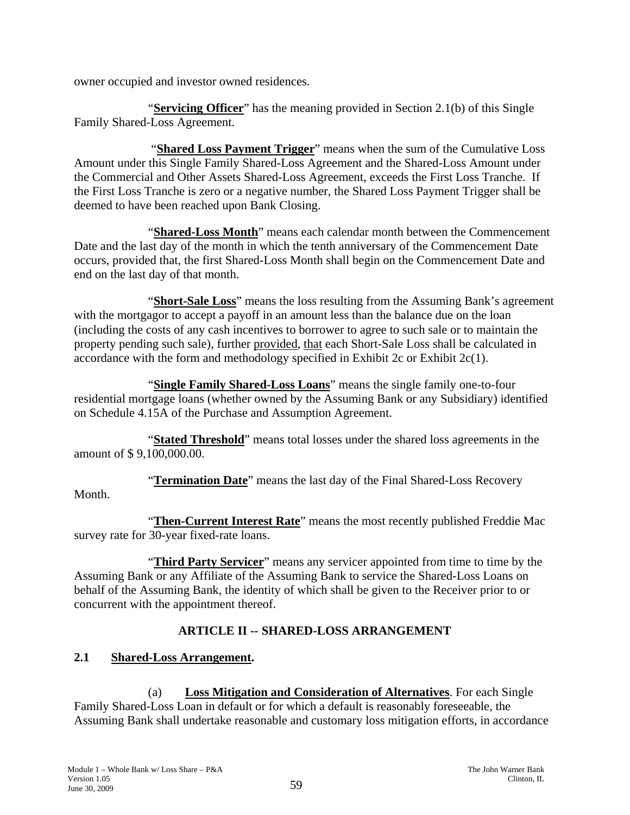owner occupied and investor owned residences.

**'Servicing Officer**" has the meaning provided in Section 2.1(b) of this Single Family Shared-Loss Agreement.

 "**Shared Loss Payment Trigger**" means when the sum of the Cumulative Loss Amount under this Single Family Shared-Loss Agreement and the Shared-Loss Amount under the Commercial and Other Assets Shared-Loss Agreement, exceeds the First Loss Tranche. If the First Loss Tranche is zero or a negative number, the Shared Loss Payment Trigger shall be deemed to have been reached upon Bank Closing.

"**Shared-Loss Month**" means each calendar month between the Commencement Date and the last day of the month in which the tenth anniversary of the Commencement Date occurs, provided that, the first Shared-Loss Month shall begin on the Commencement Date and end on the last day of that month.

"**Short-Sale Loss**" means the loss resulting from the Assuming Bank's agreement with the mortgagor to accept a payoff in an amount less than the balance due on the loan (including the costs of any cash incentives to borrower to agree to such sale or to maintain the property pending such sale), further provided, that each Short-Sale Loss shall be calculated in accordance with the form and methodology specified in Exhibit 2c or Exhibit  $2c(1)$ .

"**Single Family Shared-Loss Loans**" means the single family one-to-four residential mortgage loans (whether owned by the Assuming Bank or any Subsidiary) identified on Schedule 4.15A of the Purchase and Assumption Agreement.

"**Stated Threshold**" means total losses under the shared loss agreements in the amount of \$ 9,100,000.00.

"**Termination Date**" means the last day of the Final Shared-Loss Recovery Month.

"**Then-Current Interest Rate**" means the most recently published Freddie Mac survey rate for 30-year fixed-rate loans.

"**Third Party Servicer**" means any servicer appointed from time to time by the Assuming Bank or any Affiliate of the Assuming Bank to service the Shared-Loss Loans on behalf of the Assuming Bank, the identity of which shall be given to the Receiver prior to or concurrent with the appointment thereof.

## **ARTICLE II -- SHARED-LOSS ARRANGEMENT**

## **2.1 Shared-Loss Arrangement.**

(a) **Loss Mitigation and Consideration of Alternatives**. For each Single Family Shared-Loss Loan in default or for which a default is reasonably foreseeable, the Assuming Bank shall undertake reasonable and customary loss mitigation efforts, in accordance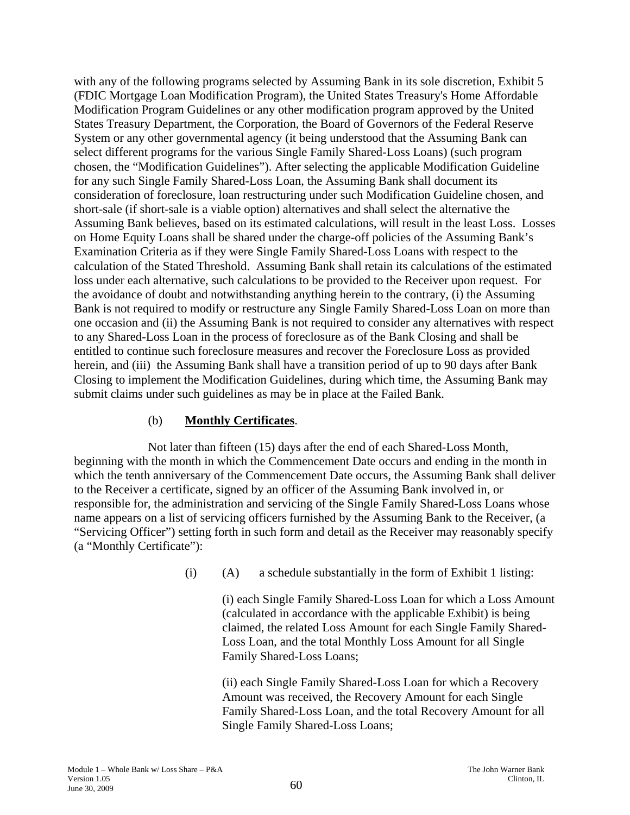with any of the following programs selected by Assuming Bank in its sole discretion, Exhibit 5 (FDIC Mortgage Loan Modification Program), the United States Treasury's Home Affordable Modification Program Guidelines or any other modification program approved by the United States Treasury Department, the Corporation, the Board of Governors of the Federal Reserve System or any other governmental agency (it being understood that the Assuming Bank can select different programs for the various Single Family Shared-Loss Loans) (such program chosen, the "Modification Guidelines"). After selecting the applicable Modification Guideline for any such Single Family Shared-Loss Loan, the Assuming Bank shall document its consideration of foreclosure, loan restructuring under such Modification Guideline chosen, and short-sale (if short-sale is a viable option) alternatives and shall select the alternative the Assuming Bank believes, based on its estimated calculations, will result in the least Loss. Losses on Home Equity Loans shall be shared under the charge-off policies of the Assuming Bank's Examination Criteria as if they were Single Family Shared-Loss Loans with respect to the calculation of the Stated Threshold. Assuming Bank shall retain its calculations of the estimated loss under each alternative, such calculations to be provided to the Receiver upon request. For the avoidance of doubt and notwithstanding anything herein to the contrary, (i) the Assuming Bank is not required to modify or restructure any Single Family Shared-Loss Loan on more than one occasion and (ii) the Assuming Bank is not required to consider any alternatives with respect to any Shared-Loss Loan in the process of foreclosure as of the Bank Closing and shall be entitled to continue such foreclosure measures and recover the Foreclosure Loss as provided herein, and (iii) the Assuming Bank shall have a transition period of up to 90 days after Bank Closing to implement the Modification Guidelines, during which time, the Assuming Bank may submit claims under such guidelines as may be in place at the Failed Bank.

## (b) **Monthly Certificates**.

Not later than fifteen (15) days after the end of each Shared-Loss Month, beginning with the month in which the Commencement Date occurs and ending in the month in which the tenth anniversary of the Commencement Date occurs, the Assuming Bank shall deliver to the Receiver a certificate, signed by an officer of the Assuming Bank involved in, or responsible for, the administration and servicing of the Single Family Shared-Loss Loans whose name appears on a list of servicing officers furnished by the Assuming Bank to the Receiver, (a "Servicing Officer") setting forth in such form and detail as the Receiver may reasonably specify (a "Monthly Certificate"):

 $(i)$  (A) a schedule substantially in the form of Exhibit 1 listing:

(i) each Single Family Shared-Loss Loan for which a Loss Amount (calculated in accordance with the applicable Exhibit) is being claimed, the related Loss Amount for each Single Family Shared-Loss Loan, and the total Monthly Loss Amount for all Single Family Shared-Loss Loans;

(ii) each Single Family Shared-Loss Loan for which a Recovery Amount was received, the Recovery Amount for each Single Family Shared-Loss Loan, and the total Recovery Amount for all Single Family Shared-Loss Loans;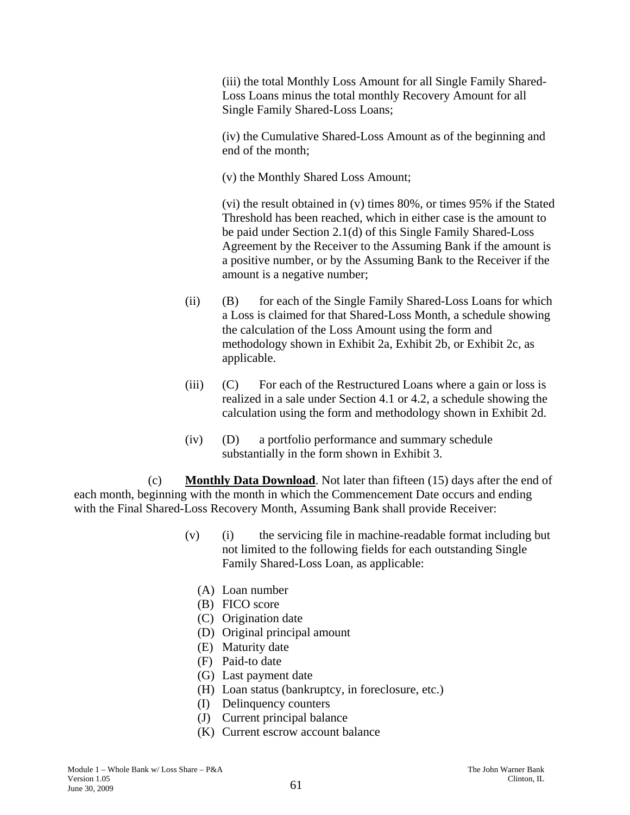(iii) the total Monthly Loss Amount for all Single Family Shared-Loss Loans minus the total monthly Recovery Amount for all Single Family Shared-Loss Loans;

(iv) the Cumulative Shared-Loss Amount as of the beginning and end of the month;

(v) the Monthly Shared Loss Amount;

(vi) the result obtained in (v) times 80%, or times 95% if the Stated Threshold has been reached, which in either case is the amount to be paid under Section 2.1(d) of this Single Family Shared-Loss Agreement by the Receiver to the Assuming Bank if the amount is a positive number, or by the Assuming Bank to the Receiver if the amount is a negative number;

- (ii) (B) for each of the Single Family Shared-Loss Loans for which a Loss is claimed for that Shared-Loss Month, a schedule showing the calculation of the Loss Amount using the form and methodology shown in Exhibit 2a, Exhibit 2b, or Exhibit 2c, as applicable.
- (iii) (C) For each of the Restructured Loans where a gain or loss is realized in a sale under Section 4.1 or 4.2, a schedule showing the calculation using the form and methodology shown in Exhibit 2d.
- (iv) (D) a portfolio performance and summary schedule substantially in the form shown in Exhibit 3.

(c) **Monthly Data Download**. Not later than fifteen (15) days after the end of each month, beginning with the month in which the Commencement Date occurs and ending with the Final Shared-Loss Recovery Month, Assuming Bank shall provide Receiver:

- (v) (i) the servicing file in machine-readable format including but not limited to the following fields for each outstanding Single Family Shared-Loss Loan, as applicable:
	- (A) Loan number
	- (B) FICO score
	- (C) Origination date
	- (D) Original principal amount
	- (E) Maturity date
	- (F) Paid-to date
	- (G) Last payment date
	- (H) Loan status (bankruptcy, in foreclosure, etc.)
	- (I) Delinquency counters
	- (J) Current principal balance
	- (K) Current escrow account balance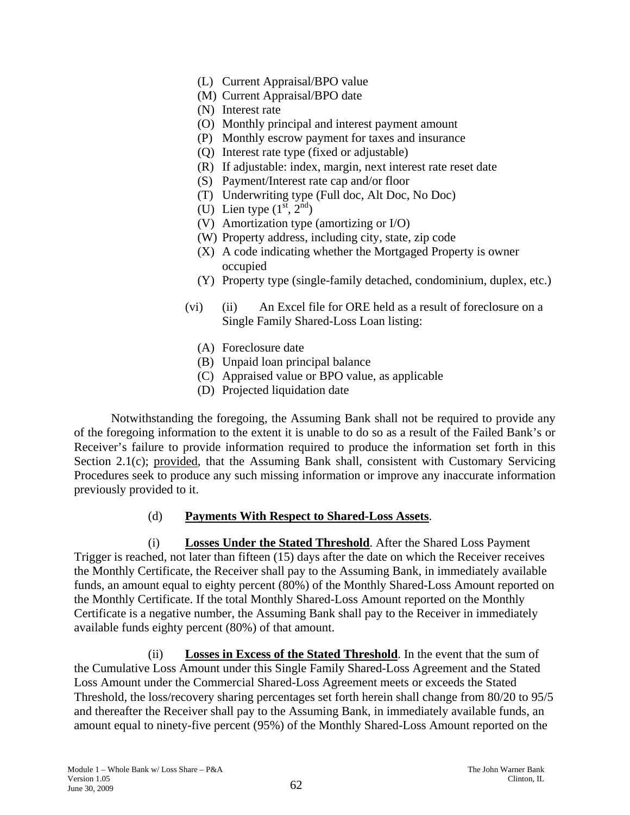- (L) Current Appraisal/BPO value
- (M) Current Appraisal/BPO date
- (N) Interest rate
- (O) Monthly principal and interest payment amount
- (P) Monthly escrow payment for taxes and insurance
- (Q) Interest rate type (fixed or adjustable)
- (R) If adjustable: index, margin, next interest rate reset date
- (S) Payment/Interest rate cap and/or floor
- (T) Underwriting type (Full doc, Alt Doc, No Doc)
- (U) Lien type  $(1<sup>st</sup>, 2<sup>nd</sup>)$
- (V) Amortization type (amortizing or I/O)
- (W) Property address, including city, state, zip code
- (X) A code indicating whether the Mortgaged Property is owner occupied
- (Y) Property type (single-family detached, condominium, duplex, etc.)
- (vi) (ii) An Excel file for ORE held as a result of foreclosure on a Single Family Shared-Loss Loan listing:
	- (A) Foreclosure date
	- (B) Unpaid loan principal balance
	- (C) Appraised value or BPO value, as applicable
	- (D) Projected liquidation date

 Notwithstanding the foregoing, the Assuming Bank shall not be required to provide any of the foregoing information to the extent it is unable to do so as a result of the Failed Bank's or Receiver's failure to provide information required to produce the information set forth in this Section 2.1(c); provided, that the Assuming Bank shall, consistent with Customary Servicing Procedures seek to produce any such missing information or improve any inaccurate information previously provided to it.

## (d) **Payments With Respect to Shared-Loss Assets**.

(i) **Losses Under the Stated Threshold**. After the Shared Loss Payment Trigger is reached, not later than fifteen (15) days after the date on which the Receiver receives the Monthly Certificate, the Receiver shall pay to the Assuming Bank, in immediately available funds, an amount equal to eighty percent (80%) of the Monthly Shared-Loss Amount reported on the Monthly Certificate. If the total Monthly Shared-Loss Amount reported on the Monthly Certificate is a negative number, the Assuming Bank shall pay to the Receiver in immediately available funds eighty percent (80%) of that amount.

(ii) **Losses in Excess of the Stated Threshold**. In the event that the sum of the Cumulative Loss Amount under this Single Family Shared-Loss Agreement and the Stated Loss Amount under the Commercial Shared-Loss Agreement meets or exceeds the Stated Threshold, the loss/recovery sharing percentages set forth herein shall change from 80/20 to 95/5 and thereafter the Receiver shall pay to the Assuming Bank, in immediately available funds, an amount equal to ninety-five percent (95%) of the Monthly Shared-Loss Amount reported on the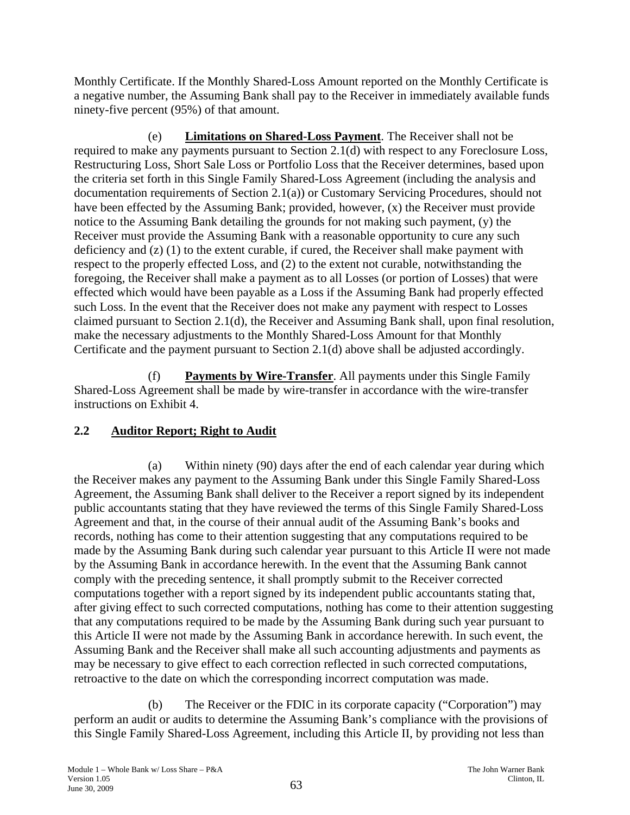Monthly Certificate. If the Monthly Shared-Loss Amount reported on the Monthly Certificate is a negative number, the Assuming Bank shall pay to the Receiver in immediately available funds ninety-five percent (95%) of that amount.

(e) **Limitations on Shared-Loss Payment**. The Receiver shall not be required to make any payments pursuant to Section 2.1(d) with respect to any Foreclosure Loss, Restructuring Loss, Short Sale Loss or Portfolio Loss that the Receiver determines, based upon the criteria set forth in this Single Family Shared-Loss Agreement (including the analysis and documentation requirements of Section 2.1(a)) or Customary Servicing Procedures, should not have been effected by the Assuming Bank; provided, however, (x) the Receiver must provide notice to the Assuming Bank detailing the grounds for not making such payment, (y) the Receiver must provide the Assuming Bank with a reasonable opportunity to cure any such deficiency and (z) (1) to the extent curable, if cured, the Receiver shall make payment with respect to the properly effected Loss, and (2) to the extent not curable, notwithstanding the foregoing, the Receiver shall make a payment as to all Losses (or portion of Losses) that were effected which would have been payable as a Loss if the Assuming Bank had properly effected such Loss. In the event that the Receiver does not make any payment with respect to Losses claimed pursuant to Section 2.1(d), the Receiver and Assuming Bank shall, upon final resolution, make the necessary adjustments to the Monthly Shared-Loss Amount for that Monthly Certificate and the payment pursuant to Section 2.1(d) above shall be adjusted accordingly.

(f) **Payments by Wire-Transfer**. All payments under this Single Family Shared-Loss Agreement shall be made by wire-transfer in accordance with the wire-transfer instructions on Exhibit 4.

## **2.2 Auditor Report; Right to Audit**

(a) Within ninety (90) days after the end of each calendar year during which the Receiver makes any payment to the Assuming Bank under this Single Family Shared-Loss Agreement, the Assuming Bank shall deliver to the Receiver a report signed by its independent public accountants stating that they have reviewed the terms of this Single Family Shared-Loss Agreement and that, in the course of their annual audit of the Assuming Bank's books and records, nothing has come to their attention suggesting that any computations required to be made by the Assuming Bank during such calendar year pursuant to this Article II were not made by the Assuming Bank in accordance herewith. In the event that the Assuming Bank cannot comply with the preceding sentence, it shall promptly submit to the Receiver corrected computations together with a report signed by its independent public accountants stating that, after giving effect to such corrected computations, nothing has come to their attention suggesting that any computations required to be made by the Assuming Bank during such year pursuant to this Article II were not made by the Assuming Bank in accordance herewith. In such event, the Assuming Bank and the Receiver shall make all such accounting adjustments and payments as may be necessary to give effect to each correction reflected in such corrected computations, retroactive to the date on which the corresponding incorrect computation was made.

(b) The Receiver or the FDIC in its corporate capacity ("Corporation") may perform an audit or audits to determine the Assuming Bank's compliance with the provisions of this Single Family Shared-Loss Agreement, including this Article II, by providing not less than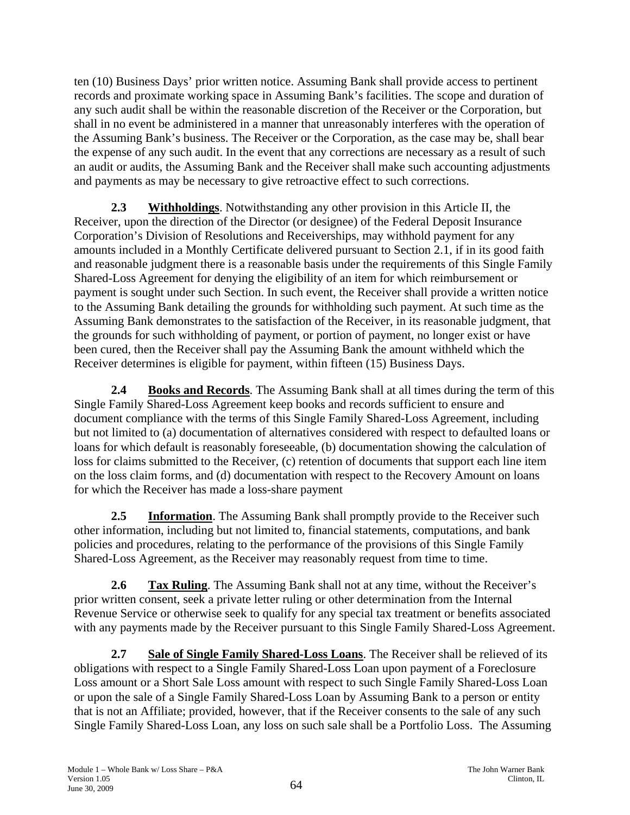ten (10) Business Days' prior written notice. Assuming Bank shall provide access to pertinent records and proximate working space in Assuming Bank's facilities. The scope and duration of any such audit shall be within the reasonable discretion of the Receiver or the Corporation, but shall in no event be administered in a manner that unreasonably interferes with the operation of the Assuming Bank's business. The Receiver or the Corporation, as the case may be, shall bear the expense of any such audit. In the event that any corrections are necessary as a result of such an audit or audits, the Assuming Bank and the Receiver shall make such accounting adjustments and payments as may be necessary to give retroactive effect to such corrections.

**2.3 Withholdings**. Notwithstanding any other provision in this Article II, the Receiver, upon the direction of the Director (or designee) of the Federal Deposit Insurance Corporation's Division of Resolutions and Receiverships, may withhold payment for any amounts included in a Monthly Certificate delivered pursuant to Section 2.1, if in its good faith and reasonable judgment there is a reasonable basis under the requirements of this Single Family Shared-Loss Agreement for denying the eligibility of an item for which reimbursement or payment is sought under such Section. In such event, the Receiver shall provide a written notice to the Assuming Bank detailing the grounds for withholding such payment. At such time as the Assuming Bank demonstrates to the satisfaction of the Receiver, in its reasonable judgment, that the grounds for such withholding of payment, or portion of payment, no longer exist or have been cured, then the Receiver shall pay the Assuming Bank the amount withheld which the Receiver determines is eligible for payment, within fifteen (15) Business Days.

**2.4 Books and Records**. The Assuming Bank shall at all times during the term of this Single Family Shared-Loss Agreement keep books and records sufficient to ensure and document compliance with the terms of this Single Family Shared-Loss Agreement, including but not limited to (a) documentation of alternatives considered with respect to defaulted loans or loans for which default is reasonably foreseeable, (b) documentation showing the calculation of loss for claims submitted to the Receiver, (c) retention of documents that support each line item on the loss claim forms, and (d) documentation with respect to the Recovery Amount on loans for which the Receiver has made a loss-share payment

**2.5 Information**. The Assuming Bank shall promptly provide to the Receiver such other information, including but not limited to, financial statements, computations, and bank policies and procedures, relating to the performance of the provisions of this Single Family Shared-Loss Agreement, as the Receiver may reasonably request from time to time.

**2.6 Tax Ruling**. The Assuming Bank shall not at any time, without the Receiver's prior written consent, seek a private letter ruling or other determination from the Internal Revenue Service or otherwise seek to qualify for any special tax treatment or benefits associated with any payments made by the Receiver pursuant to this Single Family Shared-Loss Agreement.

**2.7 Sale of Single Family Shared-Loss Loans**. The Receiver shall be relieved of its obligations with respect to a Single Family Shared-Loss Loan upon payment of a Foreclosure Loss amount or a Short Sale Loss amount with respect to such Single Family Shared-Loss Loan or upon the sale of a Single Family Shared-Loss Loan by Assuming Bank to a person or entity that is not an Affiliate; provided, however, that if the Receiver consents to the sale of any such Single Family Shared-Loss Loan, any loss on such sale shall be a Portfolio Loss. The Assuming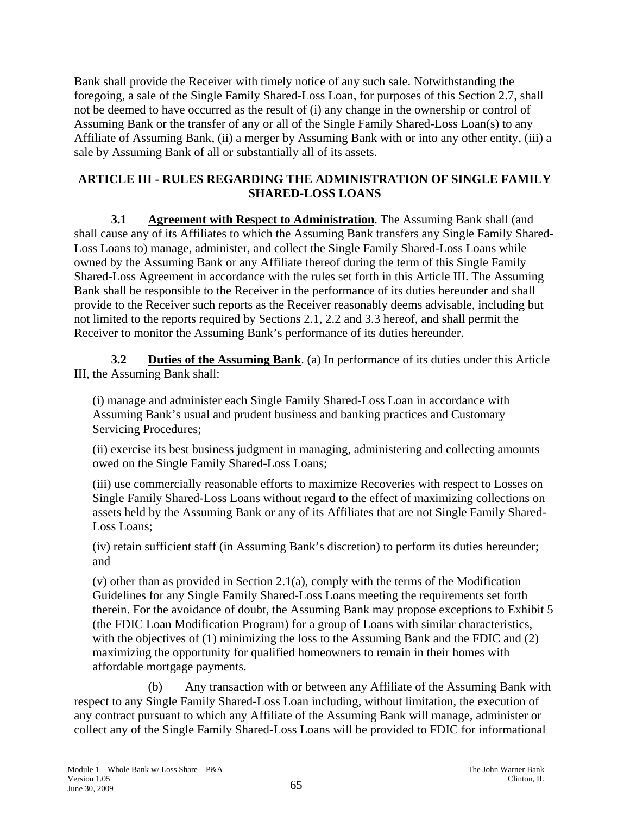Bank shall provide the Receiver with timely notice of any such sale. Notwithstanding the foregoing, a sale of the Single Family Shared-Loss Loan, for purposes of this Section 2.7, shall not be deemed to have occurred as the result of (i) any change in the ownership or control of Assuming Bank or the transfer of any or all of the Single Family Shared-Loss Loan(s) to any Affiliate of Assuming Bank, (ii) a merger by Assuming Bank with or into any other entity, (iii) a sale by Assuming Bank of all or substantially all of its assets.

## **ARTICLE III - RULES REGARDING THE ADMINISTRATION OF SINGLE FAMILY SHARED-LOSS LOANS**

**3.1 Agreement with Respect to Administration**. The Assuming Bank shall (and shall cause any of its Affiliates to which the Assuming Bank transfers any Single Family Shared-Loss Loans to) manage, administer, and collect the Single Family Shared-Loss Loans while owned by the Assuming Bank or any Affiliate thereof during the term of this Single Family Shared-Loss Agreement in accordance with the rules set forth in this Article III. The Assuming Bank shall be responsible to the Receiver in the performance of its duties hereunder and shall provide to the Receiver such reports as the Receiver reasonably deems advisable, including but not limited to the reports required by Sections 2.1, 2.2 and 3.3 hereof, and shall permit the Receiver to monitor the Assuming Bank's performance of its duties hereunder.

**3.2** Duties of the Assuming Bank. (a) In performance of its duties under this Article III, the Assuming Bank shall:

(i) manage and administer each Single Family Shared-Loss Loan in accordance with Assuming Bank's usual and prudent business and banking practices and Customary Servicing Procedures;

(ii) exercise its best business judgment in managing, administering and collecting amounts owed on the Single Family Shared-Loss Loans;

(iii) use commercially reasonable efforts to maximize Recoveries with respect to Losses on Single Family Shared-Loss Loans without regard to the effect of maximizing collections on assets held by the Assuming Bank or any of its Affiliates that are not Single Family Shared-Loss Loans;

(iv) retain sufficient staff (in Assuming Bank's discretion) to perform its duties hereunder; and

(v) other than as provided in Section 2.1(a), comply with the terms of the Modification Guidelines for any Single Family Shared-Loss Loans meeting the requirements set forth therein. For the avoidance of doubt, the Assuming Bank may propose exceptions to Exhibit 5 (the FDIC Loan Modification Program) for a group of Loans with similar characteristics, with the objectives of (1) minimizing the loss to the Assuming Bank and the FDIC and (2) maximizing the opportunity for qualified homeowners to remain in their homes with affordable mortgage payments.

(b) Any transaction with or between any Affiliate of the Assuming Bank with respect to any Single Family Shared-Loss Loan including, without limitation, the execution of any contract pursuant to which any Affiliate of the Assuming Bank will manage, administer or collect any of the Single Family Shared-Loss Loans will be provided to FDIC for informational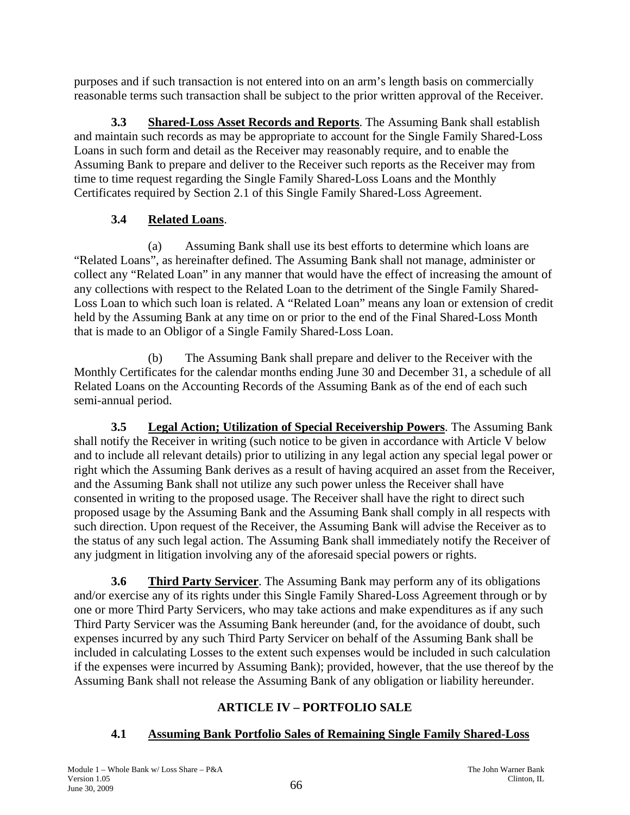purposes and if such transaction is not entered into on an arm's length basis on commercially reasonable terms such transaction shall be subject to the prior written approval of the Receiver.

**3.3 Shared-Loss Asset Records and Reports**. The Assuming Bank shall establish and maintain such records as may be appropriate to account for the Single Family Shared-Loss Loans in such form and detail as the Receiver may reasonably require, and to enable the Assuming Bank to prepare and deliver to the Receiver such reports as the Receiver may from time to time request regarding the Single Family Shared-Loss Loans and the Monthly Certificates required by Section 2.1 of this Single Family Shared-Loss Agreement.

# **3.4 Related Loans**.

(a) Assuming Bank shall use its best efforts to determine which loans are "Related Loans", as hereinafter defined. The Assuming Bank shall not manage, administer or collect any "Related Loan" in any manner that would have the effect of increasing the amount of any collections with respect to the Related Loan to the detriment of the Single Family Shared-Loss Loan to which such loan is related. A "Related Loan" means any loan or extension of credit held by the Assuming Bank at any time on or prior to the end of the Final Shared-Loss Month that is made to an Obligor of a Single Family Shared-Loss Loan.

(b) The Assuming Bank shall prepare and deliver to the Receiver with the Monthly Certificates for the calendar months ending June 30 and December 31, a schedule of all Related Loans on the Accounting Records of the Assuming Bank as of the end of each such semi-annual period.

**3.5 Legal Action; Utilization of Special Receivership Powers**. The Assuming Bank shall notify the Receiver in writing (such notice to be given in accordance with Article V below and to include all relevant details) prior to utilizing in any legal action any special legal power or right which the Assuming Bank derives as a result of having acquired an asset from the Receiver, and the Assuming Bank shall not utilize any such power unless the Receiver shall have consented in writing to the proposed usage. The Receiver shall have the right to direct such proposed usage by the Assuming Bank and the Assuming Bank shall comply in all respects with such direction. Upon request of the Receiver, the Assuming Bank will advise the Receiver as to the status of any such legal action. The Assuming Bank shall immediately notify the Receiver of any judgment in litigation involving any of the aforesaid special powers or rights.

**3.6** Third Party Servicer. The Assuming Bank may perform any of its obligations and/or exercise any of its rights under this Single Family Shared-Loss Agreement through or by one or more Third Party Servicers, who may take actions and make expenditures as if any such Third Party Servicer was the Assuming Bank hereunder (and, for the avoidance of doubt, such expenses incurred by any such Third Party Servicer on behalf of the Assuming Bank shall be included in calculating Losses to the extent such expenses would be included in such calculation if the expenses were incurred by Assuming Bank); provided, however, that the use thereof by the Assuming Bank shall not release the Assuming Bank of any obligation or liability hereunder.

# **ARTICLE IV – PORTFOLIO SALE**

# **4.1 Assuming Bank Portfolio Sales of Remaining Single Family Shared-Loss**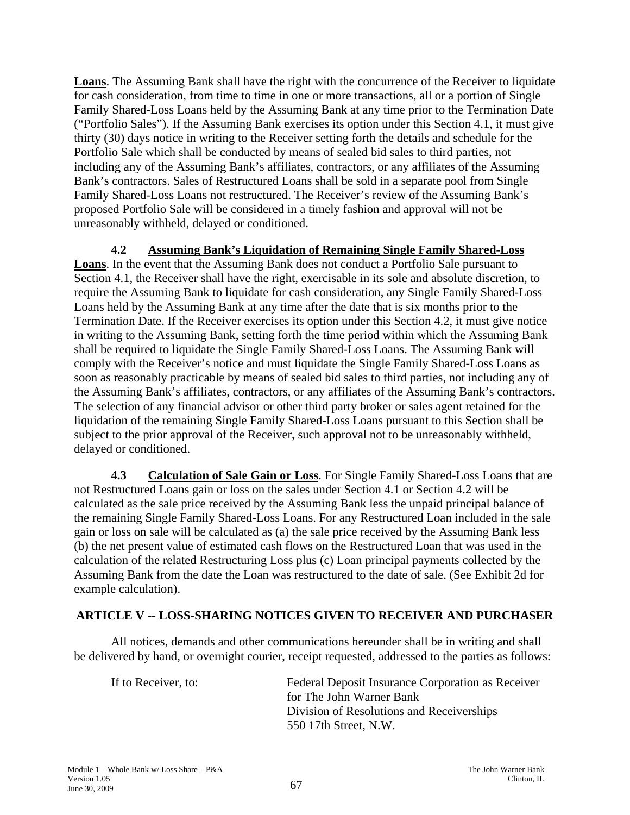**Loans**. The Assuming Bank shall have the right with the concurrence of the Receiver to liquidate for cash consideration, from time to time in one or more transactions, all or a portion of Single Family Shared-Loss Loans held by the Assuming Bank at any time prior to the Termination Date ("Portfolio Sales"). If the Assuming Bank exercises its option under this Section 4.1, it must give thirty (30) days notice in writing to the Receiver setting forth the details and schedule for the Portfolio Sale which shall be conducted by means of sealed bid sales to third parties, not including any of the Assuming Bank's affiliates, contractors, or any affiliates of the Assuming Bank's contractors. Sales of Restructured Loans shall be sold in a separate pool from Single Family Shared-Loss Loans not restructured. The Receiver's review of the Assuming Bank's proposed Portfolio Sale will be considered in a timely fashion and approval will not be unreasonably withheld, delayed or conditioned.

## **4.2 Assuming Bank's Liquidation of Remaining Single Family Shared-Loss**

**Loans**. In the event that the Assuming Bank does not conduct a Portfolio Sale pursuant to Section 4.1, the Receiver shall have the right, exercisable in its sole and absolute discretion, to require the Assuming Bank to liquidate for cash consideration, any Single Family Shared-Loss Loans held by the Assuming Bank at any time after the date that is six months prior to the Termination Date. If the Receiver exercises its option under this Section 4.2, it must give notice in writing to the Assuming Bank, setting forth the time period within which the Assuming Bank shall be required to liquidate the Single Family Shared-Loss Loans. The Assuming Bank will comply with the Receiver's notice and must liquidate the Single Family Shared-Loss Loans as soon as reasonably practicable by means of sealed bid sales to third parties, not including any of the Assuming Bank's affiliates, contractors, or any affiliates of the Assuming Bank's contractors. The selection of any financial advisor or other third party broker or sales agent retained for the liquidation of the remaining Single Family Shared-Loss Loans pursuant to this Section shall be subject to the prior approval of the Receiver, such approval not to be unreasonably withheld, delayed or conditioned.

**4.3 Calculation of Sale Gain or Loss**. For Single Family Shared-Loss Loans that are not Restructured Loans gain or loss on the sales under Section 4.1 or Section 4.2 will be calculated as the sale price received by the Assuming Bank less the unpaid principal balance of the remaining Single Family Shared-Loss Loans. For any Restructured Loan included in the sale gain or loss on sale will be calculated as (a) the sale price received by the Assuming Bank less (b) the net present value of estimated cash flows on the Restructured Loan that was used in the calculation of the related Restructuring Loss plus (c) Loan principal payments collected by the Assuming Bank from the date the Loan was restructured to the date of sale. (See Exhibit 2d for example calculation).

## **ARTICLE V -- LOSS-SHARING NOTICES GIVEN TO RECEIVER AND PURCHASER**

All notices, demands and other communications hereunder shall be in writing and shall be delivered by hand, or overnight courier, receipt requested, addressed to the parties as follows:

| If to Receiver, to: | Federal Deposit Insurance Corporation as Receiver |
|---------------------|---------------------------------------------------|
|                     | for The John Warner Bank                          |
|                     | Division of Resolutions and Receiverships         |
|                     | 550 17th Street, N.W.                             |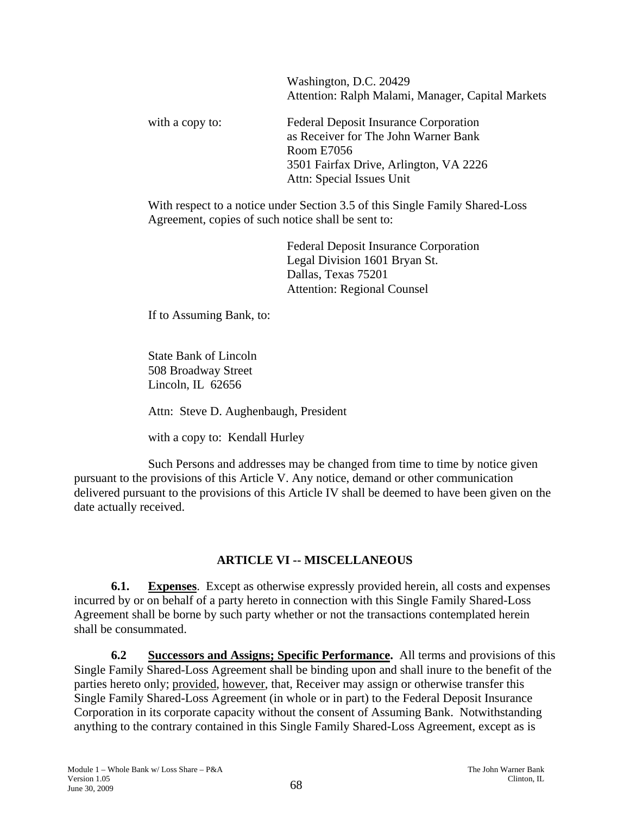Washington, D.C. 20429 Attention: Ralph Malami, Manager, Capital Markets

with a copy to: Federal Deposit Insurance Corporation as Receiver for The John Warner Bank Room E7056 3501 Fairfax Drive, Arlington, VA 2226 Attn: Special Issues Unit

With respect to a notice under Section 3.5 of this Single Family Shared-Loss Agreement, copies of such notice shall be sent to:

> Federal Deposit Insurance Corporation Legal Division 1601 Bryan St. Dallas, Texas 75201 Attention: Regional Counsel

If to Assuming Bank, to:

State Bank of Lincoln 508 Broadway Street Lincoln, IL 62656

Attn: Steve D. Aughenbaugh, President

with a copy to: Kendall Hurley

Such Persons and addresses may be changed from time to time by notice given pursuant to the provisions of this Article V. Any notice, demand or other communication delivered pursuant to the provisions of this Article IV shall be deemed to have been given on the date actually received.

## **ARTICLE VI -- MISCELLANEOUS**

**6.1. Expenses**. Except as otherwise expressly provided herein, all costs and expenses incurred by or on behalf of a party hereto in connection with this Single Family Shared-Loss Agreement shall be borne by such party whether or not the transactions contemplated herein shall be consummated.

**6.2** Successors and Assigns; Specific Performance. All terms and provisions of this Single Family Shared-Loss Agreement shall be binding upon and shall inure to the benefit of the parties hereto only; provided, however, that, Receiver may assign or otherwise transfer this Single Family Shared-Loss Agreement (in whole or in part) to the Federal Deposit Insurance Corporation in its corporate capacity without the consent of Assuming Bank. Notwithstanding anything to the contrary contained in this Single Family Shared-Loss Agreement, except as is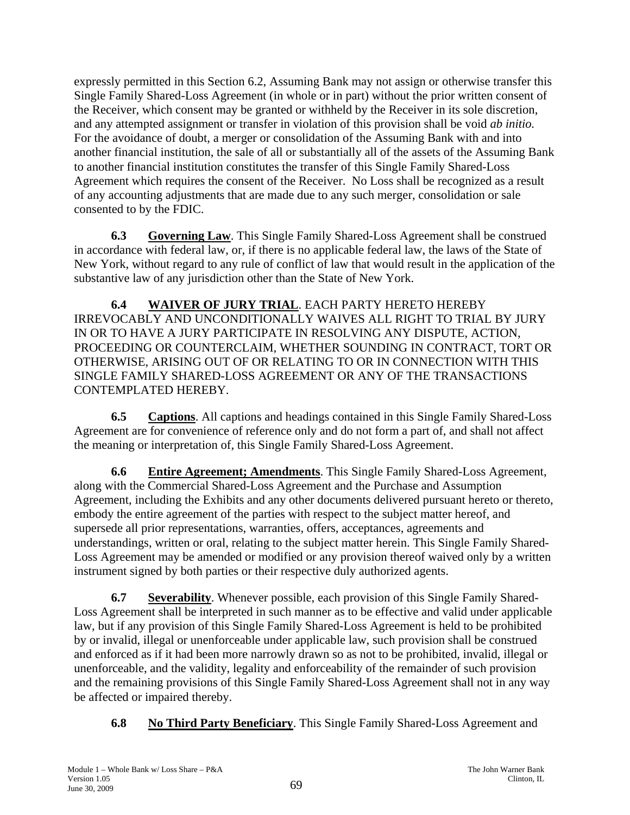expressly permitted in this Section 6.2, Assuming Bank may not assign or otherwise transfer this Single Family Shared-Loss Agreement (in whole or in part) without the prior written consent of the Receiver, which consent may be granted or withheld by the Receiver in its sole discretion, and any attempted assignment or transfer in violation of this provision shall be void *ab initio.*  For the avoidance of doubt, a merger or consolidation of the Assuming Bank with and into another financial institution, the sale of all or substantially all of the assets of the Assuming Bank to another financial institution constitutes the transfer of this Single Family Shared-Loss Agreement which requires the consent of the Receiver. No Loss shall be recognized as a result of any accounting adjustments that are made due to any such merger, consolidation or sale consented to by the FDIC.

**6.3 Governing Law**. This Single Family Shared-Loss Agreement shall be construed in accordance with federal law, or, if there is no applicable federal law, the laws of the State of New York, without regard to any rule of conflict of law that would result in the application of the substantive law of any jurisdiction other than the State of New York.

**6.4 WAIVER OF JURY TRIAL**. EACH PARTY HERETO HEREBY IRREVOCABLY AND UNCONDITIONALLY WAIVES ALL RIGHT TO TRIAL BY JURY IN OR TO HAVE A JURY PARTICIPATE IN RESOLVING ANY DISPUTE, ACTION, PROCEEDING OR COUNTERCLAIM, WHETHER SOUNDING IN CONTRACT, TORT OR OTHERWISE, ARISING OUT OF OR RELATING TO OR IN CONNECTION WITH THIS SINGLE FAMILY SHARED-LOSS AGREEMENT OR ANY OF THE TRANSACTIONS CONTEMPLATED HEREBY.

**6.5 Captions**. All captions and headings contained in this Single Family Shared-Loss Agreement are for convenience of reference only and do not form a part of, and shall not affect the meaning or interpretation of, this Single Family Shared-Loss Agreement.

**6.6 Entire Agreement; Amendments**. This Single Family Shared-Loss Agreement, along with the Commercial Shared-Loss Agreement and the Purchase and Assumption Agreement, including the Exhibits and any other documents delivered pursuant hereto or thereto, embody the entire agreement of the parties with respect to the subject matter hereof, and supersede all prior representations, warranties, offers, acceptances, agreements and understandings, written or oral, relating to the subject matter herein. This Single Family Shared-Loss Agreement may be amended or modified or any provision thereof waived only by a written instrument signed by both parties or their respective duly authorized agents.

**6.7 Severability**. Whenever possible, each provision of this Single Family Shared-Loss Agreement shall be interpreted in such manner as to be effective and valid under applicable law, but if any provision of this Single Family Shared-Loss Agreement is held to be prohibited by or invalid, illegal or unenforceable under applicable law, such provision shall be construed and enforced as if it had been more narrowly drawn so as not to be prohibited, invalid, illegal or unenforceable, and the validity, legality and enforceability of the remainder of such provision and the remaining provisions of this Single Family Shared-Loss Agreement shall not in any way be affected or impaired thereby.

**6.8 No Third Party Beneficiary.** This Single Family Shared-Loss Agreement and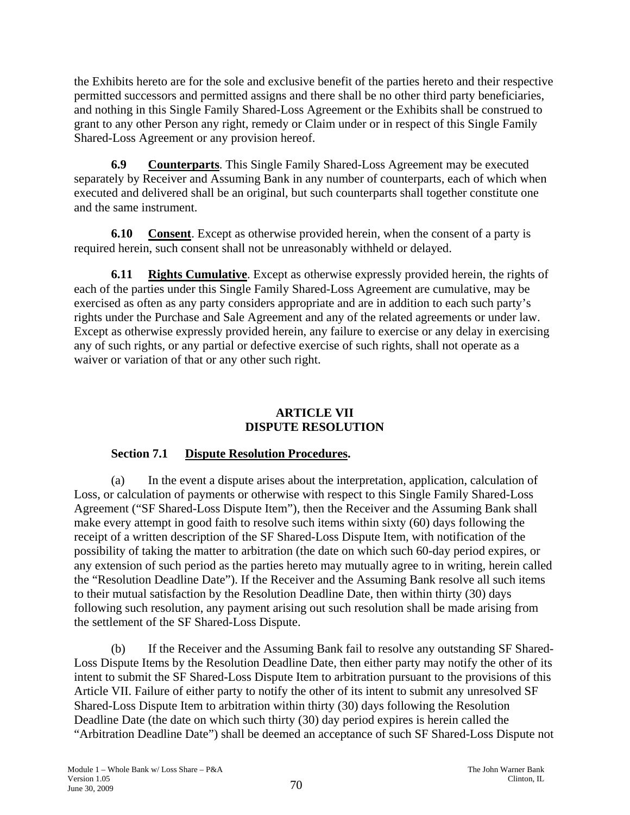the Exhibits hereto are for the sole and exclusive benefit of the parties hereto and their respective permitted successors and permitted assigns and there shall be no other third party beneficiaries, and nothing in this Single Family Shared-Loss Agreement or the Exhibits shall be construed to grant to any other Person any right, remedy or Claim under or in respect of this Single Family Shared-Loss Agreement or any provision hereof.

**6.9 Counterparts**. This Single Family Shared-Loss Agreement may be executed separately by Receiver and Assuming Bank in any number of counterparts, each of which when executed and delivered shall be an original, but such counterparts shall together constitute one and the same instrument.

**6.10 Consent**. Except as otherwise provided herein, when the consent of a party is required herein, such consent shall not be unreasonably withheld or delayed.

**6.11 Rights Cumulative.** Except as otherwise expressly provided herein, the rights of each of the parties under this Single Family Shared-Loss Agreement are cumulative, may be exercised as often as any party considers appropriate and are in addition to each such party's rights under the Purchase and Sale Agreement and any of the related agreements or under law. Except as otherwise expressly provided herein, any failure to exercise or any delay in exercising any of such rights, or any partial or defective exercise of such rights, shall not operate as a waiver or variation of that or any other such right.

## **ARTICLE VII DISPUTE RESOLUTION**

## **Section 7.1 Dispute Resolution Procedures.**

(a) In the event a dispute arises about the interpretation, application, calculation of Loss, or calculation of payments or otherwise with respect to this Single Family Shared-Loss Agreement ("SF Shared-Loss Dispute Item"), then the Receiver and the Assuming Bank shall make every attempt in good faith to resolve such items within sixty (60) days following the receipt of a written description of the SF Shared-Loss Dispute Item, with notification of the possibility of taking the matter to arbitration (the date on which such 60-day period expires, or any extension of such period as the parties hereto may mutually agree to in writing, herein called the "Resolution Deadline Date"). If the Receiver and the Assuming Bank resolve all such items to their mutual satisfaction by the Resolution Deadline Date, then within thirty (30) days following such resolution, any payment arising out such resolution shall be made arising from the settlement of the SF Shared-Loss Dispute.

(b) If the Receiver and the Assuming Bank fail to resolve any outstanding SF Shared-Loss Dispute Items by the Resolution Deadline Date, then either party may notify the other of its intent to submit the SF Shared-Loss Dispute Item to arbitration pursuant to the provisions of this Article VII. Failure of either party to notify the other of its intent to submit any unresolved SF Shared-Loss Dispute Item to arbitration within thirty (30) days following the Resolution Deadline Date (the date on which such thirty (30) day period expires is herein called the "Arbitration Deadline Date") shall be deemed an acceptance of such SF Shared-Loss Dispute not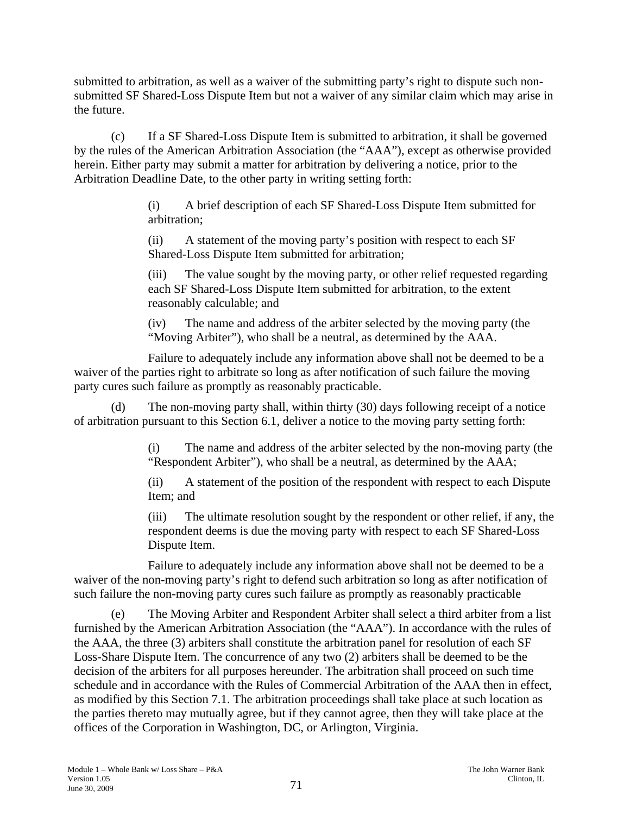submitted to arbitration, as well as a waiver of the submitting party's right to dispute such nonsubmitted SF Shared-Loss Dispute Item but not a waiver of any similar claim which may arise in the future.

(c) If a SF Shared-Loss Dispute Item is submitted to arbitration, it shall be governed by the rules of the American Arbitration Association (the "AAA"), except as otherwise provided herein. Either party may submit a matter for arbitration by delivering a notice, prior to the Arbitration Deadline Date, to the other party in writing setting forth:

> (i) A brief description of each SF Shared-Loss Dispute Item submitted for arbitration;

(ii) A statement of the moving party's position with respect to each SF Shared-Loss Dispute Item submitted for arbitration;

(iii) The value sought by the moving party, or other relief requested regarding each SF Shared-Loss Dispute Item submitted for arbitration, to the extent reasonably calculable; and

(iv) The name and address of the arbiter selected by the moving party (the "Moving Arbiter"), who shall be a neutral, as determined by the AAA.

Failure to adequately include any information above shall not be deemed to be a waiver of the parties right to arbitrate so long as after notification of such failure the moving party cures such failure as promptly as reasonably practicable.

(d) The non-moving party shall, within thirty (30) days following receipt of a notice of arbitration pursuant to this Section 6.1, deliver a notice to the moving party setting forth:

> (i) The name and address of the arbiter selected by the non-moving party (the "Respondent Arbiter"), who shall be a neutral, as determined by the AAA;

> (ii) A statement of the position of the respondent with respect to each Dispute Item; and

> (iii) The ultimate resolution sought by the respondent or other relief, if any, the respondent deems is due the moving party with respect to each SF Shared-Loss Dispute Item.

Failure to adequately include any information above shall not be deemed to be a waiver of the non-moving party's right to defend such arbitration so long as after notification of such failure the non-moving party cures such failure as promptly as reasonably practicable

(e) The Moving Arbiter and Respondent Arbiter shall select a third arbiter from a list furnished by the American Arbitration Association (the "AAA"). In accordance with the rules of the AAA, the three (3) arbiters shall constitute the arbitration panel for resolution of each SF Loss-Share Dispute Item. The concurrence of any two (2) arbiters shall be deemed to be the decision of the arbiters for all purposes hereunder. The arbitration shall proceed on such time schedule and in accordance with the Rules of Commercial Arbitration of the AAA then in effect, as modified by this Section 7.1. The arbitration proceedings shall take place at such location as the parties thereto may mutually agree, but if they cannot agree, then they will take place at the offices of the Corporation in Washington, DC, or Arlington, Virginia.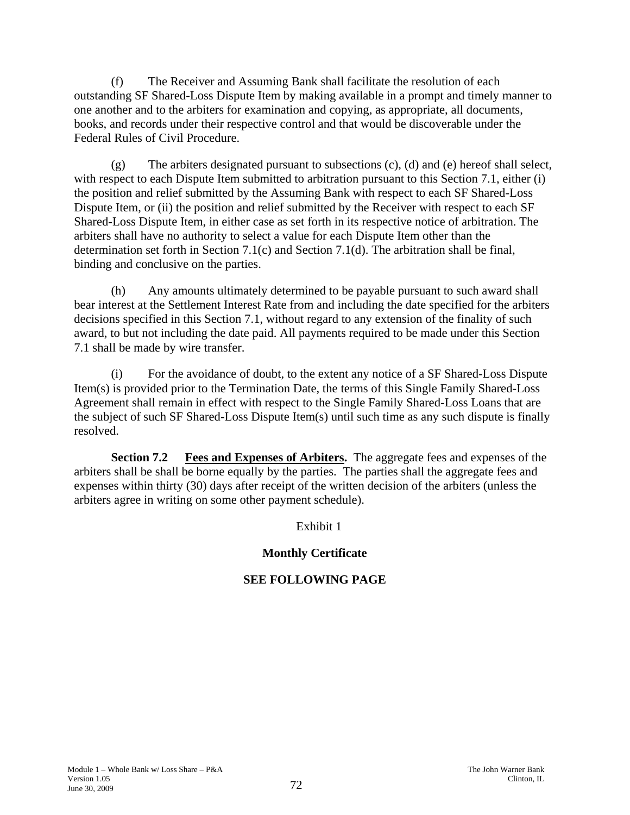(f) The Receiver and Assuming Bank shall facilitate the resolution of each outstanding SF Shared-Loss Dispute Item by making available in a prompt and timely manner to one another and to the arbiters for examination and copying, as appropriate, all documents, books, and records under their respective control and that would be discoverable under the Federal Rules of Civil Procedure.

 $(g)$  The arbiters designated pursuant to subsections  $(c)$ ,  $(d)$  and  $(e)$  hereof shall select, with respect to each Dispute Item submitted to arbitration pursuant to this Section 7.1, either (i) the position and relief submitted by the Assuming Bank with respect to each SF Shared-Loss Dispute Item, or (ii) the position and relief submitted by the Receiver with respect to each SF Shared-Loss Dispute Item, in either case as set forth in its respective notice of arbitration. The arbiters shall have no authority to select a value for each Dispute Item other than the determination set forth in Section 7.1(c) and Section 7.1(d). The arbitration shall be final, binding and conclusive on the parties.

(h) Any amounts ultimately determined to be payable pursuant to such award shall bear interest at the Settlement Interest Rate from and including the date specified for the arbiters decisions specified in this Section 7.1, without regard to any extension of the finality of such award, to but not including the date paid. All payments required to be made under this Section 7.1 shall be made by wire transfer.

(i) For the avoidance of doubt, to the extent any notice of a SF Shared-Loss Dispute Item(s) is provided prior to the Termination Date, the terms of this Single Family Shared-Loss Agreement shall remain in effect with respect to the Single Family Shared-Loss Loans that are the subject of such SF Shared-Loss Dispute Item(s) until such time as any such dispute is finally resolved.

**Section 7.2** Frees and Expenses of Arbiters. The aggregate fees and expenses of the arbiters shall be shall be borne equally by the parties. The parties shall the aggregate fees and expenses within thirty (30) days after receipt of the written decision of the arbiters (unless the arbiters agree in writing on some other payment schedule).

Exhibit 1

## **Monthly Certificate**

# **SEE FOLLOWING PAGE**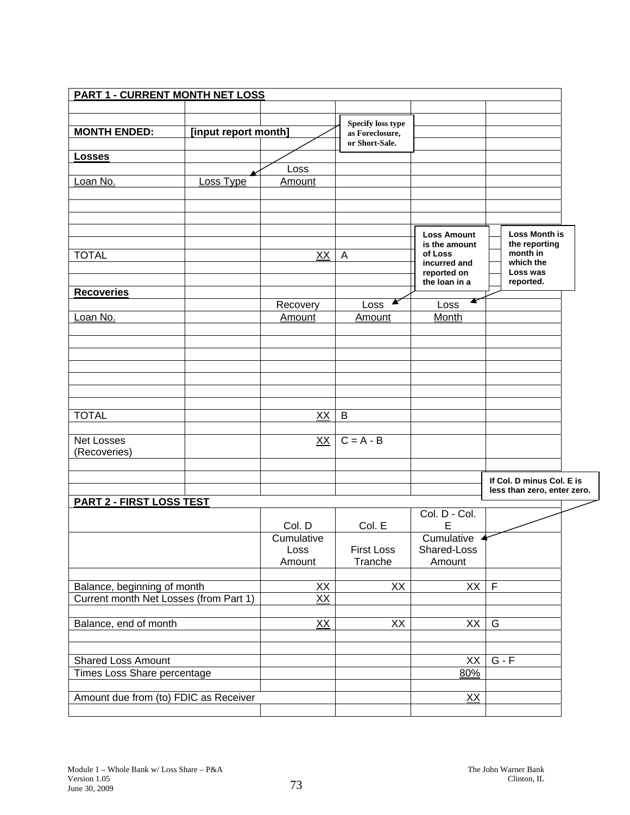| PART 1 - CURRENT MONTH NET LOSS        |                      |                      |                                   |                         |                             |
|----------------------------------------|----------------------|----------------------|-----------------------------------|-------------------------|-----------------------------|
|                                        |                      |                      |                                   |                         |                             |
|                                        |                      |                      | Specify loss type                 |                         |                             |
| <b>MONTH ENDED:</b>                    | [input report month] |                      | as Foreclosure,<br>or Short-Sale. |                         |                             |
| <b>Losses</b>                          |                      |                      |                                   |                         |                             |
|                                        |                      | Loss                 |                                   |                         |                             |
| Loan No.                               | Loss Type            | Amount               |                                   |                         |                             |
|                                        |                      |                      |                                   |                         |                             |
|                                        |                      |                      |                                   |                         |                             |
|                                        |                      |                      |                                   |                         |                             |
|                                        |                      |                      |                                   | <b>Loss Amount</b>      | <b>Loss Month is</b>        |
|                                        |                      |                      |                                   | is the amount           | the reporting               |
| <b>TOTAL</b>                           |                      | XX                   | A                                 | of Loss<br>incurred and | month in<br>which the       |
|                                        |                      |                      |                                   | reported on             | Loss was                    |
|                                        |                      |                      |                                   | the loan in a           | reported.                   |
| <b>Recoveries</b>                      |                      |                      | $Loss^{\mathbf{Z}}$               | ×                       |                             |
| Loan No.                               |                      | Recovery<br>Amount   | Amount                            | Loss<br>Month           |                             |
|                                        |                      |                      |                                   |                         |                             |
|                                        |                      |                      |                                   |                         |                             |
|                                        |                      |                      |                                   |                         |                             |
|                                        |                      |                      |                                   |                         |                             |
|                                        |                      |                      |                                   |                         |                             |
|                                        |                      |                      |                                   |                         |                             |
|                                        |                      |                      |                                   |                         |                             |
| <b>TOTAL</b>                           |                      | XX                   | $\mathsf B$                       |                         |                             |
|                                        |                      |                      |                                   |                         |                             |
| <b>Net Losses</b>                      |                      | XX                   | $C = A - B$                       |                         |                             |
| (Recoveries)                           |                      |                      |                                   |                         |                             |
|                                        |                      |                      |                                   |                         |                             |
|                                        |                      |                      |                                   |                         | If Col. D minus Col. E is   |
|                                        |                      |                      |                                   |                         | less than zero, enter zero. |
| <b>PART 2 - FIRST LOSS TEST</b>        |                      |                      |                                   |                         |                             |
|                                        |                      |                      |                                   | Col. D - Col.           |                             |
|                                        |                      | Col. D<br>Cumulative | Col. E                            | Е<br>Cumulative         |                             |
|                                        |                      |                      | <b>First Loss</b>                 | Shared-Loss             |                             |
|                                        |                      | Loss<br>Amount       | Tranche                           | Amount                  |                             |
|                                        |                      |                      |                                   |                         |                             |
| Balance, beginning of month            |                      | XX                   | XX                                | XX                      | $\mathsf F$                 |
| Current month Net Losses (from Part 1) |                      | XX                   |                                   |                         |                             |
|                                        |                      |                      |                                   |                         |                             |
| Balance, end of month                  |                      | XX                   | XX                                | XX                      | G                           |
|                                        |                      |                      |                                   |                         |                             |
|                                        |                      |                      |                                   |                         |                             |
| Shared Loss Amount                     |                      |                      |                                   | XX                      | $G - F$                     |
| Times Loss Share percentage            |                      |                      |                                   | 80%                     |                             |
|                                        |                      |                      |                                   |                         |                             |
| Amount due from (to) FDIC as Receiver  |                      |                      |                                   | XX                      |                             |
|                                        |                      |                      |                                   |                         |                             |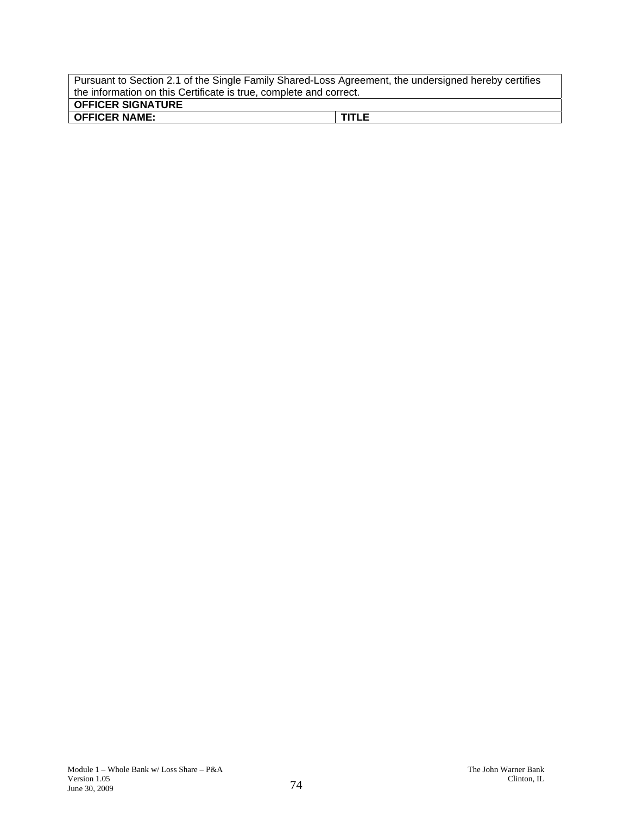| Pursuant to Section 2.1 of the Single Family Shared-Loss Agreement, the undersigned hereby certifies |  |  |
|------------------------------------------------------------------------------------------------------|--|--|
| the information on this Certificate is true, complete and correct.                                   |  |  |
| <b>OFFICER SIGNATURE</b>                                                                             |  |  |
| <b>TITLE</b><br><b>OFFICER NAME:</b>                                                                 |  |  |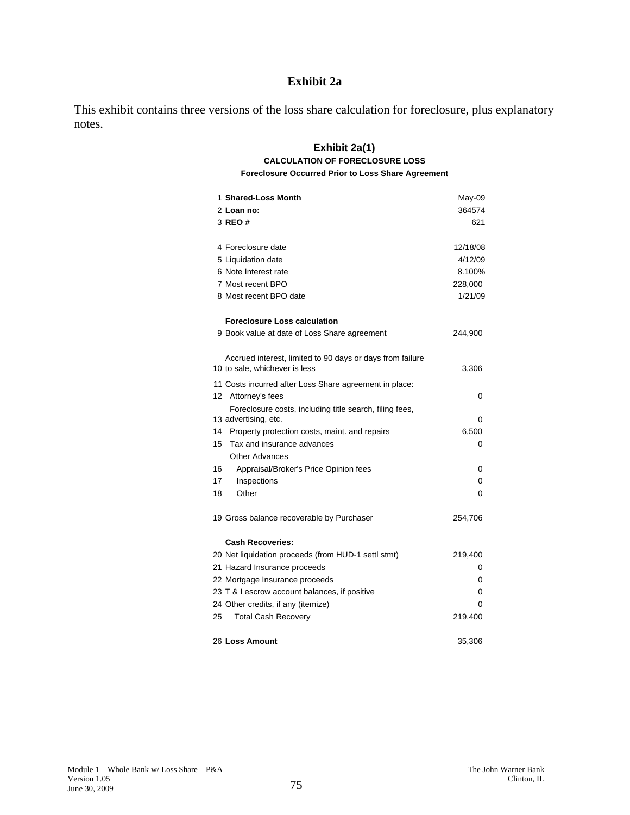### **Exhibit 2a**

This exhibit contains three versions of the loss share calculation for foreclosure, plus explanatory notes.

#### **Foreclosure Occurred Prior to Loss Share Agreement Exhibit 2a(1) CALCULATION OF FORECLOSURE LOSS**

| 1 Shared-Loss Month<br>2 Loan no:<br>3 REO #              | May-09<br>364574<br>621 |
|-----------------------------------------------------------|-------------------------|
| 4 Foreclosure date                                        | 12/18/08                |
| 5 Liquidation date                                        | 4/12/09                 |
| 6 Note Interest rate                                      | 8.100%                  |
| 7 Most recent BPO                                         | 228,000                 |
| 8 Most recent BPO date                                    | 1/21/09                 |
| <b>Foreclosure Loss calculation</b>                       |                         |
| 9 Book value at date of Loss Share agreement              | 244,900                 |
| Accrued interest, limited to 90 days or days from failure |                         |
| 10 to sale, whichever is less                             | 3,306                   |
| 11 Costs incurred after Loss Share agreement in place:    |                         |
| Attorney's fees<br>12                                     | 0                       |
| Foreclosure costs, including title search, filing fees,   |                         |
| 13 advertising, etc.                                      | 0                       |
| 14<br>Property protection costs, maint. and repairs       | 6,500                   |
| 15<br>Tax and insurance advances                          | 0                       |
| <b>Other Advances</b>                                     |                         |
| 16<br>Appraisal/Broker's Price Opinion fees               | 0                       |
| 17<br>Inspections                                         | 0                       |
| 18<br>Other                                               | 0                       |
| 19 Gross balance recoverable by Purchaser                 | 254,706                 |
| <b>Cash Recoveries:</b>                                   |                         |
| 20 Net liquidation proceeds (from HUD-1 settl stmt)       | 219,400                 |
| 21 Hazard Insurance proceeds                              | 0                       |
| 22 Mortgage Insurance proceeds                            | 0                       |
| 23 T & I escrow account balances, if positive             | 0                       |
| 24 Other credits, if any (itemize)                        | 0                       |
| 25<br><b>Total Cash Recovery</b>                          | 219,400                 |
| 26 Loss Amount                                            | 35,306                  |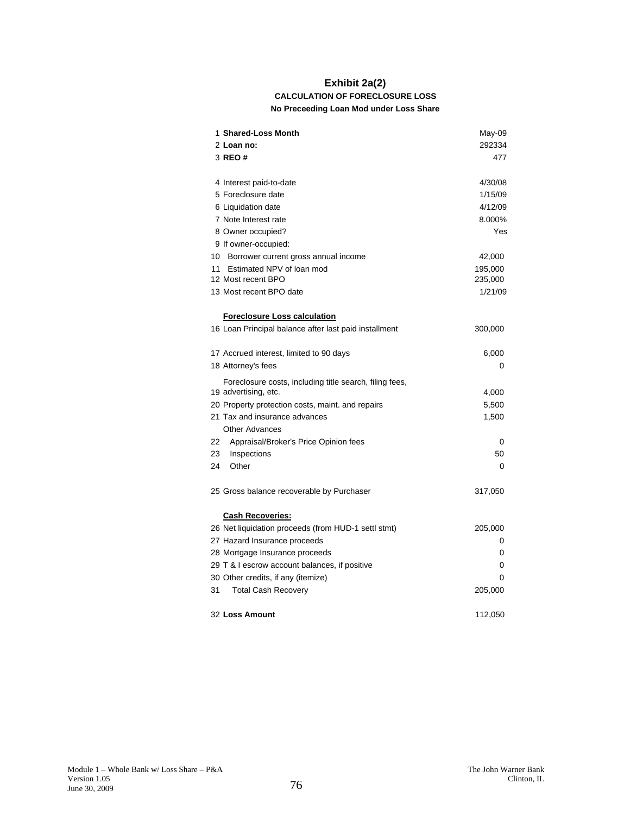#### **Exhibit 2a(2)**

#### **CALCULATION OF FORECLOSURE LOSS**

#### **No Preceeding Loan Mod under Loss Share**

| 1 Shared-Loss Month                                     | May-09  |
|---------------------------------------------------------|---------|
| 2 Loan no:                                              | 292334  |
| 3 REO #                                                 | 477     |
| 4 Interest paid-to-date                                 | 4/30/08 |
| 5 Foreclosure date                                      | 1/15/09 |
| 6 Liquidation date                                      | 4/12/09 |
| 7 Note Interest rate                                    | 8.000%  |
| 8 Owner occupied?                                       | Yes     |
| 9 If owner-occupied:                                    |         |
| 10<br>Borrower current gross annual income              | 42,000  |
| 11<br>Estimated NPV of loan mod                         | 195,000 |
| 12 Most recent BPO                                      | 235,000 |
| 13 Most recent BPO date                                 | 1/21/09 |
| <b>Foreclosure Loss calculation</b>                     |         |
| 16 Loan Principal balance after last paid installment   | 300,000 |
| 17 Accrued interest, limited to 90 days                 | 6,000   |
| 18 Attorney's fees                                      | 0       |
| Foreclosure costs, including title search, filing fees, |         |
| 19 advertising, etc.                                    | 4,000   |
| 20 Property protection costs, maint. and repairs        | 5,500   |
| 21 Tax and insurance advances                           | 1,500   |
| <b>Other Advances</b>                                   |         |
| 22<br>Appraisal/Broker's Price Opinion fees             | 0       |
| 23<br>Inspections                                       | 50      |
| 24<br>Other                                             | 0       |
| 25 Gross balance recoverable by Purchaser               | 317,050 |
| <b>Cash Recoveries:</b>                                 |         |
| 26 Net liquidation proceeds (from HUD-1 settl stmt)     | 205,000 |
| 27 Hazard Insurance proceeds                            | 0       |
| 28 Mortgage Insurance proceeds                          | 0       |
| 29 T & I escrow account balances, if positive           | 0       |
| 30 Other credits, if any (itemize)                      | 0       |
| 31<br><b>Total Cash Recovery</b>                        | 205,000 |
| 32 Loss Amount                                          | 112,050 |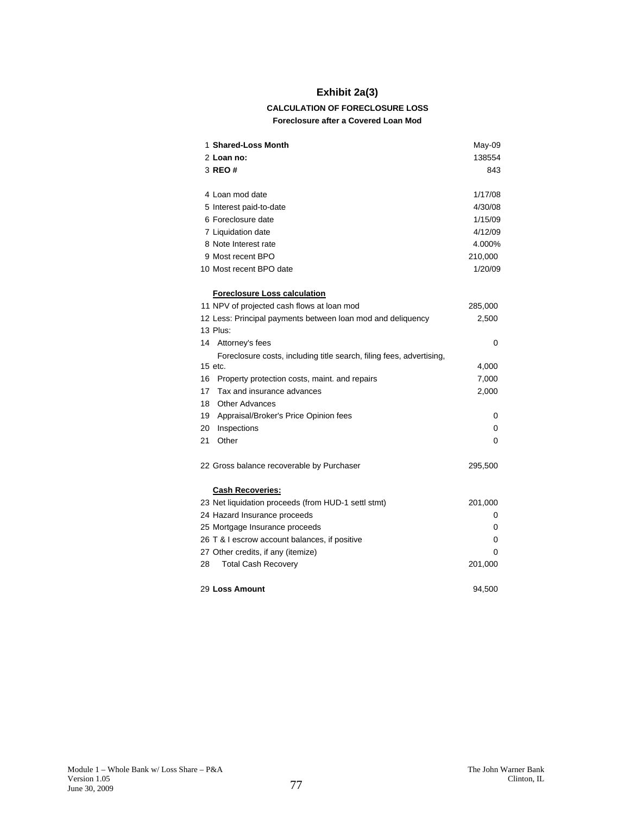## **Exhibit 2a(3)**

#### **CALCULATION OF FORECLOSURE LOSS Foreclosure after a Covered Loan Mod**

| 1 Shared-Loss Month                                                  | May-09  |
|----------------------------------------------------------------------|---------|
| 2 Loan no:                                                           | 138554  |
| 3 REO #                                                              | 843     |
|                                                                      |         |
| 4 Loan mod date                                                      | 1/17/08 |
| 5 Interest paid-to-date                                              | 4/30/08 |
| 6 Foreclosure date                                                   | 1/15/09 |
| 7 Liquidation date                                                   | 4/12/09 |
| 8 Note Interest rate                                                 | 4.000%  |
| 9 Most recent BPO                                                    | 210,000 |
| 10 Most recent BPO date                                              | 1/20/09 |
|                                                                      |         |
| <b>Foreclosure Loss calculation</b>                                  |         |
| 11 NPV of projected cash flows at loan mod                           | 285,000 |
| 12 Less: Principal payments between loan mod and deliquency          | 2,500   |
| 13 Plus:                                                             |         |
| Attorney's fees<br>14                                                | 0       |
| Foreclosure costs, including title search, filing fees, advertising, |         |
| 15 etc.                                                              | 4,000   |
| 16<br>Property protection costs, maint. and repairs                  | 7,000   |
| 17<br>Tax and insurance advances                                     | 2,000   |
| <b>Other Advances</b><br>18                                          |         |
| 19 Appraisal/Broker's Price Opinion fees                             | 0       |
| 20<br>Inspections                                                    | 0       |
| 21<br>Other                                                          | 0       |
|                                                                      |         |
| 22 Gross balance recoverable by Purchaser                            | 295,500 |
|                                                                      |         |
| <b>Cash Recoveries:</b>                                              |         |
| 23 Net liquidation proceeds (from HUD-1 settl stmt)                  | 201,000 |
| 24 Hazard Insurance proceeds                                         | 0       |
| 25 Mortgage Insurance proceeds                                       | 0       |
| 26 T & I escrow account balances, if positive                        | 0       |
| 27 Other credits, if any (itemize)                                   | 0       |
| 28<br><b>Total Cash Recovery</b>                                     | 201,000 |
|                                                                      |         |
| 29 Loss Amount                                                       | 94,500  |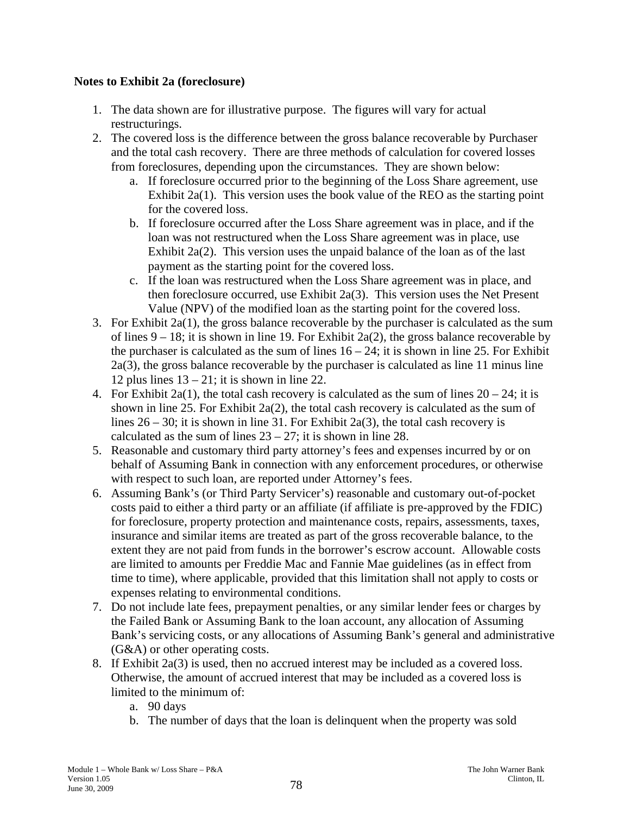### **Notes to Exhibit 2a (foreclosure)**

- 1. The data shown are for illustrative purpose. The figures will vary for actual restructurings.
- 2. The covered loss is the difference between the gross balance recoverable by Purchaser and the total cash recovery. There are three methods of calculation for covered losses from foreclosures, depending upon the circumstances. They are shown below:
	- a. If foreclosure occurred prior to the beginning of the Loss Share agreement, use Exhibit 2a(1). This version uses the book value of the REO as the starting point for the covered loss.
	- b. If foreclosure occurred after the Loss Share agreement was in place, and if the loan was not restructured when the Loss Share agreement was in place, use Exhibit 2a(2). This version uses the unpaid balance of the loan as of the last payment as the starting point for the covered loss.
	- c. If the loan was restructured when the Loss Share agreement was in place, and then foreclosure occurred, use Exhibit 2a(3). This version uses the Net Present Value (NPV) of the modified loan as the starting point for the covered loss.
- 3. For Exhibit 2a(1), the gross balance recoverable by the purchaser is calculated as the sum of lines  $9 - 18$ ; it is shown in line 19. For Exhibit 2a(2), the gross balance recoverable by the purchaser is calculated as the sum of lines  $16 - 24$ ; it is shown in line 25. For Exhibit 2a(3), the gross balance recoverable by the purchaser is calculated as line 11 minus line 12 plus lines  $13 - 21$ ; it is shown in line 22.
- 4. For Exhibit 2a(1), the total cash recovery is calculated as the sum of lines  $20 24$ ; it is shown in line 25. For Exhibit 2a(2), the total cash recovery is calculated as the sum of lines  $26 - 30$ ; it is shown in line 31. For Exhibit 2a(3), the total cash recovery is calculated as the sum of lines  $23 - 27$ ; it is shown in line 28.
- 5. Reasonable and customary third party attorney's fees and expenses incurred by or on behalf of Assuming Bank in connection with any enforcement procedures, or otherwise with respect to such loan, are reported under Attorney's fees.
- 6. Assuming Bank's (or Third Party Servicer's) reasonable and customary out-of-pocket costs paid to either a third party or an affiliate (if affiliate is pre-approved by the FDIC) for foreclosure, property protection and maintenance costs, repairs, assessments, taxes, insurance and similar items are treated as part of the gross recoverable balance, to the extent they are not paid from funds in the borrower's escrow account. Allowable costs are limited to amounts per Freddie Mac and Fannie Mae guidelines (as in effect from time to time), where applicable, provided that this limitation shall not apply to costs or expenses relating to environmental conditions.
- 7. Do not include late fees, prepayment penalties, or any similar lender fees or charges by the Failed Bank or Assuming Bank to the loan account, any allocation of Assuming Bank's servicing costs, or any allocations of Assuming Bank's general and administrative (G&A) or other operating costs.
- 8. If Exhibit 2a(3) is used, then no accrued interest may be included as a covered loss. Otherwise, the amount of accrued interest that may be included as a covered loss is limited to the minimum of:
	- a. 90 days
	- b. The number of days that the loan is delinquent when the property was sold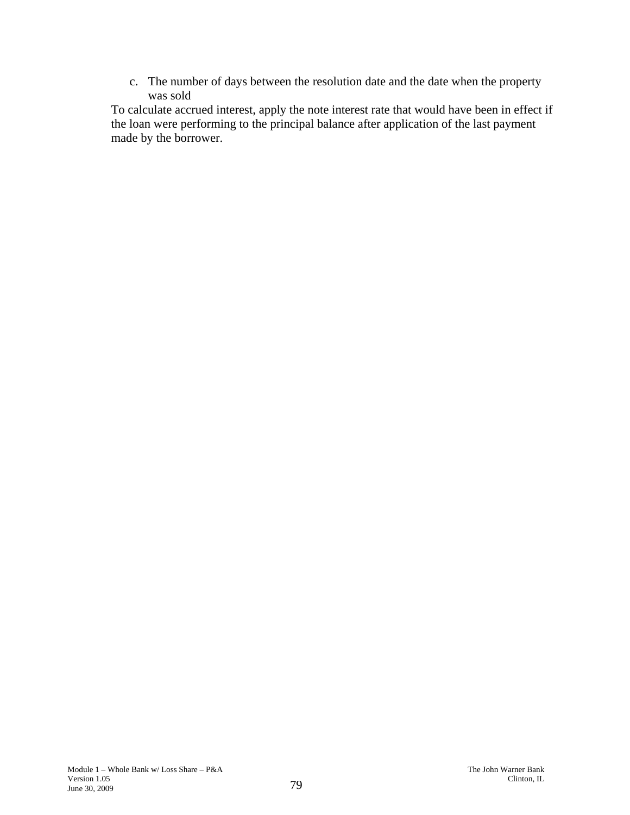c. The number of days between the resolution date and the date when the property was sold

To calculate accrued interest, apply the note interest rate that would have been in effect if the loan were performing to the principal balance after application of the last payment made by the borrower.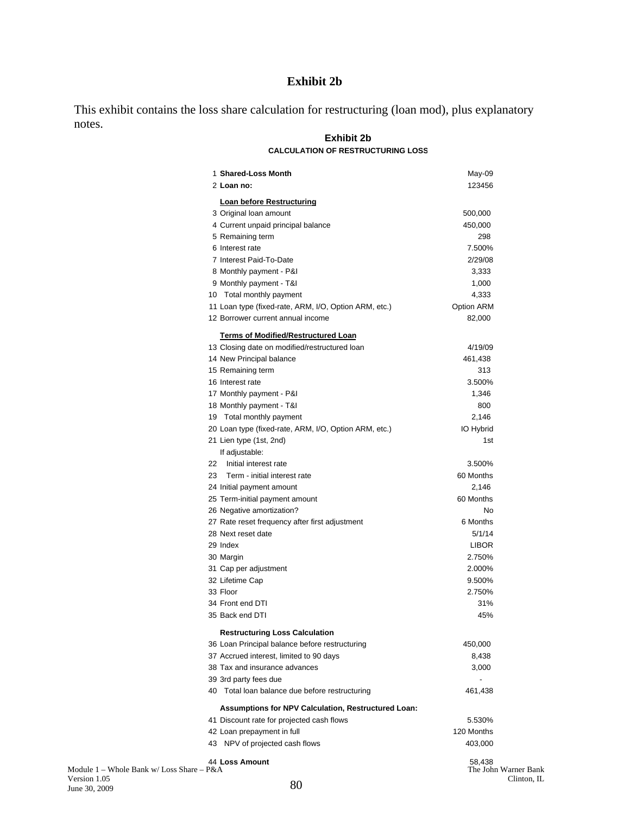# **Exhibit 2b**

This exhibit contains the loss share calculation for restructuring (loan mod), plus explanatory notes.

#### **Exhibit 2b CALCULATION OF RESTRUCTURING LOS S**

|                                                                       | 1 Shared-Loss Month                                   | May-09                               |
|-----------------------------------------------------------------------|-------------------------------------------------------|--------------------------------------|
|                                                                       | 2 Loan no:                                            | 123456                               |
|                                                                       | <b>Loan before Restructuring</b>                      |                                      |
|                                                                       | 3 Original loan amount                                | 500,000                              |
|                                                                       | 4 Current unpaid principal balance                    | 450,000                              |
|                                                                       | 5 Remaining term                                      | 298                                  |
|                                                                       | 6 Interest rate                                       | 7.500%                               |
|                                                                       | 7 Interest Paid-To-Date                               | 2/29/08                              |
|                                                                       | 8 Monthly payment - P&I                               | 3,333                                |
|                                                                       | 9 Monthly payment - T&I                               | 1,000                                |
|                                                                       | 10 Total monthly payment                              | 4,333                                |
|                                                                       | 11 Loan type (fixed-rate, ARM, I/O, Option ARM, etc.) | <b>Option ARM</b>                    |
|                                                                       | 12 Borrower current annual income                     | 82,000                               |
|                                                                       | <b>Terms of Modified/Restructured Loan</b>            |                                      |
|                                                                       | 13 Closing date on modified/restructured loan         | 4/19/09                              |
|                                                                       | 14 New Principal balance                              | 461,438                              |
|                                                                       | 15 Remaining term                                     | 313                                  |
|                                                                       | 16 Interest rate                                      | 3.500%                               |
|                                                                       | 17 Monthly payment - P&I                              | 1,346                                |
|                                                                       | 18 Monthly payment - T&I                              | 800                                  |
|                                                                       | 19 Total monthly payment                              | 2,146                                |
|                                                                       | 20 Loan type (fixed-rate, ARM, I/O, Option ARM, etc.) | IO Hybrid                            |
|                                                                       | 21 Lien type (1st, 2nd)                               | 1st                                  |
|                                                                       | If adjustable:                                        |                                      |
|                                                                       | 22 Initial interest rate                              | 3.500%                               |
| 23                                                                    | Term - initial interest rate                          | 60 Months                            |
|                                                                       | 24 Initial payment amount                             | 2,146                                |
|                                                                       | 25 Term-initial payment amount                        | 60 Months                            |
|                                                                       | 26 Negative amortization?                             | No                                   |
|                                                                       | 27 Rate reset frequency after first adjustment        | 6 Months                             |
|                                                                       | 28 Next reset date                                    | 5/1/14                               |
|                                                                       | 29 Index                                              | <b>LIBOR</b>                         |
|                                                                       | 30 Margin                                             | 2.750%                               |
|                                                                       | 31 Cap per adjustment                                 | 2.000%                               |
|                                                                       | 32 Lifetime Cap                                       | 9.500%                               |
|                                                                       | 33 Floor                                              | 2.750%                               |
|                                                                       | 34 Front end DTI                                      | 31%                                  |
|                                                                       | 35 Back end DTI                                       | 45%                                  |
|                                                                       | <b>Restructuring Loss Calculation</b>                 |                                      |
|                                                                       | 36 Loan Principal balance before restructuring        | 450,000                              |
|                                                                       | 37 Accrued interest, limited to 90 days               | 8,438                                |
|                                                                       | 38 Tax and insurance advances                         | 3,000                                |
|                                                                       | 39 3rd party fees due                                 |                                      |
|                                                                       | 40 Total loan balance due before restructuring        | 461,438                              |
|                                                                       | Assumptions for NPV Calculation, Restructured Loan:   |                                      |
|                                                                       | 41 Discount rate for projected cash flows             | 5.530%                               |
|                                                                       | 42 Loan prepayment in full                            | 120 Months                           |
|                                                                       | 43 NPV of projected cash flows                        | 403,000                              |
|                                                                       | 44 Loss Amount                                        | 58,438                               |
| Module 1 – Whole Bank w/ Loss Share – P&A<br>$V_{\text{anicon}}$ 1.05 |                                                       | The John Warner Bank<br>$Clinton$ II |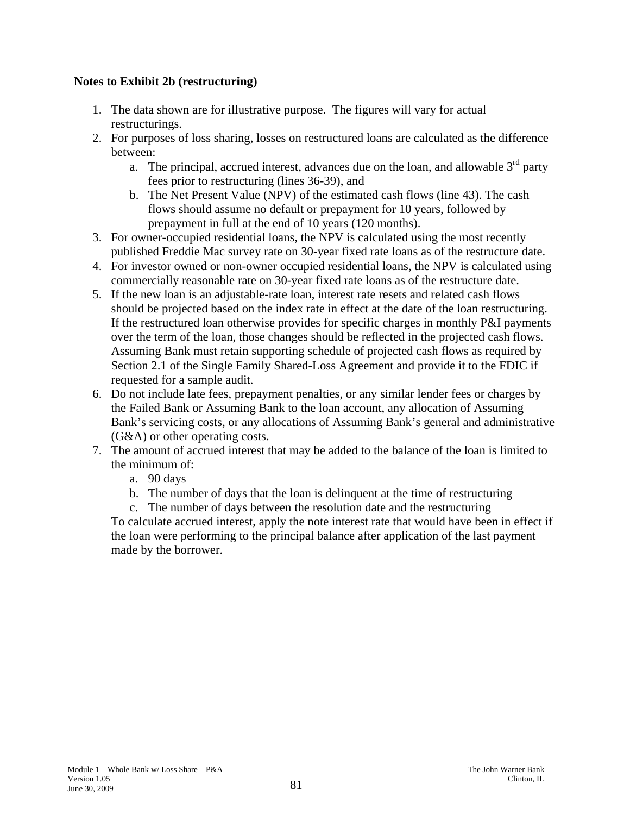### **Notes to Exhibit 2b (restructuring)**

- 1. The data shown are for illustrative purpose. The figures will vary for actual restructurings.
- 2. For purposes of loss sharing, losses on restructured loans are calculated as the difference between:
	- a. The principal, accrued interest, advances due on the loan, and allowable  $3<sup>rd</sup>$  party fees prior to restructuring (lines 36-39), and
	- b. The Net Present Value (NPV) of the estimated cash flows (line 43). The cash flows should assume no default or prepayment for 10 years, followed by prepayment in full at the end of 10 years (120 months).
- 3. For owner-occupied residential loans, the NPV is calculated using the most recently published Freddie Mac survey rate on 30-year fixed rate loans as of the restructure date.
- 4. For investor owned or non-owner occupied residential loans, the NPV is calculated using commercially reasonable rate on 30-year fixed rate loans as of the restructure date.
- 5. If the new loan is an adjustable-rate loan, interest rate resets and related cash flows should be projected based on the index rate in effect at the date of the loan restructuring. If the restructured loan otherwise provides for specific charges in monthly P&I payments over the term of the loan, those changes should be reflected in the projected cash flows. Assuming Bank must retain supporting schedule of projected cash flows as required by Section 2.1 of the Single Family Shared-Loss Agreement and provide it to the FDIC if requested for a sample audit.
- 6. Do not include late fees, prepayment penalties, or any similar lender fees or charges by the Failed Bank or Assuming Bank to the loan account, any allocation of Assuming Bank's servicing costs, or any allocations of Assuming Bank's general and administrative (G&A) or other operating costs.
- 7. The amount of accrued interest that may be added to the balance of the loan is limited to the minimum of:
	- a. 90 days
	- b. The number of days that the loan is delinquent at the time of restructuring

c. The number of days between the resolution date and the restructuring To calculate accrued interest, apply the note interest rate that would have been in effect if the loan were performing to the principal balance after application of the last payment made by the borrower.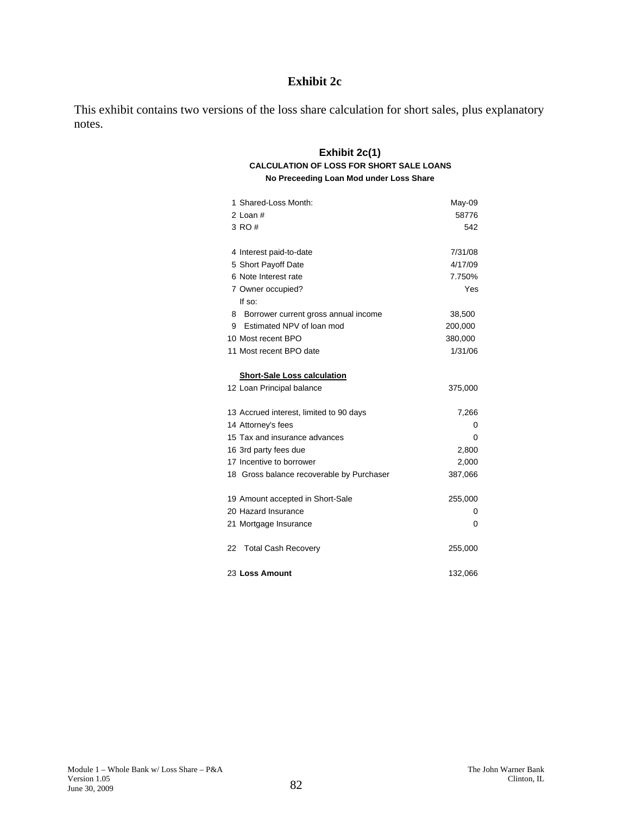### **Exhibit 2c**

This exhibit contains two versions of the loss share calculation for short sales, plus explanatory notes.

#### **Exhibit 2c(1) CALCULATION OF LOSS FOR SHORT SALE LOANS No Preceeding Loan Mod under Loss Share**

| 1 Shared-Loss Month:<br>2 Loan $#$<br>3 RO # | May-09<br>58776<br>542 |
|----------------------------------------------|------------------------|
| 4 Interest paid-to-date                      | 7/31/08                |
| 5 Short Payoff Date                          | 4/17/09                |
| 6 Note Interest rate                         | 7.750%                 |
| 7 Owner occupied?                            | Yes                    |
| If so:                                       |                        |
| Borrower current gross annual income<br>8    | 38,500                 |
| Estimated NPV of loan mod<br>9               | 200,000                |
| 10 Most recent BPO                           | 380,000                |
| 11 Most recent BPO date                      | 1/31/06                |
| <b>Short-Sale Loss calculation</b>           |                        |
| 12 Loan Principal balance                    | 375,000                |
| 13 Accrued interest, limited to 90 days      | 7,266                  |
| 14 Attorney's fees                           | 0                      |
| 15 Tax and insurance advances                | 0                      |
| 16 3rd party fees due                        | 2,800                  |
| 17 Incentive to borrower                     | 2,000                  |
| 18 Gross balance recoverable by Purchaser    | 387,066                |
|                                              |                        |
| 19 Amount accepted in Short-Sale             | 255,000                |
| 20 Hazard Insurance                          | 0                      |
| 21 Mortgage Insurance                        | 0                      |
| 22 Total Cash Recovery                       | 255,000                |
| 23 Loss Amount                               | 132,066                |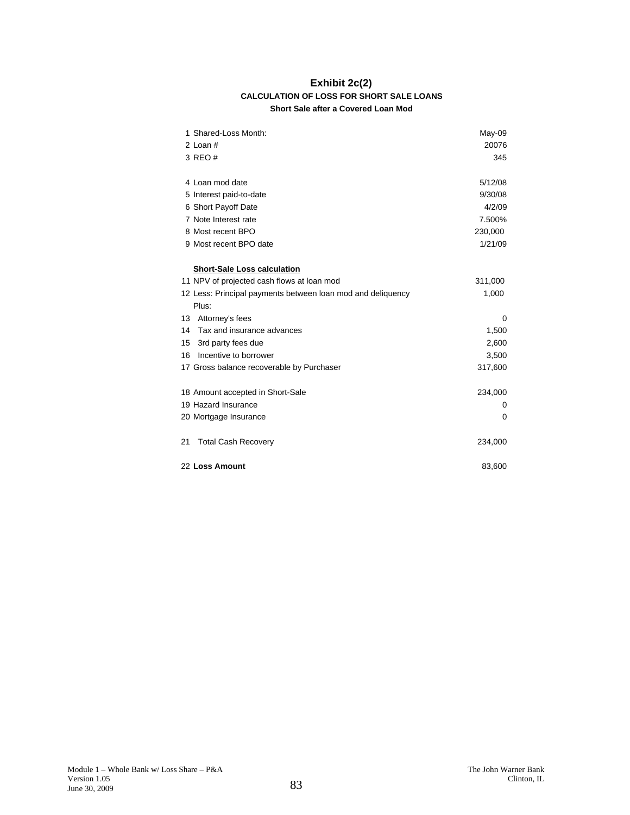#### **Short Sale after a Covered Loan Mod Exhibit 2c(2) CALCULATION OF LOSS FOR SHORT SALE LOANS**

| 1 Shared-Loss Month:                                        | May-09   |
|-------------------------------------------------------------|----------|
| 2 Loan $#$                                                  | 20076    |
| 3 REO #                                                     | 345      |
|                                                             |          |
| 4 Loan mod date                                             | 5/12/08  |
| 5 Interest paid-to-date                                     | 9/30/08  |
| 6 Short Payoff Date                                         | 4/2/09   |
| 7 Note Interest rate                                        | 7.500%   |
| 8 Most recent BPO                                           | 230,000  |
| 9 Most recent BPO date                                      | 1/21/09  |
|                                                             |          |
| <b>Short-Sale Loss calculation</b>                          |          |
| 11 NPV of projected cash flows at loan mod                  | 311,000  |
| 12 Less: Principal payments between loan mod and deliquency | 1,000    |
| Plus:                                                       |          |
| Attorney's fees<br>13                                       | $\Omega$ |
| Tax and insurance advances<br>14                            | 1,500    |
| 3rd party fees due<br>15                                    | 2,600    |
| Incentive to borrower<br>16                                 | 3,500    |
| 17 Gross balance recoverable by Purchaser                   | 317,600  |
|                                                             |          |
| 18 Amount accepted in Short-Sale                            | 234,000  |
| 19 Hazard Insurance                                         | 0        |
| 20 Mortgage Insurance                                       | 0        |
|                                                             |          |
| <b>Total Cash Recovery</b><br>21                            | 234,000  |
|                                                             |          |
| 22 Loss Amount                                              | 83,600   |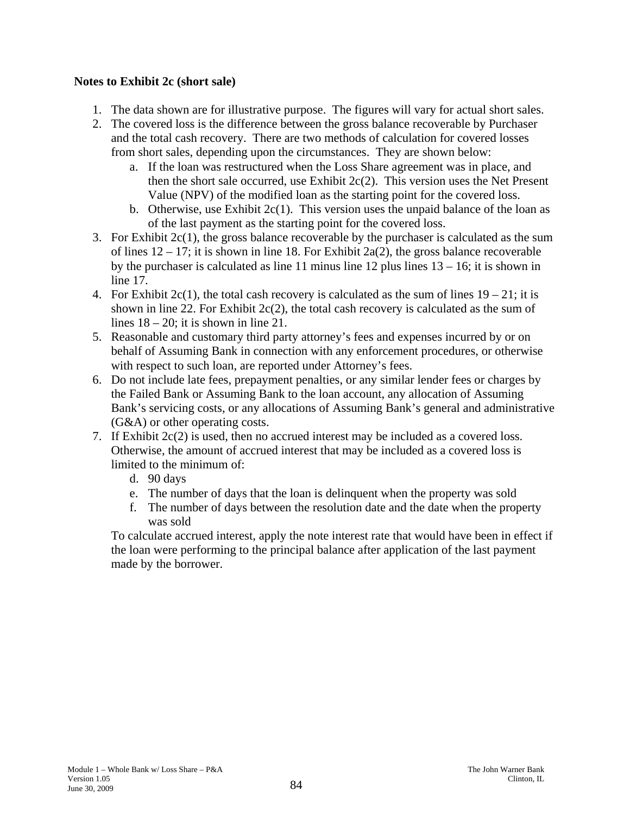### **Notes to Exhibit 2c (short sale)**

- 1. The data shown are for illustrative purpose. The figures will vary for actual short sales.
- 2. The covered loss is the difference between the gross balance recoverable by Purchaser and the total cash recovery. There are two methods of calculation for covered losses from short sales, depending upon the circumstances. They are shown below:
	- a. If the loan was restructured when the Loss Share agreement was in place, and then the short sale occurred, use Exhibit  $2c(2)$ . This version uses the Net Present Value (NPV) of the modified loan as the starting point for the covered loss.
	- b. Otherwise, use Exhibit  $2c(1)$ . This version uses the unpaid balance of the loan as of the last payment as the starting point for the covered loss.
- 3. For Exhibit  $2c(1)$ , the gross balance recoverable by the purchaser is calculated as the sum of lines  $12 - 17$ ; it is shown in line 18. For Exhibit 2a(2), the gross balance recoverable by the purchaser is calculated as line 11 minus line 12 plus lines 13 – 16; it is shown in line 17.
- 4. For Exhibit 2c(1), the total cash recovery is calculated as the sum of lines  $19 21$ ; it is shown in line 22. For Exhibit  $2c(2)$ , the total cash recovery is calculated as the sum of lines  $18 - 20$ ; it is shown in line 21.
- 5. Reasonable and customary third party attorney's fees and expenses incurred by or on behalf of Assuming Bank in connection with any enforcement procedures, or otherwise with respect to such loan, are reported under Attorney's fees.
- 6. Do not include late fees, prepayment penalties, or any similar lender fees or charges by the Failed Bank or Assuming Bank to the loan account, any allocation of Assuming Bank's servicing costs, or any allocations of Assuming Bank's general and administrative (G&A) or other operating costs.
- 7. If Exhibit  $2c(2)$  is used, then no accrued interest may be included as a covered loss. Otherwise, the amount of accrued interest that may be included as a covered loss is limited to the minimum of:
	- d. 90 days
	- e. The number of days that the loan is delinquent when the property was sold
	- f. The number of days between the resolution date and the date when the property was sold

To calculate accrued interest, apply the note interest rate that would have been in effect if the loan were performing to the principal balance after application of the last payment made by the borrower.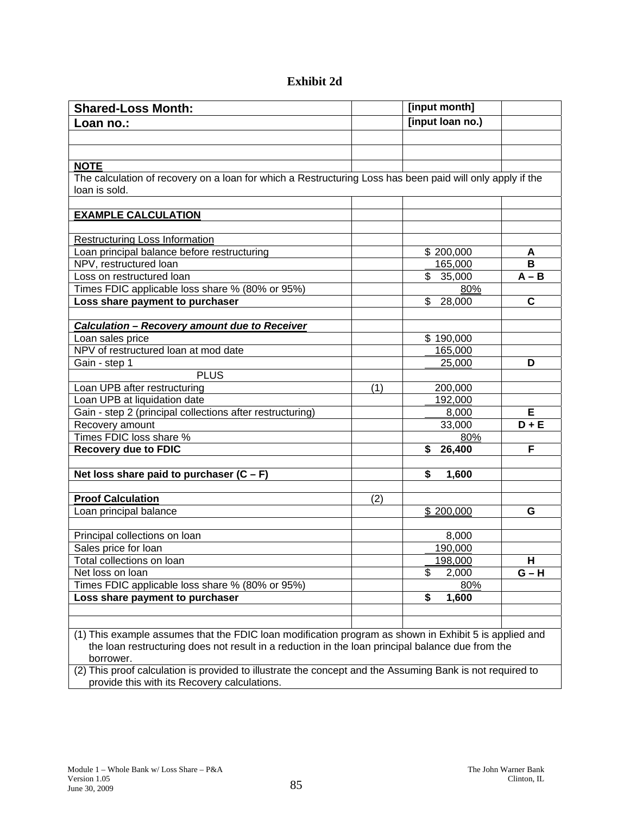# **Exhibit 2d**

| <b>Shared-Loss Month:</b>                                                                                                                                 | [input month] |                  |         |
|-----------------------------------------------------------------------------------------------------------------------------------------------------------|---------------|------------------|---------|
| Loan no.:                                                                                                                                                 |               | [input loan no.) |         |
|                                                                                                                                                           |               |                  |         |
|                                                                                                                                                           |               |                  |         |
| <b>NOTE</b>                                                                                                                                               |               |                  |         |
| The calculation of recovery on a loan for which a Restructuring Loss has been paid will only apply if the                                                 |               |                  |         |
| loan is sold.                                                                                                                                             |               |                  |         |
|                                                                                                                                                           |               |                  |         |
| <b>EXAMPLE CALCULATION</b>                                                                                                                                |               |                  |         |
|                                                                                                                                                           |               |                  |         |
| <b>Restructuring Loss Information</b>                                                                                                                     |               |                  |         |
| Loan principal balance before restructuring                                                                                                               |               | \$200,000        | A       |
| NPV, restructured loan                                                                                                                                    |               | 165,000          | B       |
| Loss on restructured loan                                                                                                                                 |               | \$35,000         | $A - B$ |
| Times FDIC applicable loss share % (80% or 95%)                                                                                                           |               | 80%              |         |
| Loss share payment to purchaser                                                                                                                           |               | \$28,000         | C       |
|                                                                                                                                                           |               |                  |         |
| Calculation - Recovery amount due to Receiver                                                                                                             |               |                  |         |
| Loan sales price                                                                                                                                          |               | \$190,000        |         |
| NPV of restructured loan at mod date                                                                                                                      |               | 165,000          |         |
| Gain - step 1                                                                                                                                             |               | 25,000           | D       |
| <b>PLUS</b>                                                                                                                                               |               |                  |         |
| Loan UPB after restructuring                                                                                                                              | (1)           | 200,000          |         |
| Loan UPB at liquidation date                                                                                                                              |               | 192,000          | Е       |
| Gain - step 2 (principal collections after restructuring)<br>Recovery amount                                                                              |               | 8,000<br>33,000  | $D + E$ |
| Times FDIC loss share %                                                                                                                                   |               | 80%              |         |
| <b>Recovery due to FDIC</b>                                                                                                                               |               | \$26,400         | F       |
|                                                                                                                                                           |               |                  |         |
| Net loss share paid to purchaser $(C - F)$                                                                                                                |               | \$<br>1,600      |         |
|                                                                                                                                                           |               |                  |         |
| <b>Proof Calculation</b>                                                                                                                                  | (2)           |                  |         |
| Loan principal balance                                                                                                                                    |               | \$200,000        | G       |
|                                                                                                                                                           |               |                  |         |
| Principal collections on loan                                                                                                                             |               | 8,000            |         |
| Sales price for loan                                                                                                                                      |               | 190,000          |         |
| Total collections on loan                                                                                                                                 |               | 198,000          | H       |
| Net loss on loan                                                                                                                                          |               | \$<br>2,000      | G – H   |
| Times FDIC applicable loss share % (80% or 95%)                                                                                                           |               | 80%              |         |
| Loss share payment to purchaser                                                                                                                           |               | 1,600<br>\$      |         |
|                                                                                                                                                           |               |                  |         |
|                                                                                                                                                           |               |                  |         |
| (1) This example assumes that the FDIC loan modification program as shown in Exhibit 5 is applied and                                                     |               |                  |         |
| the loan restructuring does not result in a reduction in the loan principal balance due from the                                                          |               |                  |         |
| borrower.                                                                                                                                                 |               |                  |         |
| (2) This proof calculation is provided to illustrate the concept and the Assuming Bank is not required to<br>provide this with its Recovery calculations. |               |                  |         |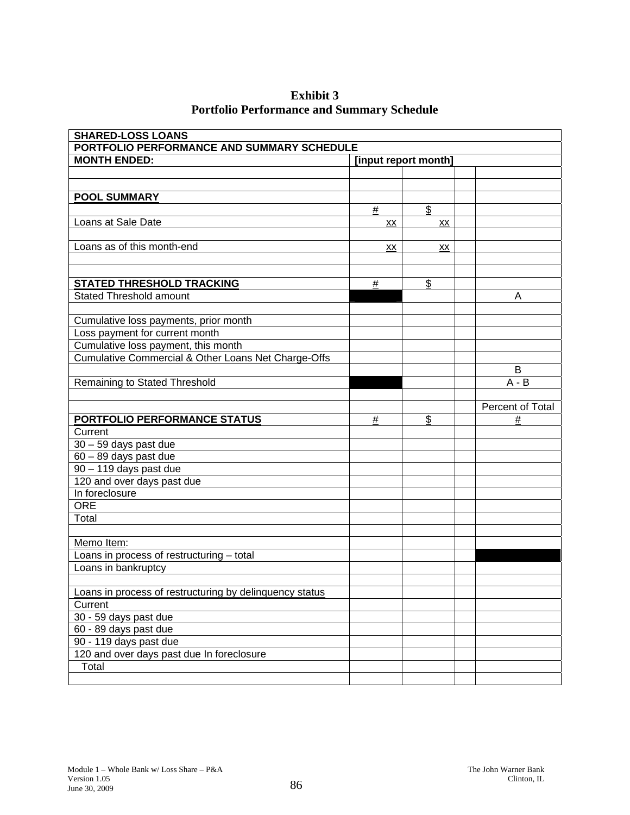| <b>SHARED-LOSS LOANS</b><br>PORTFOLIO PERFORMANCE AND SUMMARY SCHEDULE |                      |    |                  |
|------------------------------------------------------------------------|----------------------|----|------------------|
| <b>MONTH ENDED:</b>                                                    | [input report month] |    |                  |
|                                                                        |                      |    |                  |
|                                                                        |                      |    |                  |
| <b>POOL SUMMARY</b>                                                    |                      |    |                  |
|                                                                        | $\#$                 | \$ |                  |
| Loans at Sale Date                                                     | XX                   | XX |                  |
|                                                                        |                      |    |                  |
| Loans as of this month-end                                             | XX                   | XX |                  |
|                                                                        |                      |    |                  |
| <b>STATED THRESHOLD TRACKING</b>                                       | $\#$                 | \$ |                  |
| <b>Stated Threshold amount</b>                                         |                      |    | A                |
|                                                                        |                      |    |                  |
| Cumulative loss payments, prior month                                  |                      |    |                  |
| Loss payment for current month                                         |                      |    |                  |
| Cumulative loss payment, this month                                    |                      |    |                  |
| Cumulative Commercial & Other Loans Net Charge-Offs                    |                      |    |                  |
|                                                                        |                      |    | B                |
| Remaining to Stated Threshold                                          |                      |    | $A - B$          |
|                                                                        |                      |    |                  |
|                                                                        |                      |    | Percent of Total |
| <b>PORTFOLIO PERFORMANCE STATUS</b>                                    | $\#$                 | \$ | $\#$             |
| Current                                                                |                      |    |                  |
| $30 - 59$ days past due                                                |                      |    |                  |
| $60 - 89$ days past due                                                |                      |    |                  |
| $90 - 119$ days past due                                               |                      |    |                  |
| 120 and over days past due                                             |                      |    |                  |
| In foreclosure                                                         |                      |    |                  |
| <b>ORE</b>                                                             |                      |    |                  |
| Total                                                                  |                      |    |                  |
|                                                                        |                      |    |                  |
| Memo Item:                                                             |                      |    |                  |
| Loans in process of restructuring - total                              |                      |    |                  |
| Loans in bankruptcy                                                    |                      |    |                  |
|                                                                        |                      |    |                  |
| Loans in process of restructuring by delinquency status                |                      |    |                  |
| Current                                                                |                      |    |                  |
| 30 - 59 days past due                                                  |                      |    |                  |
| 60 - 89 days past due                                                  |                      |    |                  |
| 90 - 119 days past due                                                 |                      |    |                  |
| 120 and over days past due In foreclosure                              |                      |    |                  |
| Total                                                                  |                      |    |                  |

## **Exhibit 3 Portfolio Performance and Summary Schedule**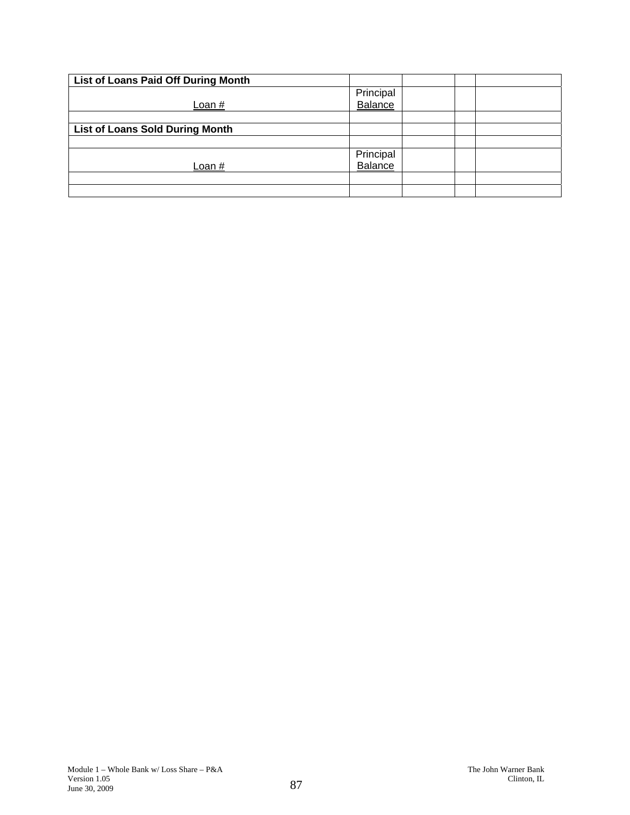| List of Loans Paid Off During Month    |                      |  |
|----------------------------------------|----------------------|--|
|                                        | Principal            |  |
| Loan #                                 | Balance              |  |
|                                        |                      |  |
| <b>List of Loans Sold During Month</b> |                      |  |
|                                        |                      |  |
|                                        | Principal<br>Balance |  |
| Loan #                                 |                      |  |
|                                        |                      |  |
|                                        |                      |  |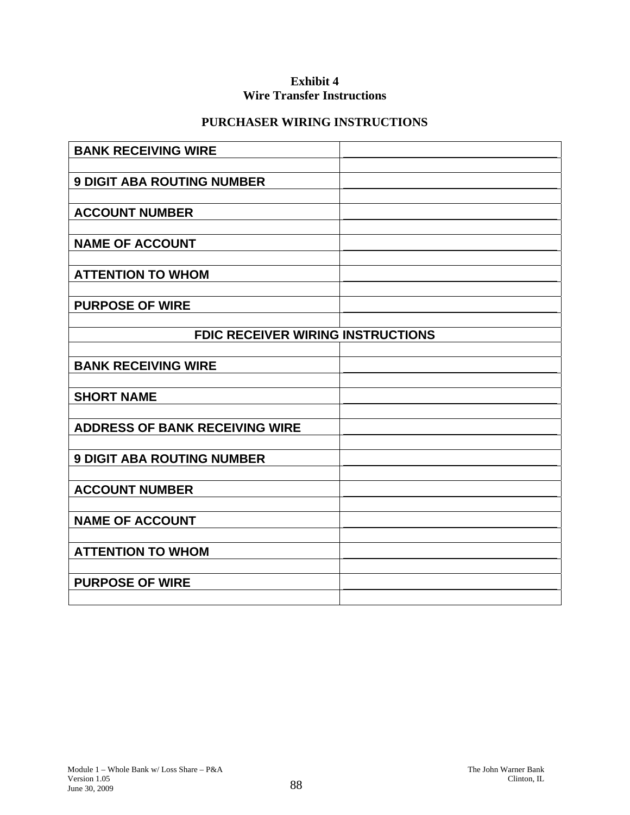### **Exhibit 4 Wire Transfer Instructions**

# **PURCHASER WIRING INSTRUCTIONS**

| <b>BANK RECEIVING WIRE</b>               |  |
|------------------------------------------|--|
|                                          |  |
| <b>9 DIGIT ABA ROUTING NUMBER</b>        |  |
|                                          |  |
| <b>ACCOUNT NUMBER</b>                    |  |
|                                          |  |
| <b>NAME OF ACCOUNT</b>                   |  |
|                                          |  |
| <b>ATTENTION TO WHOM</b>                 |  |
| <b>PURPOSE OF WIRE</b>                   |  |
|                                          |  |
| <b>FDIC RECEIVER WIRING INSTRUCTIONS</b> |  |
|                                          |  |
| <b>BANK RECEIVING WIRE</b>               |  |
|                                          |  |
| <b>SHORT NAME</b>                        |  |
|                                          |  |
| <b>ADDRESS OF BANK RECEIVING WIRE</b>    |  |
|                                          |  |
| <b>9 DIGIT ABA ROUTING NUMBER</b>        |  |
|                                          |  |
| <b>ACCOUNT NUMBER</b>                    |  |
|                                          |  |
| <b>NAME OF ACCOUNT</b>                   |  |
|                                          |  |
| <b>ATTENTION TO WHOM</b>                 |  |
| <b>PURPOSE OF WIRE</b>                   |  |
|                                          |  |
|                                          |  |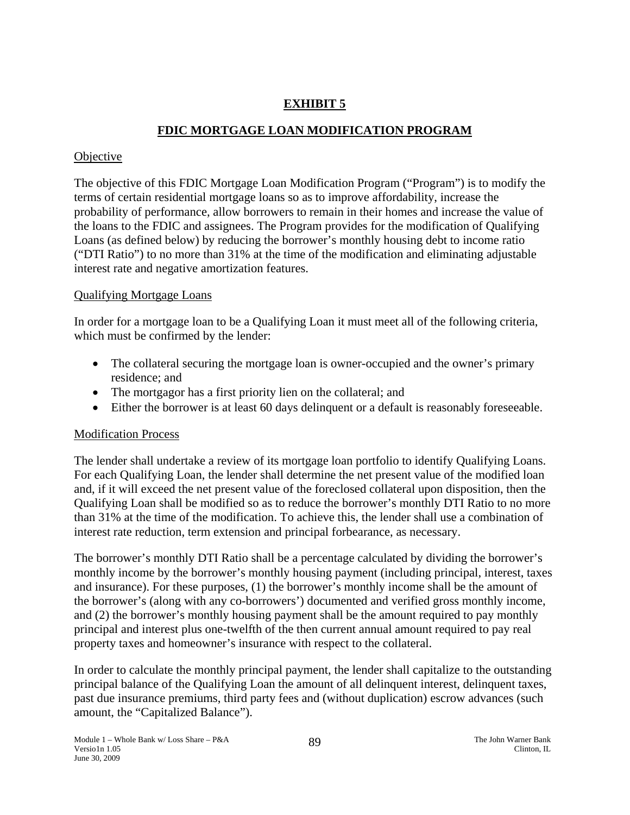# **EXHIBIT 5**

# **FDIC MORTGAGE LOAN MODIFICATION PROGRAM**

## **Objective**

The objective of this FDIC Mortgage Loan Modification Program ("Program") is to modify the terms of certain residential mortgage loans so as to improve affordability, increase the probability of performance, allow borrowers to remain in their homes and increase the value of the loans to the FDIC and assignees. The Program provides for the modification of Qualifying Loans (as defined below) by reducing the borrower's monthly housing debt to income ratio ("DTI Ratio") to no more than 31% at the time of the modification and eliminating adjustable interest rate and negative amortization features.

## Qualifying Mortgage Loans

In order for a mortgage loan to be a Qualifying Loan it must meet all of the following criteria, which must be confirmed by the lender:

- The collateral securing the mortgage loan is owner-occupied and the owner's primary residence; and
- The mortgagor has a first priority lien on the collateral; and
- Either the borrower is at least 60 days delinquent or a default is reasonably foreseeable.

### Modification Process

The lender shall undertake a review of its mortgage loan portfolio to identify Qualifying Loans. For each Qualifying Loan, the lender shall determine the net present value of the modified loan and, if it will exceed the net present value of the foreclosed collateral upon disposition, then the Qualifying Loan shall be modified so as to reduce the borrower's monthly DTI Ratio to no more than 31% at the time of the modification. To achieve this, the lender shall use a combination of interest rate reduction, term extension and principal forbearance, as necessary.

The borrower's monthly DTI Ratio shall be a percentage calculated by dividing the borrower's monthly income by the borrower's monthly housing payment (including principal, interest, taxes and insurance). For these purposes, (1) the borrower's monthly income shall be the amount of the borrower's (along with any co-borrowers') documented and verified gross monthly income, and (2) the borrower's monthly housing payment shall be the amount required to pay monthly principal and interest plus one-twelfth of the then current annual amount required to pay real property taxes and homeowner's insurance with respect to the collateral.

In order to calculate the monthly principal payment, the lender shall capitalize to the outstanding principal balance of the Qualifying Loan the amount of all delinquent interest, delinquent taxes, past due insurance premiums, third party fees and (without duplication) escrow advances (such amount, the "Capitalized Balance").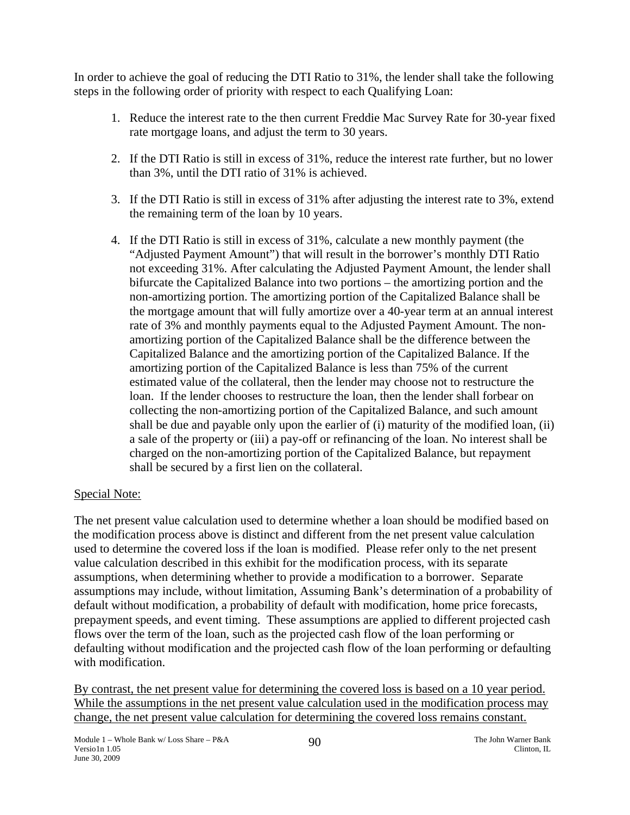In order to achieve the goal of reducing the DTI Ratio to 31%, the lender shall take the following steps in the following order of priority with respect to each Qualifying Loan:

- 1. Reduce the interest rate to the then current Freddie Mac Survey Rate for 30-year fixed rate mortgage loans, and adjust the term to 30 years.
- 2. If the DTI Ratio is still in excess of 31%, reduce the interest rate further, but no lower than 3%, until the DTI ratio of 31% is achieved.
- 3. If the DTI Ratio is still in excess of 31% after adjusting the interest rate to 3%, extend the remaining term of the loan by 10 years.
- 4. If the DTI Ratio is still in excess of 31%, calculate a new monthly payment (the "Adjusted Payment Amount") that will result in the borrower's monthly DTI Ratio not exceeding 31%. After calculating the Adjusted Payment Amount, the lender shall bifurcate the Capitalized Balance into two portions – the amortizing portion and the non-amortizing portion. The amortizing portion of the Capitalized Balance shall be the mortgage amount that will fully amortize over a 40-year term at an annual interest rate of 3% and monthly payments equal to the Adjusted Payment Amount. The nonamortizing portion of the Capitalized Balance shall be the difference between the Capitalized Balance and the amortizing portion of the Capitalized Balance. If the amortizing portion of the Capitalized Balance is less than 75% of the current estimated value of the collateral, then the lender may choose not to restructure the loan. If the lender chooses to restructure the loan, then the lender shall forbear on collecting the non-amortizing portion of the Capitalized Balance, and such amount shall be due and payable only upon the earlier of (i) maturity of the modified loan, (ii) a sale of the property or (iii) a pay-off or refinancing of the loan. No interest shall be charged on the non-amortizing portion of the Capitalized Balance, but repayment shall be secured by a first lien on the collateral.

### Special Note:

The net present value calculation used to determine whether a loan should be modified based on the modification process above is distinct and different from the net present value calculation used to determine the covered loss if the loan is modified. Please refer only to the net present value calculation described in this exhibit for the modification process, with its separate assumptions, when determining whether to provide a modification to a borrower. Separate assumptions may include, without limitation, Assuming Bank's determination of a probability of default without modification, a probability of default with modification, home price forecasts, prepayment speeds, and event timing. These assumptions are applied to different projected cash flows over the term of the loan, such as the projected cash flow of the loan performing or defaulting without modification and the projected cash flow of the loan performing or defaulting with modification.

By contrast, the net present value for determining the covered loss is based on a 10 year period. While the assumptions in the net present value calculation used in the modification process may change, the net present value calculation for determining the covered loss remains constant.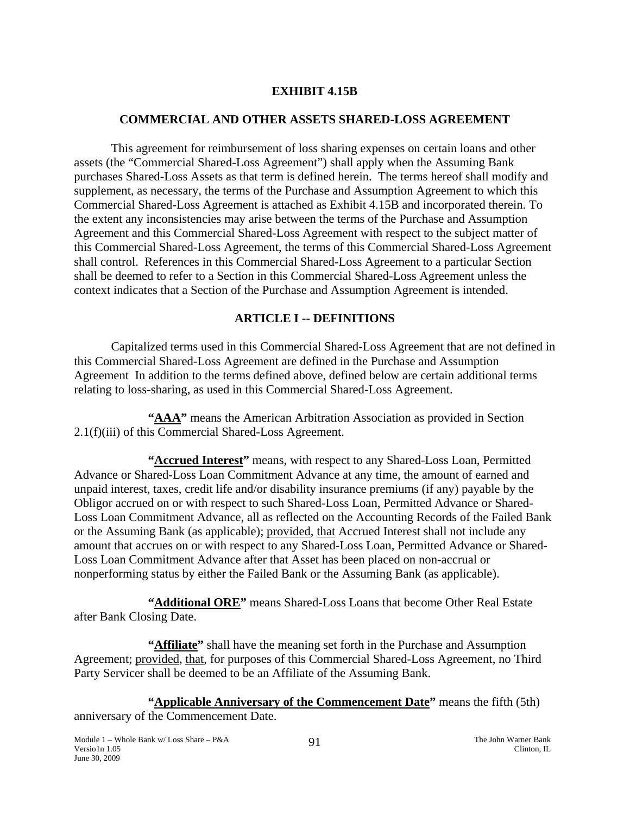### **EXHIBIT 4.15B**

### **COMMERCIAL AND OTHER ASSETS SHARED-LOSS AGREEMENT**

This agreement for reimbursement of loss sharing expenses on certain loans and other assets (the "Commercial Shared-Loss Agreement") shall apply when the Assuming Bank purchases Shared-Loss Assets as that term is defined herein. The terms hereof shall modify and supplement, as necessary, the terms of the Purchase and Assumption Agreement to which this Commercial Shared-Loss Agreement is attached as Exhibit 4.15B and incorporated therein. To the extent any inconsistencies may arise between the terms of the Purchase and Assumption Agreement and this Commercial Shared-Loss Agreement with respect to the subject matter of this Commercial Shared-Loss Agreement, the terms of this Commercial Shared-Loss Agreement shall control. References in this Commercial Shared-Loss Agreement to a particular Section shall be deemed to refer to a Section in this Commercial Shared-Loss Agreement unless the context indicates that a Section of the Purchase and Assumption Agreement is intended.

### **ARTICLE I -- DEFINITIONS**

Capitalized terms used in this Commercial Shared-Loss Agreement that are not defined in this Commercial Shared-Loss Agreement are defined in the Purchase and Assumption Agreement In addition to the terms defined above, defined below are certain additional terms relating to loss-sharing, as used in this Commercial Shared-Loss Agreement.

**"AAA"** means the American Arbitration Association as provided in Section 2.1(f)(iii) of this Commercial Shared-Loss Agreement.

**"Accrued Interest"** means, with respect to any Shared-Loss Loan, Permitted Advance or Shared-Loss Loan Commitment Advance at any time, the amount of earned and unpaid interest, taxes, credit life and/or disability insurance premiums (if any) payable by the Obligor accrued on or with respect to such Shared-Loss Loan, Permitted Advance or Shared-Loss Loan Commitment Advance, all as reflected on the Accounting Records of the Failed Bank or the Assuming Bank (as applicable); provided, that Accrued Interest shall not include any amount that accrues on or with respect to any Shared-Loss Loan, Permitted Advance or Shared-Loss Loan Commitment Advance after that Asset has been placed on non-accrual or nonperforming status by either the Failed Bank or the Assuming Bank (as applicable).

"**Additional ORE**" means Shared-Loss Loans that become Other Real Estate after Bank Closing Date.

"**Affiliate**" shall have the meaning set forth in the Purchase and Assumption Agreement; provided, that, for purposes of this Commercial Shared-Loss Agreement, no Third Party Servicer shall be deemed to be an Affiliate of the Assuming Bank.

**"Applicable Anniversary of the Commencement Date"** means the fifth (5th) anniversary of the Commencement Date.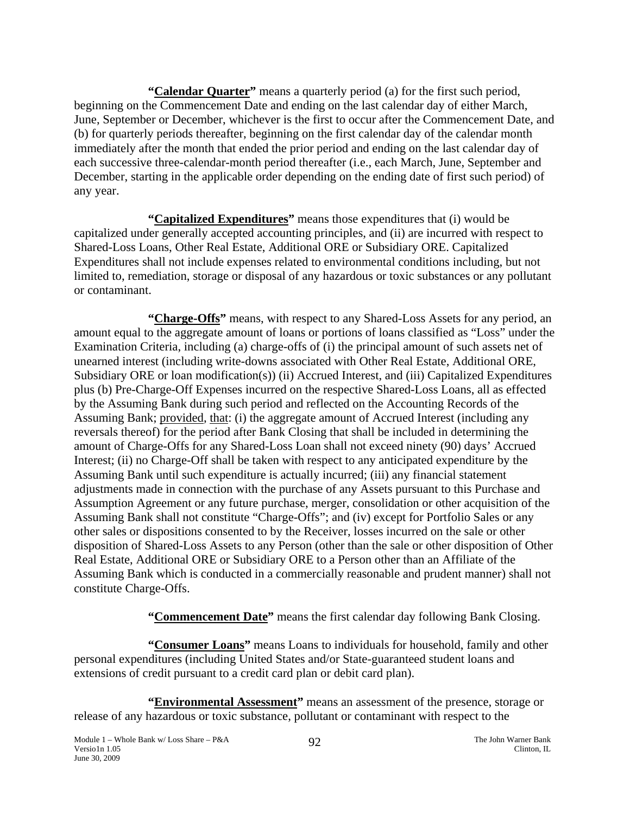"Calendar Quarter" means a quarterly period (a) for the first such period, beginning on the Commencement Date and ending on the last calendar day of either March, June, September or December, whichever is the first to occur after the Commencement Date, and (b) for quarterly periods thereafter, beginning on the first calendar day of the calendar month immediately after the month that ended the prior period and ending on the last calendar day of each successive three-calendar-month period thereafter (i.e., each March, June, September and December, starting in the applicable order depending on the ending date of first such period) of any year.

**"Capitalized Expenditures"** means those expenditures that (i) would be capitalized under generally accepted accounting principles, and (ii) are incurred with respect to Shared-Loss Loans, Other Real Estate, Additional ORE or Subsidiary ORE. Capitalized Expenditures shall not include expenses related to environmental conditions including, but not limited to, remediation, storage or disposal of any hazardous or toxic substances or any pollutant or contaminant.

**"Charge-Offs"** means, with respect to any Shared-Loss Assets for any period, an amount equal to the aggregate amount of loans or portions of loans classified as "Loss" under the Examination Criteria, including (a) charge-offs of (i) the principal amount of such assets net of unearned interest (including write-downs associated with Other Real Estate, Additional ORE, Subsidiary ORE or loan modification(s)) (ii) Accrued Interest, and (iii) Capitalized Expenditures plus (b) Pre-Charge-Off Expenses incurred on the respective Shared-Loss Loans, all as effected by the Assuming Bank during such period and reflected on the Accounting Records of the Assuming Bank; provided, that: (i) the aggregate amount of Accrued Interest (including any reversals thereof) for the period after Bank Closing that shall be included in determining the amount of Charge-Offs for any Shared-Loss Loan shall not exceed ninety (90) days' Accrued Interest; (ii) no Charge-Off shall be taken with respect to any anticipated expenditure by the Assuming Bank until such expenditure is actually incurred; (iii) any financial statement adjustments made in connection with the purchase of any Assets pursuant to this Purchase and Assumption Agreement or any future purchase, merger, consolidation or other acquisition of the Assuming Bank shall not constitute "Charge-Offs"; and (iv) except for Portfolio Sales or any other sales or dispositions consented to by the Receiver, losses incurred on the sale or other disposition of Shared-Loss Assets to any Person (other than the sale or other disposition of Other Real Estate, Additional ORE or Subsidiary ORE to a Person other than an Affiliate of the Assuming Bank which is conducted in a commercially reasonable and prudent manner) shall not constitute Charge-Offs.

**"Commencement Date"** means the first calendar day following Bank Closing.

**"Consumer Loans"** means Loans to individuals for household, family and other personal expenditures (including United States and/or State-guaranteed student loans and extensions of credit pursuant to a credit card plan or debit card plan).

 **"Environmental Assessment"** means an assessment of the presence, storage or release of any hazardous or toxic substance, pollutant or contaminant with respect to the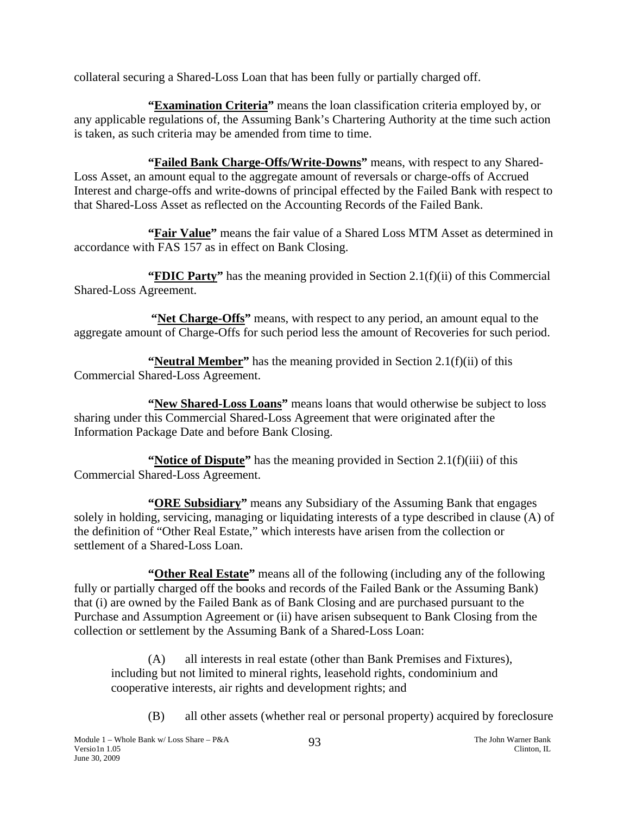collateral securing a Shared-Loss Loan that has been fully or partially charged off.

**"Examination Criteria"** means the loan classification criteria employed by, or any applicable regulations of, the Assuming Bank's Chartering Authority at the time such action is taken, as such criteria may be amended from time to time.

"Failed Bank Charge-Offs/Write-Downs" means, with respect to any Shared-Loss Asset, an amount equal to the aggregate amount of reversals or charge-offs of Accrued Interest and charge-offs and write-downs of principal effected by the Failed Bank with respect to that Shared-Loss Asset as reflected on the Accounting Records of the Failed Bank.

**"Fair Value"** means the fair value of a Shared Loss MTM Asset as determined in accordance with FAS 157 as in effect on Bank Closing.

**"FDIC Party"** has the meaning provided in Section 2.1(f)(ii) of this Commercial Shared-Loss Agreement.

 **"Net Charge-Offs"** means, with respect to any period, an amount equal to the aggregate amount of Charge-Offs for such period less the amount of Recoveries for such period.

**"Neutral Member"** has the meaning provided in Section 2.1(f)(ii) of this Commercial Shared-Loss Agreement.

**"New Shared-Loss Loans"** means loans that would otherwise be subject to loss sharing under this Commercial Shared-Loss Agreement that were originated after the Information Package Date and before Bank Closing.

**"Notice of Dispute"** has the meaning provided in Section 2.1(f)(iii) of this Commercial Shared-Loss Agreement.

**"ORE Subsidiary"** means any Subsidiary of the Assuming Bank that engages solely in holding, servicing, managing or liquidating interests of a type described in clause (A) of the definition of "Other Real Estate," which interests have arisen from the collection or settlement of a Shared-Loss Loan.

**"Other Real Estate"** means all of the following (including any of the following fully or partially charged off the books and records of the Failed Bank or the Assuming Bank) that (i) are owned by the Failed Bank as of Bank Closing and are purchased pursuant to the Purchase and Assumption Agreement or (ii) have arisen subsequent to Bank Closing from the collection or settlement by the Assuming Bank of a Shared-Loss Loan:

(A) all interests in real estate (other than Bank Premises and Fixtures), including but not limited to mineral rights, leasehold rights, condominium and cooperative interests, air rights and development rights; and

(B) all other assets (whether real or personal property) acquired by foreclosure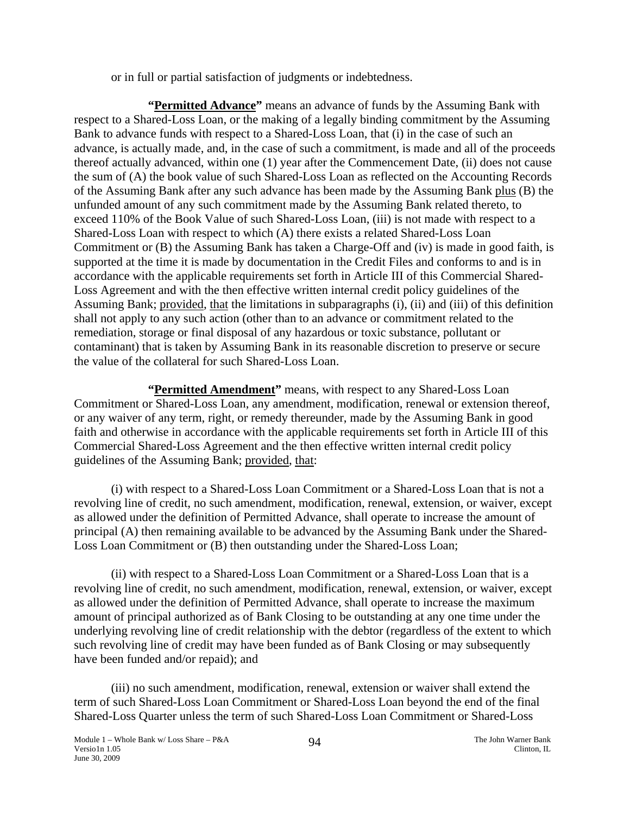or in full or partial satisfaction of judgments or indebtedness.

**"Permitted Advance"** means an advance of funds by the Assuming Bank with respect to a Shared-Loss Loan, or the making of a legally binding commitment by the Assuming Bank to advance funds with respect to a Shared-Loss Loan, that (i) in the case of such an advance, is actually made, and, in the case of such a commitment, is made and all of the proceeds thereof actually advanced, within one (1) year after the Commencement Date, (ii) does not cause the sum of (A) the book value of such Shared-Loss Loan as reflected on the Accounting Records of the Assuming Bank after any such advance has been made by the Assuming Bank plus (B) the unfunded amount of any such commitment made by the Assuming Bank related thereto, to exceed 110% of the Book Value of such Shared-Loss Loan, (iii) is not made with respect to a Shared-Loss Loan with respect to which (A) there exists a related Shared-Loss Loan Commitment or (B) the Assuming Bank has taken a Charge-Off and (iv) is made in good faith, is supported at the time it is made by documentation in the Credit Files and conforms to and is in accordance with the applicable requirements set forth in Article III of this Commercial Shared-Loss Agreement and with the then effective written internal credit policy guidelines of the Assuming Bank; provided, that the limitations in subparagraphs (i), (ii) and (iii) of this definition shall not apply to any such action (other than to an advance or commitment related to the remediation, storage or final disposal of any hazardous or toxic substance, pollutant or contaminant) that is taken by Assuming Bank in its reasonable discretion to preserve or secure the value of the collateral for such Shared-Loss Loan.

**"Permitted Amendment"** means, with respect to any Shared-Loss Loan Commitment or Shared-Loss Loan, any amendment, modification, renewal or extension thereof, or any waiver of any term, right, or remedy thereunder, made by the Assuming Bank in good faith and otherwise in accordance with the applicable requirements set forth in Article III of this Commercial Shared-Loss Agreement and the then effective written internal credit policy guidelines of the Assuming Bank; provided, that:

(i) with respect to a Shared-Loss Loan Commitment or a Shared-Loss Loan that is not a revolving line of credit, no such amendment, modification, renewal, extension, or waiver, except as allowed under the definition of Permitted Advance, shall operate to increase the amount of principal (A) then remaining available to be advanced by the Assuming Bank under the Shared-Loss Loan Commitment or (B) then outstanding under the Shared-Loss Loan;

(ii) with respect to a Shared-Loss Loan Commitment or a Shared-Loss Loan that is a revolving line of credit, no such amendment, modification, renewal, extension, or waiver, except as allowed under the definition of Permitted Advance, shall operate to increase the maximum amount of principal authorized as of Bank Closing to be outstanding at any one time under the underlying revolving line of credit relationship with the debtor (regardless of the extent to which such revolving line of credit may have been funded as of Bank Closing or may subsequently have been funded and/or repaid); and

(iii) no such amendment, modification, renewal, extension or waiver shall extend the term of such Shared-Loss Loan Commitment or Shared-Loss Loan beyond the end of the final Shared-Loss Quarter unless the term of such Shared-Loss Loan Commitment or Shared-Loss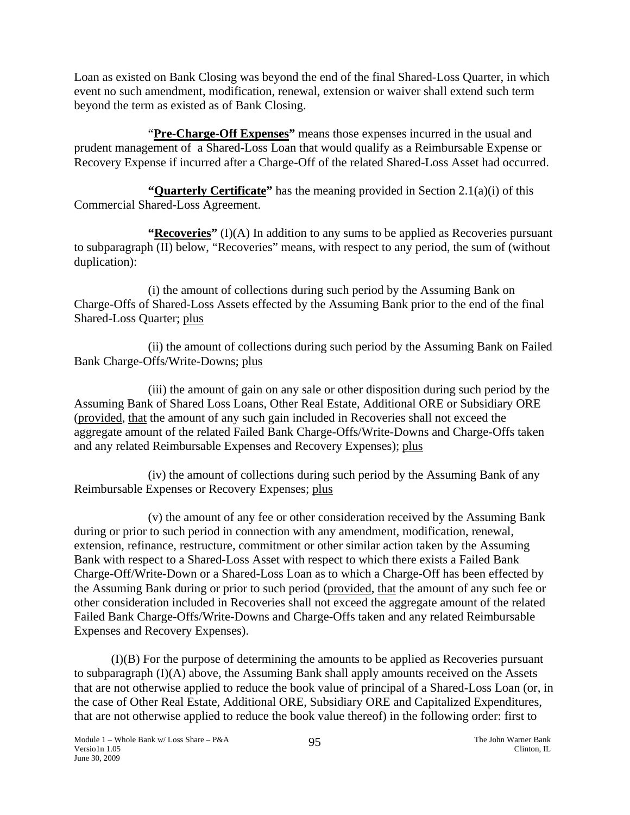Loan as existed on Bank Closing was beyond the end of the final Shared-Loss Quarter, in which event no such amendment, modification, renewal, extension or waiver shall extend such term beyond the term as existed as of Bank Closing.

 "**Pre-Charge-Off Expenses"** means those expenses incurred in the usual and prudent management of a Shared-Loss Loan that would qualify as a Reimbursable Expense or Recovery Expense if incurred after a Charge-Off of the related Shared-Loss Asset had occurred.

**"Quarterly Certificate"** has the meaning provided in Section 2.1(a)(i) of this Commercial Shared-Loss Agreement.

**"Recoveries"** (I)(A) In addition to any sums to be applied as Recoveries pursuant to subparagraph (II) below, "Recoveries" means, with respect to any period, the sum of (without duplication):

(i) the amount of collections during such period by the Assuming Bank on Charge-Offs of Shared-Loss Assets effected by the Assuming Bank prior to the end of the final Shared-Loss Quarter; plus

(ii) the amount of collections during such period by the Assuming Bank on Failed Bank Charge-Offs/Write-Downs; plus

(iii) the amount of gain on any sale or other disposition during such period by the Assuming Bank of Shared Loss Loans, Other Real Estate, Additional ORE or Subsidiary ORE (provided, that the amount of any such gain included in Recoveries shall not exceed the aggregate amount of the related Failed Bank Charge-Offs/Write-Downs and Charge-Offs taken and any related Reimbursable Expenses and Recovery Expenses); plus

(iv) the amount of collections during such period by the Assuming Bank of any Reimbursable Expenses or Recovery Expenses; plus

(v) the amount of any fee or other consideration received by the Assuming Bank during or prior to such period in connection with any amendment, modification, renewal, extension, refinance, restructure, commitment or other similar action taken by the Assuming Bank with respect to a Shared-Loss Asset with respect to which there exists a Failed Bank Charge-Off/Write-Down or a Shared-Loss Loan as to which a Charge-Off has been effected by the Assuming Bank during or prior to such period (provided, that the amount of any such fee or other consideration included in Recoveries shall not exceed the aggregate amount of the related Failed Bank Charge-Offs/Write-Downs and Charge-Offs taken and any related Reimbursable Expenses and Recovery Expenses).

(I)(B) For the purpose of determining the amounts to be applied as Recoveries pursuant to subparagraph (I)(A) above, the Assuming Bank shall apply amounts received on the Assets that are not otherwise applied to reduce the book value of principal of a Shared-Loss Loan (or, in the case of Other Real Estate, Additional ORE, Subsidiary ORE and Capitalized Expenditures, that are not otherwise applied to reduce the book value thereof) in the following order: first to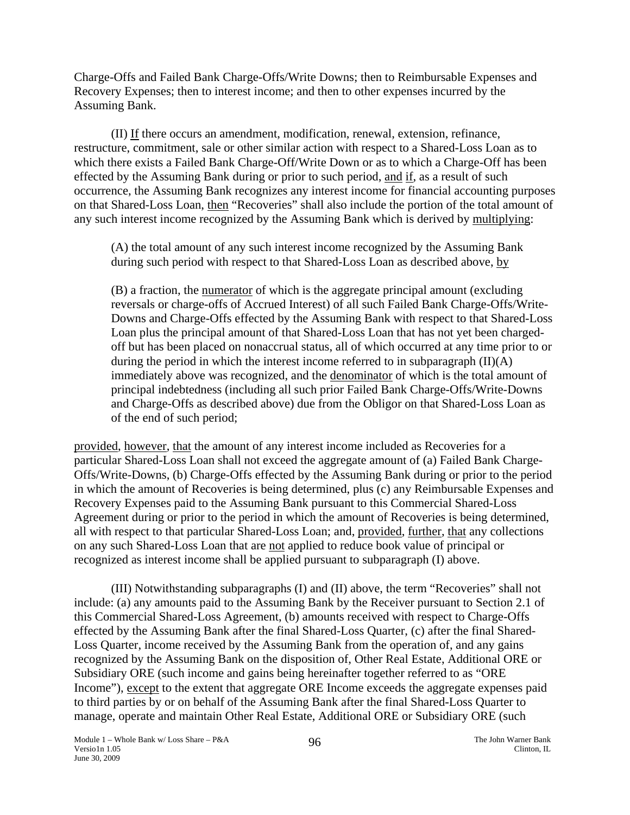Charge-Offs and Failed Bank Charge-Offs/Write Downs; then to Reimbursable Expenses and Recovery Expenses; then to interest income; and then to other expenses incurred by the Assuming Bank.

(II) If there occurs an amendment, modification, renewal, extension, refinance, restructure, commitment, sale or other similar action with respect to a Shared-Loss Loan as to which there exists a Failed Bank Charge-Off/Write Down or as to which a Charge-Off has been effected by the Assuming Bank during or prior to such period, and if, as a result of such occurrence, the Assuming Bank recognizes any interest income for financial accounting purposes on that Shared-Loss Loan, then "Recoveries" shall also include the portion of the total amount of any such interest income recognized by the Assuming Bank which is derived by multiplying:

(A) the total amount of any such interest income recognized by the Assuming Bank during such period with respect to that Shared-Loss Loan as described above, by

(B) a fraction, the numerator of which is the aggregate principal amount (excluding reversals or charge-offs of Accrued Interest) of all such Failed Bank Charge-Offs/Write-Downs and Charge-Offs effected by the Assuming Bank with respect to that Shared-Loss Loan plus the principal amount of that Shared-Loss Loan that has not yet been chargedoff but has been placed on nonaccrual status, all of which occurred at any time prior to or during the period in which the interest income referred to in subparagraph (II)(A) immediately above was recognized, and the denominator of which is the total amount of principal indebtedness (including all such prior Failed Bank Charge-Offs/Write-Downs and Charge-Offs as described above) due from the Obligor on that Shared-Loss Loan as of the end of such period;

provided, however, that the amount of any interest income included as Recoveries for a particular Shared-Loss Loan shall not exceed the aggregate amount of (a) Failed Bank Charge-Offs/Write-Downs, (b) Charge-Offs effected by the Assuming Bank during or prior to the period in which the amount of Recoveries is being determined, plus (c) any Reimbursable Expenses and Recovery Expenses paid to the Assuming Bank pursuant to this Commercial Shared-Loss Agreement during or prior to the period in which the amount of Recoveries is being determined, all with respect to that particular Shared-Loss Loan; and, provided, further, that any collections on any such Shared-Loss Loan that are not applied to reduce book value of principal or recognized as interest income shall be applied pursuant to subparagraph (I) above.

(III) Notwithstanding subparagraphs (I) and (II) above, the term "Recoveries" shall not include: (a) any amounts paid to the Assuming Bank by the Receiver pursuant to Section 2.1 of this Commercial Shared-Loss Agreement, (b) amounts received with respect to Charge-Offs effected by the Assuming Bank after the final Shared-Loss Quarter, (c) after the final Shared-Loss Quarter, income received by the Assuming Bank from the operation of, and any gains recognized by the Assuming Bank on the disposition of, Other Real Estate, Additional ORE or Subsidiary ORE (such income and gains being hereinafter together referred to as "ORE Income"), except to the extent that aggregate ORE Income exceeds the aggregate expenses paid to third parties by or on behalf of the Assuming Bank after the final Shared-Loss Quarter to manage, operate and maintain Other Real Estate, Additional ORE or Subsidiary ORE (such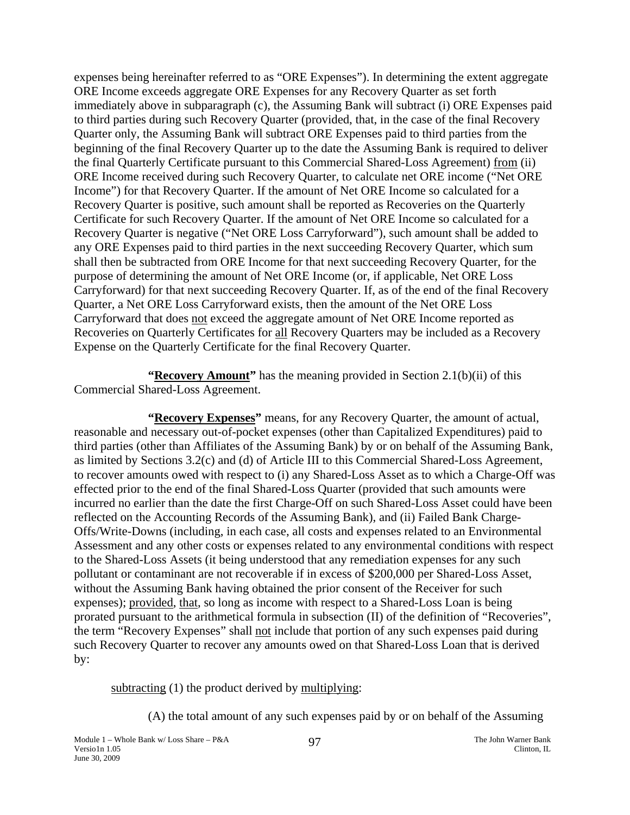expenses being hereinafter referred to as "ORE Expenses"). In determining the extent aggregate ORE Income exceeds aggregate ORE Expenses for any Recovery Quarter as set forth immediately above in subparagraph (c), the Assuming Bank will subtract (i) ORE Expenses paid to third parties during such Recovery Quarter (provided, that, in the case of the final Recovery Quarter only, the Assuming Bank will subtract ORE Expenses paid to third parties from the beginning of the final Recovery Quarter up to the date the Assuming Bank is required to deliver the final Quarterly Certificate pursuant to this Commercial Shared-Loss Agreement) from (ii) ORE Income received during such Recovery Quarter, to calculate net ORE income ("Net ORE Income") for that Recovery Quarter. If the amount of Net ORE Income so calculated for a Recovery Quarter is positive, such amount shall be reported as Recoveries on the Quarterly Certificate for such Recovery Quarter. If the amount of Net ORE Income so calculated for a Recovery Quarter is negative ("Net ORE Loss Carryforward"), such amount shall be added to any ORE Expenses paid to third parties in the next succeeding Recovery Quarter, which sum shall then be subtracted from ORE Income for that next succeeding Recovery Quarter, for the purpose of determining the amount of Net ORE Income (or, if applicable, Net ORE Loss Carryforward) for that next succeeding Recovery Quarter. If, as of the end of the final Recovery Quarter, a Net ORE Loss Carryforward exists, then the amount of the Net ORE Loss Carryforward that does not exceed the aggregate amount of Net ORE Income reported as Recoveries on Quarterly Certificates for all Recovery Quarters may be included as a Recovery Expense on the Quarterly Certificate for the final Recovery Quarter.

**"Recovery Amount"** has the meaning provided in Section 2.1(b)(ii) of this Commercial Shared-Loss Agreement.

**"Recovery Expenses"** means, for any Recovery Quarter, the amount of actual, reasonable and necessary out-of-pocket expenses (other than Capitalized Expenditures) paid to third parties (other than Affiliates of the Assuming Bank) by or on behalf of the Assuming Bank, as limited by Sections 3.2(c) and (d) of Article III to this Commercial Shared-Loss Agreement, to recover amounts owed with respect to (i) any Shared-Loss Asset as to which a Charge-Off was effected prior to the end of the final Shared-Loss Quarter (provided that such amounts were incurred no earlier than the date the first Charge-Off on such Shared-Loss Asset could have been reflected on the Accounting Records of the Assuming Bank), and (ii) Failed Bank Charge-Offs/Write-Downs (including, in each case, all costs and expenses related to an Environmental Assessment and any other costs or expenses related to any environmental conditions with respect to the Shared-Loss Assets (it being understood that any remediation expenses for any such pollutant or contaminant are not recoverable if in excess of \$200,000 per Shared-Loss Asset, without the Assuming Bank having obtained the prior consent of the Receiver for such expenses); provided, that, so long as income with respect to a Shared-Loss Loan is being prorated pursuant to the arithmetical formula in subsection (II) of the definition of "Recoveries", the term "Recovery Expenses" shall not include that portion of any such expenses paid during such Recovery Quarter to recover any amounts owed on that Shared-Loss Loan that is derived by:

subtracting (1) the product derived by multiplying:

(A) the total amount of any such expenses paid by or on behalf of the Assuming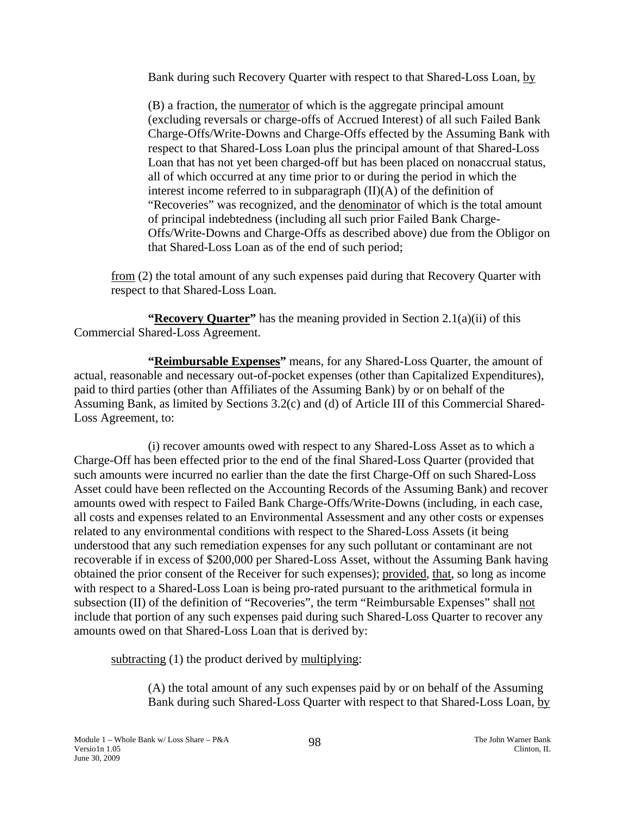Bank during such Recovery Quarter with respect to that Shared-Loss Loan, by

(B) a fraction, the numerator of which is the aggregate principal amount (excluding reversals or charge-offs of Accrued Interest) of all such Failed Bank Charge-Offs/Write-Downs and Charge-Offs effected by the Assuming Bank with respect to that Shared-Loss Loan plus the principal amount of that Shared-Loss Loan that has not yet been charged-off but has been placed on nonaccrual status, all of which occurred at any time prior to or during the period in which the interest income referred to in subparagraph  $(II)(A)$  of the definition of "Recoveries" was recognized, and the denominator of which is the total amount of principal indebtedness (including all such prior Failed Bank Charge-Offs/Write-Downs and Charge-Offs as described above) due from the Obligor on that Shared-Loss Loan as of the end of such period;

from (2) the total amount of any such expenses paid during that Recovery Quarter with respect to that Shared-Loss Loan.

**"Recovery Quarter"** has the meaning provided in Section 2.1(a)(ii) of this Commercial Shared-Loss Agreement.

**"Reimbursable Expenses"** means, for any Shared-Loss Quarter, the amount of actual, reasonable and necessary out-of-pocket expenses (other than Capitalized Expenditures), paid to third parties (other than Affiliates of the Assuming Bank) by or on behalf of the Assuming Bank, as limited by Sections 3.2(c) and (d) of Article III of this Commercial Shared-Loss Agreement, to:

(i) recover amounts owed with respect to any Shared-Loss Asset as to which a Charge-Off has been effected prior to the end of the final Shared-Loss Quarter (provided that such amounts were incurred no earlier than the date the first Charge-Off on such Shared-Loss Asset could have been reflected on the Accounting Records of the Assuming Bank) and recover amounts owed with respect to Failed Bank Charge-Offs/Write-Downs (including, in each case, all costs and expenses related to an Environmental Assessment and any other costs or expenses related to any environmental conditions with respect to the Shared-Loss Assets (it being understood that any such remediation expenses for any such pollutant or contaminant are not recoverable if in excess of \$200,000 per Shared-Loss Asset, without the Assuming Bank having obtained the prior consent of the Receiver for such expenses); provided, that, so long as income with respect to a Shared-Loss Loan is being pro-rated pursuant to the arithmetical formula in subsection (II) of the definition of "Recoveries", the term "Reimbursable Expenses" shall not include that portion of any such expenses paid during such Shared-Loss Quarter to recover any amounts owed on that Shared-Loss Loan that is derived by:

subtracting (1) the product derived by multiplying:

(A) the total amount of any such expenses paid by or on behalf of the Assuming Bank during such Shared-Loss Quarter with respect to that Shared-Loss Loan, by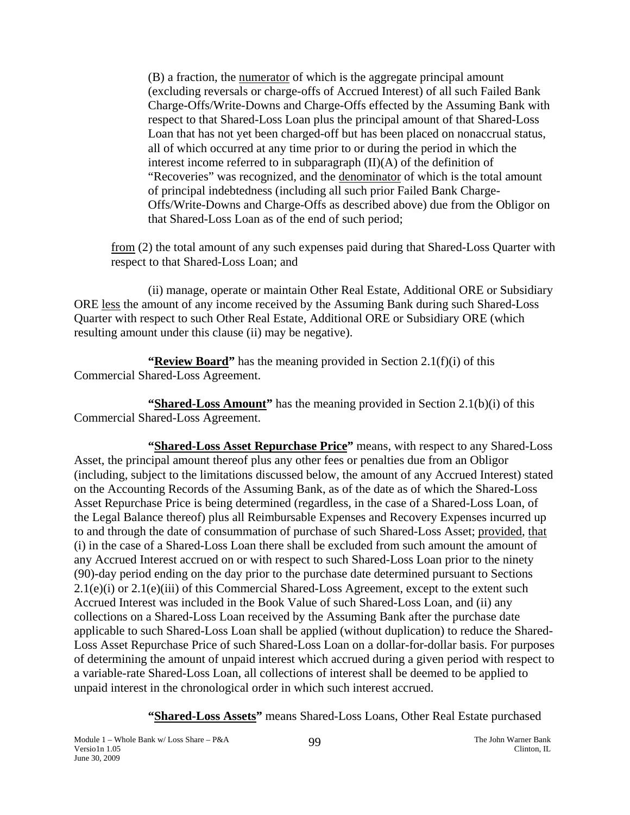(B) a fraction, the numerator of which is the aggregate principal amount (excluding reversals or charge-offs of Accrued Interest) of all such Failed Bank Charge-Offs/Write-Downs and Charge-Offs effected by the Assuming Bank with respect to that Shared-Loss Loan plus the principal amount of that Shared-Loss Loan that has not yet been charged-off but has been placed on nonaccrual status, all of which occurred at any time prior to or during the period in which the interest income referred to in subparagraph  $(II)(A)$  of the definition of "Recoveries" was recognized, and the denominator of which is the total amount of principal indebtedness (including all such prior Failed Bank Charge-Offs/Write-Downs and Charge-Offs as described above) due from the Obligor on that Shared-Loss Loan as of the end of such period;

from (2) the total amount of any such expenses paid during that Shared-Loss Quarter with respect to that Shared-Loss Loan; and

 (ii) manage, operate or maintain Other Real Estate, Additional ORE or Subsidiary ORE less the amount of any income received by the Assuming Bank during such Shared-Loss Quarter with respect to such Other Real Estate, Additional ORE or Subsidiary ORE (which resulting amount under this clause (ii) may be negative).

**"Review Board"** has the meaning provided in Section 2.1(f)(i) of this Commercial Shared-Loss Agreement.

**"Shared-Loss Amount"** has the meaning provided in Section 2.1(b)(i) of this Commercial Shared-Loss Agreement.

**"Shared-Loss Asset Repurchase Price"** means, with respect to any Shared-Loss Asset, the principal amount thereof plus any other fees or penalties due from an Obligor (including, subject to the limitations discussed below, the amount of any Accrued Interest) stated on the Accounting Records of the Assuming Bank, as of the date as of which the Shared-Loss Asset Repurchase Price is being determined (regardless, in the case of a Shared-Loss Loan, of the Legal Balance thereof) plus all Reimbursable Expenses and Recovery Expenses incurred up to and through the date of consummation of purchase of such Shared-Loss Asset; provided, that (i) in the case of a Shared-Loss Loan there shall be excluded from such amount the amount of any Accrued Interest accrued on or with respect to such Shared-Loss Loan prior to the ninety (90)-day period ending on the day prior to the purchase date determined pursuant to Sections 2.1(e)(i) or 2.1(e)(iii) of this Commercial Shared-Loss Agreement, except to the extent such Accrued Interest was included in the Book Value of such Shared-Loss Loan, and (ii) any collections on a Shared-Loss Loan received by the Assuming Bank after the purchase date applicable to such Shared-Loss Loan shall be applied (without duplication) to reduce the Shared-Loss Asset Repurchase Price of such Shared-Loss Loan on a dollar-for-dollar basis. For purposes of determining the amount of unpaid interest which accrued during a given period with respect to a variable-rate Shared-Loss Loan, all collections of interest shall be deemed to be applied to unpaid interest in the chronological order in which such interest accrued.

**"Shared-Loss Assets"** means Shared-Loss Loans, Other Real Estate purchased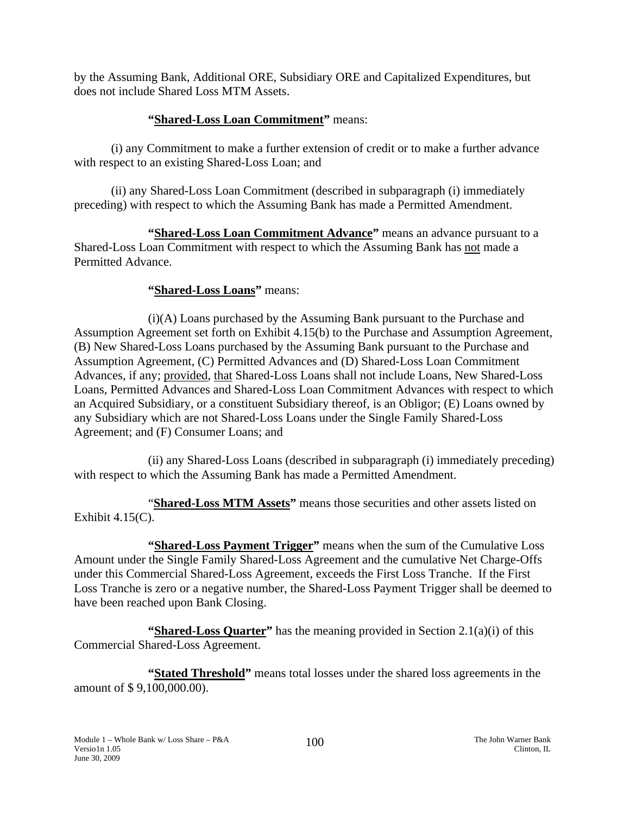by the Assuming Bank, Additional ORE, Subsidiary ORE and Capitalized Expenditures, but does not include Shared Loss MTM Assets.

## **"Shared-Loss Loan Commitment"** means:

(i) any Commitment to make a further extension of credit or to make a further advance with respect to an existing Shared-Loss Loan; and

(ii) any Shared-Loss Loan Commitment (described in subparagraph (i) immediately preceding) with respect to which the Assuming Bank has made a Permitted Amendment.

**"Shared-Loss Loan Commitment Advance"** means an advance pursuant to a Shared-Loss Loan Commitment with respect to which the Assuming Bank has not made a Permitted Advance.

## **"Shared-Loss Loans"** means:

 (i)(A) Loans purchased by the Assuming Bank pursuant to the Purchase and Assumption Agreement set forth on Exhibit 4.15(b) to the Purchase and Assumption Agreement, (B) New Shared-Loss Loans purchased by the Assuming Bank pursuant to the Purchase and Assumption Agreement, (C) Permitted Advances and (D) Shared-Loss Loan Commitment Advances, if any; provided, that Shared-Loss Loans shall not include Loans, New Shared-Loss Loans, Permitted Advances and Shared-Loss Loan Commitment Advances with respect to which an Acquired Subsidiary, or a constituent Subsidiary thereof, is an Obligor; (E) Loans owned by any Subsidiary which are not Shared-Loss Loans under the Single Family Shared-Loss Agreement; and (F) Consumer Loans; and

(ii) any Shared-Loss Loans (described in subparagraph (i) immediately preceding) with respect to which the Assuming Bank has made a Permitted Amendment.

"**Shared-Loss MTM Assets"** means those securities and other assets listed on Exhibit  $4.15(C)$ .

**"Shared-Loss Payment Trigger"** means when the sum of the Cumulative Loss Amount under the Single Family Shared-Loss Agreement and the cumulative Net Charge-Offs under this Commercial Shared-Loss Agreement, exceeds the First Loss Tranche. If the First Loss Tranche is zero or a negative number, the Shared-Loss Payment Trigger shall be deemed to have been reached upon Bank Closing.

**"Shared-Loss Quarter"** has the meaning provided in Section 2.1(a)(i) of this Commercial Shared-Loss Agreement.

**"Stated Threshold"** means total losses under the shared loss agreements in the amount of \$ 9,100,000.00).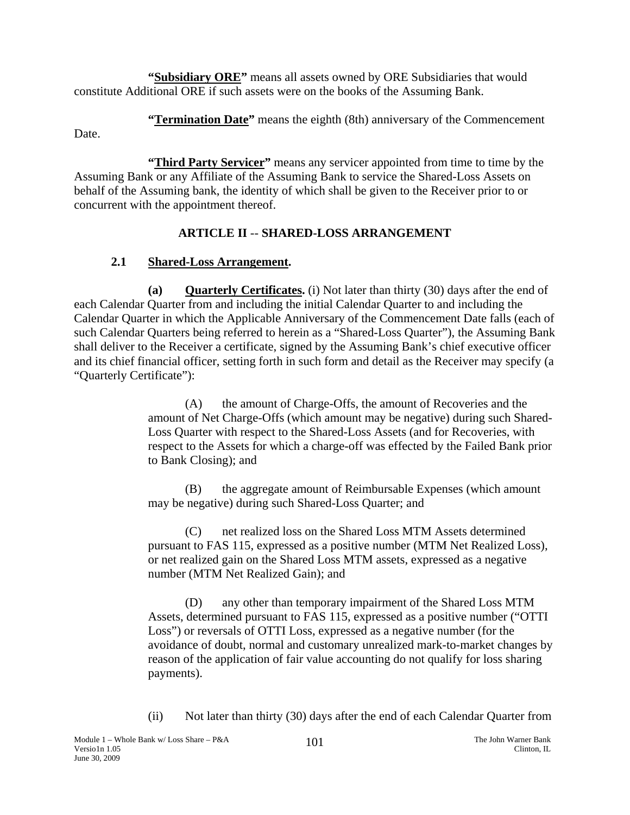**"Subsidiary ORE"** means all assets owned by ORE Subsidiaries that would constitute Additional ORE if such assets were on the books of the Assuming Bank.

**"Termination Date"** means the eighth (8th) anniversary of the Commencement Date.

**"Third Party Servicer"** means any servicer appointed from time to time by the Assuming Bank or any Affiliate of the Assuming Bank to service the Shared-Loss Assets on behalf of the Assuming bank, the identity of which shall be given to the Receiver prior to or concurrent with the appointment thereof.

## **ARTICLE II** -- **SHARED-LOSS ARRANGEMENT**

## **2.1 Shared-Loss Arrangement.**

 **(a) Quarterly Certificates.** (i) Not later than thirty (30) days after the end of each Calendar Quarter from and including the initial Calendar Quarter to and including the Calendar Quarter in which the Applicable Anniversary of the Commencement Date falls (each of such Calendar Quarters being referred to herein as a "Shared-Loss Quarter"), the Assuming Bank shall deliver to the Receiver a certificate, signed by the Assuming Bank's chief executive officer and its chief financial officer, setting forth in such form and detail as the Receiver may specify (a "Quarterly Certificate"):

> (A) the amount of Charge-Offs, the amount of Recoveries and the amount of Net Charge-Offs (which amount may be negative) during such Shared-Loss Quarter with respect to the Shared-Loss Assets (and for Recoveries, with respect to the Assets for which a charge-off was effected by the Failed Bank prior to Bank Closing); and

(B) the aggregate amount of Reimbursable Expenses (which amount may be negative) during such Shared-Loss Quarter; and

(C) net realized loss on the Shared Loss MTM Assets determined pursuant to FAS 115, expressed as a positive number (MTM Net Realized Loss), or net realized gain on the Shared Loss MTM assets, expressed as a negative number (MTM Net Realized Gain); and

(D) any other than temporary impairment of the Shared Loss MTM Assets, determined pursuant to FAS 115, expressed as a positive number ("OTTI Loss") or reversals of OTTI Loss, expressed as a negative number (for the avoidance of doubt, normal and customary unrealized mark-to-market changes by reason of the application of fair value accounting do not qualify for loss sharing payments).

(ii) Not later than thirty (30) days after the end of each Calendar Quarter from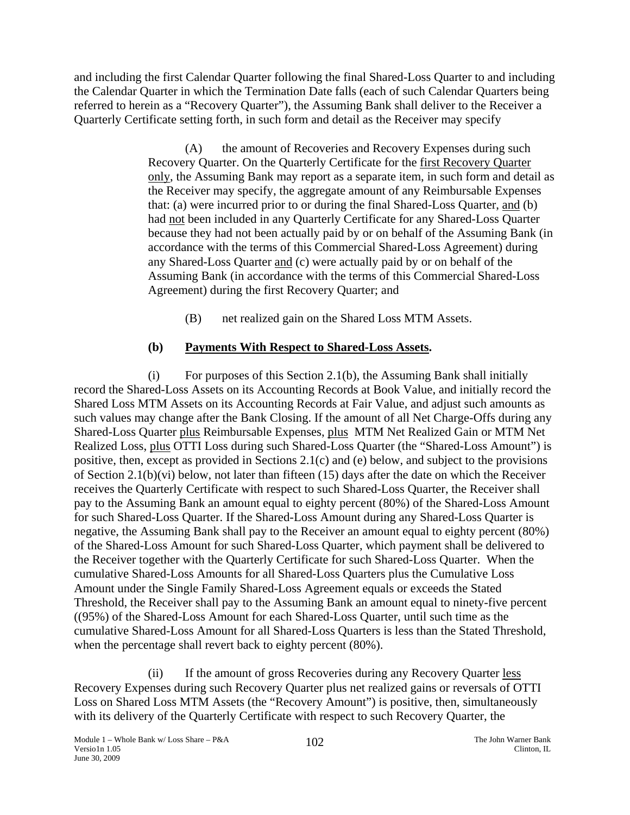and including the first Calendar Quarter following the final Shared-Loss Quarter to and including the Calendar Quarter in which the Termination Date falls (each of such Calendar Quarters being referred to herein as a "Recovery Quarter"), the Assuming Bank shall deliver to the Receiver a Quarterly Certificate setting forth, in such form and detail as the Receiver may specify

> (A) the amount of Recoveries and Recovery Expenses during such Recovery Quarter. On the Quarterly Certificate for the first Recovery Quarter only, the Assuming Bank may report as a separate item, in such form and detail as the Receiver may specify, the aggregate amount of any Reimbursable Expenses that: (a) were incurred prior to or during the final Shared-Loss Quarter, and (b) had not been included in any Quarterly Certificate for any Shared-Loss Quarter because they had not been actually paid by or on behalf of the Assuming Bank (in accordance with the terms of this Commercial Shared-Loss Agreement) during any Shared-Loss Quarter and (c) were actually paid by or on behalf of the Assuming Bank (in accordance with the terms of this Commercial Shared-Loss Agreement) during the first Recovery Quarter; and

(B) net realized gain on the Shared Loss MTM Assets.

## **(b) Payments With Respect to Shared-Loss Assets.**

 (i) For purposes of this Section 2.1(b), the Assuming Bank shall initially record the Shared-Loss Assets on its Accounting Records at Book Value, and initially record the Shared Loss MTM Assets on its Accounting Records at Fair Value, and adjust such amounts as such values may change after the Bank Closing. If the amount of all Net Charge-Offs during any Shared-Loss Quarter plus Reimbursable Expenses, plus MTM Net Realized Gain or MTM Net Realized Loss, plus OTTI Loss during such Shared-Loss Quarter (the "Shared-Loss Amount") is positive, then, except as provided in Sections 2.1(c) and (e) below, and subject to the provisions of Section 2.1(b)(vi) below, not later than fifteen (15) days after the date on which the Receiver receives the Quarterly Certificate with respect to such Shared-Loss Quarter, the Receiver shall pay to the Assuming Bank an amount equal to eighty percent (80%) of the Shared-Loss Amount for such Shared-Loss Quarter. If the Shared-Loss Amount during any Shared-Loss Quarter is negative, the Assuming Bank shall pay to the Receiver an amount equal to eighty percent (80%) of the Shared-Loss Amount for such Shared-Loss Quarter, which payment shall be delivered to the Receiver together with the Quarterly Certificate for such Shared-Loss Quarter. When the cumulative Shared-Loss Amounts for all Shared-Loss Quarters plus the Cumulative Loss Amount under the Single Family Shared-Loss Agreement equals or exceeds the Stated Threshold, the Receiver shall pay to the Assuming Bank an amount equal to ninety-five percent ((95%) of the Shared-Loss Amount for each Shared-Loss Quarter, until such time as the cumulative Shared-Loss Amount for all Shared-Loss Quarters is less than the Stated Threshold, when the percentage shall revert back to eighty percent (80%).

(ii) If the amount of gross Recoveries during any Recovery Quarter less Recovery Expenses during such Recovery Quarter plus net realized gains or reversals of OTTI Loss on Shared Loss MTM Assets (the "Recovery Amount") is positive, then, simultaneously with its delivery of the Quarterly Certificate with respect to such Recovery Quarter, the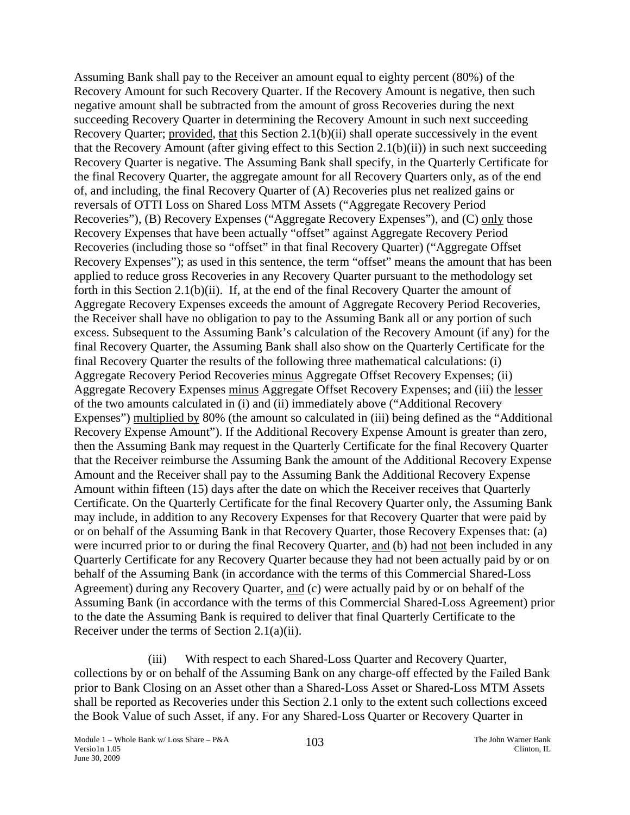Assuming Bank shall pay to the Receiver an amount equal to eighty percent (80%) of the Recovery Amount for such Recovery Quarter. If the Recovery Amount is negative, then such negative amount shall be subtracted from the amount of gross Recoveries during the next succeeding Recovery Quarter in determining the Recovery Amount in such next succeeding Recovery Quarter; provided, that this Section 2.1(b)(ii) shall operate successively in the event that the Recovery Amount (after giving effect to this Section 2.1(b)(ii)) in such next succeeding Recovery Quarter is negative. The Assuming Bank shall specify, in the Quarterly Certificate for the final Recovery Quarter, the aggregate amount for all Recovery Quarters only, as of the end of, and including, the final Recovery Quarter of (A) Recoveries plus net realized gains or reversals of OTTI Loss on Shared Loss MTM Assets ("Aggregate Recovery Period Recoveries"), (B) Recovery Expenses ("Aggregate Recovery Expenses"), and (C) only those Recovery Expenses that have been actually "offset" against Aggregate Recovery Period Recoveries (including those so "offset" in that final Recovery Quarter) ("Aggregate Offset Recovery Expenses"); as used in this sentence, the term "offset" means the amount that has been applied to reduce gross Recoveries in any Recovery Quarter pursuant to the methodology set forth in this Section 2.1(b)(ii). If, at the end of the final Recovery Quarter the amount of Aggregate Recovery Expenses exceeds the amount of Aggregate Recovery Period Recoveries, the Receiver shall have no obligation to pay to the Assuming Bank all or any portion of such excess. Subsequent to the Assuming Bank's calculation of the Recovery Amount (if any) for the final Recovery Quarter, the Assuming Bank shall also show on the Quarterly Certificate for the final Recovery Quarter the results of the following three mathematical calculations: (i) Aggregate Recovery Period Recoveries minus Aggregate Offset Recovery Expenses; (ii) Aggregate Recovery Expenses minus Aggregate Offset Recovery Expenses; and (iii) the lesser of the two amounts calculated in (i) and (ii) immediately above ("Additional Recovery Expenses") multiplied by 80% (the amount so calculated in (iii) being defined as the "Additional Recovery Expense Amount"). If the Additional Recovery Expense Amount is greater than zero, then the Assuming Bank may request in the Quarterly Certificate for the final Recovery Quarter that the Receiver reimburse the Assuming Bank the amount of the Additional Recovery Expense Amount and the Receiver shall pay to the Assuming Bank the Additional Recovery Expense Amount within fifteen (15) days after the date on which the Receiver receives that Quarterly Certificate. On the Quarterly Certificate for the final Recovery Quarter only, the Assuming Bank may include, in addition to any Recovery Expenses for that Recovery Quarter that were paid by or on behalf of the Assuming Bank in that Recovery Quarter, those Recovery Expenses that: (a) were incurred prior to or during the final Recovery Quarter, and (b) had not been included in any Quarterly Certificate for any Recovery Quarter because they had not been actually paid by or on behalf of the Assuming Bank (in accordance with the terms of this Commercial Shared-Loss Agreement) during any Recovery Quarter, and (c) were actually paid by or on behalf of the Assuming Bank (in accordance with the terms of this Commercial Shared-Loss Agreement) prior to the date the Assuming Bank is required to deliver that final Quarterly Certificate to the Receiver under the terms of Section 2.1(a)(ii).

(iii) With respect to each Shared-Loss Quarter and Recovery Quarter, collections by or on behalf of the Assuming Bank on any charge-off effected by the Failed Bank prior to Bank Closing on an Asset other than a Shared-Loss Asset or Shared-Loss MTM Assets shall be reported as Recoveries under this Section 2.1 only to the extent such collections exceed the Book Value of such Asset, if any. For any Shared-Loss Quarter or Recovery Quarter in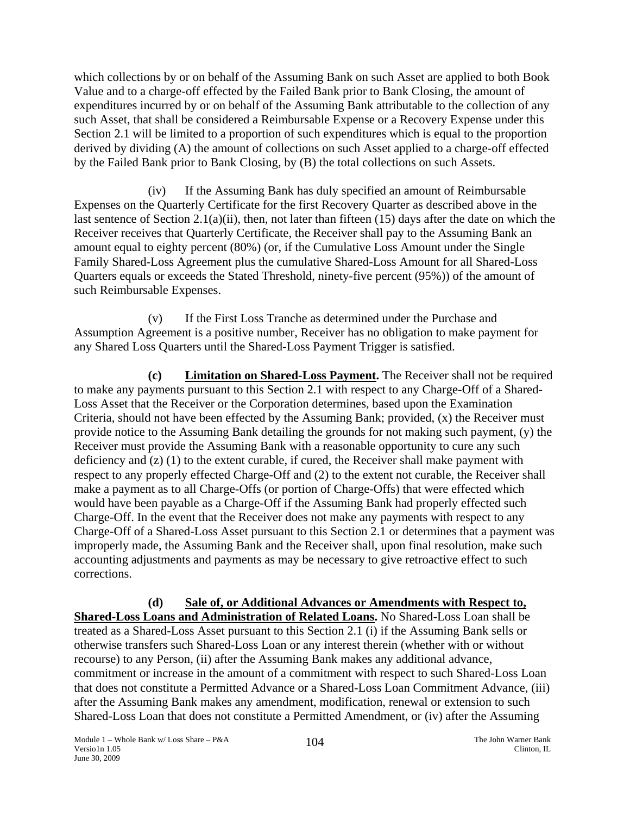which collections by or on behalf of the Assuming Bank on such Asset are applied to both Book Value and to a charge-off effected by the Failed Bank prior to Bank Closing, the amount of expenditures incurred by or on behalf of the Assuming Bank attributable to the collection of any such Asset, that shall be considered a Reimbursable Expense or a Recovery Expense under this Section 2.1 will be limited to a proportion of such expenditures which is equal to the proportion derived by dividing (A) the amount of collections on such Asset applied to a charge-off effected by the Failed Bank prior to Bank Closing, by (B) the total collections on such Assets.

(iv) If the Assuming Bank has duly specified an amount of Reimbursable Expenses on the Quarterly Certificate for the first Recovery Quarter as described above in the last sentence of Section 2.1(a)(ii), then, not later than fifteen (15) days after the date on which the Receiver receives that Quarterly Certificate, the Receiver shall pay to the Assuming Bank an amount equal to eighty percent (80%) (or, if the Cumulative Loss Amount under the Single Family Shared-Loss Agreement plus the cumulative Shared-Loss Amount for all Shared-Loss Quarters equals or exceeds the Stated Threshold, ninety-five percent (95%)) of the amount of such Reimbursable Expenses.

(v) If the First Loss Tranche as determined under the Purchase and Assumption Agreement is a positive number, Receiver has no obligation to make payment for any Shared Loss Quarters until the Shared-Loss Payment Trigger is satisfied.

**(c) Limitation on Shared-Loss Payment.** The Receiver shall not be required to make any payments pursuant to this Section 2.1 with respect to any Charge-Off of a Shared-Loss Asset that the Receiver or the Corporation determines, based upon the Examination Criteria, should not have been effected by the Assuming Bank; provided, (x) the Receiver must provide notice to the Assuming Bank detailing the grounds for not making such payment, (y) the Receiver must provide the Assuming Bank with a reasonable opportunity to cure any such deficiency and (z) (1) to the extent curable, if cured, the Receiver shall make payment with respect to any properly effected Charge-Off and (2) to the extent not curable, the Receiver shall make a payment as to all Charge-Offs (or portion of Charge-Offs) that were effected which would have been payable as a Charge-Off if the Assuming Bank had properly effected such Charge-Off. In the event that the Receiver does not make any payments with respect to any Charge-Off of a Shared-Loss Asset pursuant to this Section 2.1 or determines that a payment was improperly made, the Assuming Bank and the Receiver shall, upon final resolution, make such accounting adjustments and payments as may be necessary to give retroactive effect to such corrections.

**(d) Sale of, or Additional Advances or Amendments with Respect to, Shared-Loss Loans and Administration of Related Loans.** No Shared-Loss Loan shall be treated as a Shared-Loss Asset pursuant to this Section 2.1 (i) if the Assuming Bank sells or otherwise transfers such Shared-Loss Loan or any interest therein (whether with or without recourse) to any Person, (ii) after the Assuming Bank makes any additional advance, commitment or increase in the amount of a commitment with respect to such Shared-Loss Loan that does not constitute a Permitted Advance or a Shared-Loss Loan Commitment Advance, (iii) after the Assuming Bank makes any amendment, modification, renewal or extension to such Shared-Loss Loan that does not constitute a Permitted Amendment, or (iv) after the Assuming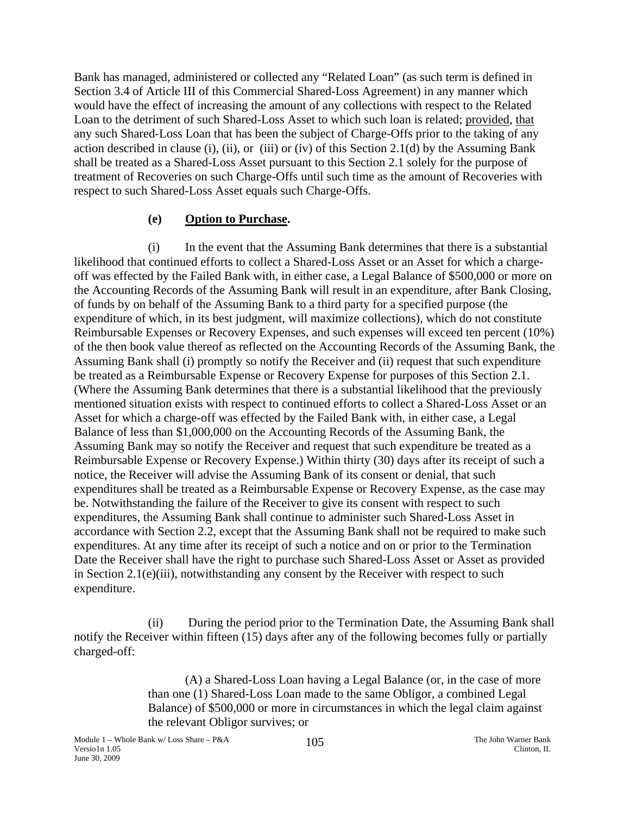Bank has managed, administered or collected any "Related Loan" (as such term is defined in Section 3.4 of Article III of this Commercial Shared-Loss Agreement) in any manner which would have the effect of increasing the amount of any collections with respect to the Related Loan to the detriment of such Shared-Loss Asset to which such loan is related; provided, that any such Shared-Loss Loan that has been the subject of Charge-Offs prior to the taking of any action described in clause (i), (ii), or (iii) or (iv) of this Section 2.1(d) by the Assuming Bank shall be treated as a Shared-Loss Asset pursuant to this Section 2.1 solely for the purpose of treatment of Recoveries on such Charge-Offs until such time as the amount of Recoveries with respect to such Shared-Loss Asset equals such Charge-Offs.

#### **(e) Option to Purchase.**

 (i) In the event that the Assuming Bank determines that there is a substantial likelihood that continued efforts to collect a Shared-Loss Asset or an Asset for which a chargeoff was effected by the Failed Bank with, in either case, a Legal Balance of \$500,000 or more on the Accounting Records of the Assuming Bank will result in an expenditure, after Bank Closing, of funds by on behalf of the Assuming Bank to a third party for a specified purpose (the expenditure of which, in its best judgment, will maximize collections), which do not constitute Reimbursable Expenses or Recovery Expenses, and such expenses will exceed ten percent (10%) of the then book value thereof as reflected on the Accounting Records of the Assuming Bank, the Assuming Bank shall (i) promptly so notify the Receiver and (ii) request that such expenditure be treated as a Reimbursable Expense or Recovery Expense for purposes of this Section 2.1. (Where the Assuming Bank determines that there is a substantial likelihood that the previously mentioned situation exists with respect to continued efforts to collect a Shared-Loss Asset or an Asset for which a charge-off was effected by the Failed Bank with, in either case, a Legal Balance of less than \$1,000,000 on the Accounting Records of the Assuming Bank, the Assuming Bank may so notify the Receiver and request that such expenditure be treated as a Reimbursable Expense or Recovery Expense.) Within thirty (30) days after its receipt of such a notice, the Receiver will advise the Assuming Bank of its consent or denial, that such expenditures shall be treated as a Reimbursable Expense or Recovery Expense, as the case may be. Notwithstanding the failure of the Receiver to give its consent with respect to such expenditures, the Assuming Bank shall continue to administer such Shared-Loss Asset in accordance with Section 2.2, except that the Assuming Bank shall not be required to make such expenditures. At any time after its receipt of such a notice and on or prior to the Termination Date the Receiver shall have the right to purchase such Shared-Loss Asset or Asset as provided in Section 2.1(e)(iii), notwithstanding any consent by the Receiver with respect to such expenditure.

(ii) During the period prior to the Termination Date, the Assuming Bank shall notify the Receiver within fifteen (15) days after any of the following becomes fully or partially charged-off:

> (A) a Shared-Loss Loan having a Legal Balance (or, in the case of more than one (1) Shared-Loss Loan made to the same Obligor, a combined Legal Balance) of \$500,000 or more in circumstances in which the legal claim against the relevant Obligor survives; or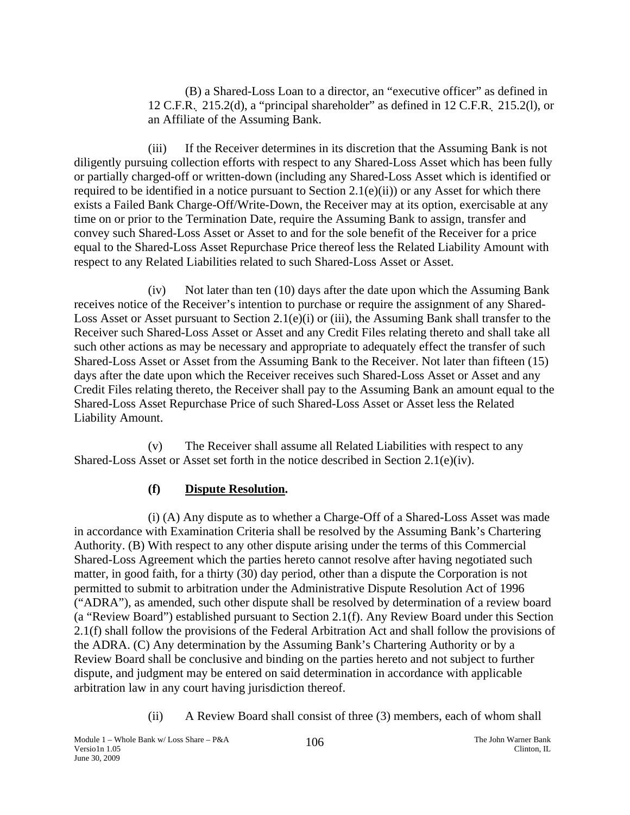(B) a Shared-Loss Loan to a director, an "executive officer" as defined in 12 C.F.R. 215.2(d), a "principal shareholder" as defined in 12 C.F.R. 215.2(l), or an Affiliate of the Assuming Bank.

(iii) If the Receiver determines in its discretion that the Assuming Bank is not diligently pursuing collection efforts with respect to any Shared-Loss Asset which has been fully or partially charged-off or written-down (including any Shared-Loss Asset which is identified or required to be identified in a notice pursuant to Section  $2.1(e)(ii)$  or any Asset for which there exists a Failed Bank Charge-Off/Write-Down, the Receiver may at its option, exercisable at any time on or prior to the Termination Date, require the Assuming Bank to assign, transfer and convey such Shared-Loss Asset or Asset to and for the sole benefit of the Receiver for a price equal to the Shared-Loss Asset Repurchase Price thereof less the Related Liability Amount with respect to any Related Liabilities related to such Shared-Loss Asset or Asset.

(iv) Not later than ten (10) days after the date upon which the Assuming Bank receives notice of the Receiver's intention to purchase or require the assignment of any Shared-Loss Asset or Asset pursuant to Section 2.1(e)(i) or (iii), the Assuming Bank shall transfer to the Receiver such Shared-Loss Asset or Asset and any Credit Files relating thereto and shall take all such other actions as may be necessary and appropriate to adequately effect the transfer of such Shared-Loss Asset or Asset from the Assuming Bank to the Receiver. Not later than fifteen (15) days after the date upon which the Receiver receives such Shared-Loss Asset or Asset and any Credit Files relating thereto, the Receiver shall pay to the Assuming Bank an amount equal to the Shared-Loss Asset Repurchase Price of such Shared-Loss Asset or Asset less the Related Liability Amount.

(v) The Receiver shall assume all Related Liabilities with respect to any Shared-Loss Asset or Asset set forth in the notice described in Section 2.1(e)(iv).

## **(f) Dispute Resolution.**

(i) (A) Any dispute as to whether a Charge-Off of a Shared-Loss Asset was made in accordance with Examination Criteria shall be resolved by the Assuming Bank's Chartering Authority. (B) With respect to any other dispute arising under the terms of this Commercial Shared-Loss Agreement which the parties hereto cannot resolve after having negotiated such matter, in good faith, for a thirty (30) day period, other than a dispute the Corporation is not permitted to submit to arbitration under the Administrative Dispute Resolution Act of 1996 ("ADRA"), as amended, such other dispute shall be resolved by determination of a review board (a "Review Board") established pursuant to Section 2.1(f). Any Review Board under this Section 2.1(f) shall follow the provisions of the Federal Arbitration Act and shall follow the provisions of the ADRA. (C) Any determination by the Assuming Bank's Chartering Authority or by a Review Board shall be conclusive and binding on the parties hereto and not subject to further dispute, and judgment may be entered on said determination in accordance with applicable arbitration law in any court having jurisdiction thereof.

(ii) A Review Board shall consist of three (3) members, each of whom shall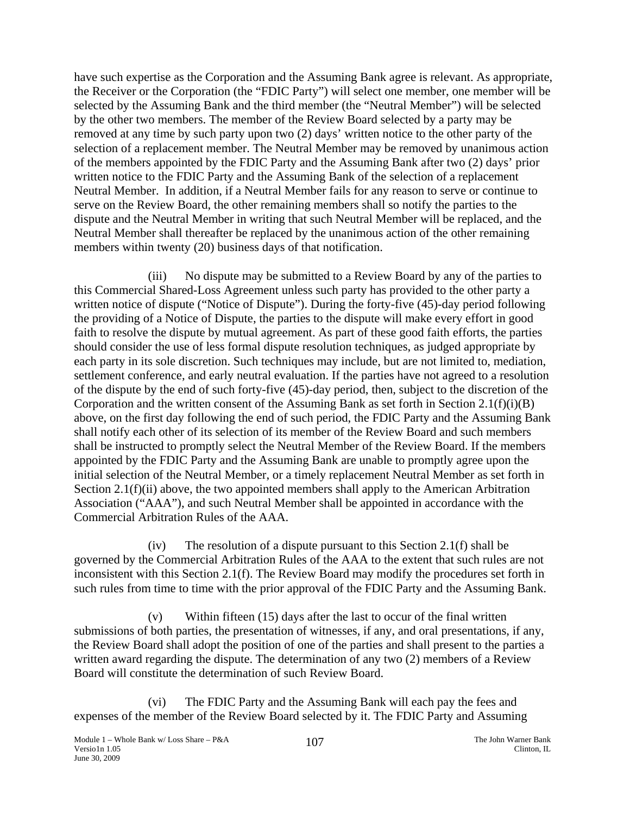have such expertise as the Corporation and the Assuming Bank agree is relevant. As appropriate, the Receiver or the Corporation (the "FDIC Party") will select one member, one member will be selected by the Assuming Bank and the third member (the "Neutral Member") will be selected by the other two members. The member of the Review Board selected by a party may be removed at any time by such party upon two (2) days' written notice to the other party of the selection of a replacement member. The Neutral Member may be removed by unanimous action of the members appointed by the FDIC Party and the Assuming Bank after two (2) days' prior written notice to the FDIC Party and the Assuming Bank of the selection of a replacement Neutral Member. In addition, if a Neutral Member fails for any reason to serve or continue to serve on the Review Board, the other remaining members shall so notify the parties to the dispute and the Neutral Member in writing that such Neutral Member will be replaced, and the Neutral Member shall thereafter be replaced by the unanimous action of the other remaining members within twenty (20) business days of that notification.

(iii) No dispute may be submitted to a Review Board by any of the parties to this Commercial Shared-Loss Agreement unless such party has provided to the other party a written notice of dispute ("Notice of Dispute"). During the forty-five (45)-day period following the providing of a Notice of Dispute, the parties to the dispute will make every effort in good faith to resolve the dispute by mutual agreement. As part of these good faith efforts, the parties should consider the use of less formal dispute resolution techniques, as judged appropriate by each party in its sole discretion. Such techniques may include, but are not limited to, mediation, settlement conference, and early neutral evaluation. If the parties have not agreed to a resolution of the dispute by the end of such forty-five (45)-day period, then, subject to the discretion of the Corporation and the written consent of the Assuming Bank as set forth in Section 2.1(f)(i)(B) above, on the first day following the end of such period, the FDIC Party and the Assuming Bank shall notify each other of its selection of its member of the Review Board and such members shall be instructed to promptly select the Neutral Member of the Review Board. If the members appointed by the FDIC Party and the Assuming Bank are unable to promptly agree upon the initial selection of the Neutral Member, or a timely replacement Neutral Member as set forth in Section 2.1(f)(ii) above, the two appointed members shall apply to the American Arbitration Association ("AAA"), and such Neutral Member shall be appointed in accordance with the Commercial Arbitration Rules of the AAA.

 (iv) The resolution of a dispute pursuant to this Section 2.1(f) shall be governed by the Commercial Arbitration Rules of the AAA to the extent that such rules are not inconsistent with this Section 2.1(f). The Review Board may modify the procedures set forth in such rules from time to time with the prior approval of the FDIC Party and the Assuming Bank.

(v) Within fifteen (15) days after the last to occur of the final written submissions of both parties, the presentation of witnesses, if any, and oral presentations, if any, the Review Board shall adopt the position of one of the parties and shall present to the parties a written award regarding the dispute. The determination of any two (2) members of a Review Board will constitute the determination of such Review Board.

(vi) The FDIC Party and the Assuming Bank will each pay the fees and expenses of the member of the Review Board selected by it. The FDIC Party and Assuming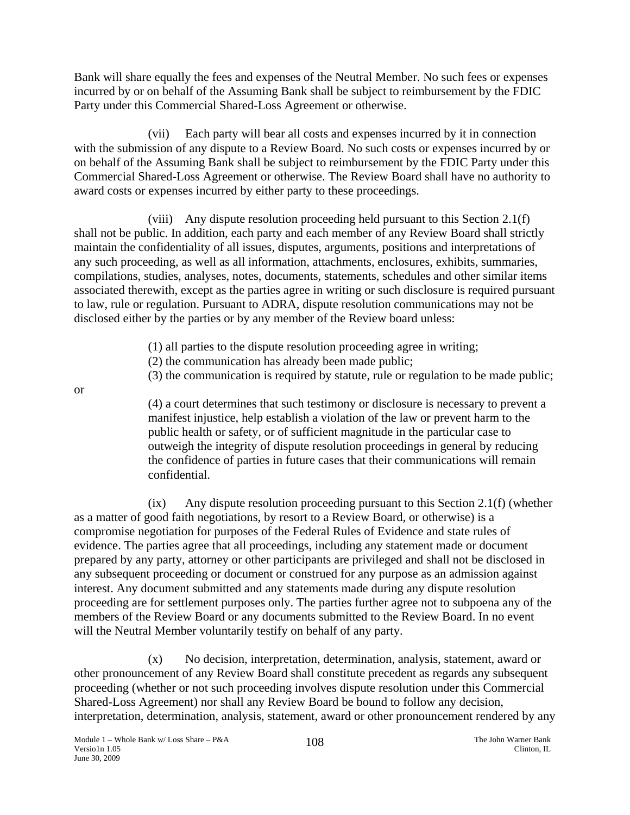Bank will share equally the fees and expenses of the Neutral Member. No such fees or expenses incurred by or on behalf of the Assuming Bank shall be subject to reimbursement by the FDIC Party under this Commercial Shared-Loss Agreement or otherwise.

(vii) Each party will bear all costs and expenses incurred by it in connection with the submission of any dispute to a Review Board. No such costs or expenses incurred by or on behalf of the Assuming Bank shall be subject to reimbursement by the FDIC Party under this Commercial Shared-Loss Agreement or otherwise. The Review Board shall have no authority to award costs or expenses incurred by either party to these proceedings.

 (viii) Any dispute resolution proceeding held pursuant to this Section 2.1(f) shall not be public. In addition, each party and each member of any Review Board shall strictly maintain the confidentiality of all issues, disputes, arguments, positions and interpretations of any such proceeding, as well as all information, attachments, enclosures, exhibits, summaries, compilations, studies, analyses, notes, documents, statements, schedules and other similar items associated therewith, except as the parties agree in writing or such disclosure is required pursuant to law, rule or regulation. Pursuant to ADRA, dispute resolution communications may not be disclosed either by the parties or by any member of the Review board unless:

- (1) all parties to the dispute resolution proceeding agree in writing;
- (2) the communication has already been made public;
- (3) the communication is required by statute, rule or regulation to be made public;

or

(4) a court determines that such testimony or disclosure is necessary to prevent a manifest injustice, help establish a violation of the law or prevent harm to the public health or safety, or of sufficient magnitude in the particular case to outweigh the integrity of dispute resolution proceedings in general by reducing the confidence of parties in future cases that their communications will remain confidential.

(ix) Any dispute resolution proceeding pursuant to this Section 2.1(f) (whether as a matter of good faith negotiations, by resort to a Review Board, or otherwise) is a compromise negotiation for purposes of the Federal Rules of Evidence and state rules of evidence. The parties agree that all proceedings, including any statement made or document prepared by any party, attorney or other participants are privileged and shall not be disclosed in any subsequent proceeding or document or construed for any purpose as an admission against interest. Any document submitted and any statements made during any dispute resolution proceeding are for settlement purposes only. The parties further agree not to subpoena any of the members of the Review Board or any documents submitted to the Review Board. In no event will the Neutral Member voluntarily testify on behalf of any party.

(x) No decision, interpretation, determination, analysis, statement, award or other pronouncement of any Review Board shall constitute precedent as regards any subsequent proceeding (whether or not such proceeding involves dispute resolution under this Commercial Shared-Loss Agreement) nor shall any Review Board be bound to follow any decision, interpretation, determination, analysis, statement, award or other pronouncement rendered by any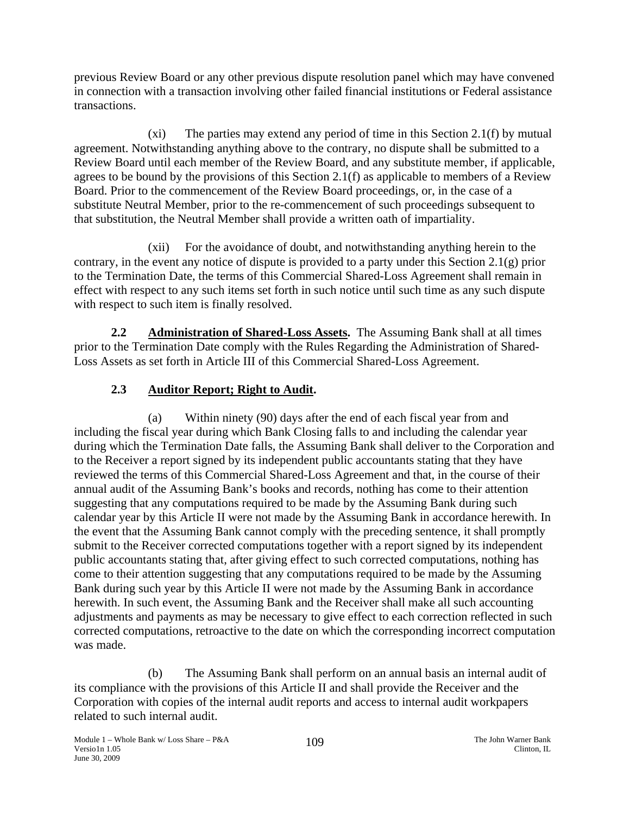previous Review Board or any other previous dispute resolution panel which may have convened in connection with a transaction involving other failed financial institutions or Federal assistance transactions.

(xi) The parties may extend any period of time in this Section 2.1(f) by mutual agreement. Notwithstanding anything above to the contrary, no dispute shall be submitted to a Review Board until each member of the Review Board, and any substitute member, if applicable, agrees to be bound by the provisions of this Section 2.1(f) as applicable to members of a Review Board. Prior to the commencement of the Review Board proceedings, or, in the case of a substitute Neutral Member, prior to the re-commencement of such proceedings subsequent to that substitution, the Neutral Member shall provide a written oath of impartiality.

(xii) For the avoidance of doubt, and notwithstanding anything herein to the contrary, in the event any notice of dispute is provided to a party under this Section 2.1(g) prior to the Termination Date, the terms of this Commercial Shared-Loss Agreement shall remain in effect with respect to any such items set forth in such notice until such time as any such dispute with respect to such item is finally resolved.

**2.2 Administration of Shared-Loss Assets.** The Assuming Bank shall at all times prior to the Termination Date comply with the Rules Regarding the Administration of Shared-Loss Assets as set forth in Article III of this Commercial Shared-Loss Agreement.

# **2.3 Auditor Report; Right to Audit.**

 (a) Within ninety (90) days after the end of each fiscal year from and including the fiscal year during which Bank Closing falls to and including the calendar year during which the Termination Date falls, the Assuming Bank shall deliver to the Corporation and to the Receiver a report signed by its independent public accountants stating that they have reviewed the terms of this Commercial Shared-Loss Agreement and that, in the course of their annual audit of the Assuming Bank's books and records, nothing has come to their attention suggesting that any computations required to be made by the Assuming Bank during such calendar year by this Article II were not made by the Assuming Bank in accordance herewith. In the event that the Assuming Bank cannot comply with the preceding sentence, it shall promptly submit to the Receiver corrected computations together with a report signed by its independent public accountants stating that, after giving effect to such corrected computations, nothing has come to their attention suggesting that any computations required to be made by the Assuming Bank during such year by this Article II were not made by the Assuming Bank in accordance herewith. In such event, the Assuming Bank and the Receiver shall make all such accounting adjustments and payments as may be necessary to give effect to each correction reflected in such corrected computations, retroactive to the date on which the corresponding incorrect computation was made.

(b) The Assuming Bank shall perform on an annual basis an internal audit of its compliance with the provisions of this Article II and shall provide the Receiver and the Corporation with copies of the internal audit reports and access to internal audit workpapers related to such internal audit.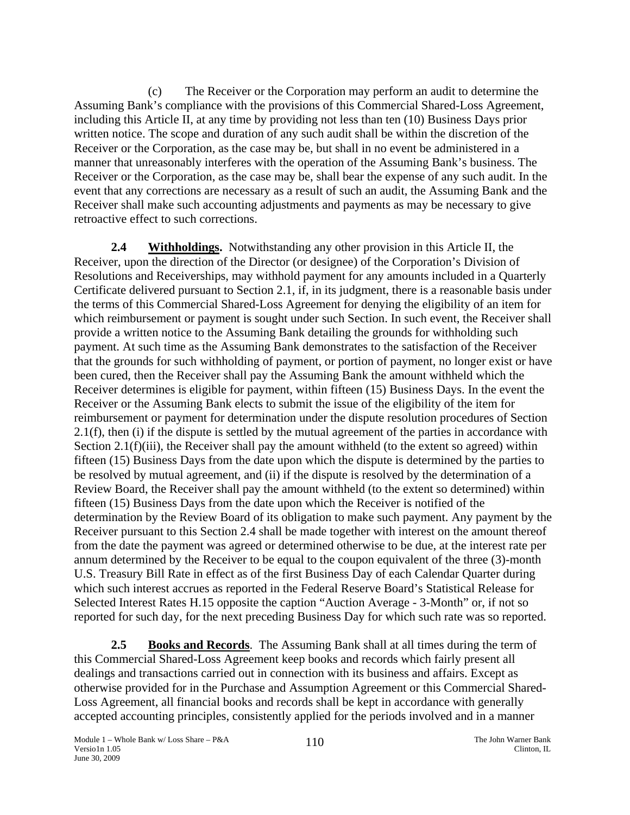(c) The Receiver or the Corporation may perform an audit to determine the Assuming Bank's compliance with the provisions of this Commercial Shared-Loss Agreement, including this Article II, at any time by providing not less than ten (10) Business Days prior written notice. The scope and duration of any such audit shall be within the discretion of the Receiver or the Corporation, as the case may be, but shall in no event be administered in a manner that unreasonably interferes with the operation of the Assuming Bank's business. The Receiver or the Corporation, as the case may be, shall bear the expense of any such audit. In the event that any corrections are necessary as a result of such an audit, the Assuming Bank and the Receiver shall make such accounting adjustments and payments as may be necessary to give retroactive effect to such corrections.

**2.4 Withholdings.** Notwithstanding any other provision in this Article II, the Receiver, upon the direction of the Director (or designee) of the Corporation's Division of Resolutions and Receiverships, may withhold payment for any amounts included in a Quarterly Certificate delivered pursuant to Section 2.1, if, in its judgment, there is a reasonable basis under the terms of this Commercial Shared-Loss Agreement for denying the eligibility of an item for which reimbursement or payment is sought under such Section. In such event, the Receiver shall provide a written notice to the Assuming Bank detailing the grounds for withholding such payment. At such time as the Assuming Bank demonstrates to the satisfaction of the Receiver that the grounds for such withholding of payment, or portion of payment, no longer exist or have been cured, then the Receiver shall pay the Assuming Bank the amount withheld which the Receiver determines is eligible for payment, within fifteen (15) Business Days. In the event the Receiver or the Assuming Bank elects to submit the issue of the eligibility of the item for reimbursement or payment for determination under the dispute resolution procedures of Section 2.1(f), then (i) if the dispute is settled by the mutual agreement of the parties in accordance with Section 2.1(f)(iii), the Receiver shall pay the amount withheld (to the extent so agreed) within fifteen (15) Business Days from the date upon which the dispute is determined by the parties to be resolved by mutual agreement, and (ii) if the dispute is resolved by the determination of a Review Board, the Receiver shall pay the amount withheld (to the extent so determined) within fifteen (15) Business Days from the date upon which the Receiver is notified of the determination by the Review Board of its obligation to make such payment. Any payment by the Receiver pursuant to this Section 2.4 shall be made together with interest on the amount thereof from the date the payment was agreed or determined otherwise to be due, at the interest rate per annum determined by the Receiver to be equal to the coupon equivalent of the three (3)-month U.S. Treasury Bill Rate in effect as of the first Business Day of each Calendar Quarter during which such interest accrues as reported in the Federal Reserve Board's Statistical Release for Selected Interest Rates H.15 opposite the caption "Auction Average - 3-Month" or, if not so reported for such day, for the next preceding Business Day for which such rate was so reported.

**2.5 Books and Records**. The Assuming Bank shall at all times during the term of this Commercial Shared-Loss Agreement keep books and records which fairly present all dealings and transactions carried out in connection with its business and affairs. Except as otherwise provided for in the Purchase and Assumption Agreement or this Commercial Shared-Loss Agreement, all financial books and records shall be kept in accordance with generally accepted accounting principles, consistently applied for the periods involved and in a manner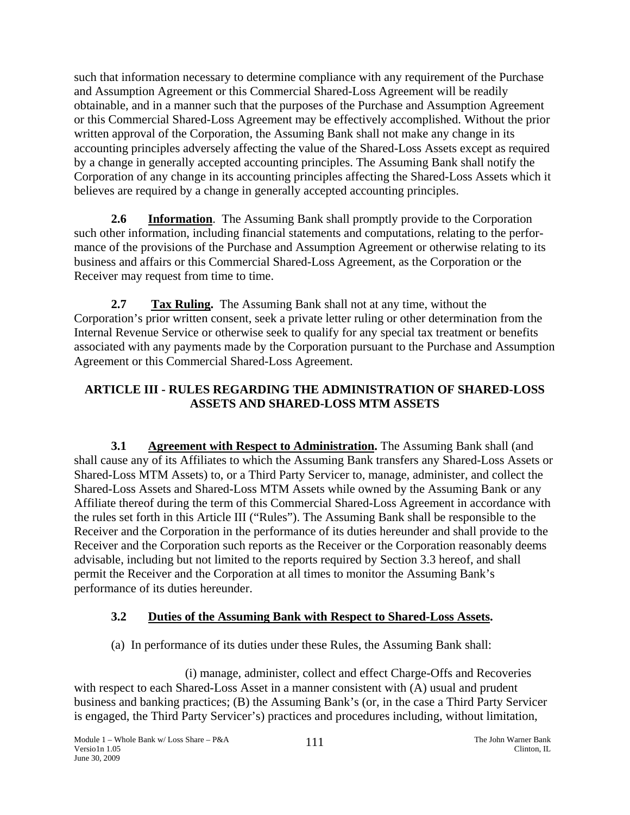such that information necessary to determine compliance with any requirement of the Purchase and Assumption Agreement or this Commercial Shared-Loss Agreement will be readily obtainable, and in a manner such that the purposes of the Purchase and Assumption Agreement or this Commercial Shared-Loss Agreement may be effectively accomplished. Without the prior written approval of the Corporation, the Assuming Bank shall not make any change in its accounting principles adversely affecting the value of the Shared-Loss Assets except as required by a change in generally accepted accounting principles. The Assuming Bank shall notify the Corporation of any change in its accounting principles affecting the Shared-Loss Assets which it believes are required by a change in generally accepted accounting principles.

**2.6 Information**. The Assuming Bank shall promptly provide to the Corporation such other information, including financial statements and computations, relating to the performance of the provisions of the Purchase and Assumption Agreement or otherwise relating to its business and affairs or this Commercial Shared-Loss Agreement, as the Corporation or the Receiver may request from time to time.

**2.7 Tax Ruling.** The Assuming Bank shall not at any time, without the Corporation's prior written consent, seek a private letter ruling or other determination from the Internal Revenue Service or otherwise seek to qualify for any special tax treatment or benefits associated with any payments made by the Corporation pursuant to the Purchase and Assumption Agreement or this Commercial Shared-Loss Agreement.

## **ARTICLE III - RULES REGARDING THE ADMINISTRATION OF SHARED-LOSS ASSETS AND SHARED-LOSS MTM ASSETS**

**3.1** Agreement with Respect to Administration. The Assuming Bank shall (and shall cause any of its Affiliates to which the Assuming Bank transfers any Shared-Loss Assets or Shared-Loss MTM Assets) to, or a Third Party Servicer to, manage, administer, and collect the Shared-Loss Assets and Shared-Loss MTM Assets while owned by the Assuming Bank or any Affiliate thereof during the term of this Commercial Shared-Loss Agreement in accordance with the rules set forth in this Article III ("Rules"). The Assuming Bank shall be responsible to the Receiver and the Corporation in the performance of its duties hereunder and shall provide to the Receiver and the Corporation such reports as the Receiver or the Corporation reasonably deems advisable, including but not limited to the reports required by Section 3.3 hereof, and shall permit the Receiver and the Corporation at all times to monitor the Assuming Bank's performance of its duties hereunder.

# **3.2 Duties of the Assuming Bank with Respect to Shared-Loss Assets.**

(a) In performance of its duties under these Rules, the Assuming Bank shall:

(i) manage, administer, collect and effect Charge-Offs and Recoveries with respect to each Shared-Loss Asset in a manner consistent with (A) usual and prudent business and banking practices; (B) the Assuming Bank's (or, in the case a Third Party Servicer is engaged, the Third Party Servicer's) practices and procedures including, without limitation,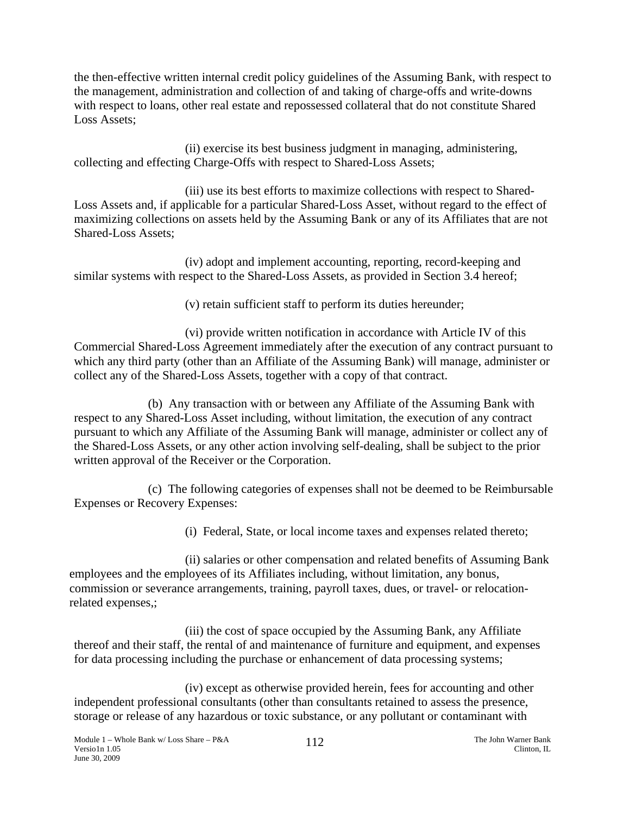the then-effective written internal credit policy guidelines of the Assuming Bank, with respect to the management, administration and collection of and taking of charge-offs and write-downs with respect to loans, other real estate and repossessed collateral that do not constitute Shared Loss Assets;

(ii) exercise its best business judgment in managing, administering, collecting and effecting Charge-Offs with respect to Shared-Loss Assets;

(iii) use its best efforts to maximize collections with respect to Shared-Loss Assets and, if applicable for a particular Shared-Loss Asset, without regard to the effect of maximizing collections on assets held by the Assuming Bank or any of its Affiliates that are not Shared-Loss Assets;

(iv) adopt and implement accounting, reporting, record-keeping and similar systems with respect to the Shared-Loss Assets, as provided in Section 3.4 hereof;

(v) retain sufficient staff to perform its duties hereunder;

(vi) provide written notification in accordance with Article IV of this Commercial Shared-Loss Agreement immediately after the execution of any contract pursuant to which any third party (other than an Affiliate of the Assuming Bank) will manage, administer or collect any of the Shared-Loss Assets, together with a copy of that contract.

(b) Any transaction with or between any Affiliate of the Assuming Bank with respect to any Shared-Loss Asset including, without limitation, the execution of any contract pursuant to which any Affiliate of the Assuming Bank will manage, administer or collect any of the Shared-Loss Assets, or any other action involving self-dealing, shall be subject to the prior written approval of the Receiver or the Corporation.

(c) The following categories of expenses shall not be deemed to be Reimbursable Expenses or Recovery Expenses:

(i) Federal, State, or local income taxes and expenses related thereto;

(ii) salaries or other compensation and related benefits of Assuming Bank employees and the employees of its Affiliates including, without limitation, any bonus, commission or severance arrangements, training, payroll taxes, dues, or travel- or relocationrelated expenses,;

(iii) the cost of space occupied by the Assuming Bank, any Affiliate thereof and their staff, the rental of and maintenance of furniture and equipment, and expenses for data processing including the purchase or enhancement of data processing systems;

(iv) except as otherwise provided herein, fees for accounting and other independent professional consultants (other than consultants retained to assess the presence, storage or release of any hazardous or toxic substance, or any pollutant or contaminant with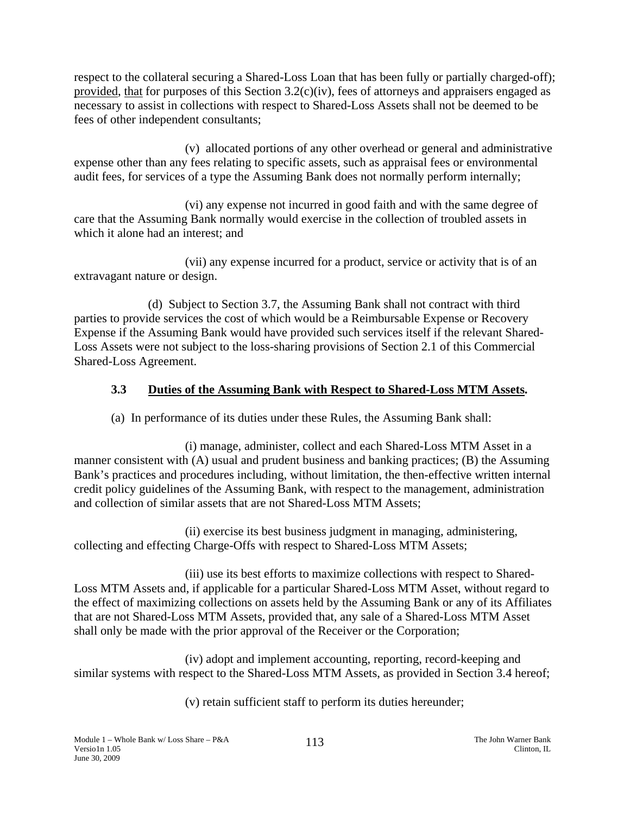respect to the collateral securing a Shared-Loss Loan that has been fully or partially charged-off); provided, that for purposes of this Section 3.2(c)(iv), fees of attorneys and appraisers engaged as necessary to assist in collections with respect to Shared-Loss Assets shall not be deemed to be fees of other independent consultants;

(v) allocated portions of any other overhead or general and administrative expense other than any fees relating to specific assets, such as appraisal fees or environmental audit fees, for services of a type the Assuming Bank does not normally perform internally;

(vi) any expense not incurred in good faith and with the same degree of care that the Assuming Bank normally would exercise in the collection of troubled assets in which it alone had an interest; and

(vii) any expense incurred for a product, service or activity that is of an extravagant nature or design.

(d) Subject to Section 3.7, the Assuming Bank shall not contract with third parties to provide services the cost of which would be a Reimbursable Expense or Recovery Expense if the Assuming Bank would have provided such services itself if the relevant Shared-Loss Assets were not subject to the loss-sharing provisions of Section 2.1 of this Commercial Shared-Loss Agreement.

# **3.3 Duties of the Assuming Bank with Respect to Shared-Loss MTM Assets.**

(a) In performance of its duties under these Rules, the Assuming Bank shall:

(i) manage, administer, collect and each Shared-Loss MTM Asset in a manner consistent with (A) usual and prudent business and banking practices; (B) the Assuming Bank's practices and procedures including, without limitation, the then-effective written internal credit policy guidelines of the Assuming Bank, with respect to the management, administration and collection of similar assets that are not Shared-Loss MTM Assets;

(ii) exercise its best business judgment in managing, administering, collecting and effecting Charge-Offs with respect to Shared-Loss MTM Assets;

(iii) use its best efforts to maximize collections with respect to Shared-Loss MTM Assets and, if applicable for a particular Shared-Loss MTM Asset, without regard to the effect of maximizing collections on assets held by the Assuming Bank or any of its Affiliates that are not Shared-Loss MTM Assets, provided that, any sale of a Shared-Loss MTM Asset shall only be made with the prior approval of the Receiver or the Corporation;

(iv) adopt and implement accounting, reporting, record-keeping and similar systems with respect to the Shared-Loss MTM Assets, as provided in Section 3.4 hereof;

(v) retain sufficient staff to perform its duties hereunder;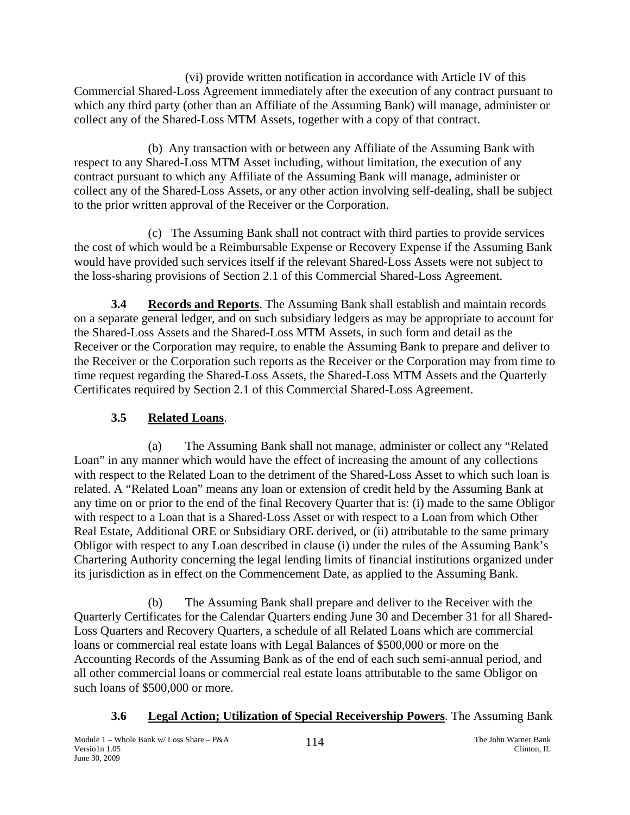(vi) provide written notification in accordance with Article IV of this Commercial Shared-Loss Agreement immediately after the execution of any contract pursuant to which any third party (other than an Affiliate of the Assuming Bank) will manage, administer or collect any of the Shared-Loss MTM Assets, together with a copy of that contract.

(b) Any transaction with or between any Affiliate of the Assuming Bank with respect to any Shared-Loss MTM Asset including, without limitation, the execution of any contract pursuant to which any Affiliate of the Assuming Bank will manage, administer or collect any of the Shared-Loss Assets, or any other action involving self-dealing, shall be subject to the prior written approval of the Receiver or the Corporation.

(c) The Assuming Bank shall not contract with third parties to provide services the cost of which would be a Reimbursable Expense or Recovery Expense if the Assuming Bank would have provided such services itself if the relevant Shared-Loss Assets were not subject to the loss-sharing provisions of Section 2.1 of this Commercial Shared-Loss Agreement.

**3.4 Records and Reports**. The Assuming Bank shall establish and maintain records on a separate general ledger, and on such subsidiary ledgers as may be appropriate to account for the Shared-Loss Assets and the Shared-Loss MTM Assets, in such form and detail as the Receiver or the Corporation may require, to enable the Assuming Bank to prepare and deliver to the Receiver or the Corporation such reports as the Receiver or the Corporation may from time to time request regarding the Shared-Loss Assets, the Shared-Loss MTM Assets and the Quarterly Certificates required by Section 2.1 of this Commercial Shared-Loss Agreement.

# **3.5 Related Loans**.

(a) The Assuming Bank shall not manage, administer or collect any "Related Loan" in any manner which would have the effect of increasing the amount of any collections with respect to the Related Loan to the detriment of the Shared-Loss Asset to which such loan is related. A "Related Loan" means any loan or extension of credit held by the Assuming Bank at any time on or prior to the end of the final Recovery Quarter that is: (i) made to the same Obligor with respect to a Loan that is a Shared-Loss Asset or with respect to a Loan from which Other Real Estate, Additional ORE or Subsidiary ORE derived, or (ii) attributable to the same primary Obligor with respect to any Loan described in clause (i) under the rules of the Assuming Bank's Chartering Authority concerning the legal lending limits of financial institutions organized under its jurisdiction as in effect on the Commencement Date, as applied to the Assuming Bank.

(b) The Assuming Bank shall prepare and deliver to the Receiver with the Quarterly Certificates for the Calendar Quarters ending June 30 and December 31 for all Shared-Loss Quarters and Recovery Quarters, a schedule of all Related Loans which are commercial loans or commercial real estate loans with Legal Balances of \$500,000 or more on the Accounting Records of the Assuming Bank as of the end of each such semi-annual period, and all other commercial loans or commercial real estate loans attributable to the same Obligor on such loans of \$500,000 or more.

#### **3.6 Legal Action; Utilization of Special Receivership Powers**. The Assuming Bank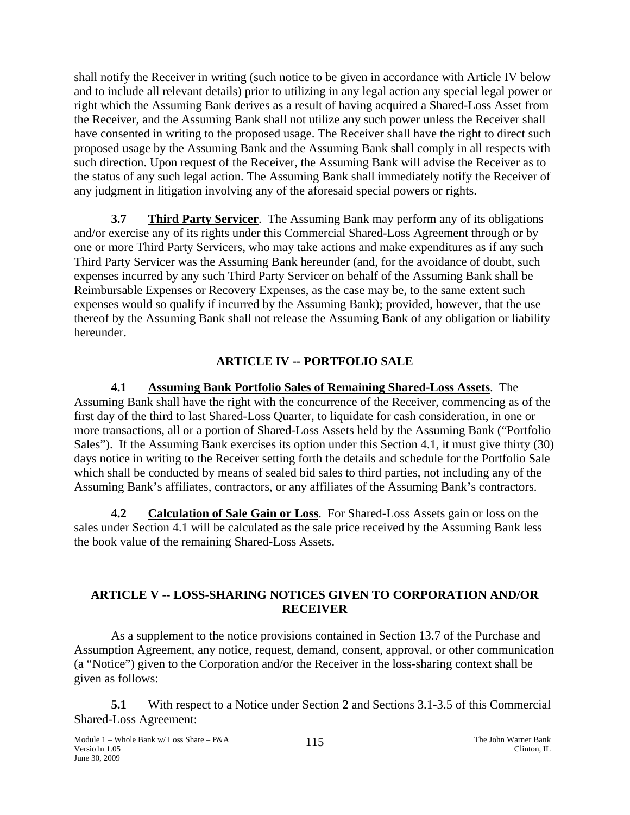shall notify the Receiver in writing (such notice to be given in accordance with Article IV below and to include all relevant details) prior to utilizing in any legal action any special legal power or right which the Assuming Bank derives as a result of having acquired a Shared-Loss Asset from the Receiver, and the Assuming Bank shall not utilize any such power unless the Receiver shall have consented in writing to the proposed usage. The Receiver shall have the right to direct such proposed usage by the Assuming Bank and the Assuming Bank shall comply in all respects with such direction. Upon request of the Receiver, the Assuming Bank will advise the Receiver as to the status of any such legal action. The Assuming Bank shall immediately notify the Receiver of any judgment in litigation involving any of the aforesaid special powers or rights.

**3.7** Third Party Servicer. The Assuming Bank may perform any of its obligations and/or exercise any of its rights under this Commercial Shared-Loss Agreement through or by one or more Third Party Servicers, who may take actions and make expenditures as if any such Third Party Servicer was the Assuming Bank hereunder (and, for the avoidance of doubt, such expenses incurred by any such Third Party Servicer on behalf of the Assuming Bank shall be Reimbursable Expenses or Recovery Expenses, as the case may be, to the same extent such expenses would so qualify if incurred by the Assuming Bank); provided, however, that the use thereof by the Assuming Bank shall not release the Assuming Bank of any obligation or liability hereunder.

#### **ARTICLE IV -- PORTFOLIO SALE**

 **4.1 Assuming Bank Portfolio Sales of Remaining Shared-Loss Assets**. The Assuming Bank shall have the right with the concurrence of the Receiver, commencing as of the first day of the third to last Shared-Loss Quarter, to liquidate for cash consideration, in one or more transactions, all or a portion of Shared-Loss Assets held by the Assuming Bank ("Portfolio Sales"). If the Assuming Bank exercises its option under this Section 4.1, it must give thirty (30) days notice in writing to the Receiver setting forth the details and schedule for the Portfolio Sale which shall be conducted by means of sealed bid sales to third parties, not including any of the Assuming Bank's affiliates, contractors, or any affiliates of the Assuming Bank's contractors.

**4.2 Calculation of Sale Gain or Loss**. For Shared-Loss Assets gain or loss on the sales under Section 4.1 will be calculated as the sale price received by the Assuming Bank less the book value of the remaining Shared-Loss Assets.

#### **ARTICLE V -- LOSS-SHARING NOTICES GIVEN TO CORPORATION AND/OR RECEIVER**

As a supplement to the notice provisions contained in Section 13.7 of the Purchase and Assumption Agreement, any notice, request, demand, consent, approval, or other communication (a "Notice") given to the Corporation and/or the Receiver in the loss-sharing context shall be given as follows:

**5.1** With respect to a Notice under Section 2 and Sections 3.1-3.5 of this Commercial Shared-Loss Agreement: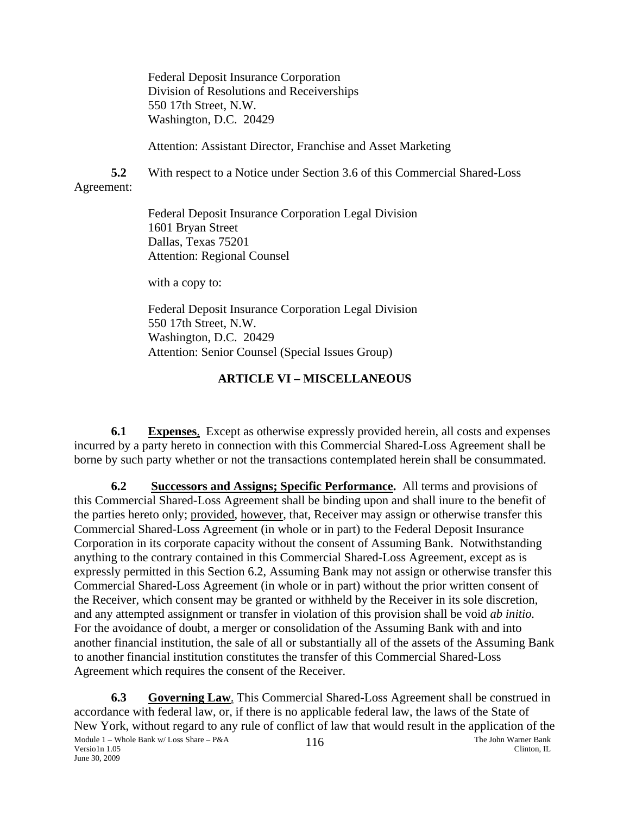Federal Deposit Insurance Corporation Division of Resolutions and Receiverships 550 17th Street, N.W. Washington, D.C. 20429

Attention: Assistant Director, Franchise and Asset Marketing

**5.2** With respect to a Notice under Section 3.6 of this Commercial Shared-Loss Agreement:

> Federal Deposit Insurance Corporation Legal Division 1601 Bryan Street Dallas, Texas 75201 Attention: Regional Counsel

with a copy to:

Federal Deposit Insurance Corporation Legal Division 550 17th Street, N.W. Washington, D.C. 20429 Attention: Senior Counsel (Special Issues Group)

## **ARTICLE VI – MISCELLANEOUS**

 **6.1 Expenses**. Except as otherwise expressly provided herein, all costs and expenses incurred by a party hereto in connection with this Commercial Shared-Loss Agreement shall be borne by such party whether or not the transactions contemplated herein shall be consummated.

**6.2** Successors and Assigns; Specific Performance. All terms and provisions of this Commercial Shared-Loss Agreement shall be binding upon and shall inure to the benefit of the parties hereto only; provided, however, that, Receiver may assign or otherwise transfer this Commercial Shared-Loss Agreement (in whole or in part) to the Federal Deposit Insurance Corporation in its corporate capacity without the consent of Assuming Bank. Notwithstanding anything to the contrary contained in this Commercial Shared-Loss Agreement, except as is expressly permitted in this Section 6.2, Assuming Bank may not assign or otherwise transfer this Commercial Shared-Loss Agreement (in whole or in part) without the prior written consent of the Receiver, which consent may be granted or withheld by the Receiver in its sole discretion, and any attempted assignment or transfer in violation of this provision shall be void *ab initio.*  For the avoidance of doubt, a merger or consolidation of the Assuming Bank with and into another financial institution, the sale of all or substantially all of the assets of the Assuming Bank to another financial institution constitutes the transfer of this Commercial Shared-Loss Agreement which requires the consent of the Receiver.

Module 1 – Whole Bank w/ Loss Share – P&A  $116$  The John Warner Bank Clinton. IL **6.3 Governing Law**. This Commercial Shared-Loss Agreement shall be construed in accordance with federal law, or, if there is no applicable federal law, the laws of the State of New York, without regard to any rule of conflict of law that would result in the application of the Versio 1 n 1.05 Clinton, IL Clinton, IL Clinton, IL Clinton, IL June 30, 2009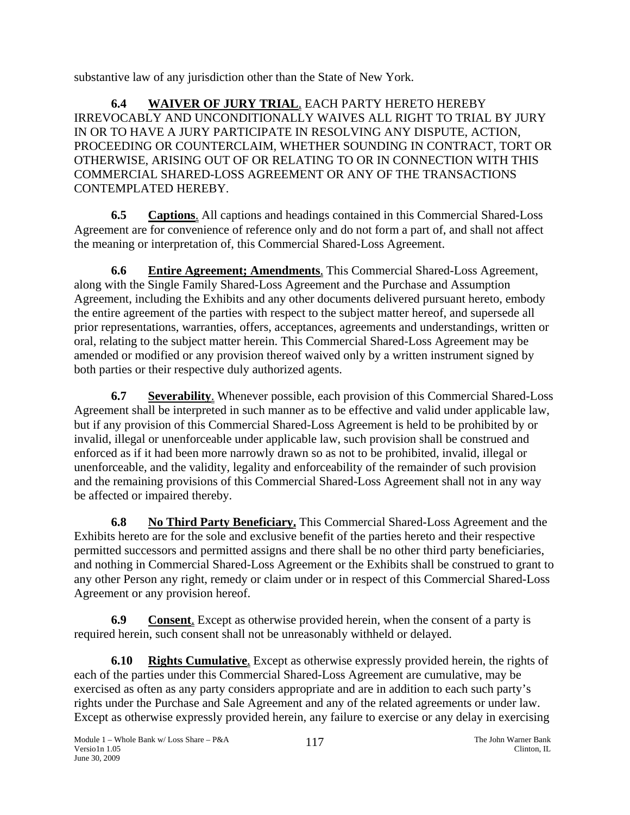substantive law of any jurisdiction other than the State of New York.

**6.4 WAIVER OF JURY TRIAL**. EACH PARTY HERETO HEREBY IRREVOCABLY AND UNCONDITIONALLY WAIVES ALL RIGHT TO TRIAL BY JURY IN OR TO HAVE A JURY PARTICIPATE IN RESOLVING ANY DISPUTE, ACTION, PROCEEDING OR COUNTERCLAIM, WHETHER SOUNDING IN CONTRACT, TORT OR OTHERWISE, ARISING OUT OF OR RELATING TO OR IN CONNECTION WITH THIS COMMERCIAL SHARED-LOSS AGREEMENT OR ANY OF THE TRANSACTIONS CONTEMPLATED HEREBY.

**6.5 Captions**. All captions and headings contained in this Commercial Shared-Loss Agreement are for convenience of reference only and do not form a part of, and shall not affect the meaning or interpretation of, this Commercial Shared-Loss Agreement.

**6.6 Entire Agreement; Amendments**. This Commercial Shared-Loss Agreement, along with the Single Family Shared-Loss Agreement and the Purchase and Assumption Agreement, including the Exhibits and any other documents delivered pursuant hereto, embody the entire agreement of the parties with respect to the subject matter hereof, and supersede all prior representations, warranties, offers, acceptances, agreements and understandings, written or oral, relating to the subject matter herein. This Commercial Shared-Loss Agreement may be amended or modified or any provision thereof waived only by a written instrument signed by both parties or their respective duly authorized agents.

**6.7 Severability**. Whenever possible, each provision of this Commercial Shared-Loss Agreement shall be interpreted in such manner as to be effective and valid under applicable law, but if any provision of this Commercial Shared-Loss Agreement is held to be prohibited by or invalid, illegal or unenforceable under applicable law, such provision shall be construed and enforced as if it had been more narrowly drawn so as not to be prohibited, invalid, illegal or unenforceable, and the validity, legality and enforceability of the remainder of such provision and the remaining provisions of this Commercial Shared-Loss Agreement shall not in any way be affected or impaired thereby.

**6.8 No Third Party Beneficiary.** This Commercial Shared-Loss Agreement and the Exhibits hereto are for the sole and exclusive benefit of the parties hereto and their respective permitted successors and permitted assigns and there shall be no other third party beneficiaries, and nothing in Commercial Shared-Loss Agreement or the Exhibits shall be construed to grant to any other Person any right, remedy or claim under or in respect of this Commercial Shared-Loss Agreement or any provision hereof.

**6.9** Consent. Except as otherwise provided herein, when the consent of a party is required herein, such consent shall not be unreasonably withheld or delayed.

**6.10 Rights Cumulative.** Except as otherwise expressly provided herein, the rights of each of the parties under this Commercial Shared-Loss Agreement are cumulative, may be exercised as often as any party considers appropriate and are in addition to each such party's rights under the Purchase and Sale Agreement and any of the related agreements or under law. Except as otherwise expressly provided herein, any failure to exercise or any delay in exercising